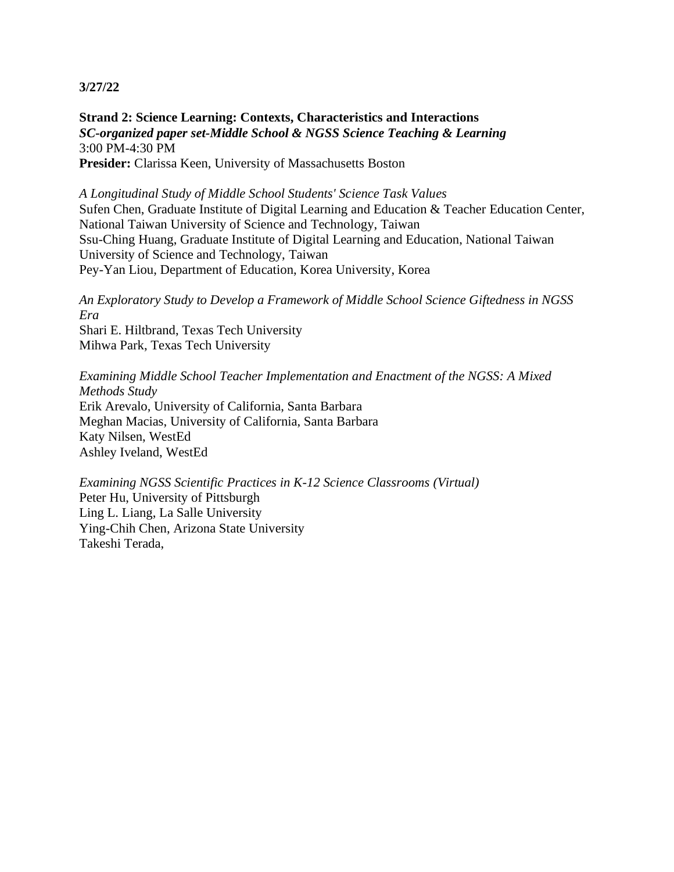**Strand 2: Science Learning: Contexts, Characteristics and Interactions** *SC-organized paper set-Middle School & NGSS Science Teaching & Learning* 3:00 PM-4:30 PM **Presider:** Clarissa Keen, University of Massachusetts Boston

*A Longitudinal Study of Middle School Students' Science Task Values* Sufen Chen, Graduate Institute of Digital Learning and Education & Teacher Education Center, National Taiwan University of Science and Technology, Taiwan Ssu-Ching Huang, Graduate Institute of Digital Learning and Education, National Taiwan University of Science and Technology, Taiwan Pey-Yan Liou, Department of Education, Korea University, Korea

*An Exploratory Study to Develop a Framework of Middle School Science Giftedness in NGSS Era* Shari E. Hiltbrand, Texas Tech University Mihwa Park, Texas Tech University

*Examining Middle School Teacher Implementation and Enactment of the NGSS: A Mixed Methods Study* Erik Arevalo, University of California, Santa Barbara Meghan Macias, University of California, Santa Barbara Katy Nilsen, WestEd Ashley Iveland, WestEd

*Examining NGSS Scientific Practices in K-12 Science Classrooms (Virtual)* Peter Hu, University of Pittsburgh Ling L. Liang, La Salle University Ying-Chih Chen, Arizona State University Takeshi Terada,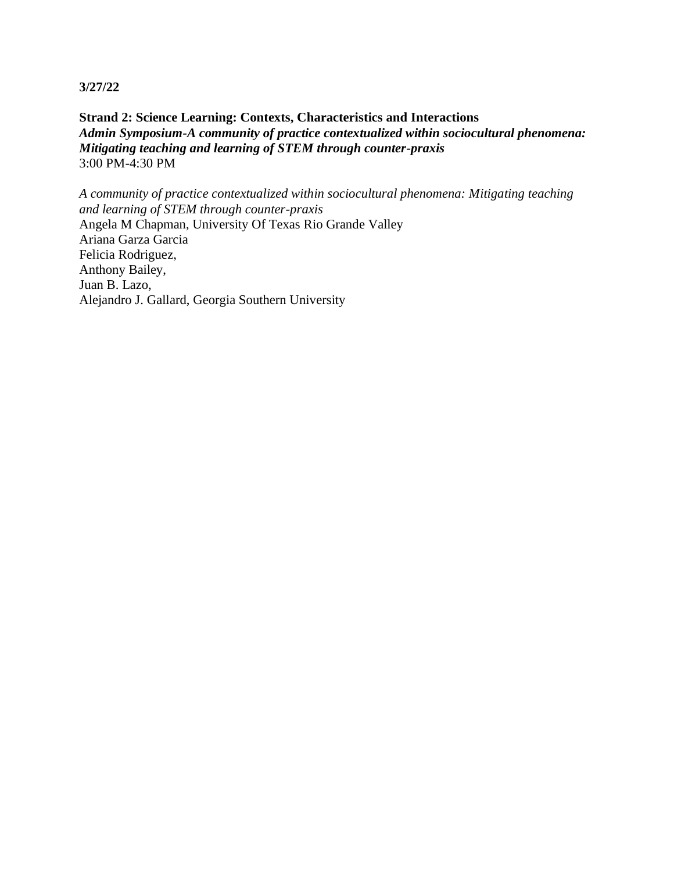**Strand 2: Science Learning: Contexts, Characteristics and Interactions** *Admin Symposium-A community of practice contextualized within sociocultural phenomena: Mitigating teaching and learning of STEM through counter-praxis* 3:00 PM-4:30 PM

*A community of practice contextualized within sociocultural phenomena: Mitigating teaching and learning of STEM through counter-praxis* Angela M Chapman, University Of Texas Rio Grande Valley Ariana Garza Garcia Felicia Rodriguez, Anthony Bailey, Juan B. Lazo, Alejandro J. Gallard, Georgia Southern University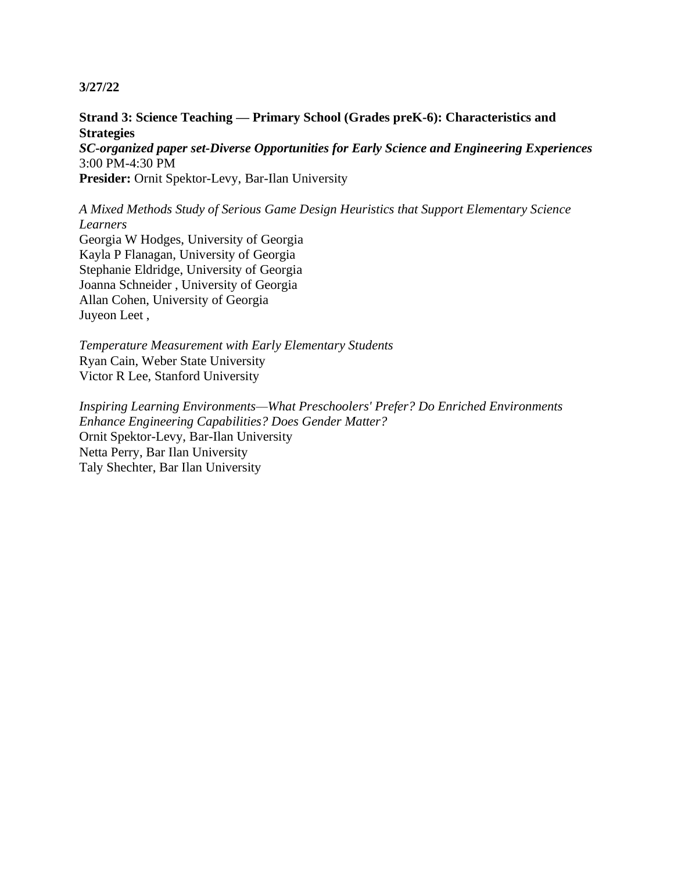### **Strand 3: Science Teaching — Primary School (Grades preK-6): Characteristics and Strategies**

*SC-organized paper set-Diverse Opportunities for Early Science and Engineering Experiences* 3:00 PM-4:30 PM

**Presider:** Ornit Spektor-Levy, Bar-Ilan University

*A Mixed Methods Study of Serious Game Design Heuristics that Support Elementary Science Learners*

Georgia W Hodges, University of Georgia Kayla P Flanagan, University of Georgia Stephanie Eldridge, University of Georgia Joanna Schneider , University of Georgia Allan Cohen, University of Georgia Juyeon Leet ,

*Temperature Measurement with Early Elementary Students* Ryan Cain, Weber State University Victor R Lee, Stanford University

*Inspiring Learning Environments—What Preschoolers' Prefer? Do Enriched Environments Enhance Engineering Capabilities? Does Gender Matter?* Ornit Spektor-Levy, Bar-Ilan University Netta Perry, Bar Ilan University Taly Shechter, Bar Ilan University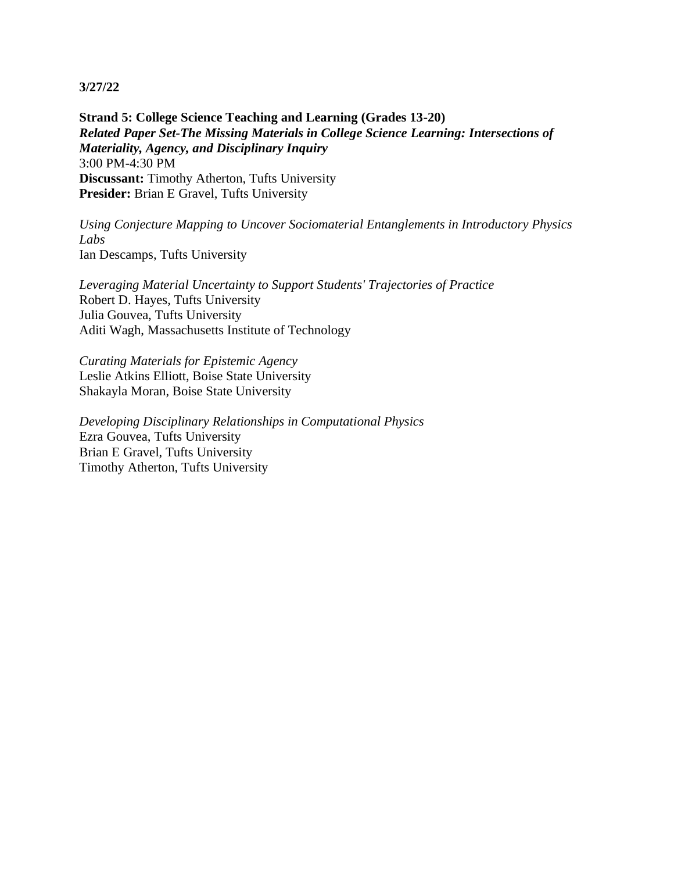**Strand 5: College Science Teaching and Learning (Grades 13-20)** *Related Paper Set-The Missing Materials in College Science Learning: Intersections of Materiality, Agency, and Disciplinary Inquiry* 3:00 PM-4:30 PM **Discussant:** Timothy Atherton, Tufts University **Presider:** Brian E Gravel, Tufts University

*Using Conjecture Mapping to Uncover Sociomaterial Entanglements in Introductory Physics Labs* Ian Descamps, Tufts University

*Leveraging Material Uncertainty to Support Students' Trajectories of Practice* Robert D. Hayes, Tufts University Julia Gouvea, Tufts University Aditi Wagh, Massachusetts Institute of Technology

*Curating Materials for Epistemic Agency* Leslie Atkins Elliott, Boise State University Shakayla Moran, Boise State University

*Developing Disciplinary Relationships in Computational Physics* Ezra Gouvea, Tufts University Brian E Gravel, Tufts University Timothy Atherton, Tufts University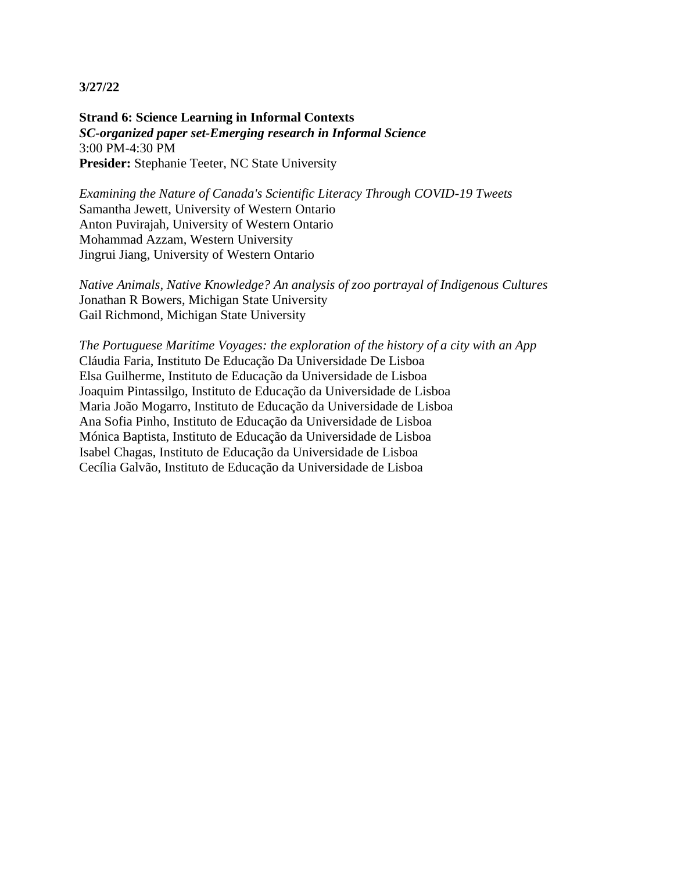**Strand 6: Science Learning in Informal Contexts** *SC-organized paper set-Emerging research in Informal Science* 3:00 PM-4:30 PM **Presider:** Stephanie Teeter, NC State University

*Examining the Nature of Canada's Scientific Literacy Through COVID-19 Tweets* Samantha Jewett, University of Western Ontario Anton Puvirajah, University of Western Ontario Mohammad Azzam, Western University Jingrui Jiang, University of Western Ontario

*Native Animals, Native Knowledge? An analysis of zoo portrayal of Indigenous Cultures* Jonathan R Bowers, Michigan State University Gail Richmond, Michigan State University

*The Portuguese Maritime Voyages: the exploration of the history of a city with an App* Cláudia Faria, Instituto De Educação Da Universidade De Lisboa Elsa Guilherme, Instituto de Educação da Universidade de Lisboa Joaquim Pintassilgo, Instituto de Educação da Universidade de Lisboa Maria João Mogarro, Instituto de Educação da Universidade de Lisboa Ana Sofia Pinho, Instituto de Educação da Universidade de Lisboa Mónica Baptista, Instituto de Educação da Universidade de Lisboa Isabel Chagas, Instituto de Educação da Universidade de Lisboa Cecília Galvão, Instituto de Educação da Universidade de Lisboa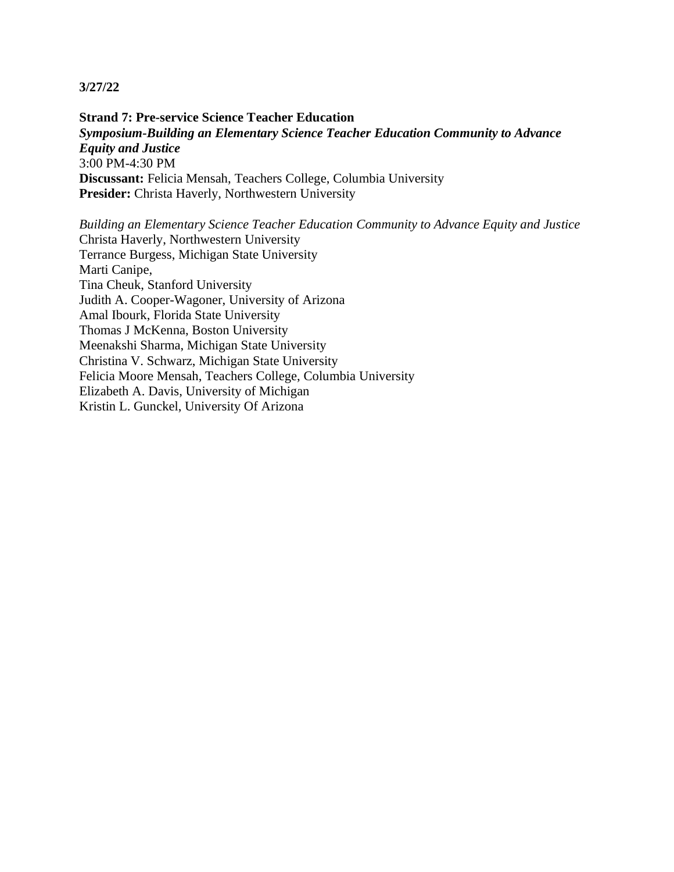**Strand 7: Pre-service Science Teacher Education** *Symposium-Building an Elementary Science Teacher Education Community to Advance Equity and Justice* 3:00 PM-4:30 PM **Discussant:** Felicia Mensah, Teachers College, Columbia University **Presider:** Christa Haverly, Northwestern University

*Building an Elementary Science Teacher Education Community to Advance Equity and Justice* Christa Haverly, Northwestern University Terrance Burgess, Michigan State University Marti Canipe, Tina Cheuk, Stanford University Judith A. Cooper-Wagoner, University of Arizona Amal Ibourk, Florida State University Thomas J McKenna, Boston University Meenakshi Sharma, Michigan State University Christina V. Schwarz, Michigan State University Felicia Moore Mensah, Teachers College, Columbia University Elizabeth A. Davis, University of Michigan Kristin L. Gunckel, University Of Arizona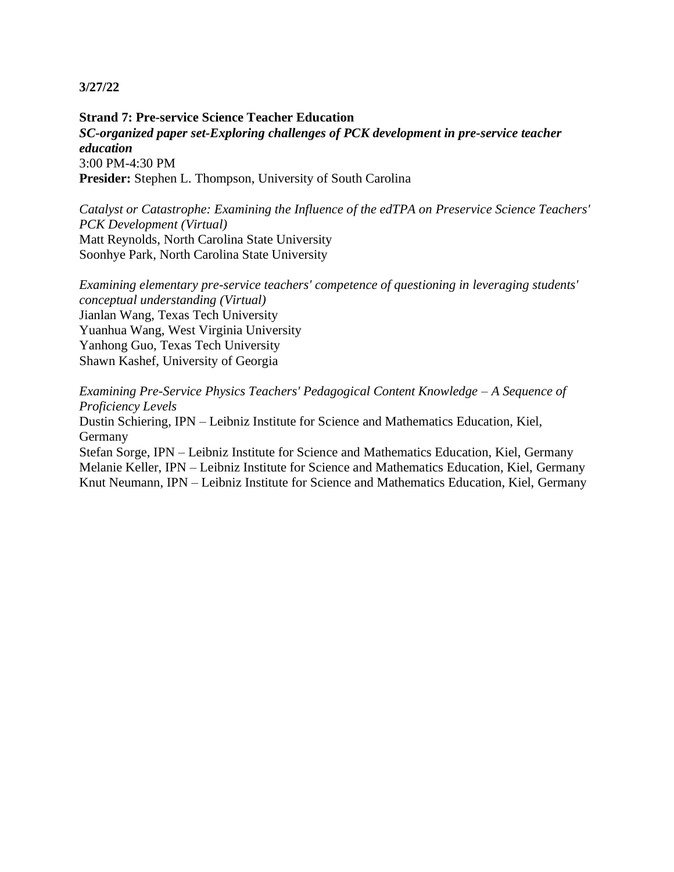**Strand 7: Pre-service Science Teacher Education** *SC-organized paper set-Exploring challenges of PCK development in pre-service teacher education* 3:00 PM-4:30 PM **Presider:** Stephen L. Thompson, University of South Carolina

*Catalyst or Catastrophe: Examining the Influence of the edTPA on Preservice Science Teachers' PCK Development (Virtual)* Matt Reynolds, North Carolina State University Soonhye Park, North Carolina State University

*Examining elementary pre-service teachers' competence of questioning in leveraging students' conceptual understanding (Virtual)* Jianlan Wang, Texas Tech University Yuanhua Wang, West Virginia University Yanhong Guo, Texas Tech University Shawn Kashef, University of Georgia

*Examining Pre-Service Physics Teachers' Pedagogical Content Knowledge – A Sequence of Proficiency Levels*

Dustin Schiering, IPN – Leibniz Institute for Science and Mathematics Education, Kiel, Germany

Stefan Sorge, IPN – Leibniz Institute for Science and Mathematics Education, Kiel, Germany Melanie Keller, IPN – Leibniz Institute for Science and Mathematics Education, Kiel, Germany Knut Neumann, IPN – Leibniz Institute for Science and Mathematics Education, Kiel, Germany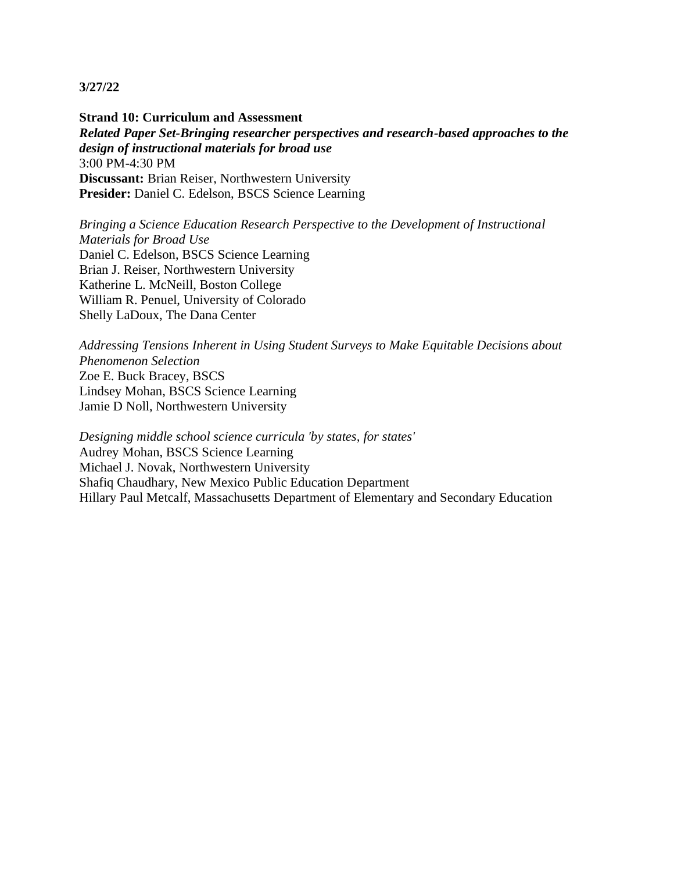**Strand 10: Curriculum and Assessment** *Related Paper Set-Bringing researcher perspectives and research-based approaches to the design of instructional materials for broad use* 3:00 PM-4:30 PM **Discussant:** Brian Reiser, Northwestern University **Presider:** Daniel C. Edelson, BSCS Science Learning

*Bringing a Science Education Research Perspective to the Development of Instructional Materials for Broad Use* Daniel C. Edelson, BSCS Science Learning Brian J. Reiser, Northwestern University Katherine L. McNeill, Boston College William R. Penuel, University of Colorado Shelly LaDoux, The Dana Center

*Addressing Tensions Inherent in Using Student Surveys to Make Equitable Decisions about Phenomenon Selection* Zoe E. Buck Bracey, BSCS Lindsey Mohan, BSCS Science Learning Jamie D Noll, Northwestern University

*Designing middle school science curricula 'by states, for states'* Audrey Mohan, BSCS Science Learning Michael J. Novak, Northwestern University Shafiq Chaudhary, New Mexico Public Education Department Hillary Paul Metcalf, Massachusetts Department of Elementary and Secondary Education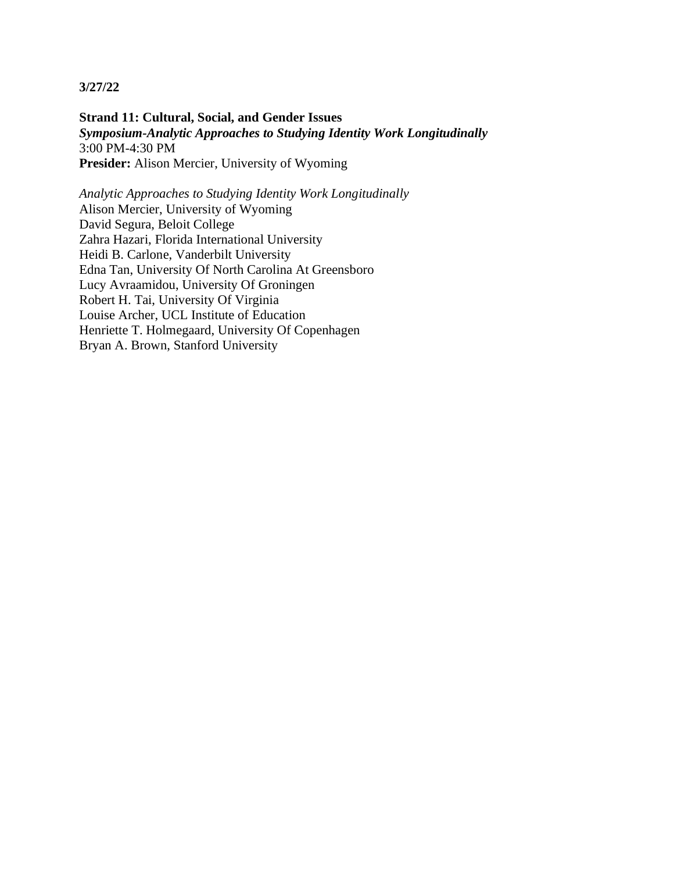**Strand 11: Cultural, Social, and Gender Issues** *Symposium-Analytic Approaches to Studying Identity Work Longitudinally* 3:00 PM-4:30 PM **Presider:** Alison Mercier, University of Wyoming

*Analytic Approaches to Studying Identity Work Longitudinally* Alison Mercier, University of Wyoming David Segura, Beloit College Zahra Hazari, Florida International University Heidi B. Carlone, Vanderbilt University Edna Tan, University Of North Carolina At Greensboro Lucy Avraamidou, University Of Groningen Robert H. Tai, University Of Virginia Louise Archer, UCL Institute of Education Henriette T. Holmegaard, University Of Copenhagen Bryan A. Brown, Stanford University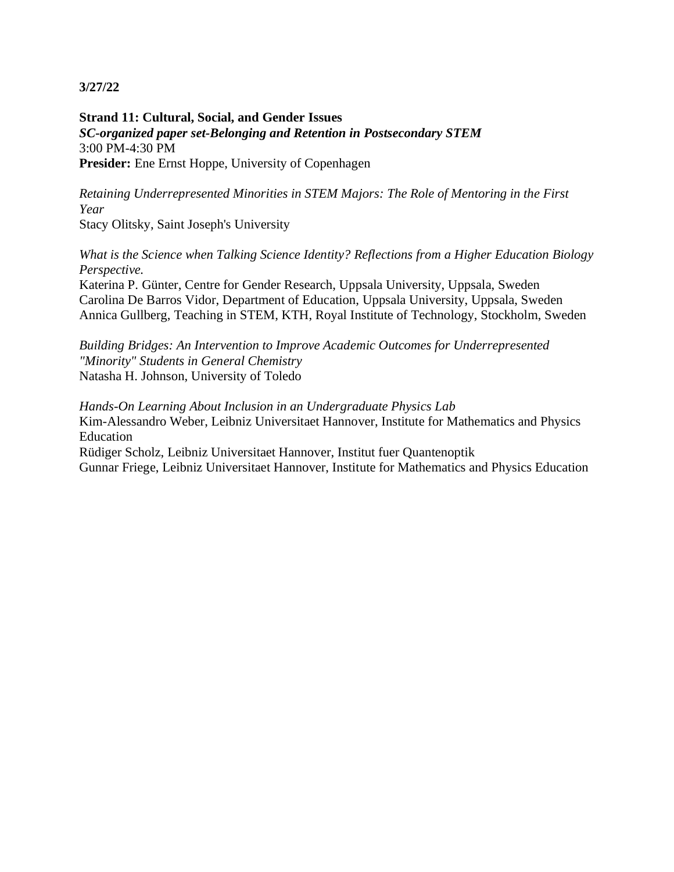**Strand 11: Cultural, Social, and Gender Issues** *SC-organized paper set-Belonging and Retention in Postsecondary STEM* 3:00 PM-4:30 PM Presider: Ene Ernst Hoppe, University of Copenhagen

*Retaining Underrepresented Minorities in STEM Majors: The Role of Mentoring in the First Year*

Stacy Olitsky, Saint Joseph's University

*What is the Science when Talking Science Identity? Reflections from a Higher Education Biology Perspective.*

Katerina P. Günter, Centre for Gender Research, Uppsala University, Uppsala, Sweden Carolina De Barros Vidor, Department of Education, Uppsala University, Uppsala, Sweden Annica Gullberg, Teaching in STEM, KTH, Royal Institute of Technology, Stockholm, Sweden

*Building Bridges: An Intervention to Improve Academic Outcomes for Underrepresented "Minority" Students in General Chemistry* Natasha H. Johnson, University of Toledo

*Hands-On Learning About Inclusion in an Undergraduate Physics Lab* Kim-Alessandro Weber, Leibniz Universitaet Hannover, Institute for Mathematics and Physics Education Rüdiger Scholz, Leibniz Universitaet Hannover, Institut fuer Quantenoptik Gunnar Friege, Leibniz Universitaet Hannover, Institute for Mathematics and Physics Education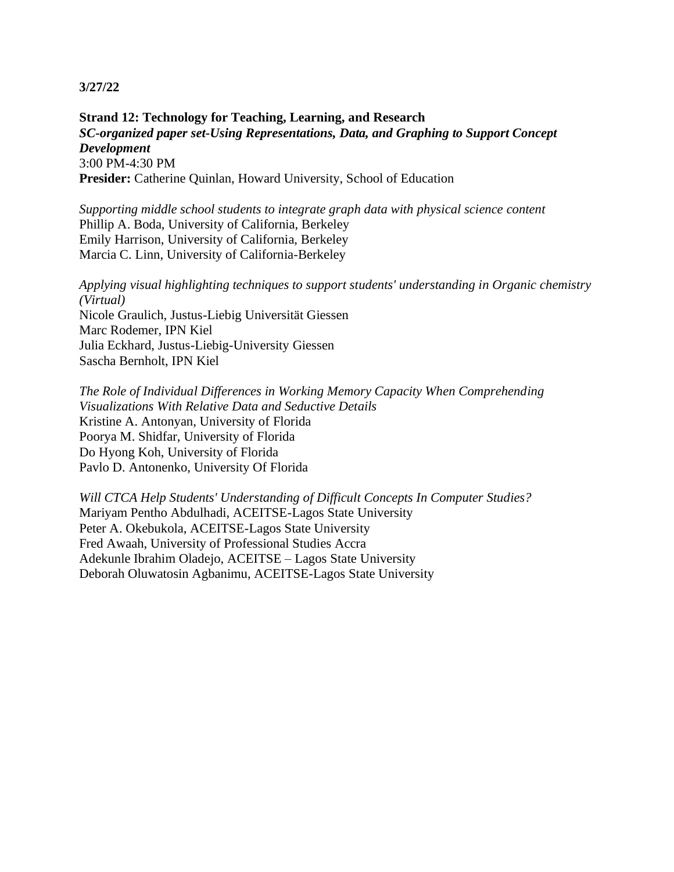**Strand 12: Technology for Teaching, Learning, and Research** *SC-organized paper set-Using Representations, Data, and Graphing to Support Concept Development* 3:00 PM-4:30 PM Presider: Catherine Quinlan, Howard University, School of Education

*Supporting middle school students to integrate graph data with physical science content* Phillip A. Boda, University of California, Berkeley Emily Harrison, University of California, Berkeley Marcia C. Linn, University of California-Berkeley

*Applying visual highlighting techniques to support students' understanding in Organic chemistry (Virtual)* Nicole Graulich, Justus-Liebig Universität Giessen Marc Rodemer, IPN Kiel Julia Eckhard, Justus-Liebig-University Giessen Sascha Bernholt, IPN Kiel

*The Role of Individual Differences in Working Memory Capacity When Comprehending Visualizations With Relative Data and Seductive Details* Kristine A. Antonyan, University of Florida Poorya M. Shidfar, University of Florida Do Hyong Koh, University of Florida Pavlo D. Antonenko, University Of Florida

*Will CTCA Help Students' Understanding of Difficult Concepts In Computer Studies?* Mariyam Pentho Abdulhadi, ACEITSE-Lagos State University Peter A. Okebukola, ACEITSE-Lagos State University Fred Awaah, University of Professional Studies Accra Adekunle Ibrahim Oladejo, ACEITSE – Lagos State University Deborah Oluwatosin Agbanimu, ACEITSE-Lagos State University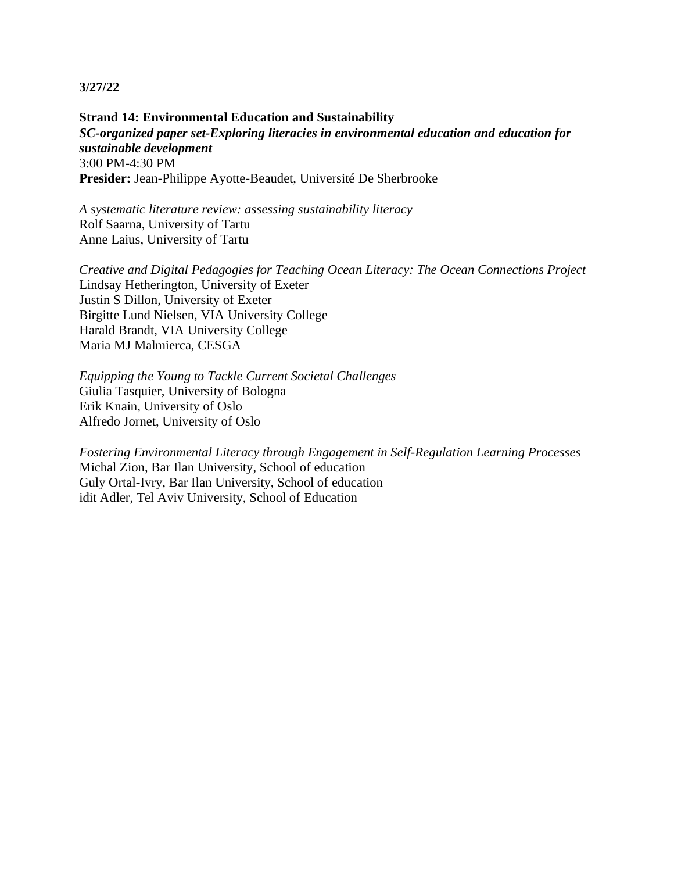**Strand 14: Environmental Education and Sustainability** *SC-organized paper set-Exploring literacies in environmental education and education for sustainable development* 3:00 PM-4:30 PM **Presider:** Jean-Philippe Ayotte-Beaudet, Université De Sherbrooke

*A systematic literature review: assessing sustainability literacy* Rolf Saarna, University of Tartu Anne Laius, University of Tartu

*Creative and Digital Pedagogies for Teaching Ocean Literacy: The Ocean Connections Project* Lindsay Hetherington, University of Exeter Justin S Dillon, University of Exeter Birgitte Lund Nielsen, VIA University College Harald Brandt, VIA University College Maria MJ Malmierca, CESGA

*Equipping the Young to Tackle Current Societal Challenges* Giulia Tasquier, University of Bologna Erik Knain, University of Oslo Alfredo Jornet, University of Oslo

*Fostering Environmental Literacy through Engagement in Self-Regulation Learning Processes* Michal Zion, Bar Ilan University, School of education Guly Ortal-Ivry, Bar Ilan University, School of education idit Adler, Tel Aviv University, School of Education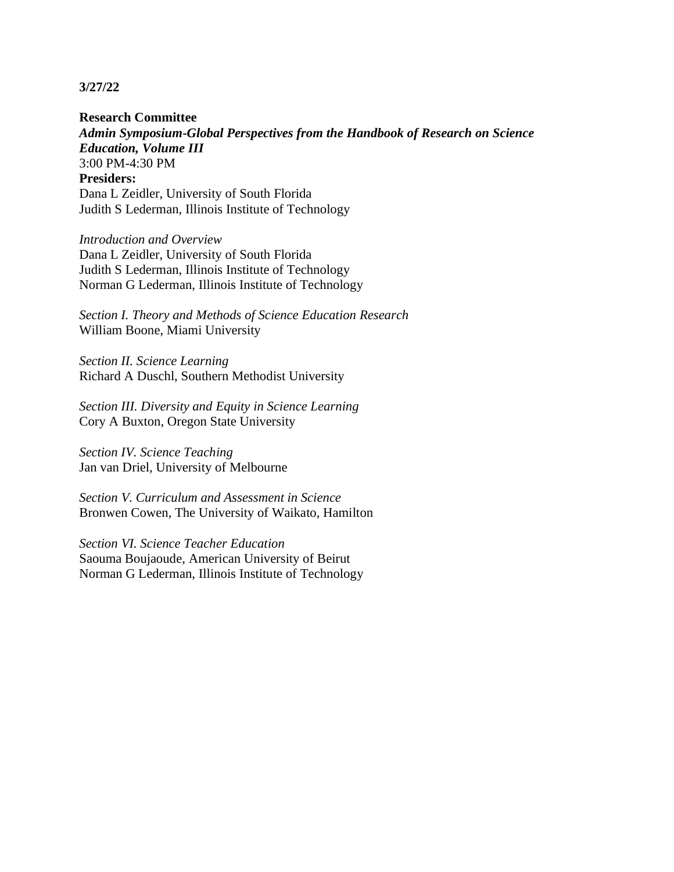**Research Committee** *Admin Symposium-Global Perspectives from the Handbook of Research on Science Education, Volume III* 3:00 PM-4:30 PM **Presiders:**  Dana L Zeidler, University of South Florida Judith S Lederman, Illinois Institute of Technology

*Introduction and Overview* Dana L Zeidler, University of South Florida Judith S Lederman, Illinois Institute of Technology Norman G Lederman, Illinois Institute of Technology

*Section I. Theory and Methods of Science Education Research* William Boone, Miami University

*Section II. Science Learning* Richard A Duschl, Southern Methodist University

*Section III. Diversity and Equity in Science Learning* Cory A Buxton, Oregon State University

*Section IV. Science Teaching* Jan van Driel, University of Melbourne

*Section V. Curriculum and Assessment in Science* Bronwen Cowen, The University of Waikato, Hamilton

*Section VI. Science Teacher Education* Saouma Boujaoude, American University of Beirut Norman G Lederman, Illinois Institute of Technology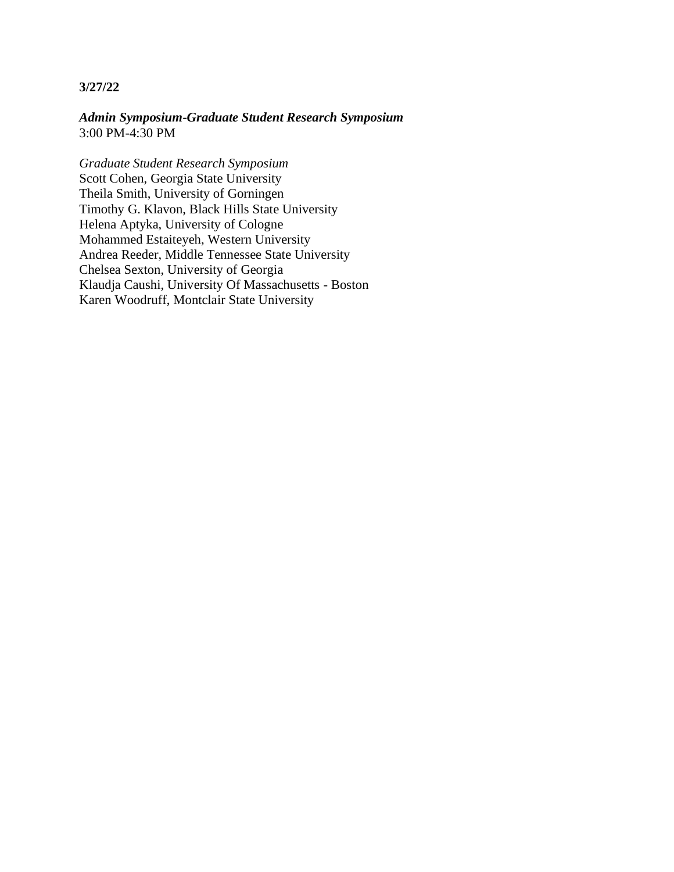*Admin Symposium-Graduate Student Research Symposium* 3:00 PM-4:30 PM

*Graduate Student Research Symposium* Scott Cohen, Georgia State University Theila Smith, University of Gorningen Timothy G. Klavon, Black Hills State University Helena Aptyka, University of Cologne Mohammed Estaiteyeh, Western University Andrea Reeder, Middle Tennessee State University Chelsea Sexton, University of Georgia Klaudja Caushi, University Of Massachusetts - Boston Karen Woodruff, Montclair State University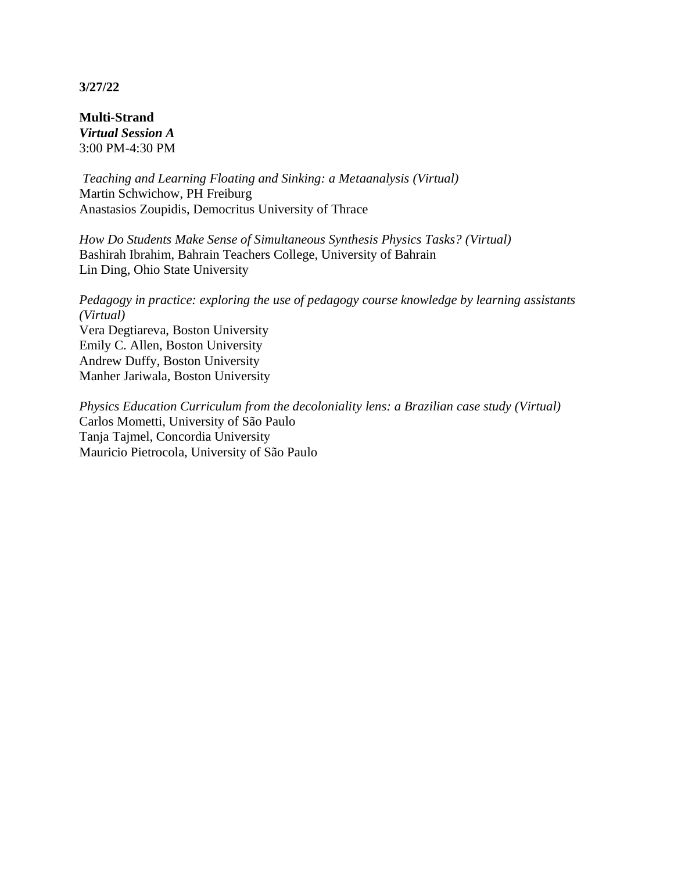**Multi-Strand** *Virtual Session A* 3:00 PM-4:30 PM

*Teaching and Learning Floating and Sinking: a Metaanalysis (Virtual)* Martin Schwichow, PH Freiburg Anastasios Zoupidis, Democritus University of Thrace

*How Do Students Make Sense of Simultaneous Synthesis Physics Tasks? (Virtual)* Bashirah Ibrahim, Bahrain Teachers College, University of Bahrain Lin Ding, Ohio State University

*Pedagogy in practice: exploring the use of pedagogy course knowledge by learning assistants (Virtual)* Vera Degtiareva, Boston University Emily C. Allen, Boston University Andrew Duffy, Boston University Manher Jariwala, Boston University

*Physics Education Curriculum from the decoloniality lens: a Brazilian case study (Virtual)* Carlos Mometti, University of São Paulo Tanja Tajmel, Concordia University Mauricio Pietrocola, University of São Paulo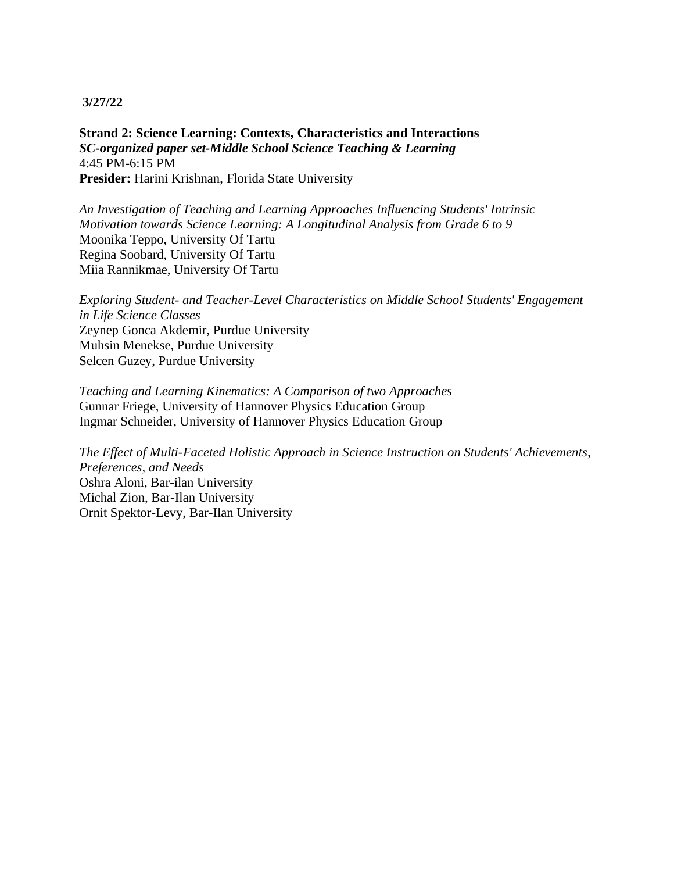**Strand 2: Science Learning: Contexts, Characteristics and Interactions** *SC-organized paper set-Middle School Science Teaching & Learning* 4:45 PM-6:15 PM **Presider:** Harini Krishnan, Florida State University

*An Investigation of Teaching and Learning Approaches Influencing Students' Intrinsic Motivation towards Science Learning: A Longitudinal Analysis from Grade 6 to 9* Moonika Teppo, University Of Tartu Regina Soobard, University Of Tartu Miia Rannikmae, University Of Tartu

*Exploring Student- and Teacher-Level Characteristics on Middle School Students' Engagement in Life Science Classes* Zeynep Gonca Akdemir, Purdue University Muhsin Menekse, Purdue University Selcen Guzey, Purdue University

*Teaching and Learning Kinematics: A Comparison of two Approaches* Gunnar Friege, University of Hannover Physics Education Group Ingmar Schneider, University of Hannover Physics Education Group

*The Effect of Multi-Faceted Holistic Approach in Science Instruction on Students' Achievements, Preferences, and Needs* Oshra Aloni, Bar-ilan University Michal Zion, Bar-Ilan University Ornit Spektor-Levy, Bar-Ilan University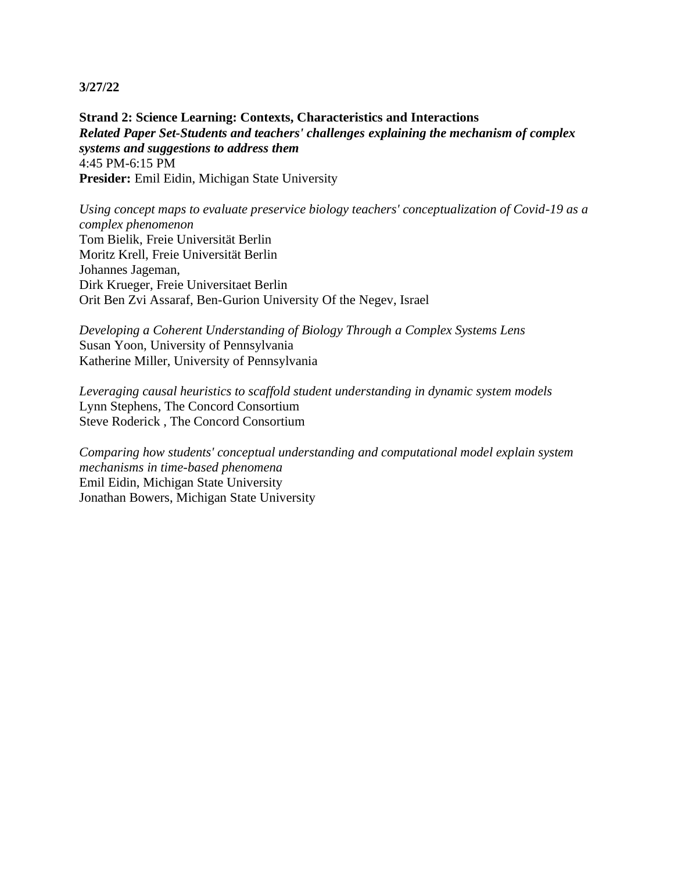**Strand 2: Science Learning: Contexts, Characteristics and Interactions** *Related Paper Set-Students and teachers' challenges explaining the mechanism of complex systems and suggestions to address them* 4:45 PM-6:15 PM **Presider:** Emil Eidin, Michigan State University

*Using concept maps to evaluate preservice biology teachers' conceptualization of Covid-19 as a complex phenomenon* Tom Bielik, Freie Universität Berlin Moritz Krell, Freie Universität Berlin Johannes Jageman, Dirk Krueger, Freie Universitaet Berlin Orit Ben Zvi Assaraf, Ben-Gurion University Of the Negev, Israel

*Developing a Coherent Understanding of Biology Through a Complex Systems Lens* Susan Yoon, University of Pennsylvania Katherine Miller, University of Pennsylvania

*Leveraging causal heuristics to scaffold student understanding in dynamic system models* Lynn Stephens, The Concord Consortium Steve Roderick , The Concord Consortium

*Comparing how students' conceptual understanding and computational model explain system mechanisms in time-based phenomena* Emil Eidin, Michigan State University Jonathan Bowers, Michigan State University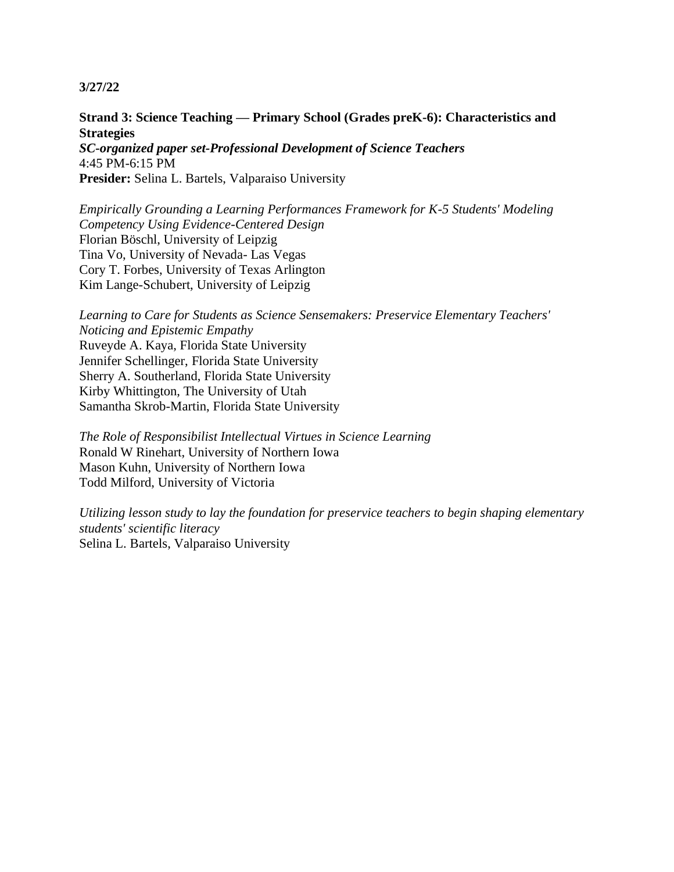# **Strand 3: Science Teaching — Primary School (Grades preK-6): Characteristics and Strategies**

*SC-organized paper set-Professional Development of Science Teachers* 4:45 PM-6:15 PM **Presider:** Selina L. Bartels, Valparaiso University

*Empirically Grounding a Learning Performances Framework for K-5 Students' Modeling Competency Using Evidence-Centered Design* Florian Böschl, University of Leipzig Tina Vo, University of Nevada- Las Vegas Cory T. Forbes, University of Texas Arlington Kim Lange-Schubert, University of Leipzig

*Learning to Care for Students as Science Sensemakers: Preservice Elementary Teachers' Noticing and Epistemic Empathy* Ruveyde A. Kaya, Florida State University Jennifer Schellinger, Florida State University Sherry A. Southerland, Florida State University Kirby Whittington, The University of Utah Samantha Skrob-Martin, Florida State University

*The Role of Responsibilist Intellectual Virtues in Science Learning* Ronald W Rinehart, University of Northern Iowa Mason Kuhn, University of Northern Iowa Todd Milford, University of Victoria

*Utilizing lesson study to lay the foundation for preservice teachers to begin shaping elementary students' scientific literacy* Selina L. Bartels, Valparaiso University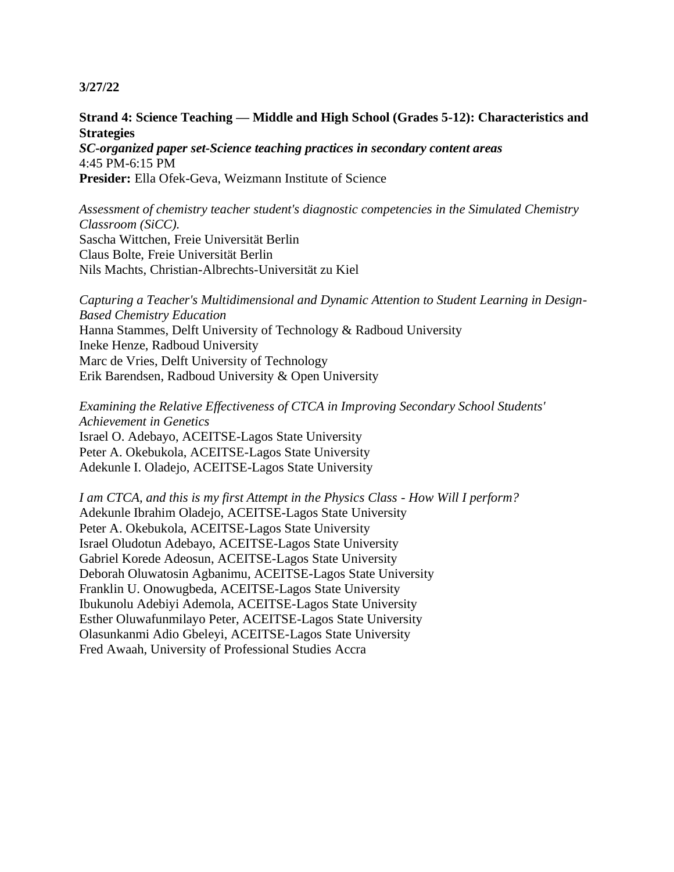### **Strand 4: Science Teaching — Middle and High School (Grades 5-12): Characteristics and Strategies**

*SC-organized paper set-Science teaching practices in secondary content areas* 4:45 PM-6:15 PM **Presider:** Ella Ofek-Geva, Weizmann Institute of Science

*Assessment of chemistry teacher student's diagnostic competencies in the Simulated Chemistry Classroom (SiCC).* Sascha Wittchen, Freie Universität Berlin Claus Bolte, Freie Universität Berlin Nils Machts, Christian-Albrechts-Universität zu Kiel

*Capturing a Teacher's Multidimensional and Dynamic Attention to Student Learning in Design-Based Chemistry Education* Hanna Stammes, Delft University of Technology & Radboud University Ineke Henze, Radboud University Marc de Vries, Delft University of Technology Erik Barendsen, Radboud University & Open University

*Examining the Relative Effectiveness of CTCA in Improving Secondary School Students' Achievement in Genetics* Israel O. Adebayo, ACEITSE-Lagos State University Peter A. Okebukola, ACEITSE-Lagos State University Adekunle I. Oladejo, ACEITSE-Lagos State University

*I am CTCA, and this is my first Attempt in the Physics Class - How Will I perform?* Adekunle Ibrahim Oladejo, ACEITSE-Lagos State University Peter A. Okebukola, ACEITSE-Lagos State University Israel Oludotun Adebayo, ACEITSE-Lagos State University Gabriel Korede Adeosun, ACEITSE-Lagos State University Deborah Oluwatosin Agbanimu, ACEITSE-Lagos State University Franklin U. Onowugbeda, ACEITSE-Lagos State University Ibukunolu Adebiyi Ademola, ACEITSE-Lagos State University Esther Oluwafunmilayo Peter, ACEITSE-Lagos State University Olasunkanmi Adio Gbeleyi, ACEITSE-Lagos State University Fred Awaah, University of Professional Studies Accra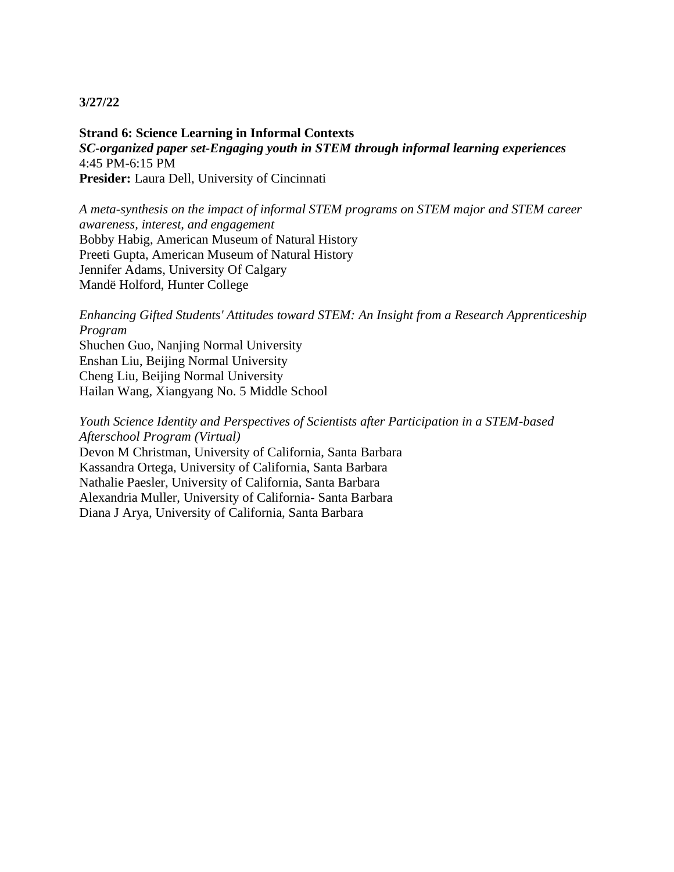**Strand 6: Science Learning in Informal Contexts** *SC-organized paper set-Engaging youth in STEM through informal learning experiences* 4:45 PM-6:15 PM **Presider:** Laura Dell, University of Cincinnati

*A meta-synthesis on the impact of informal STEM programs on STEM major and STEM career awareness, interest, and engagement* Bobby Habig, American Museum of Natural History Preeti Gupta, American Museum of Natural History Jennifer Adams, University Of Calgary Mandë Holford, Hunter College

*Enhancing Gifted Students' Attitudes toward STEM: An Insight from a Research Apprenticeship Program*

Shuchen Guo, Nanjing Normal University Enshan Liu, Beijing Normal University Cheng Liu, Beijing Normal University Hailan Wang, Xiangyang No. 5 Middle School

*Youth Science Identity and Perspectives of Scientists after Participation in a STEM-based Afterschool Program (Virtual)* Devon M Christman, University of California, Santa Barbara Kassandra Ortega, University of California, Santa Barbara Nathalie Paesler, University of California, Santa Barbara Alexandria Muller, University of California- Santa Barbara Diana J Arya, University of California, Santa Barbara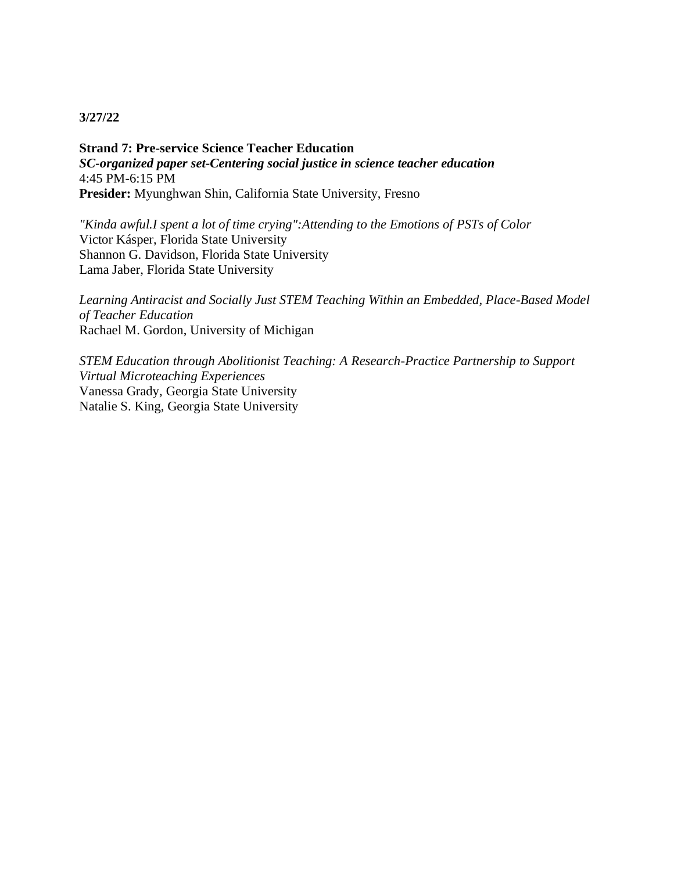**Strand 7: Pre-service Science Teacher Education** *SC-organized paper set-Centering social justice in science teacher education* 4:45 PM-6:15 PM **Presider:** Myunghwan Shin, California State University, Fresno

*"Kinda awful.I spent a lot of time crying":Attending to the Emotions of PSTs of Color* Victor Kásper, Florida State University Shannon G. Davidson, Florida State University Lama Jaber, Florida State University

*Learning Antiracist and Socially Just STEM Teaching Within an Embedded, Place-Based Model of Teacher Education* Rachael M. Gordon, University of Michigan

*STEM Education through Abolitionist Teaching: A Research-Practice Partnership to Support Virtual Microteaching Experiences* Vanessa Grady, Georgia State University Natalie S. King, Georgia State University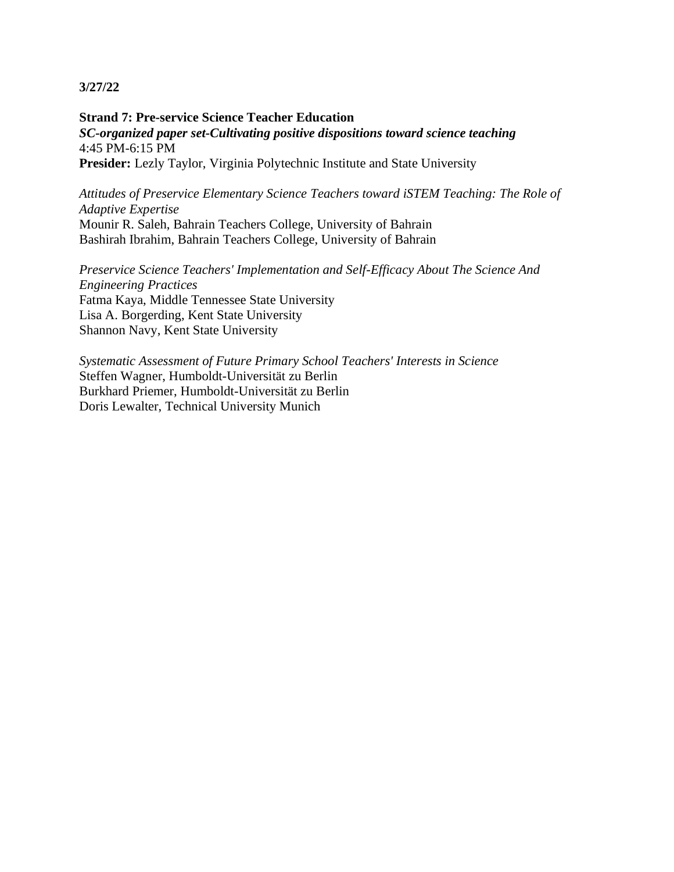**Strand 7: Pre-service Science Teacher Education** *SC-organized paper set-Cultivating positive dispositions toward science teaching* 4:45 PM-6:15 PM Presider: Lezly Taylor, Virginia Polytechnic Institute and State University

*Attitudes of Preservice Elementary Science Teachers toward iSTEM Teaching: The Role of Adaptive Expertise* Mounir R. Saleh, Bahrain Teachers College, University of Bahrain Bashirah Ibrahim, Bahrain Teachers College, University of Bahrain

*Preservice Science Teachers' Implementation and Self-Efficacy About The Science And Engineering Practices* Fatma Kaya, Middle Tennessee State University Lisa A. Borgerding, Kent State University Shannon Navy, Kent State University

*Systematic Assessment of Future Primary School Teachers' Interests in Science* Steffen Wagner, Humboldt-Universität zu Berlin Burkhard Priemer, Humboldt-Universität zu Berlin Doris Lewalter, Technical University Munich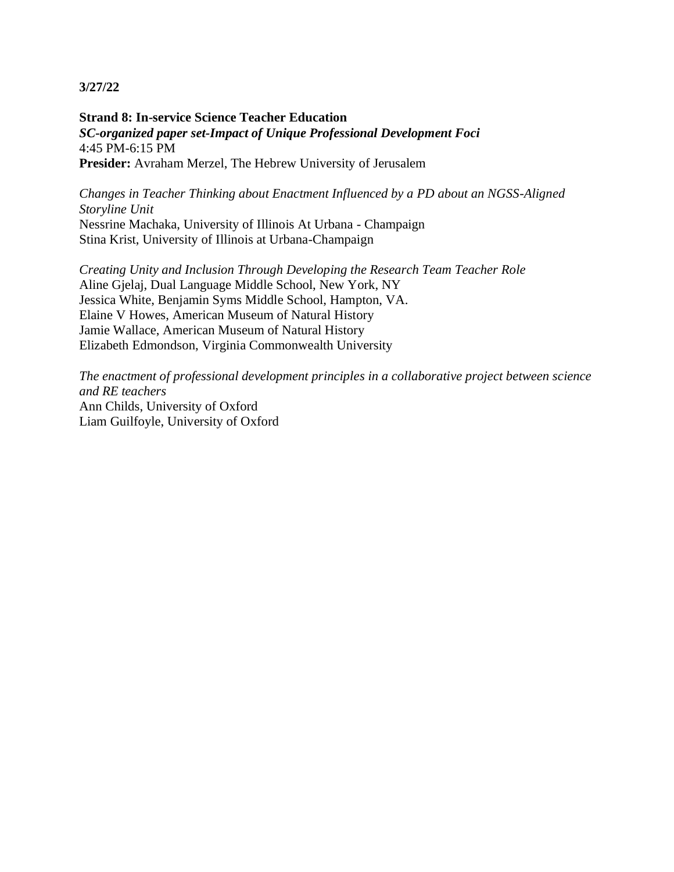**Strand 8: In-service Science Teacher Education** *SC-organized paper set-Impact of Unique Professional Development Foci* 4:45 PM-6:15 PM **Presider:** Avraham Merzel, The Hebrew University of Jerusalem

*Changes in Teacher Thinking about Enactment Influenced by a PD about an NGSS-Aligned Storyline Unit* Nessrine Machaka, University of Illinois At Urbana - Champaign Stina Krist, University of Illinois at Urbana-Champaign

*Creating Unity and Inclusion Through Developing the Research Team Teacher Role* Aline Gjelaj, Dual Language Middle School, New York, NY Jessica White, Benjamin Syms Middle School, Hampton, VA. Elaine V Howes, American Museum of Natural History Jamie Wallace, American Museum of Natural History Elizabeth Edmondson, Virginia Commonwealth University

*The enactment of professional development principles in a collaborative project between science and RE teachers* Ann Childs, University of Oxford Liam Guilfoyle, University of Oxford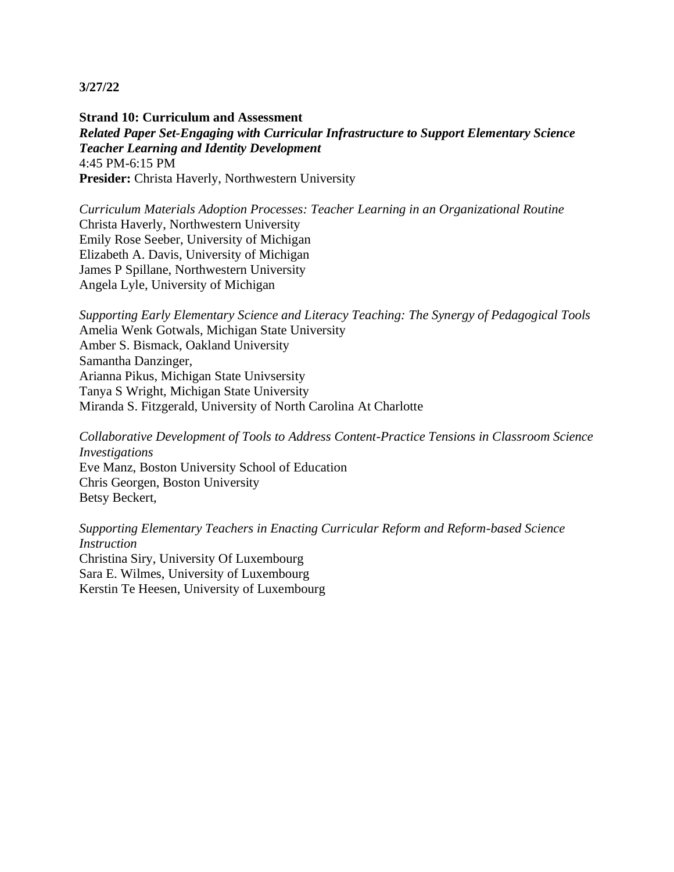**Strand 10: Curriculum and Assessment** *Related Paper Set-Engaging with Curricular Infrastructure to Support Elementary Science Teacher Learning and Identity Development* 4:45 PM-6:15 PM **Presider:** Christa Haverly, Northwestern University

*Curriculum Materials Adoption Processes: Teacher Learning in an Organizational Routine* Christa Haverly, Northwestern University Emily Rose Seeber, University of Michigan Elizabeth A. Davis, University of Michigan James P Spillane, Northwestern University Angela Lyle, University of Michigan

*Supporting Early Elementary Science and Literacy Teaching: The Synergy of Pedagogical Tools* Amelia Wenk Gotwals, Michigan State University Amber S. Bismack, Oakland University Samantha Danzinger, Arianna Pikus, Michigan State Univsersity Tanya S Wright, Michigan State University Miranda S. Fitzgerald, University of North Carolina At Charlotte

*Collaborative Development of Tools to Address Content-Practice Tensions in Classroom Science Investigations* Eve Manz, Boston University School of Education Chris Georgen, Boston University Betsy Beckert,

*Supporting Elementary Teachers in Enacting Curricular Reform and Reform-based Science Instruction* Christina Siry, University Of Luxembourg Sara E. Wilmes, University of Luxembourg Kerstin Te Heesen, University of Luxembourg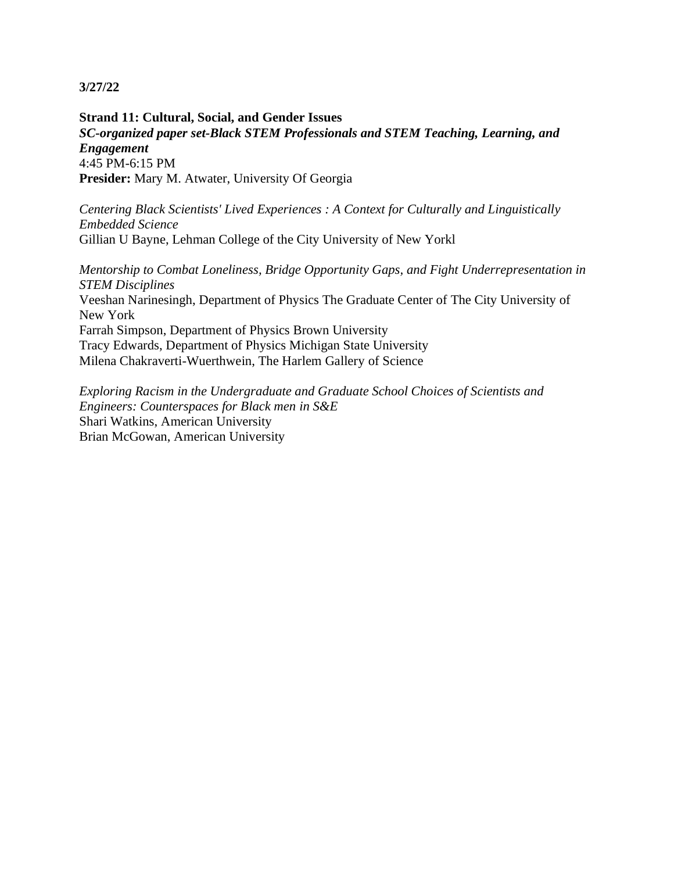**Strand 11: Cultural, Social, and Gender Issues** *SC-organized paper set-Black STEM Professionals and STEM Teaching, Learning, and Engagement* 4:45 PM-6:15 PM **Presider:** Mary M. Atwater, University Of Georgia

*Centering Black Scientists' Lived Experiences : A Context for Culturally and Linguistically Embedded Science* Gillian U Bayne, Lehman College of the City University of New Yorkl

*Mentorship to Combat Loneliness, Bridge Opportunity Gaps, and Fight Underrepresentation in STEM Disciplines* Veeshan Narinesingh, Department of Physics The Graduate Center of The City University of New York Farrah Simpson, Department of Physics Brown University Tracy Edwards, Department of Physics Michigan State University Milena Chakraverti-Wuerthwein, The Harlem Gallery of Science

*Exploring Racism in the Undergraduate and Graduate School Choices of Scientists and Engineers: Counterspaces for Black men in S&E* Shari Watkins, American University Brian McGowan, American University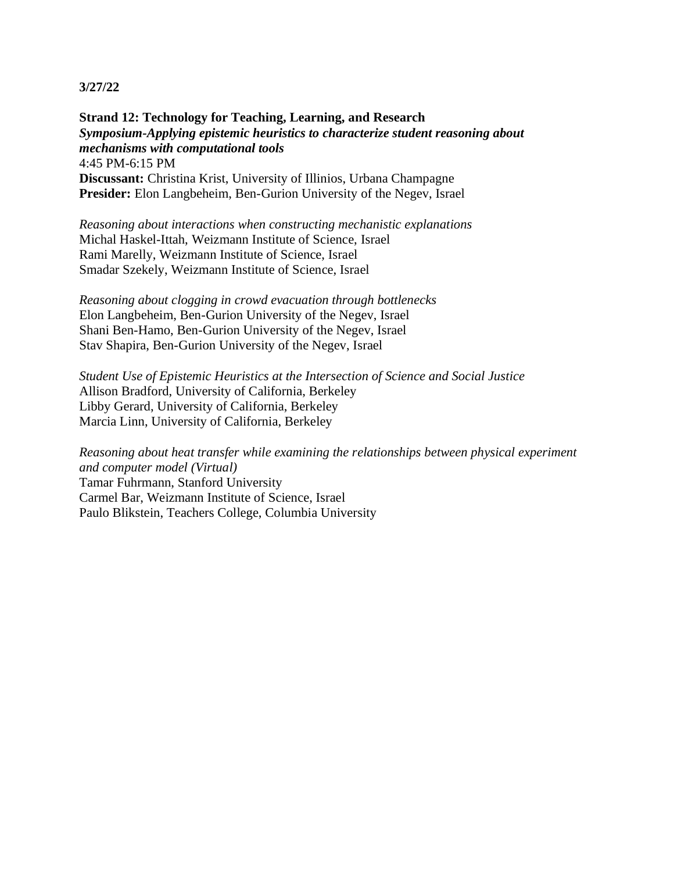**Strand 12: Technology for Teaching, Learning, and Research** *Symposium-Applying epistemic heuristics to characterize student reasoning about mechanisms with computational tools* 4:45 PM-6:15 PM **Discussant:** Christina Krist, University of Illinios, Urbana Champagne **Presider:** Elon Langbeheim, Ben-Gurion University of the Negev, Israel

*Reasoning about interactions when constructing mechanistic explanations* Michal Haskel-Ittah, Weizmann Institute of Science, Israel Rami Marelly, Weizmann Institute of Science, Israel Smadar Szekely, Weizmann Institute of Science, Israel

*Reasoning about clogging in crowd evacuation through bottlenecks* Elon Langbeheim, Ben-Gurion University of the Negev, Israel Shani Ben-Hamo, Ben-Gurion University of the Negev, Israel Stav Shapira, Ben-Gurion University of the Negev, Israel

*Student Use of Epistemic Heuristics at the Intersection of Science and Social Justice* Allison Bradford, University of California, Berkeley Libby Gerard, University of California, Berkeley Marcia Linn, University of California, Berkeley

*Reasoning about heat transfer while examining the relationships between physical experiment and computer model (Virtual)* Tamar Fuhrmann, Stanford University Carmel Bar, Weizmann Institute of Science, Israel Paulo Blikstein, Teachers College, Columbia University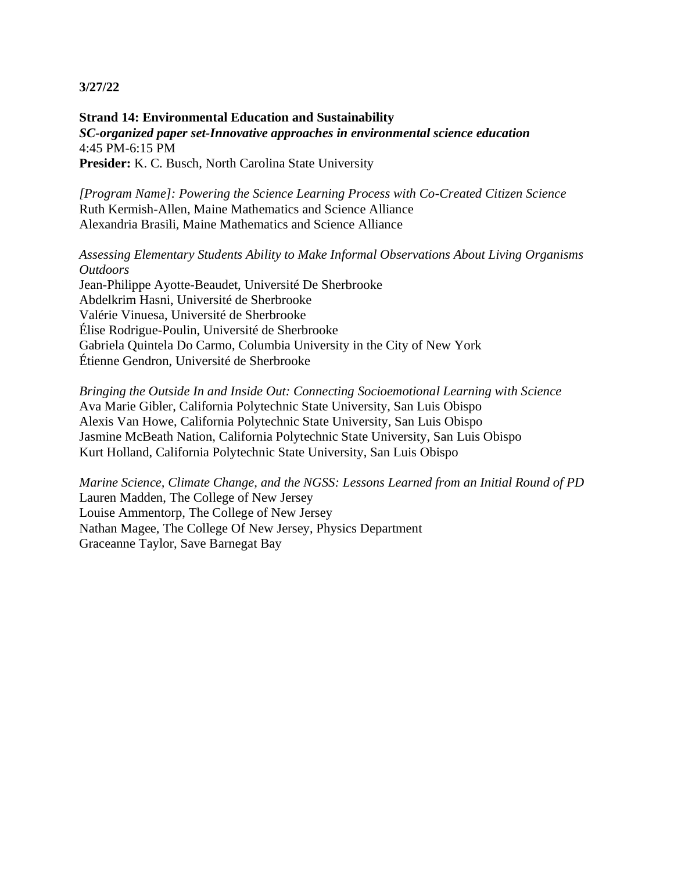### **Strand 14: Environmental Education and Sustainability** *SC-organized paper set-Innovative approaches in environmental science education* 4:45 PM-6:15 PM **Presider:** K. C. Busch, North Carolina State University

*[Program Name]: Powering the Science Learning Process with Co-Created Citizen Science* Ruth Kermish-Allen, Maine Mathematics and Science Alliance Alexandria Brasili, Maine Mathematics and Science Alliance

# *Assessing Elementary Students Ability to Make Informal Observations About Living Organisms Outdoors*

Jean-Philippe Ayotte-Beaudet, Université De Sherbrooke Abdelkrim Hasni, Université de Sherbrooke Valérie Vinuesa, Université de Sherbrooke Élise Rodrigue-Poulin, Université de Sherbrooke Gabriela Quintela Do Carmo, Columbia University in the City of New York Étienne Gendron, Université de Sherbrooke

*Bringing the Outside In and Inside Out: Connecting Socioemotional Learning with Science* Ava Marie Gibler, California Polytechnic State University, San Luis Obispo Alexis Van Howe, California Polytechnic State University, San Luis Obispo Jasmine McBeath Nation, California Polytechnic State University, San Luis Obispo Kurt Holland, California Polytechnic State University, San Luis Obispo

*Marine Science, Climate Change, and the NGSS: Lessons Learned from an Initial Round of PD* Lauren Madden, The College of New Jersey Louise Ammentorp, The College of New Jersey Nathan Magee, The College Of New Jersey, Physics Department Graceanne Taylor, Save Barnegat Bay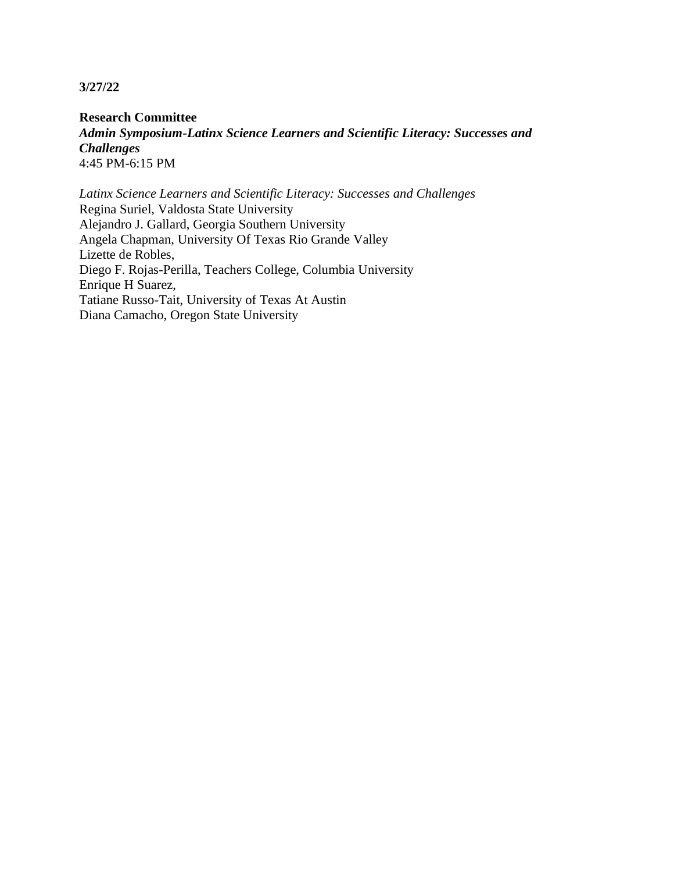**Research Committee** *Admin Symposium-Latinx Science Learners and Scientific Literacy: Successes and Challenges* 4:45 PM-6:15 PM

*Latinx Science Learners and Scientific Literacy: Successes and Challenges* Regina Suriel, Valdosta State University Alejandro J. Gallard, Georgia Southern University Angela Chapman, University Of Texas Rio Grande Valley Lizette de Robles, Diego F. Rojas-Perilla, Teachers College, Columbia University Enrique H Suarez, Tatiane Russo-Tait, University of Texas At Austin Diana Camacho, Oregon State University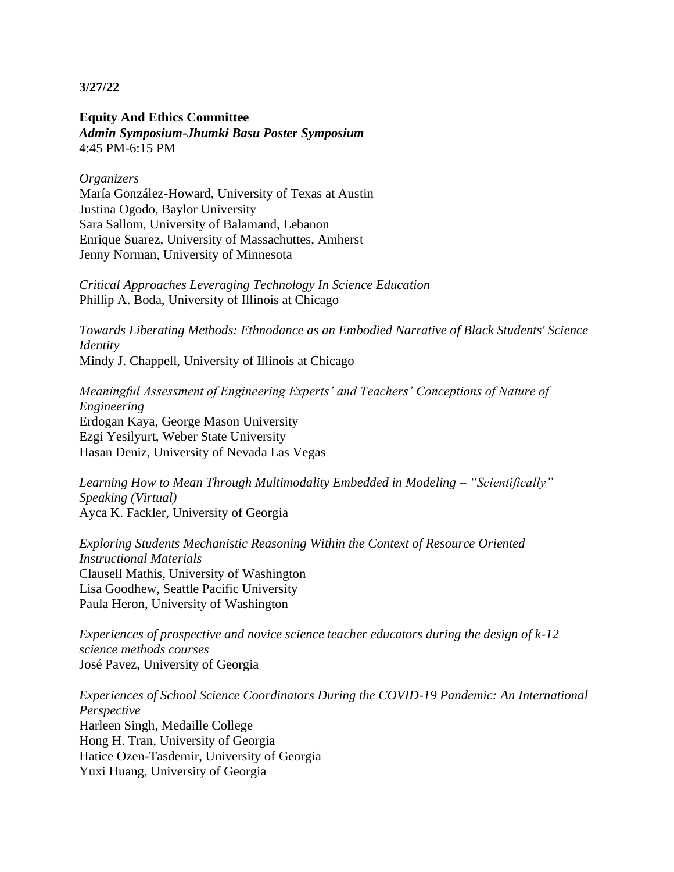**Equity And Ethics Committee** *Admin Symposium-Jhumki Basu Poster Symposium* 4:45 PM-6:15 PM

#### *Organizers*

María González-Howard, University of Texas at Austin Justina Ogodo, Baylor University Sara Sallom, University of Balamand, Lebanon Enrique Suarez, University of Massachuttes, Amherst Jenny Norman, University of Minnesota

*Critical Approaches Leveraging Technology In Science Education*  Phillip A. Boda, University of Illinois at Chicago

*Towards Liberating Methods: Ethnodance as an Embodied Narrative of Black Students' Science Identity*  Mindy J. Chappell, University of Illinois at Chicago

*Meaningful Assessment of Engineering Experts' and Teachers' Conceptions of Nature of Engineering* Erdogan Kaya, George Mason University Ezgi Yesilyurt, Weber State University Hasan Deniz, University of Nevada Las Vegas

*Learning How to Mean Through Multimodality Embedded in Modeling – "Scientifically" Speaking (Virtual)* Ayca K. Fackler, University of Georgia

*Exploring Students Mechanistic Reasoning Within the Context of Resource Oriented Instructional Materials* Clausell Mathis, University of Washington Lisa Goodhew, Seattle Pacific University Paula Heron, University of Washington

*Experiences of prospective and novice science teacher educators during the design of k-12 science methods courses* José Pavez, University of Georgia

*Experiences of School Science Coordinators During the COVID-19 Pandemic: An International Perspective* Harleen Singh, Medaille College Hong H. Tran, University of Georgia Hatice Ozen-Tasdemir, University of Georgia Yuxi Huang, University of Georgia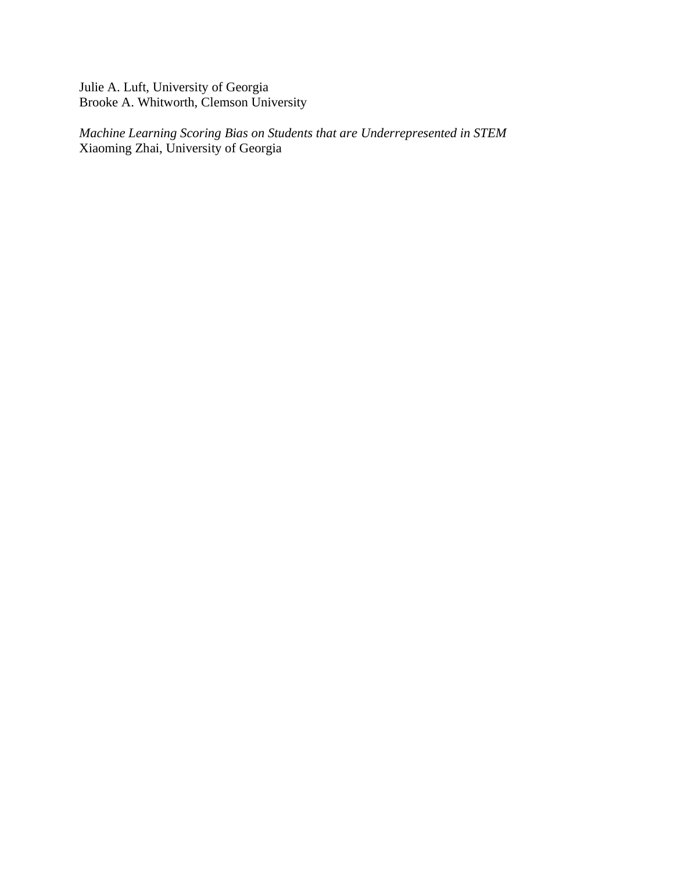Julie A. Luft, University of Georgia Brooke A. Whitworth, Clemson University

*Machine Learning Scoring Bias on Students that are Underrepresented in STEM* Xiaoming Zhai, University of Georgia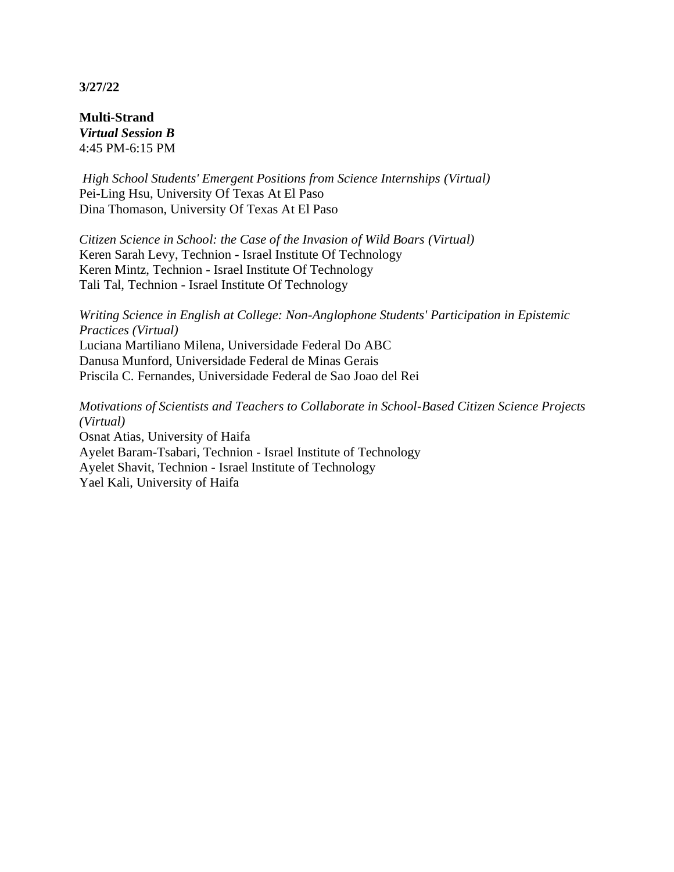**Multi-Strand** *Virtual Session B* 4:45 PM-6:15 PM

*High School Students' Emergent Positions from Science Internships (Virtual)* Pei-Ling Hsu, University Of Texas At El Paso Dina Thomason, University Of Texas At El Paso

*Citizen Science in School: the Case of the Invasion of Wild Boars (Virtual)* Keren Sarah Levy, Technion - Israel Institute Of Technology Keren Mintz, Technion - Israel Institute Of Technology Tali Tal, Technion - Israel Institute Of Technology

*Writing Science in English at College: Non-Anglophone Students' Participation in Epistemic Practices (Virtual)* Luciana Martiliano Milena, Universidade Federal Do ABC Danusa Munford, Universidade Federal de Minas Gerais Priscila C. Fernandes, Universidade Federal de Sao Joao del Rei

*Motivations of Scientists and Teachers to Collaborate in School-Based Citizen Science Projects (Virtual)* Osnat Atias, University of Haifa Ayelet Baram-Tsabari, Technion - Israel Institute of Technology Ayelet Shavit, Technion - Israel Institute of Technology Yael Kali, University of Haifa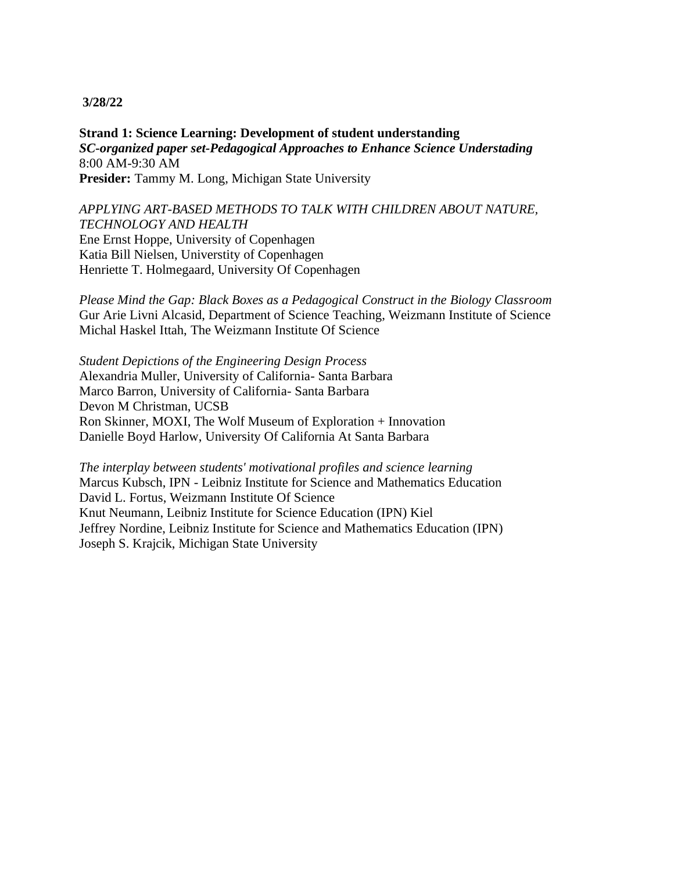### **3/28/22**

**Strand 1: Science Learning: Development of student understanding** *SC-organized paper set-Pedagogical Approaches to Enhance Science Understading* 8:00 AM-9:30 AM **Presider:** Tammy M. Long, Michigan State University

# *APPLYING ART-BASED METHODS TO TALK WITH CHILDREN ABOUT NATURE, TECHNOLOGY AND HEALTH* Ene Ernst Hoppe, University of Copenhagen Katia Bill Nielsen, Universtity of Copenhagen Henriette T. Holmegaard, University Of Copenhagen

*Please Mind the Gap: Black Boxes as a Pedagogical Construct in the Biology Classroom* Gur Arie Livni Alcasid, Department of Science Teaching, Weizmann Institute of Science Michal Haskel Ittah, The Weizmann Institute Of Science

*Student Depictions of the Engineering Design Process* Alexandria Muller, University of California- Santa Barbara Marco Barron, University of California- Santa Barbara Devon M Christman, UCSB Ron Skinner, MOXI, The Wolf Museum of Exploration + Innovation Danielle Boyd Harlow, University Of California At Santa Barbara

*The interplay between students' motivational profiles and science learning* Marcus Kubsch, IPN - Leibniz Institute for Science and Mathematics Education David L. Fortus, Weizmann Institute Of Science Knut Neumann, Leibniz Institute for Science Education (IPN) Kiel Jeffrey Nordine, Leibniz Institute for Science and Mathematics Education (IPN) Joseph S. Krajcik, Michigan State University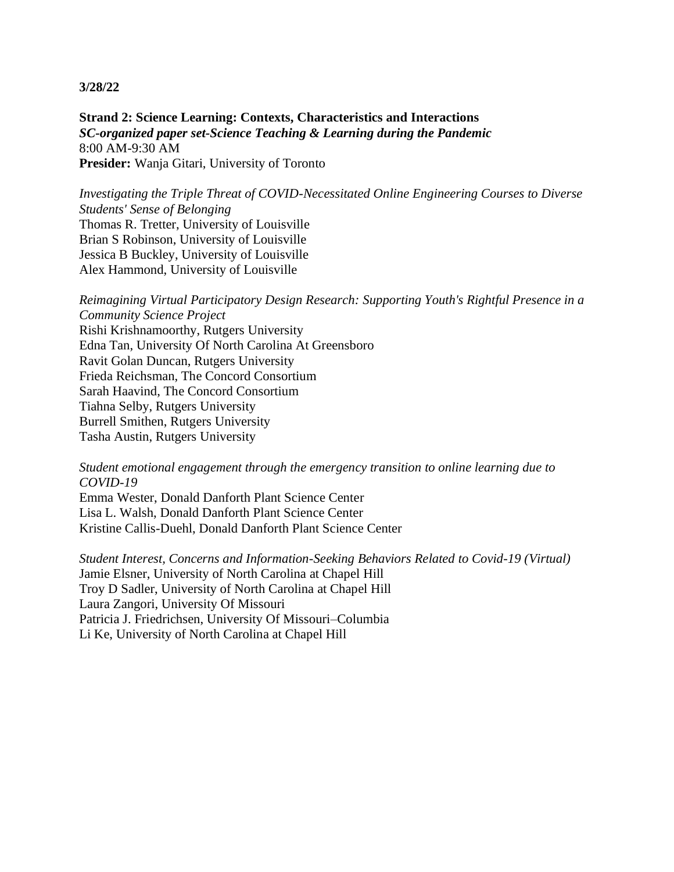#### **3/28/22**

**Strand 2: Science Learning: Contexts, Characteristics and Interactions** *SC-organized paper set-Science Teaching & Learning during the Pandemic* 8:00 AM-9:30 AM **Presider:** Wanja Gitari, University of Toronto

*Investigating the Triple Threat of COVID-Necessitated Online Engineering Courses to Diverse Students' Sense of Belonging* Thomas R. Tretter, University of Louisville Brian S Robinson, University of Louisville Jessica B Buckley, University of Louisville Alex Hammond, University of Louisville

*Reimagining Virtual Participatory Design Research: Supporting Youth's Rightful Presence in a Community Science Project* Rishi Krishnamoorthy, Rutgers University Edna Tan, University Of North Carolina At Greensboro Ravit Golan Duncan, Rutgers University Frieda Reichsman, The Concord Consortium Sarah Haavind, The Concord Consortium Tiahna Selby, Rutgers University Burrell Smithen, Rutgers University Tasha Austin, Rutgers University

*Student emotional engagement through the emergency transition to online learning due to COVID-19*

Emma Wester, Donald Danforth Plant Science Center Lisa L. Walsh, Donald Danforth Plant Science Center Kristine Callis-Duehl, Donald Danforth Plant Science Center

*Student Interest, Concerns and Information-Seeking Behaviors Related to Covid-19 (Virtual)* Jamie Elsner, University of North Carolina at Chapel Hill Troy D Sadler, University of North Carolina at Chapel Hill Laura Zangori, University Of Missouri Patricia J. Friedrichsen, University Of Missouri–Columbia Li Ke, University of North Carolina at Chapel Hill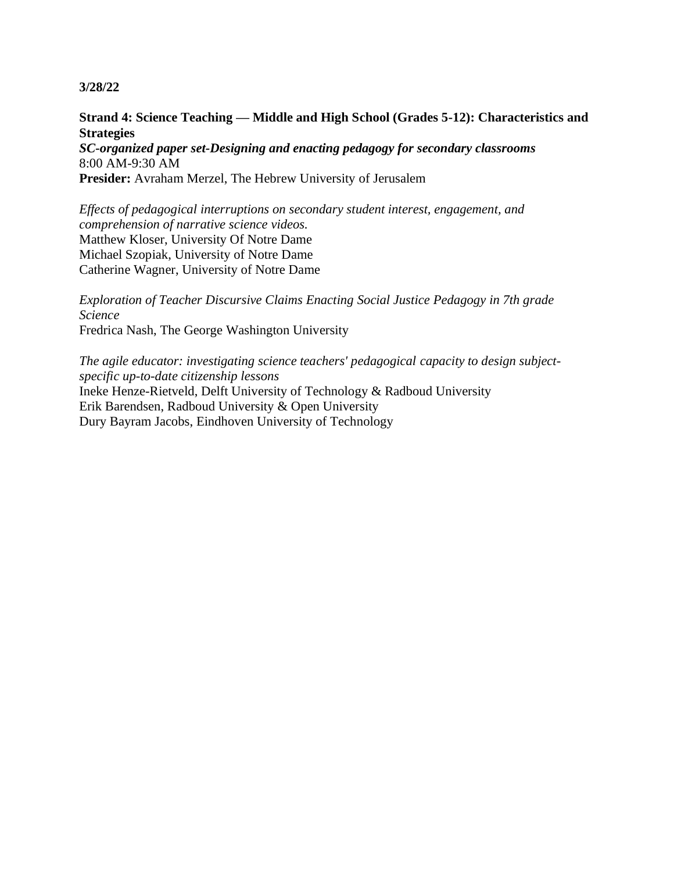### **3/28/22**

**Strand 4: Science Teaching — Middle and High School (Grades 5-12): Characteristics and Strategies**

*SC-organized paper set-Designing and enacting pedagogy for secondary classrooms* 8:00 AM-9:30 AM **Presider:** Avraham Merzel, The Hebrew University of Jerusalem

*Effects of pedagogical interruptions on secondary student interest, engagement, and comprehension of narrative science videos.* Matthew Kloser, University Of Notre Dame Michael Szopiak, University of Notre Dame Catherine Wagner, University of Notre Dame

*Exploration of Teacher Discursive Claims Enacting Social Justice Pedagogy in 7th grade Science* Fredrica Nash, The George Washington University

*The agile educator: investigating science teachers' pedagogical capacity to design subjectspecific up-to-date citizenship lessons* Ineke Henze-Rietveld, Delft University of Technology & Radboud University Erik Barendsen, Radboud University & Open University Dury Bayram Jacobs, Eindhoven University of Technology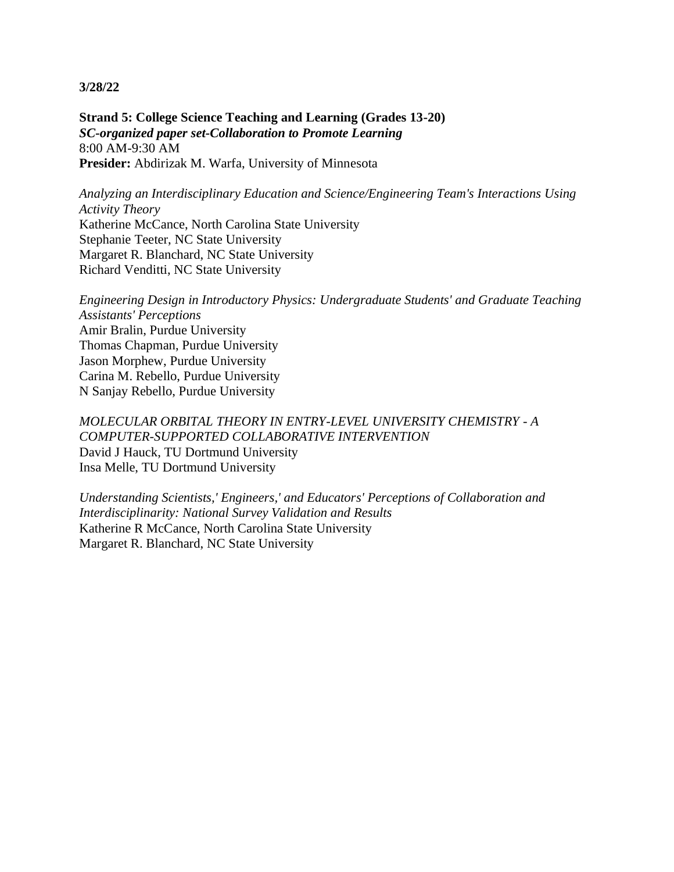**Strand 5: College Science Teaching and Learning (Grades 13-20)** *SC-organized paper set-Collaboration to Promote Learning* 8:00 AM-9:30 AM **Presider:** Abdirizak M. Warfa, University of Minnesota

*Analyzing an Interdisciplinary Education and Science/Engineering Team's Interactions Using Activity Theory* Katherine McCance, North Carolina State University Stephanie Teeter, NC State University

Margaret R. Blanchard, NC State University Richard Venditti, NC State University

*Engineering Design in Introductory Physics: Undergraduate Students' and Graduate Teaching Assistants' Perceptions* Amir Bralin, Purdue University Thomas Chapman, Purdue University Jason Morphew, Purdue University Carina M. Rebello, Purdue University N Sanjay Rebello, Purdue University

*MOLECULAR ORBITAL THEORY IN ENTRY-LEVEL UNIVERSITY CHEMISTRY - A COMPUTER-SUPPORTED COLLABORATIVE INTERVENTION* David J Hauck, TU Dortmund University Insa Melle, TU Dortmund University

*Understanding Scientists,' Engineers,' and Educators' Perceptions of Collaboration and Interdisciplinarity: National Survey Validation and Results* Katherine R McCance, North Carolina State University Margaret R. Blanchard, NC State University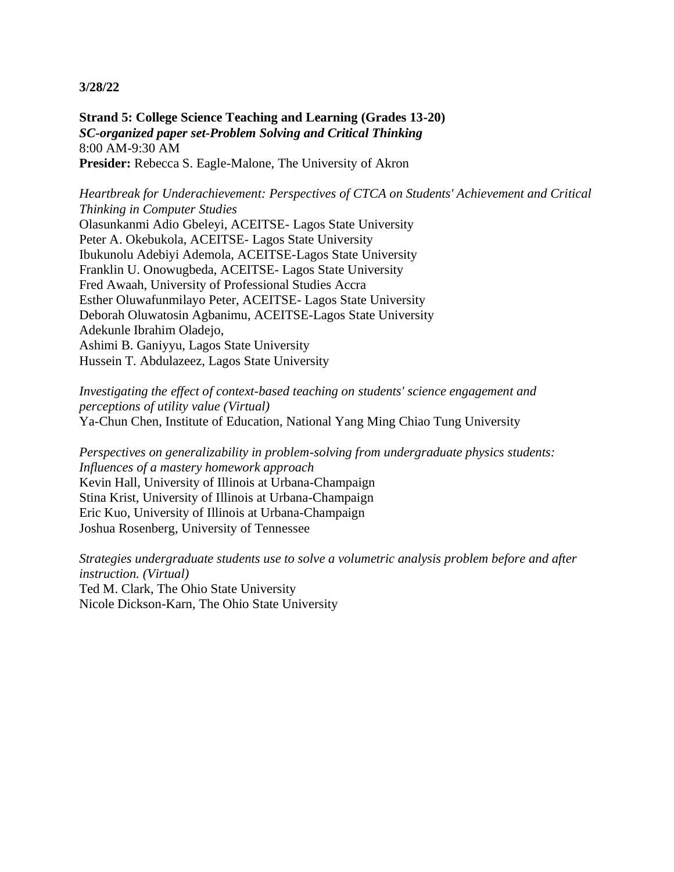**Strand 5: College Science Teaching and Learning (Grades 13-20)** *SC-organized paper set-Problem Solving and Critical Thinking* 8:00 AM-9:30 AM **Presider:** Rebecca S. Eagle-Malone, The University of Akron

*Heartbreak for Underachievement: Perspectives of CTCA on Students' Achievement and Critical Thinking in Computer Studies*

Olasunkanmi Adio Gbeleyi, ACEITSE- Lagos State University Peter A. Okebukola, ACEITSE- Lagos State University Ibukunolu Adebiyi Ademola, ACEITSE-Lagos State University Franklin U. Onowugbeda, ACEITSE- Lagos State University Fred Awaah, University of Professional Studies Accra Esther Oluwafunmilayo Peter, ACEITSE- Lagos State University Deborah Oluwatosin Agbanimu, ACEITSE-Lagos State University Adekunle Ibrahim Oladejo, Ashimi B. Ganiyyu, Lagos State University Hussein T. Abdulazeez, Lagos State University

*Investigating the effect of context-based teaching on students' science engagement and perceptions of utility value (Virtual)* Ya-Chun Chen, Institute of Education, National Yang Ming Chiao Tung University

*Perspectives on generalizability in problem-solving from undergraduate physics students: Influences of a mastery homework approach* Kevin Hall, University of Illinois at Urbana-Champaign Stina Krist, University of Illinois at Urbana-Champaign Eric Kuo, University of Illinois at Urbana-Champaign Joshua Rosenberg, University of Tennessee

*Strategies undergraduate students use to solve a volumetric analysis problem before and after instruction. (Virtual)* Ted M. Clark, The Ohio State University Nicole Dickson-Karn, The Ohio State University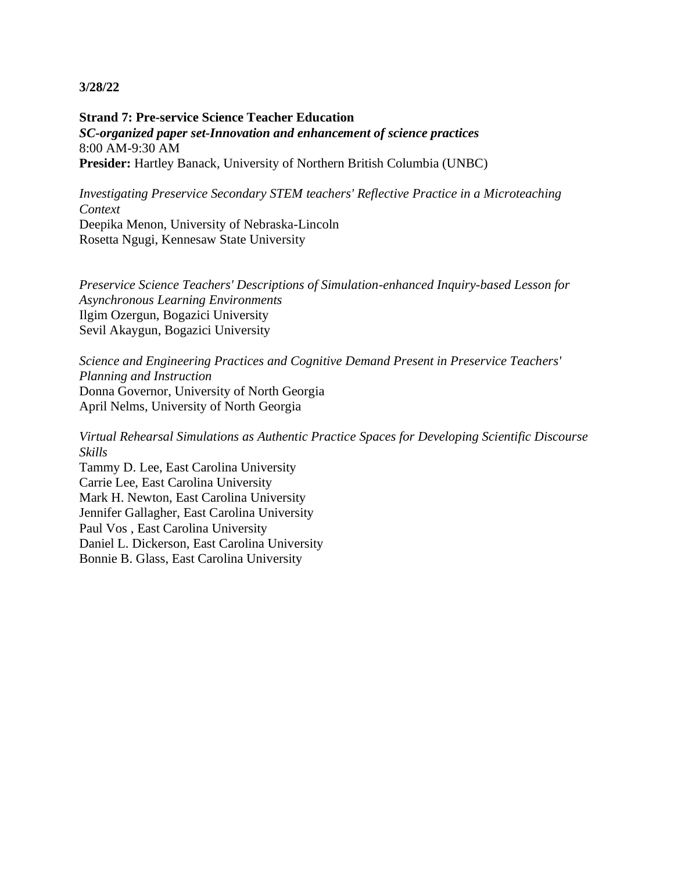**Strand 7: Pre-service Science Teacher Education** *SC-organized paper set-Innovation and enhancement of science practices* 8:00 AM-9:30 AM **Presider:** Hartley Banack, University of Northern British Columbia (UNBC)

*Investigating Preservice Secondary STEM teachers' Reflective Practice in a Microteaching Context* Deepika Menon, University of Nebraska-Lincoln Rosetta Ngugi, Kennesaw State University

*Preservice Science Teachers' Descriptions of Simulation-enhanced Inquiry-based Lesson for Asynchronous Learning Environments* Ilgim Ozergun, Bogazici University Sevil Akaygun, Bogazici University

*Science and Engineering Practices and Cognitive Demand Present in Preservice Teachers' Planning and Instruction* Donna Governor, University of North Georgia April Nelms, University of North Georgia

*Virtual Rehearsal Simulations as Authentic Practice Spaces for Developing Scientific Discourse Skills*

Tammy D. Lee, East Carolina University Carrie Lee, East Carolina University Mark H. Newton, East Carolina University Jennifer Gallagher, East Carolina University Paul Vos , East Carolina University Daniel L. Dickerson, East Carolina University Bonnie B. Glass, East Carolina University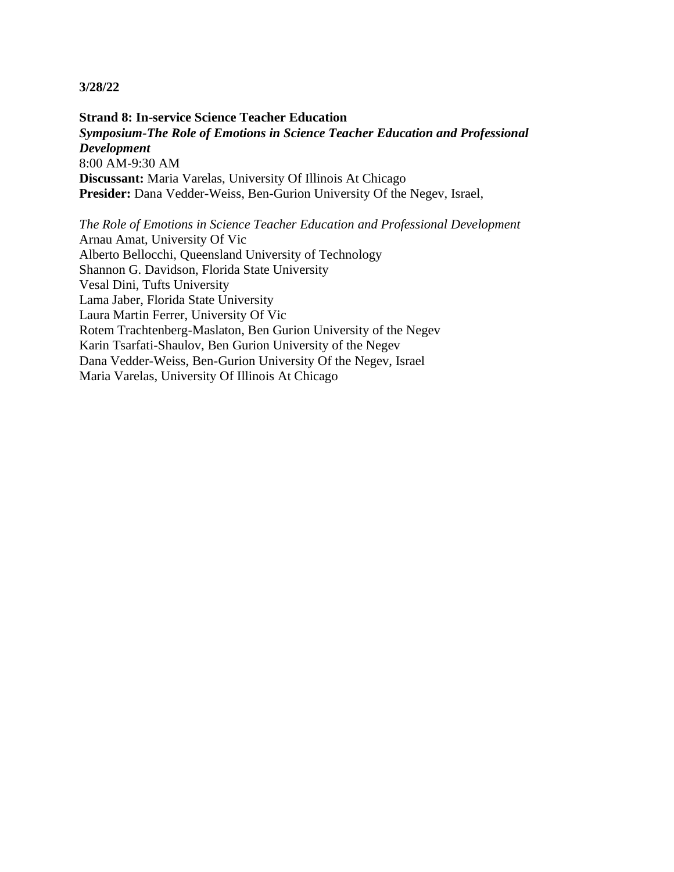**Strand 8: In-service Science Teacher Education** *Symposium-The Role of Emotions in Science Teacher Education and Professional Development* 8:00 AM-9:30 AM **Discussant:** Maria Varelas, University Of Illinois At Chicago Presider: Dana Vedder-Weiss, Ben-Gurion University Of the Negev, Israel,

*The Role of Emotions in Science Teacher Education and Professional Development* Arnau Amat, University Of Vic Alberto Bellocchi, Queensland University of Technology Shannon G. Davidson, Florida State University Vesal Dini, Tufts University Lama Jaber, Florida State University Laura Martin Ferrer, University Of Vic Rotem Trachtenberg-Maslaton, Ben Gurion University of the Negev Karin Tsarfati-Shaulov, Ben Gurion University of the Negev Dana Vedder-Weiss, Ben-Gurion University Of the Negev, Israel Maria Varelas, University Of Illinois At Chicago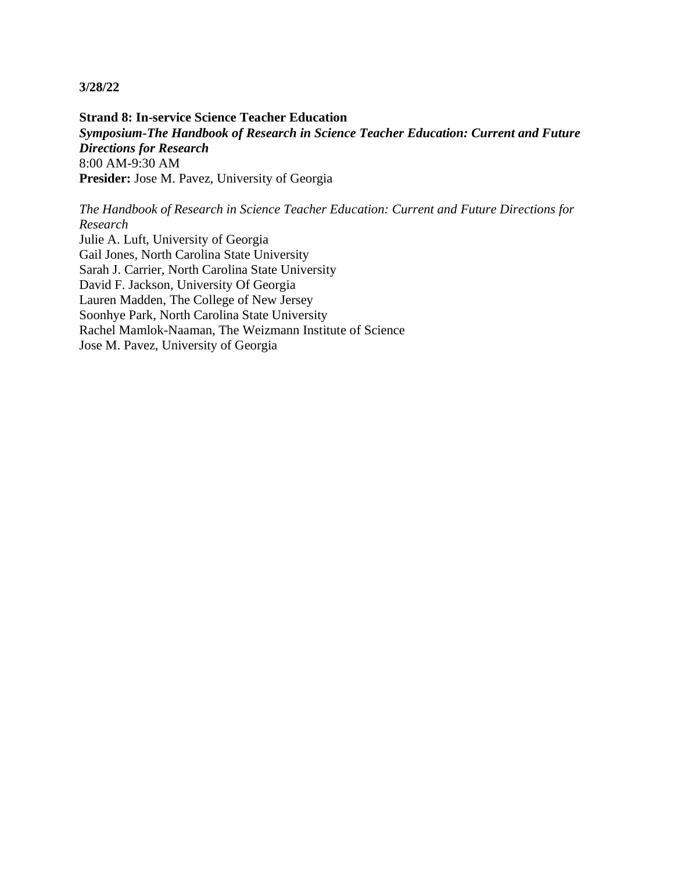**Strand 8: In-service Science Teacher Education** *Symposium-The Handbook of Research in Science Teacher Education: Current and Future Directions for Research* 8:00 AM-9:30 AM **Presider:** Jose M. Pavez, University of Georgia

*The Handbook of Research in Science Teacher Education: Current and Future Directions for Research* Julie A. Luft, University of Georgia Gail Jones, North Carolina State University Sarah J. Carrier, North Carolina State University David F. Jackson, University Of Georgia Lauren Madden, The College of New Jersey Soonhye Park, North Carolina State University Rachel Mamlok-Naaman, The Weizmann Institute of Science

Jose M. Pavez, University of Georgia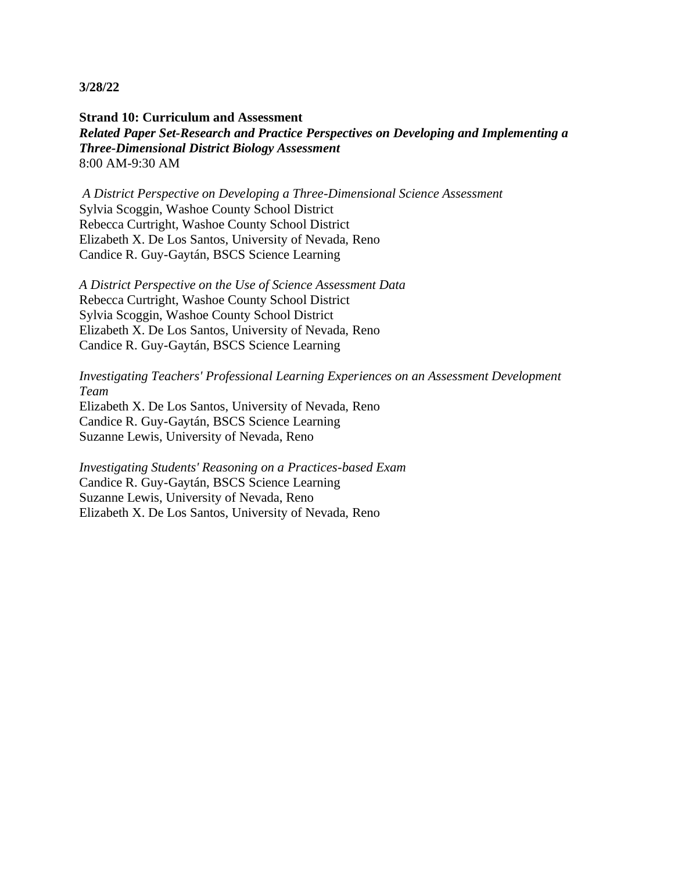**Strand 10: Curriculum and Assessment** *Related Paper Set-Research and Practice Perspectives on Developing and Implementing a Three-Dimensional District Biology Assessment* 8:00 AM-9:30 AM

*A District Perspective on Developing a Three-Dimensional Science Assessment* Sylvia Scoggin, Washoe County School District Rebecca Curtright, Washoe County School District Elizabeth X. De Los Santos, University of Nevada, Reno Candice R. Guy-Gaytán, BSCS Science Learning

*A District Perspective on the Use of Science Assessment Data* Rebecca Curtright, Washoe County School District Sylvia Scoggin, Washoe County School District Elizabeth X. De Los Santos, University of Nevada, Reno Candice R. Guy-Gaytán, BSCS Science Learning

*Investigating Teachers' Professional Learning Experiences on an Assessment Development Team* Elizabeth X. De Los Santos, University of Nevada, Reno

Candice R. Guy-Gaytán, BSCS Science Learning Suzanne Lewis, University of Nevada, Reno

*Investigating Students' Reasoning on a Practices-based Exam* Candice R. Guy-Gaytán, BSCS Science Learning Suzanne Lewis, University of Nevada, Reno Elizabeth X. De Los Santos, University of Nevada, Reno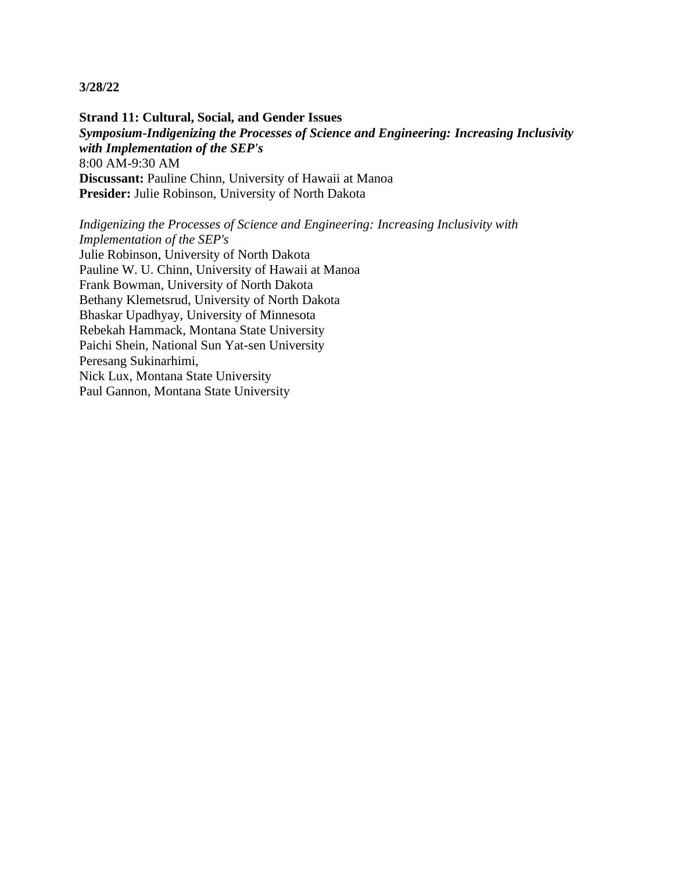**Strand 11: Cultural, Social, and Gender Issues** *Symposium-Indigenizing the Processes of Science and Engineering: Increasing Inclusivity with Implementation of the SEP's* 8:00 AM-9:30 AM **Discussant:** Pauline Chinn, University of Hawaii at Manoa **Presider:** Julie Robinson, University of North Dakota

*Indigenizing the Processes of Science and Engineering: Increasing Inclusivity with Implementation of the SEP's* Julie Robinson, University of North Dakota Pauline W. U. Chinn, University of Hawaii at Manoa Frank Bowman, University of North Dakota Bethany Klemetsrud, University of North Dakota Bhaskar Upadhyay, University of Minnesota Rebekah Hammack, Montana State University Paichi Shein, National Sun Yat-sen University Peresang Sukinarhimi, Nick Lux, Montana State University Paul Gannon, Montana State University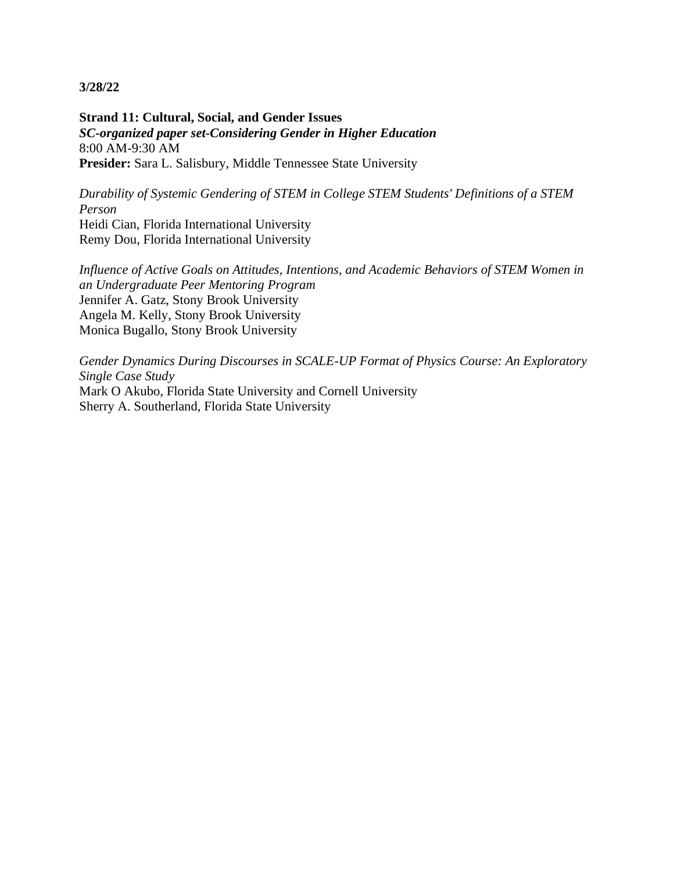**Strand 11: Cultural, Social, and Gender Issues** *SC-organized paper set-Considering Gender in Higher Education* 8:00 AM-9:30 AM **Presider:** Sara L. Salisbury, Middle Tennessee State University

*Durability of Systemic Gendering of STEM in College STEM Students' Definitions of a STEM Person* Heidi Cian, Florida International University Remy Dou, Florida International University

*Influence of Active Goals on Attitudes, Intentions, and Academic Behaviors of STEM Women in an Undergraduate Peer Mentoring Program* Jennifer A. Gatz, Stony Brook University Angela M. Kelly, Stony Brook University Monica Bugallo, Stony Brook University

*Gender Dynamics During Discourses in SCALE-UP Format of Physics Course: An Exploratory Single Case Study* Mark O Akubo, Florida State University and Cornell University Sherry A. Southerland, Florida State University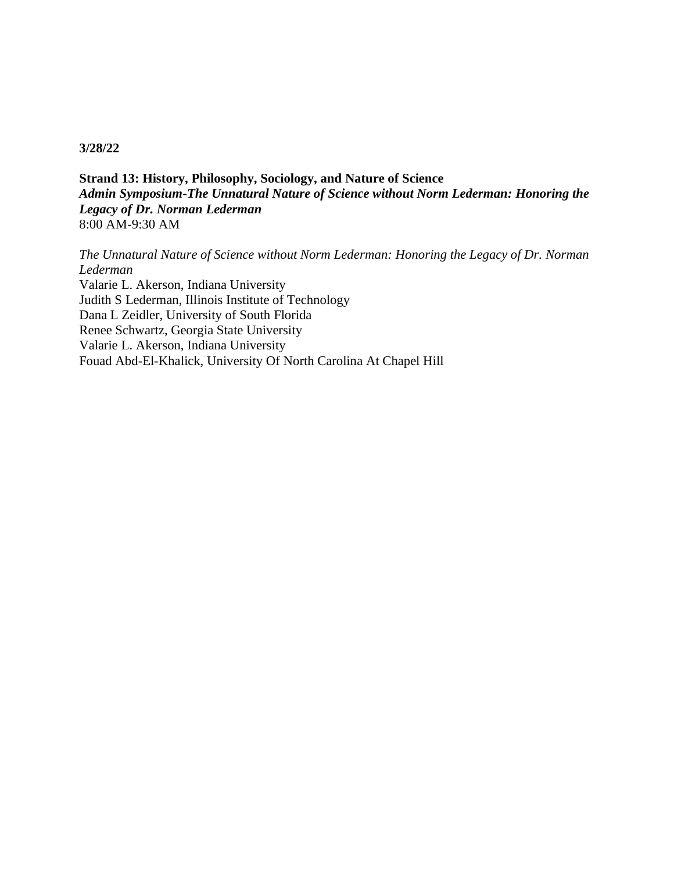**Strand 13: History, Philosophy, Sociology, and Nature of Science** *Admin Symposium-The Unnatural Nature of Science without Norm Lederman: Honoring the Legacy of Dr. Norman Lederman* 8:00 AM-9:30 AM

*The Unnatural Nature of Science without Norm Lederman: Honoring the Legacy of Dr. Norman Lederman* Valarie L. Akerson, Indiana University Judith S Lederman, Illinois Institute of Technology Dana L Zeidler, University of South Florida Renee Schwartz, Georgia State University Valarie L. Akerson, Indiana University Fouad Abd-El-Khalick, University Of North Carolina At Chapel Hill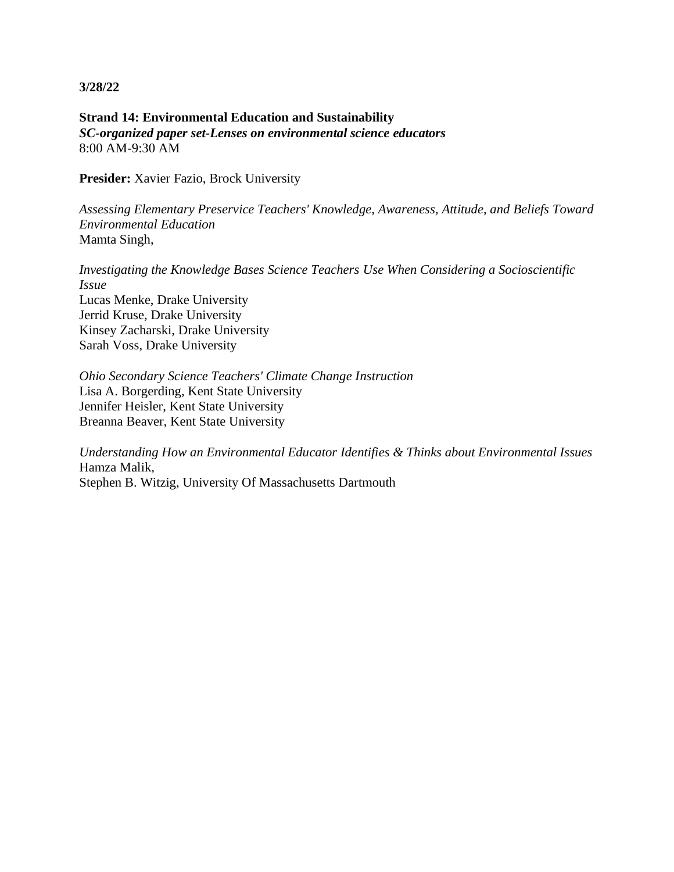**Strand 14: Environmental Education and Sustainability** *SC-organized paper set-Lenses on environmental science educators* 8:00 AM-9:30 AM

**Presider:** Xavier Fazio, Brock University

*Assessing Elementary Preservice Teachers' Knowledge, Awareness, Attitude, and Beliefs Toward Environmental Education* Mamta Singh,

*Investigating the Knowledge Bases Science Teachers Use When Considering a Socioscientific Issue* Lucas Menke, Drake University Jerrid Kruse, Drake University Kinsey Zacharski, Drake University Sarah Voss, Drake University

*Ohio Secondary Science Teachers' Climate Change Instruction* Lisa A. Borgerding, Kent State University Jennifer Heisler, Kent State University Breanna Beaver, Kent State University

*Understanding How an Environmental Educator Identifies & Thinks about Environmental Issues* Hamza Malik, Stephen B. Witzig, University Of Massachusetts Dartmouth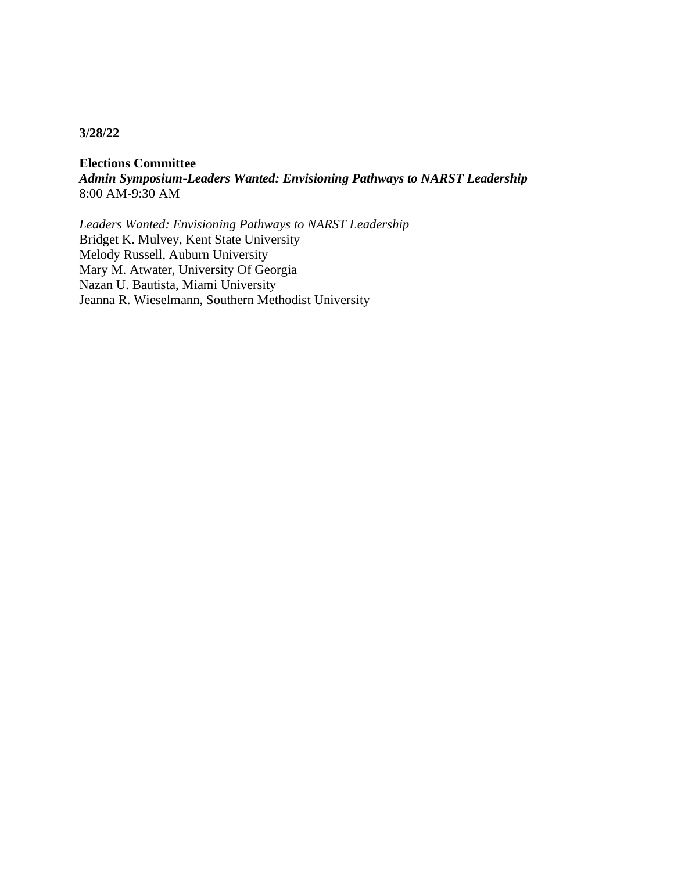**Elections Committee** *Admin Symposium-Leaders Wanted: Envisioning Pathways to NARST Leadership* 8:00 AM-9:30 AM

*Leaders Wanted: Envisioning Pathways to NARST Leadership* Bridget K. Mulvey, Kent State University Melody Russell, Auburn University Mary M. Atwater, University Of Georgia Nazan U. Bautista, Miami University Jeanna R. Wieselmann, Southern Methodist University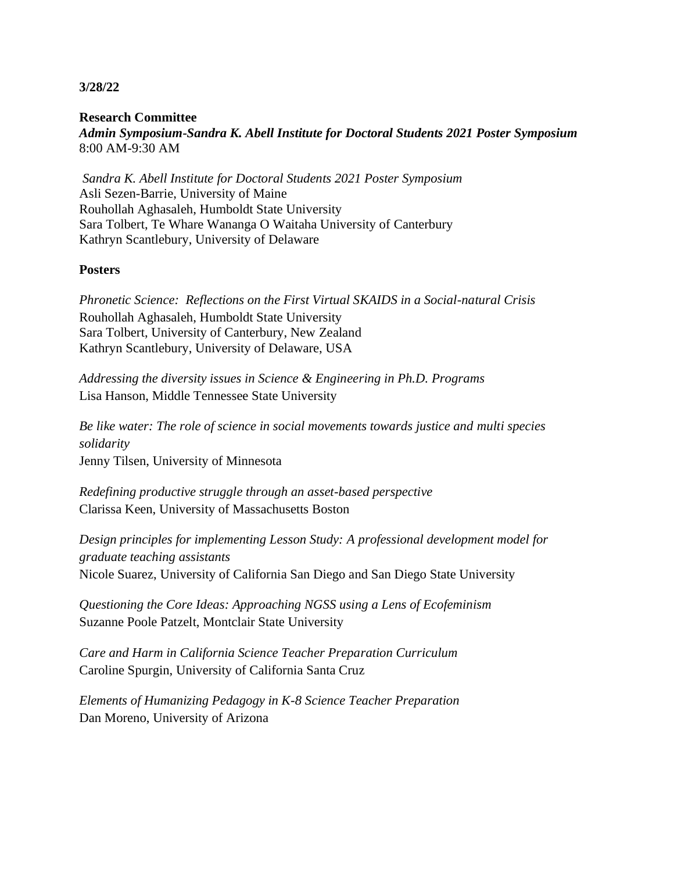**Research Committee** *Admin Symposium-Sandra K. Abell Institute for Doctoral Students 2021 Poster Symposium* 8:00 AM-9:30 AM

*Sandra K. Abell Institute for Doctoral Students 2021 Poster Symposium* Asli Sezen-Barrie, University of Maine Rouhollah Aghasaleh, Humboldt State University Sara Tolbert, Te Whare Wananga O Waitaha University of Canterbury Kathryn Scantlebury, University of Delaware

## **Posters**

*Phronetic Science: Reflections on the First Virtual SKAIDS in a Social-natural Crisis* Rouhollah Aghasaleh, Humboldt State University Sara Tolbert, University of Canterbury, New Zealand Kathryn Scantlebury, University of Delaware, USA

*Addressing the diversity issues in Science & Engineering in Ph.D. Programs* Lisa Hanson, Middle Tennessee State University

*Be like water: The role of science in social movements towards justice and multi species solidarity* Jenny Tilsen, University of Minnesota

*Redefining productive struggle through an asset-based perspective* Clarissa Keen, University of Massachusetts Boston

*Design principles for implementing Lesson Study: A professional development model for graduate teaching assistants* Nicole Suarez, University of California San Diego and San Diego State University

*Questioning the Core Ideas: Approaching NGSS using a Lens of Ecofeminism* Suzanne Poole Patzelt, Montclair State University

*Care and Harm in California Science Teacher Preparation Curriculum* Caroline Spurgin, University of California Santa Cruz

*Elements of Humanizing Pedagogy in K-8 Science Teacher Preparation* Dan Moreno, University of Arizona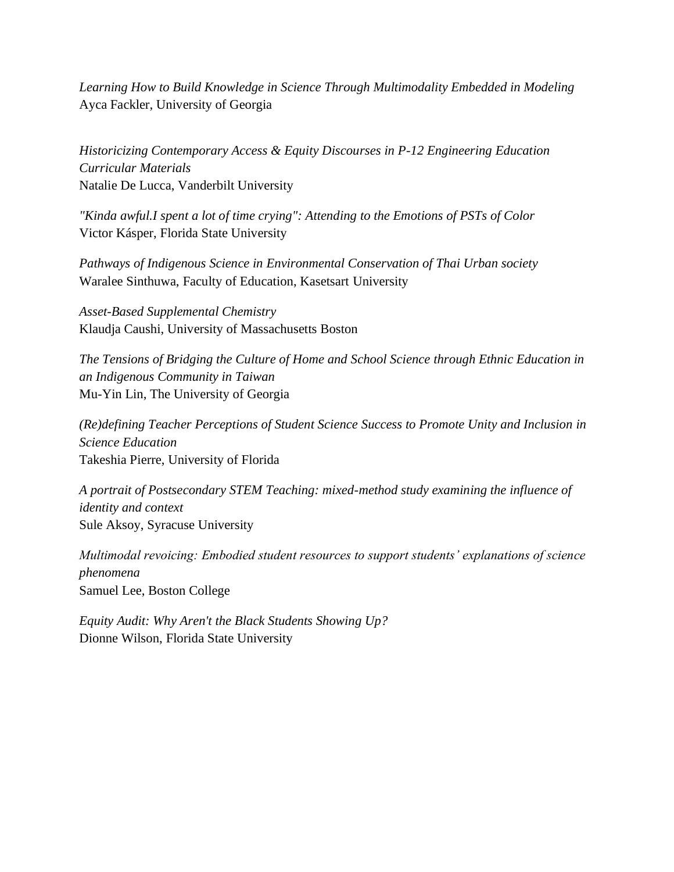*Learning How to Build Knowledge in Science Through Multimodality Embedded in Modeling* Ayca Fackler, University of Georgia

*Historicizing Contemporary Access & Equity Discourses in P-12 Engineering Education Curricular Materials* Natalie De Lucca, Vanderbilt University

*"Kinda awful.I spent a lot of time crying": Attending to the Emotions of PSTs of Color* Victor Kásper, Florida State University

*Pathways of Indigenous Science in Environmental Conservation of Thai Urban society* Waralee Sinthuwa, Faculty of Education, Kasetsart University

*Asset-Based Supplemental Chemistry* Klaudja Caushi, University of Massachusetts Boston

*The Tensions of Bridging the Culture of Home and School Science through Ethnic Education in an Indigenous Community in Taiwan* Mu-Yin Lin, The University of Georgia

*(Re)defining Teacher Perceptions of Student Science Success to Promote Unity and Inclusion in Science Education* Takeshia Pierre, University of Florida

*A portrait of Postsecondary STEM Teaching: mixed-method study examining the influence of identity and context* Sule Aksoy, Syracuse University

*Multimodal revoicing: Embodied student resources to support students' explanations of science phenomena* Samuel Lee, Boston College

*Equity Audit: Why Aren't the Black Students Showing Up?* Dionne Wilson, Florida State University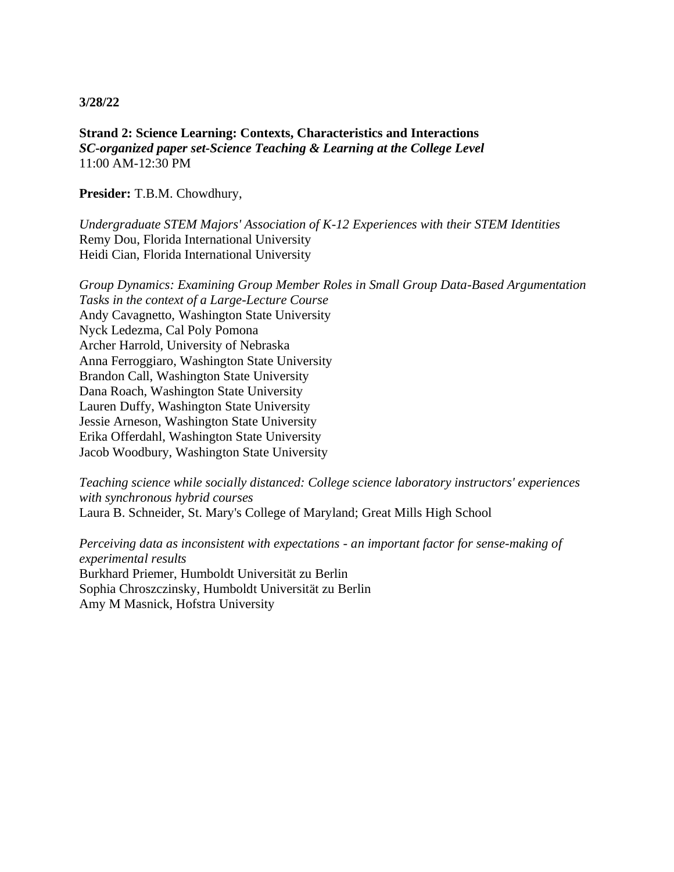**Strand 2: Science Learning: Contexts, Characteristics and Interactions** *SC-organized paper set-Science Teaching & Learning at the College Level* 11:00 AM-12:30 PM

**Presider:** T.B.M. Chowdhury,

*Undergraduate STEM Majors' Association of K-12 Experiences with their STEM Identities* Remy Dou, Florida International University Heidi Cian, Florida International University

*Group Dynamics: Examining Group Member Roles in Small Group Data-Based Argumentation Tasks in the context of a Large-Lecture Course* Andy Cavagnetto, Washington State University Nyck Ledezma, Cal Poly Pomona Archer Harrold, University of Nebraska Anna Ferroggiaro, Washington State University Brandon Call, Washington State University Dana Roach, Washington State University Lauren Duffy, Washington State University Jessie Arneson, Washington State University Erika Offerdahl, Washington State University Jacob Woodbury, Washington State University

*Teaching science while socially distanced: College science laboratory instructors' experiences with synchronous hybrid courses* Laura B. Schneider, St. Mary's College of Maryland; Great Mills High School

*Perceiving data as inconsistent with expectations - an important factor for sense-making of experimental results* Burkhard Priemer, Humboldt Universität zu Berlin Sophia Chroszczinsky, Humboldt Universität zu Berlin Amy M Masnick, Hofstra University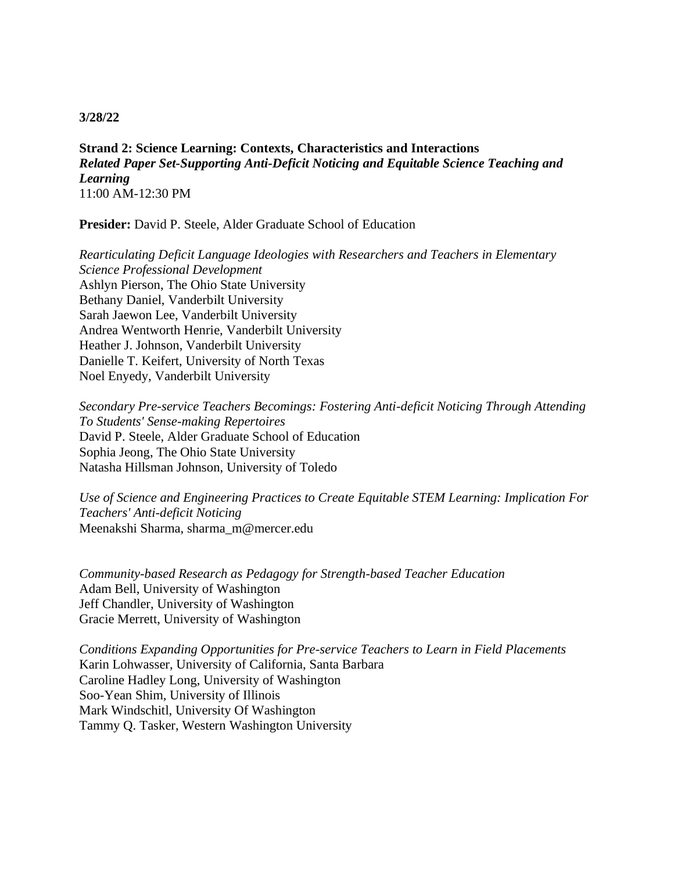**Strand 2: Science Learning: Contexts, Characteristics and Interactions** *Related Paper Set-Supporting Anti-Deficit Noticing and Equitable Science Teaching and Learning* 11:00 AM-12:30 PM

**Presider:** David P. Steele, Alder Graduate School of Education

*Rearticulating Deficit Language Ideologies with Researchers and Teachers in Elementary Science Professional Development* Ashlyn Pierson, The Ohio State University Bethany Daniel, Vanderbilt University Sarah Jaewon Lee, Vanderbilt University Andrea Wentworth Henrie, Vanderbilt University Heather J. Johnson, Vanderbilt University Danielle T. Keifert, University of North Texas Noel Enyedy, Vanderbilt University

*Secondary Pre-service Teachers Becomings: Fostering Anti-deficit Noticing Through Attending To Students' Sense-making Repertoires* David P. Steele, Alder Graduate School of Education Sophia Jeong, The Ohio State University Natasha Hillsman Johnson, University of Toledo

*Use of Science and Engineering Practices to Create Equitable STEM Learning: Implication For Teachers' Anti-deficit Noticing* Meenakshi Sharma, sharma\_m@mercer.edu

*Community-based Research as Pedagogy for Strength-based Teacher Education* Adam Bell, University of Washington Jeff Chandler, University of Washington Gracie Merrett, University of Washington

*Conditions Expanding Opportunities for Pre-service Teachers to Learn in Field Placements* Karin Lohwasser, University of California, Santa Barbara Caroline Hadley Long, University of Washington Soo-Yean Shim, University of Illinois Mark Windschitl, University Of Washington Tammy Q. Tasker, Western Washington University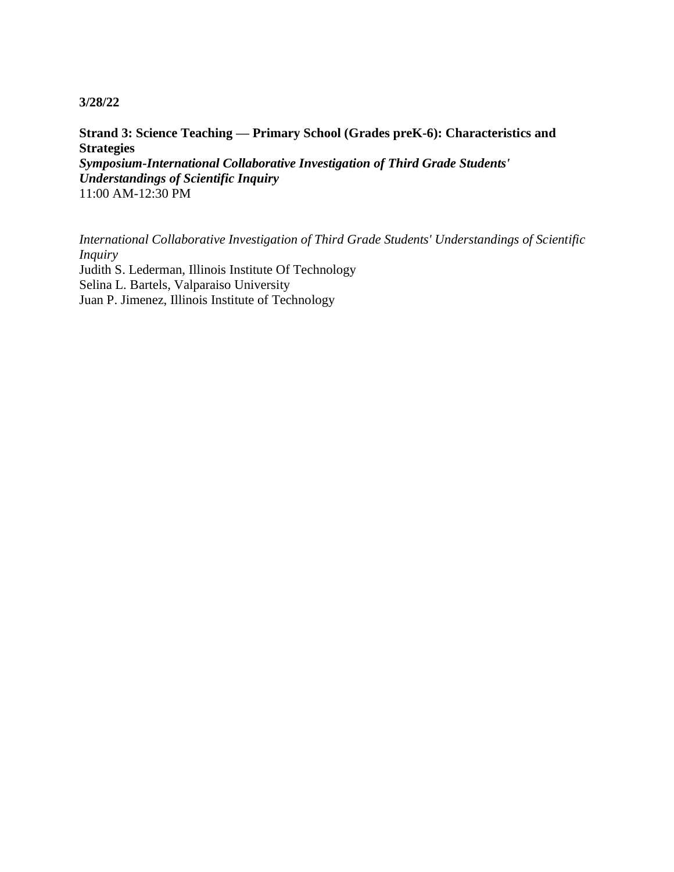**Strand 3: Science Teaching — Primary School (Grades preK-6): Characteristics and Strategies** *Symposium-International Collaborative Investigation of Third Grade Students' Understandings of Scientific Inquiry* 11:00 AM-12:30 PM

*International Collaborative Investigation of Third Grade Students' Understandings of Scientific Inquiry* Judith S. Lederman, Illinois Institute Of Technology Selina L. Bartels, Valparaiso University Juan P. Jimenez, Illinois Institute of Technology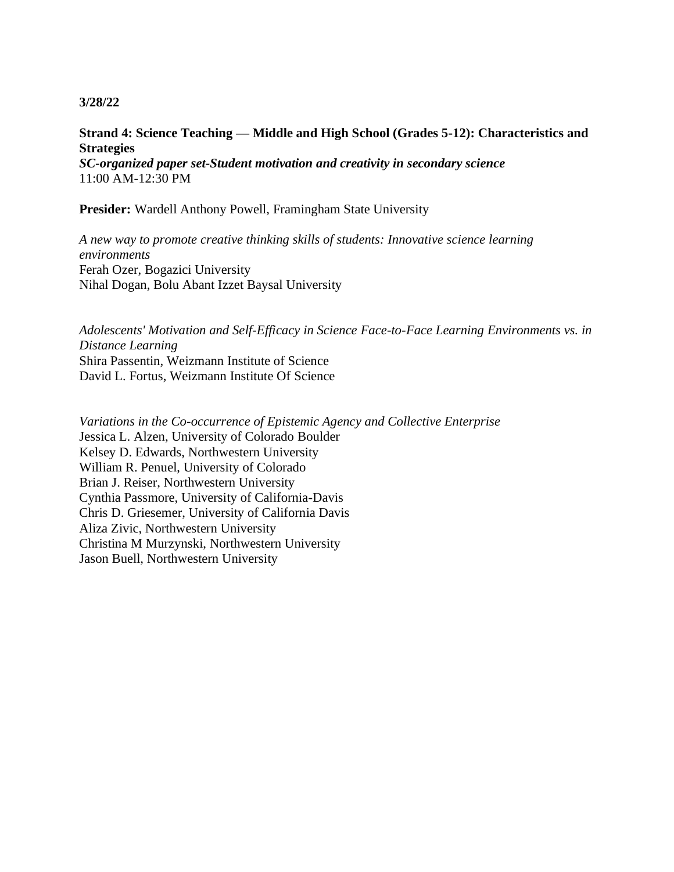# **Strand 4: Science Teaching — Middle and High School (Grades 5-12): Characteristics and Strategies**

*SC-organized paper set-Student motivation and creativity in secondary science* 11:00 AM-12:30 PM

**Presider:** Wardell Anthony Powell, Framingham State University

*A new way to promote creative thinking skills of students: Innovative science learning environments* Ferah Ozer, Bogazici University Nihal Dogan, Bolu Abant Izzet Baysal University

*Adolescents' Motivation and Self-Efficacy in Science Face-to-Face Learning Environments vs. in Distance Learning* Shira Passentin, Weizmann Institute of Science David L. Fortus, Weizmann Institute Of Science

*Variations in the Co-occurrence of Epistemic Agency and Collective Enterprise* Jessica L. Alzen, University of Colorado Boulder Kelsey D. Edwards, Northwestern University William R. Penuel, University of Colorado Brian J. Reiser, Northwestern University Cynthia Passmore, University of California-Davis Chris D. Griesemer, University of California Davis Aliza Zivic, Northwestern University Christina M Murzynski, Northwestern University Jason Buell, Northwestern University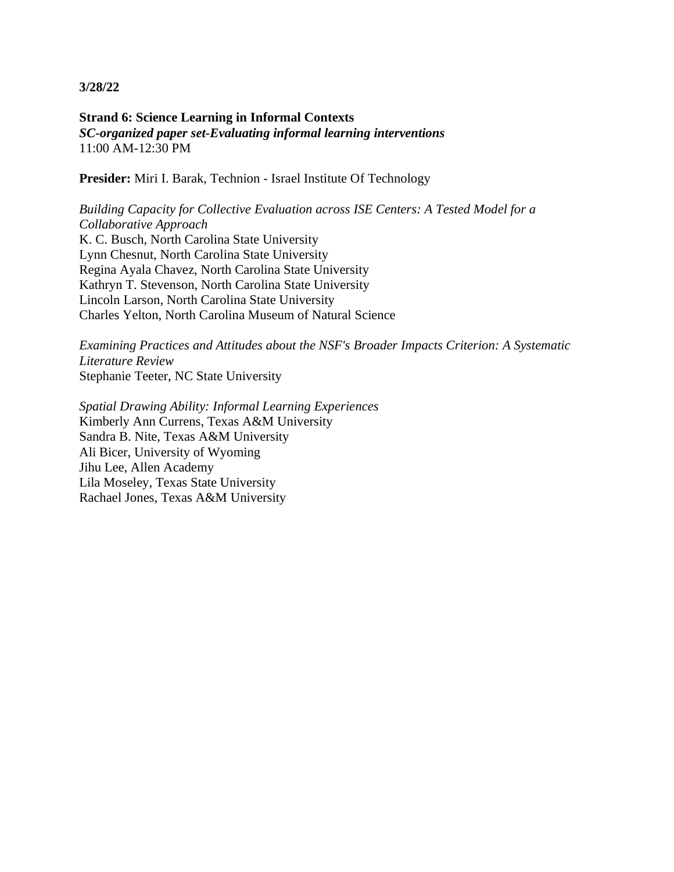**Strand 6: Science Learning in Informal Contexts** *SC-organized paper set-Evaluating informal learning interventions* 11:00 AM-12:30 PM

**Presider:** Miri I. Barak, Technion - Israel Institute Of Technology

*Building Capacity for Collective Evaluation across ISE Centers: A Tested Model for a Collaborative Approach* K. C. Busch, North Carolina State University Lynn Chesnut, North Carolina State University Regina Ayala Chavez, North Carolina State University Kathryn T. Stevenson, North Carolina State University Lincoln Larson, North Carolina State University Charles Yelton, North Carolina Museum of Natural Science

*Examining Practices and Attitudes about the NSF's Broader Impacts Criterion: A Systematic Literature Review* Stephanie Teeter, NC State University

*Spatial Drawing Ability: Informal Learning Experiences* Kimberly Ann Currens, Texas A&M University Sandra B. Nite, Texas A&M University Ali Bicer, University of Wyoming Jihu Lee, Allen Academy Lila Moseley, Texas State University Rachael Jones, Texas A&M University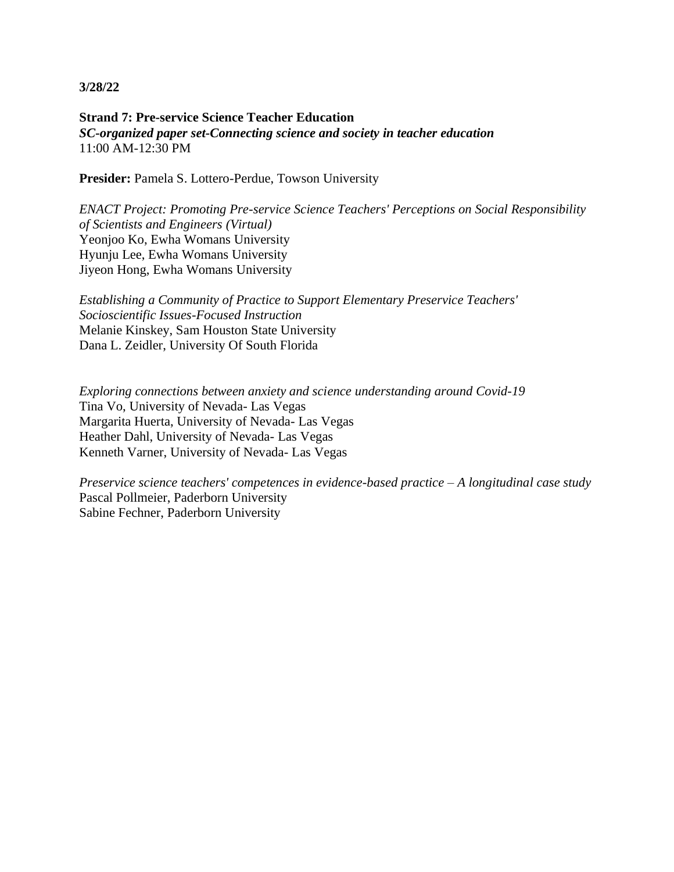**Strand 7: Pre-service Science Teacher Education** *SC-organized paper set-Connecting science and society in teacher education* 11:00 AM-12:30 PM

Presider: Pamela S. Lottero-Perdue, Towson University

*ENACT Project: Promoting Pre-service Science Teachers' Perceptions on Social Responsibility of Scientists and Engineers (Virtual)* Yeonjoo Ko, Ewha Womans University Hyunju Lee, Ewha Womans University Jiyeon Hong, Ewha Womans University

*Establishing a Community of Practice to Support Elementary Preservice Teachers' Socioscientific Issues-Focused Instruction* Melanie Kinskey, Sam Houston State University Dana L. Zeidler, University Of South Florida

*Exploring connections between anxiety and science understanding around Covid-19* Tina Vo, University of Nevada- Las Vegas Margarita Huerta, University of Nevada- Las Vegas Heather Dahl, University of Nevada- Las Vegas Kenneth Varner, University of Nevada- Las Vegas

*Preservice science teachers' competences in evidence-based practice – A longitudinal case study* Pascal Pollmeier, Paderborn University Sabine Fechner, Paderborn University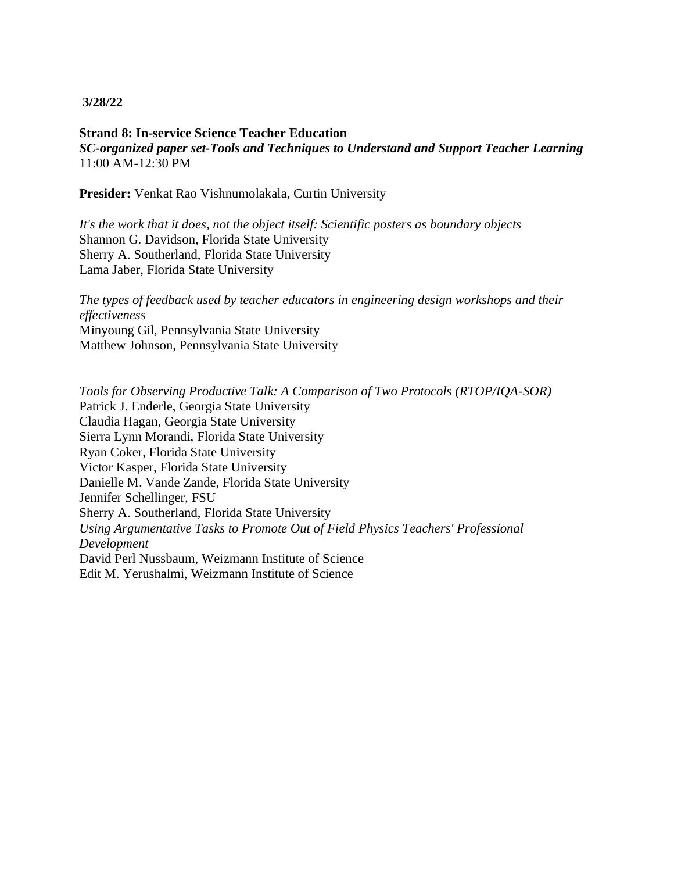**Strand 8: In-service Science Teacher Education** *SC-organized paper set-Tools and Techniques to Understand and Support Teacher Learning* 11:00 AM-12:30 PM

**Presider:** Venkat Rao Vishnumolakala, Curtin University

*It's the work that it does, not the object itself: Scientific posters as boundary objects* Shannon G. Davidson, Florida State University Sherry A. Southerland, Florida State University Lama Jaber, Florida State University

*The types of feedback used by teacher educators in engineering design workshops and their effectiveness* Minyoung Gil, Pennsylvania State University Matthew Johnson, Pennsylvania State University

*Tools for Observing Productive Talk: A Comparison of Two Protocols (RTOP/IQA-SOR)* Patrick J. Enderle, Georgia State University Claudia Hagan, Georgia State University Sierra Lynn Morandi, Florida State University Ryan Coker, Florida State University Victor Kasper, Florida State University Danielle M. Vande Zande, Florida State University Jennifer Schellinger, FSU Sherry A. Southerland, Florida State University *Using Argumentative Tasks to Promote Out of Field Physics Teachers' Professional Development* David Perl Nussbaum, Weizmann Institute of Science Edit M. Yerushalmi, Weizmann Institute of Science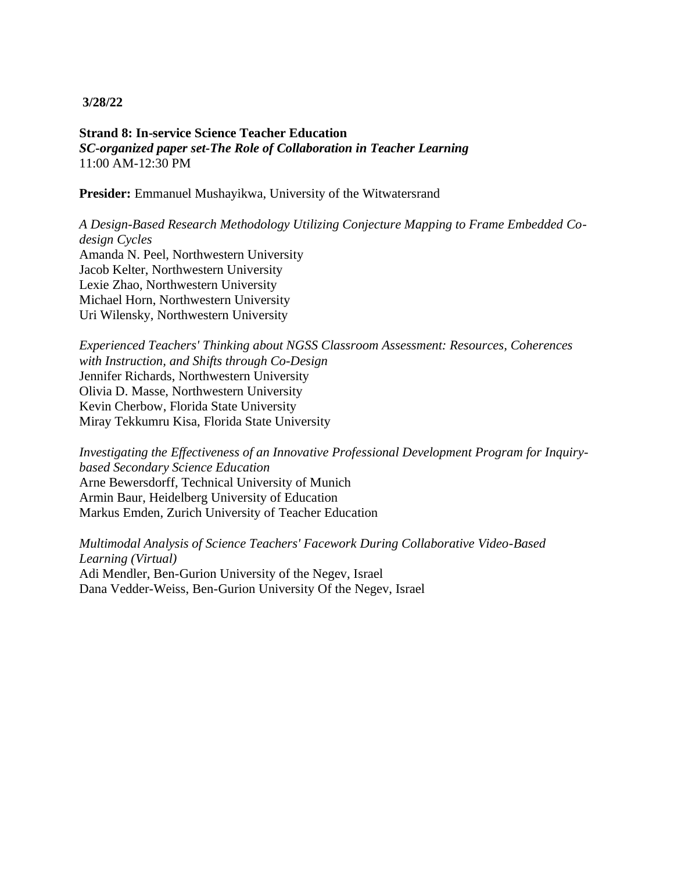**Strand 8: In-service Science Teacher Education** *SC-organized paper set-The Role of Collaboration in Teacher Learning* 11:00 AM-12:30 PM

**Presider:** Emmanuel Mushayikwa, University of the Witwatersrand

*A Design-Based Research Methodology Utilizing Conjecture Mapping to Frame Embedded Codesign Cycles* Amanda N. Peel, Northwestern University Jacob Kelter, Northwestern University Lexie Zhao, Northwestern University Michael Horn, Northwestern University Uri Wilensky, Northwestern University

*Experienced Teachers' Thinking about NGSS Classroom Assessment: Resources, Coherences with Instruction, and Shifts through Co-Design* Jennifer Richards, Northwestern University Olivia D. Masse, Northwestern University Kevin Cherbow, Florida State University Miray Tekkumru Kisa, Florida State University

*Investigating the Effectiveness of an Innovative Professional Development Program for Inquirybased Secondary Science Education* Arne Bewersdorff, Technical University of Munich Armin Baur, Heidelberg University of Education Markus Emden, Zurich University of Teacher Education

*Multimodal Analysis of Science Teachers' Facework During Collaborative Video-Based Learning (Virtual)* Adi Mendler, Ben-Gurion University of the Negev, Israel Dana Vedder-Weiss, Ben-Gurion University Of the Negev, Israel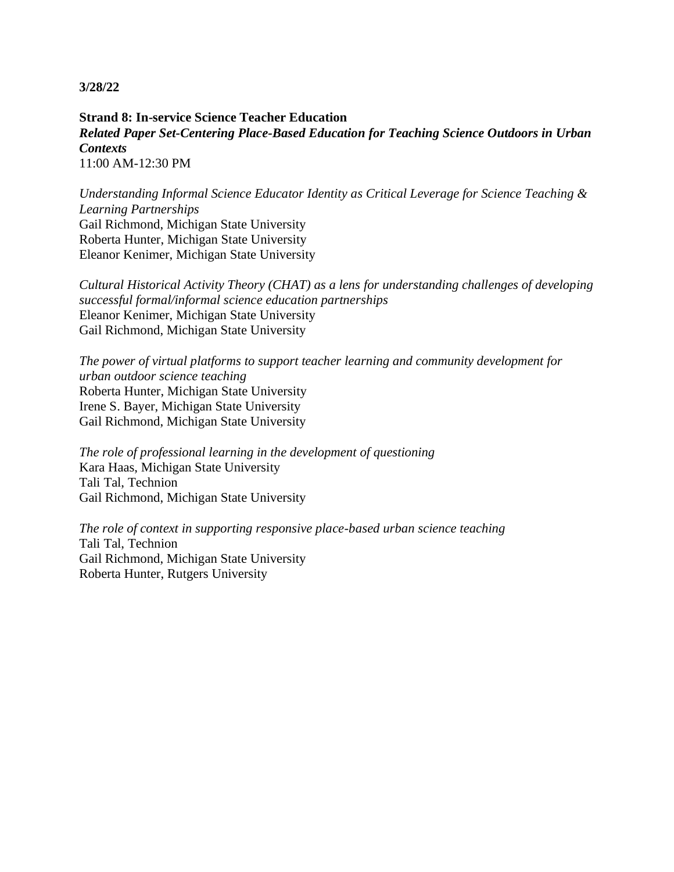**Strand 8: In-service Science Teacher Education** *Related Paper Set-Centering Place-Based Education for Teaching Science Outdoors in Urban Contexts* 11:00 AM-12:30 PM

*Understanding Informal Science Educator Identity as Critical Leverage for Science Teaching & Learning Partnerships* Gail Richmond, Michigan State University Roberta Hunter, Michigan State University Eleanor Kenimer, Michigan State University

*Cultural Historical Activity Theory (CHAT) as a lens for understanding challenges of developing successful formal/informal science education partnerships* Eleanor Kenimer, Michigan State University Gail Richmond, Michigan State University

*The power of virtual platforms to support teacher learning and community development for urban outdoor science teaching* Roberta Hunter, Michigan State University Irene S. Bayer, Michigan State University Gail Richmond, Michigan State University

*The role of professional learning in the development of questioning* Kara Haas, Michigan State University Tali Tal, Technion Gail Richmond, Michigan State University

*The role of context in supporting responsive place-based urban science teaching* Tali Tal, Technion Gail Richmond, Michigan State University Roberta Hunter, Rutgers University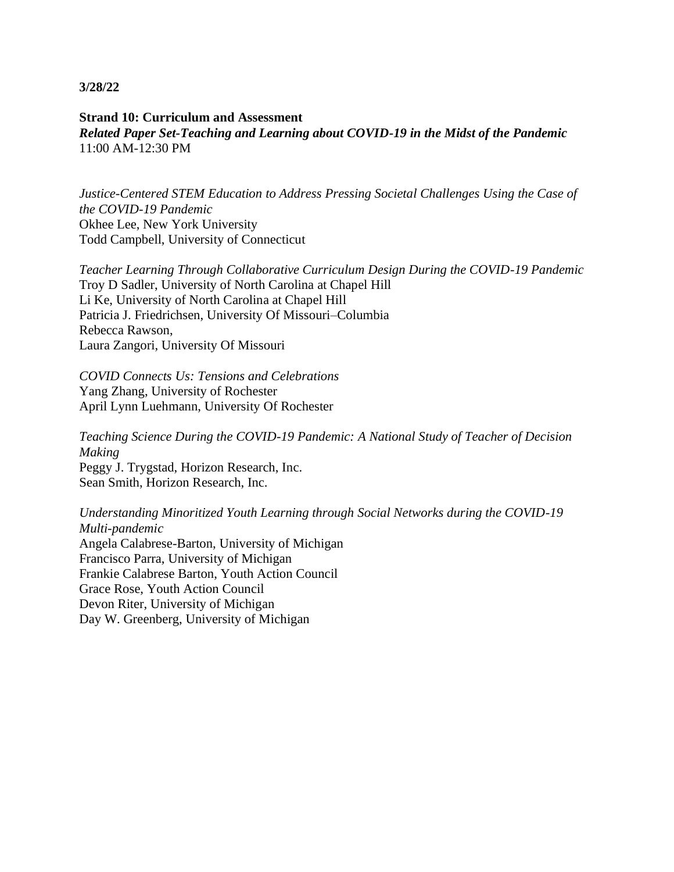## **Strand 10: Curriculum and Assessment** *Related Paper Set-Teaching and Learning about COVID-19 in the Midst of the Pandemic* 11:00 AM-12:30 PM

*Justice-Centered STEM Education to Address Pressing Societal Challenges Using the Case of the COVID-19 Pandemic* Okhee Lee, New York University Todd Campbell, University of Connecticut

*Teacher Learning Through Collaborative Curriculum Design During the COVID-19 Pandemic* Troy D Sadler, University of North Carolina at Chapel Hill Li Ke, University of North Carolina at Chapel Hill Patricia J. Friedrichsen, University Of Missouri–Columbia Rebecca Rawson, Laura Zangori, University Of Missouri

*COVID Connects Us: Tensions and Celebrations* Yang Zhang, University of Rochester April Lynn Luehmann, University Of Rochester

*Teaching Science During the COVID-19 Pandemic: A National Study of Teacher of Decision Making*

Peggy J. Trygstad, Horizon Research, Inc. Sean Smith, Horizon Research, Inc.

*Understanding Minoritized Youth Learning through Social Networks during the COVID-19 Multi-pandemic* Angela Calabrese-Barton, University of Michigan Francisco Parra, University of Michigan Frankie Calabrese Barton, Youth Action Council Grace Rose, Youth Action Council Devon Riter, University of Michigan Day W. Greenberg, University of Michigan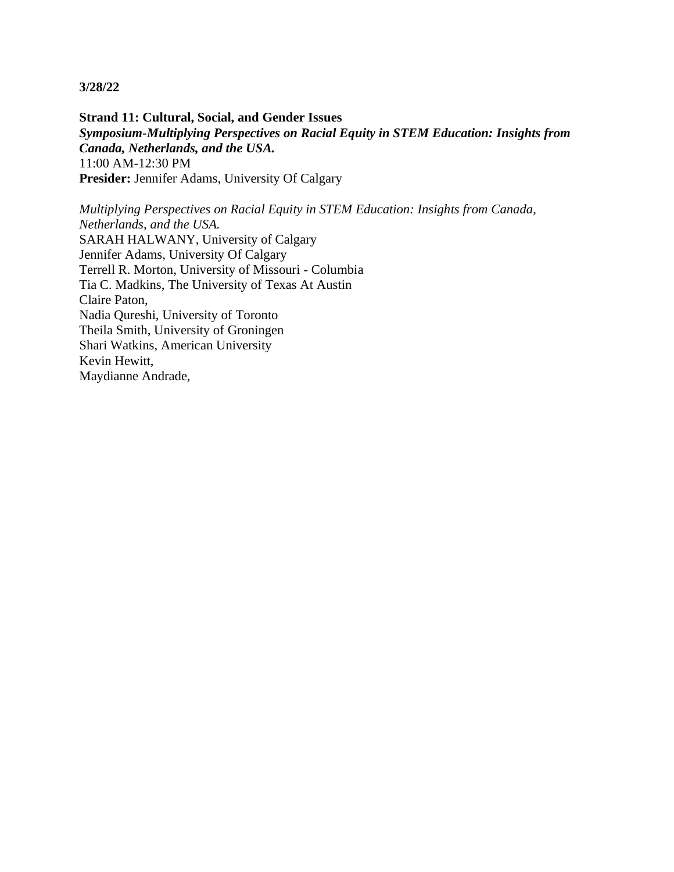**Strand 11: Cultural, Social, and Gender Issues** *Symposium-Multiplying Perspectives on Racial Equity in STEM Education: Insights from Canada, Netherlands, and the USA.* 11:00 AM-12:30 PM **Presider:** Jennifer Adams, University Of Calgary

*Multiplying Perspectives on Racial Equity in STEM Education: Insights from Canada, Netherlands, and the USA.* SARAH HALWANY, University of Calgary Jennifer Adams, University Of Calgary Terrell R. Morton, University of Missouri - Columbia Tia C. Madkins, The University of Texas At Austin Claire Paton, Nadia Qureshi, University of Toronto Theila Smith, University of Groningen Shari Watkins, American University Kevin Hewitt, Maydianne Andrade,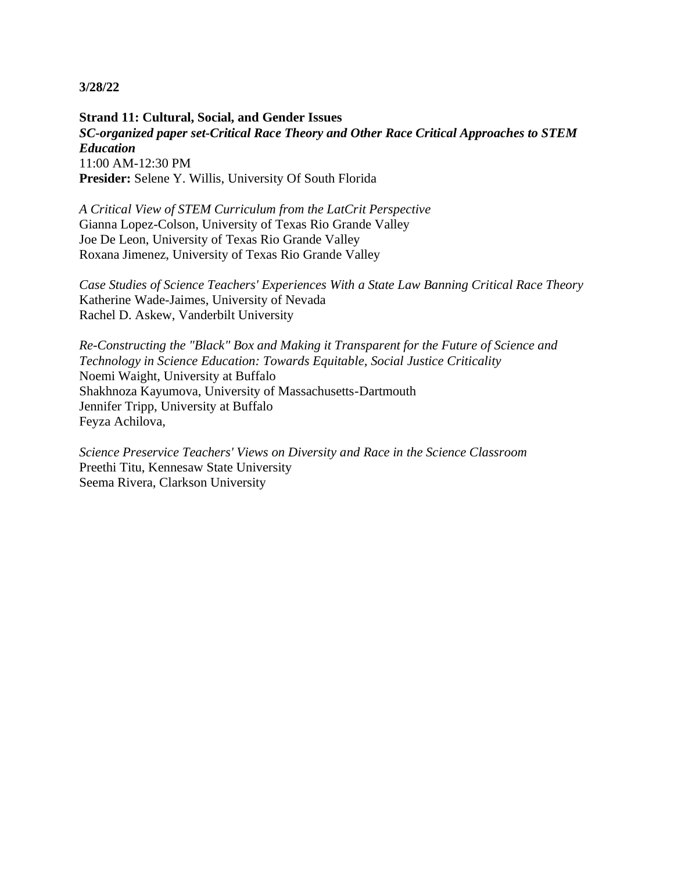**Strand 11: Cultural, Social, and Gender Issues** *SC-organized paper set-Critical Race Theory and Other Race Critical Approaches to STEM Education* 11:00 AM-12:30 PM **Presider:** Selene Y. Willis, University Of South Florida

*A Critical View of STEM Curriculum from the LatCrit Perspective* Gianna Lopez-Colson, University of Texas Rio Grande Valley Joe De Leon, University of Texas Rio Grande Valley Roxana Jimenez, University of Texas Rio Grande Valley

*Case Studies of Science Teachers' Experiences With a State Law Banning Critical Race Theory* Katherine Wade-Jaimes, University of Nevada Rachel D. Askew, Vanderbilt University

*Re-Constructing the "Black" Box and Making it Transparent for the Future of Science and Technology in Science Education: Towards Equitable, Social Justice Criticality* Noemi Waight, University at Buffalo Shakhnoza Kayumova, University of Massachusetts-Dartmouth Jennifer Tripp, University at Buffalo Feyza Achilova,

*Science Preservice Teachers' Views on Diversity and Race in the Science Classroom* Preethi Titu, Kennesaw State University Seema Rivera, Clarkson University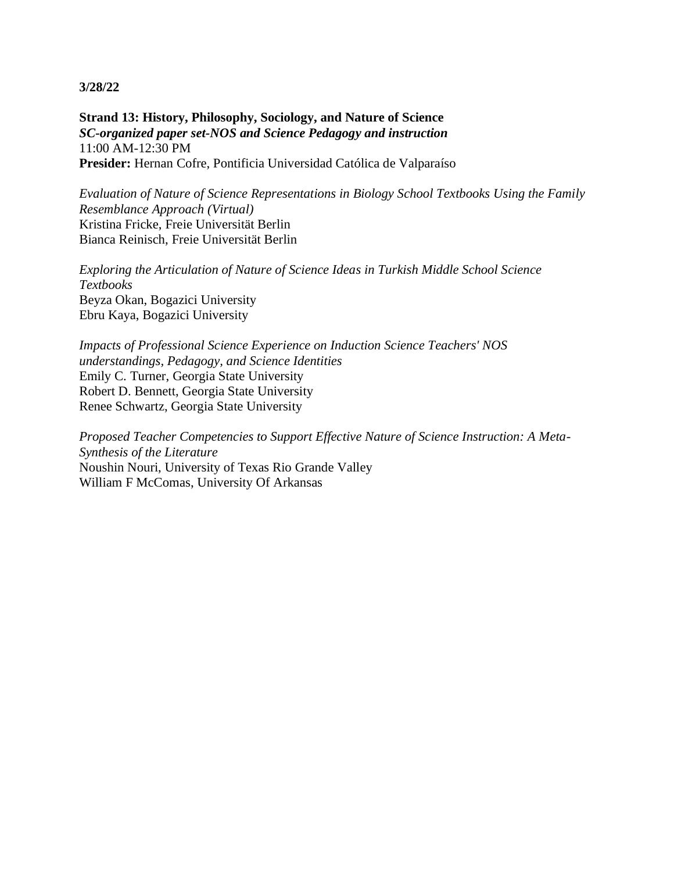**Strand 13: History, Philosophy, Sociology, and Nature of Science** *SC-organized paper set-NOS and Science Pedagogy and instruction* 11:00 AM-12:30 PM **Presider:** Hernan Cofre, Pontificia Universidad Católica de Valparaíso

*Evaluation of Nature of Science Representations in Biology School Textbooks Using the Family Resemblance Approach (Virtual)* Kristina Fricke, Freie Universität Berlin Bianca Reinisch, Freie Universität Berlin

*Exploring the Articulation of Nature of Science Ideas in Turkish Middle School Science Textbooks* Beyza Okan, Bogazici University Ebru Kaya, Bogazici University

*Impacts of Professional Science Experience on Induction Science Teachers' NOS understandings, Pedagogy, and Science Identities* Emily C. Turner, Georgia State University Robert D. Bennett, Georgia State University Renee Schwartz, Georgia State University

*Proposed Teacher Competencies to Support Effective Nature of Science Instruction: A Meta-Synthesis of the Literature* Noushin Nouri, University of Texas Rio Grande Valley William F McComas, University Of Arkansas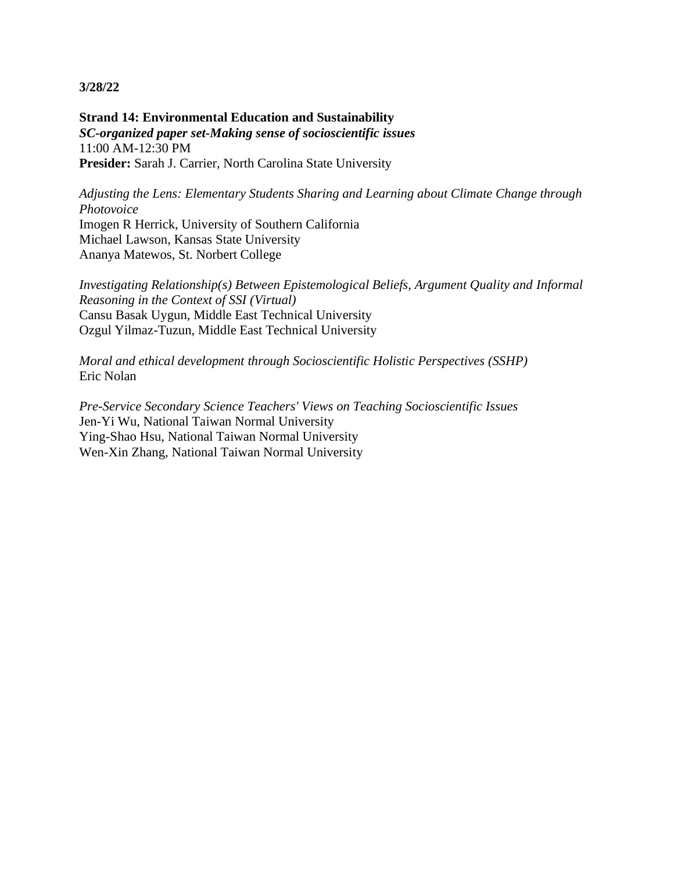**Strand 14: Environmental Education and Sustainability** *SC-organized paper set-Making sense of socioscientific issues* 11:00 AM-12:30 PM **Presider:** Sarah J. Carrier, North Carolina State University

*Adjusting the Lens: Elementary Students Sharing and Learning about Climate Change through Photovoice* Imogen R Herrick, University of Southern California

Michael Lawson, Kansas State University Ananya Matewos, St. Norbert College

*Investigating Relationship(s) Between Epistemological Beliefs, Argument Quality and Informal Reasoning in the Context of SSI (Virtual)* Cansu Basak Uygun, Middle East Technical University Ozgul Yilmaz-Tuzun, Middle East Technical University

*Moral and ethical development through Socioscientific Holistic Perspectives (SSHP)* Eric Nolan

*Pre-Service Secondary Science Teachers' Views on Teaching Socioscientific Issues* Jen-Yi Wu, National Taiwan Normal University Ying-Shao Hsu, National Taiwan Normal University Wen-Xin Zhang, National Taiwan Normal University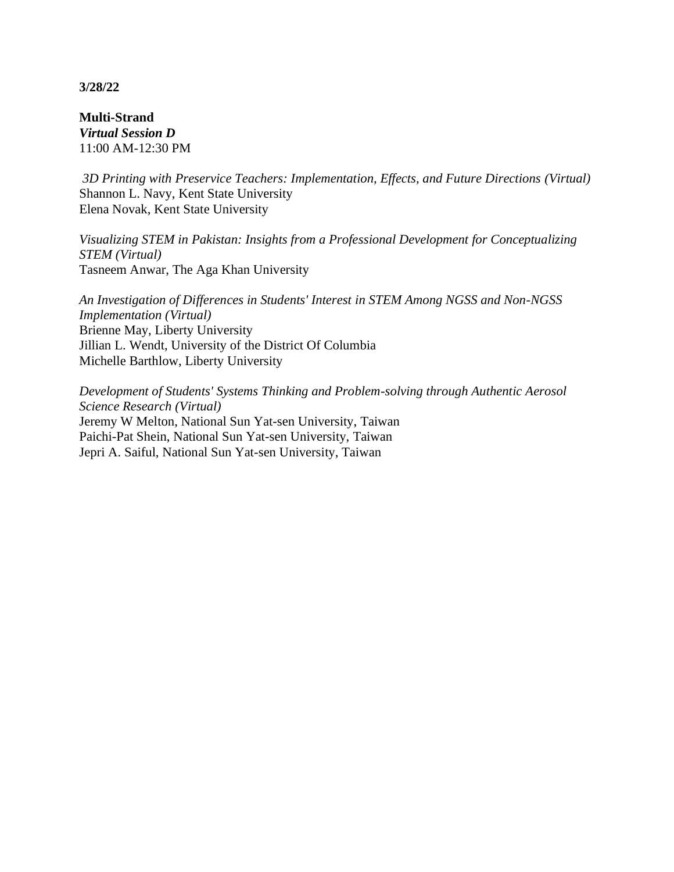**Multi-Strand** *Virtual Session D* 11:00 AM-12:30 PM

*3D Printing with Preservice Teachers: Implementation, Effects, and Future Directions (Virtual)* Shannon L. Navy, Kent State University Elena Novak, Kent State University

*Visualizing STEM in Pakistan: Insights from a Professional Development for Conceptualizing STEM (Virtual)* Tasneem Anwar, The Aga Khan University

*An Investigation of Differences in Students' Interest in STEM Among NGSS and Non-NGSS Implementation (Virtual)* Brienne May, Liberty University Jillian L. Wendt, University of the District Of Columbia Michelle Barthlow, Liberty University

*Development of Students' Systems Thinking and Problem-solving through Authentic Aerosol Science Research (Virtual)* Jeremy W Melton, National Sun Yat-sen University, Taiwan Paichi-Pat Shein, National Sun Yat-sen University, Taiwan Jepri A. Saiful, National Sun Yat-sen University, Taiwan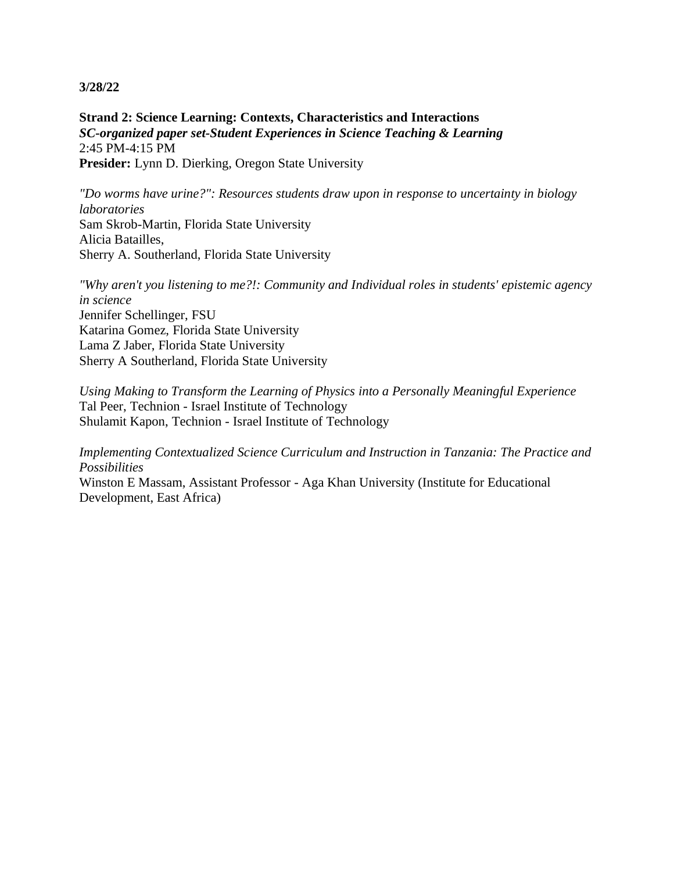**Strand 2: Science Learning: Contexts, Characteristics and Interactions** *SC-organized paper set-Student Experiences in Science Teaching & Learning* 2:45 PM-4:15 PM **Presider:** Lynn D. Dierking, Oregon State University

*"Do worms have urine?": Resources students draw upon in response to uncertainty in biology laboratories* Sam Skrob-Martin, Florida State University Alicia Batailles, Sherry A. Southerland, Florida State University

*"Why aren't you listening to me?!: Community and Individual roles in students' epistemic agency in science* Jennifer Schellinger, FSU Katarina Gomez, Florida State University Lama Z Jaber, Florida State University Sherry A Southerland, Florida State University

*Using Making to Transform the Learning of Physics into a Personally Meaningful Experience* Tal Peer, Technion - Israel Institute of Technology Shulamit Kapon, Technion - Israel Institute of Technology

*Implementing Contextualized Science Curriculum and Instruction in Tanzania: The Practice and Possibilities*

Winston E Massam, Assistant Professor - Aga Khan University (Institute for Educational Development, East Africa)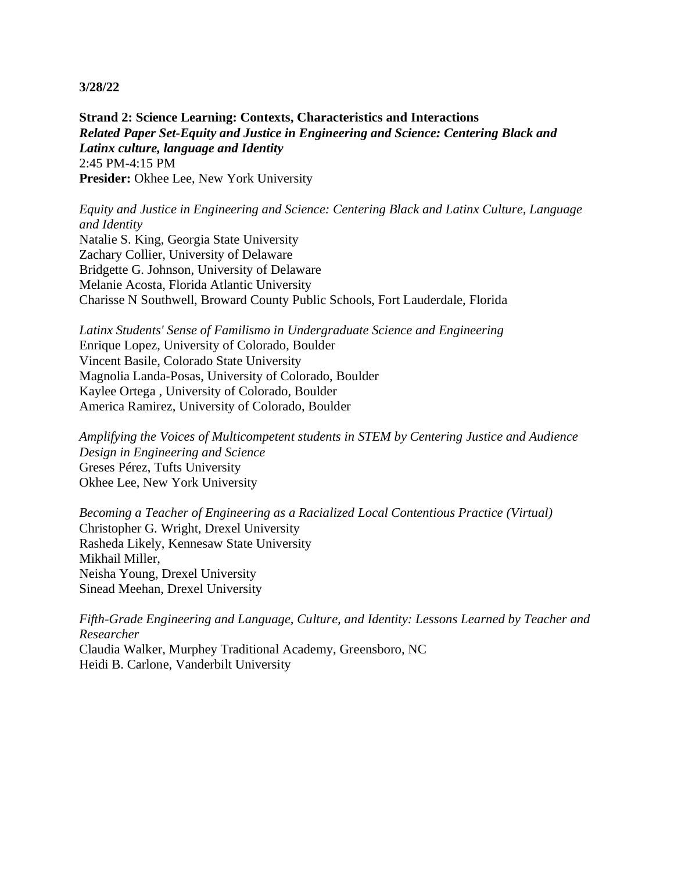**Strand 2: Science Learning: Contexts, Characteristics and Interactions** *Related Paper Set-Equity and Justice in Engineering and Science: Centering Black and Latinx culture, language and Identity* 2:45 PM-4:15 PM Presider: Okhee Lee, New York University

*Equity and Justice in Engineering and Science: Centering Black and Latinx Culture, Language and Identity* Natalie S. King, Georgia State University Zachary Collier, University of Delaware Bridgette G. Johnson, University of Delaware Melanie Acosta, Florida Atlantic University Charisse N Southwell, Broward County Public Schools, Fort Lauderdale, Florida

*Latinx Students' Sense of Familismo in Undergraduate Science and Engineering* Enrique Lopez, University of Colorado, Boulder Vincent Basile, Colorado State University Magnolia Landa-Posas, University of Colorado, Boulder Kaylee Ortega , University of Colorado, Boulder America Ramirez, University of Colorado, Boulder

*Amplifying the Voices of Multicompetent students in STEM by Centering Justice and Audience Design in Engineering and Science* Greses Pérez, Tufts University Okhee Lee, New York University

*Becoming a Teacher of Engineering as a Racialized Local Contentious Practice (Virtual)* Christopher G. Wright, Drexel University Rasheda Likely, Kennesaw State University Mikhail Miller, Neisha Young, Drexel University Sinead Meehan, Drexel University

*Fifth-Grade Engineering and Language, Culture, and Identity: Lessons Learned by Teacher and Researcher* Claudia Walker, Murphey Traditional Academy, Greensboro, NC Heidi B. Carlone, Vanderbilt University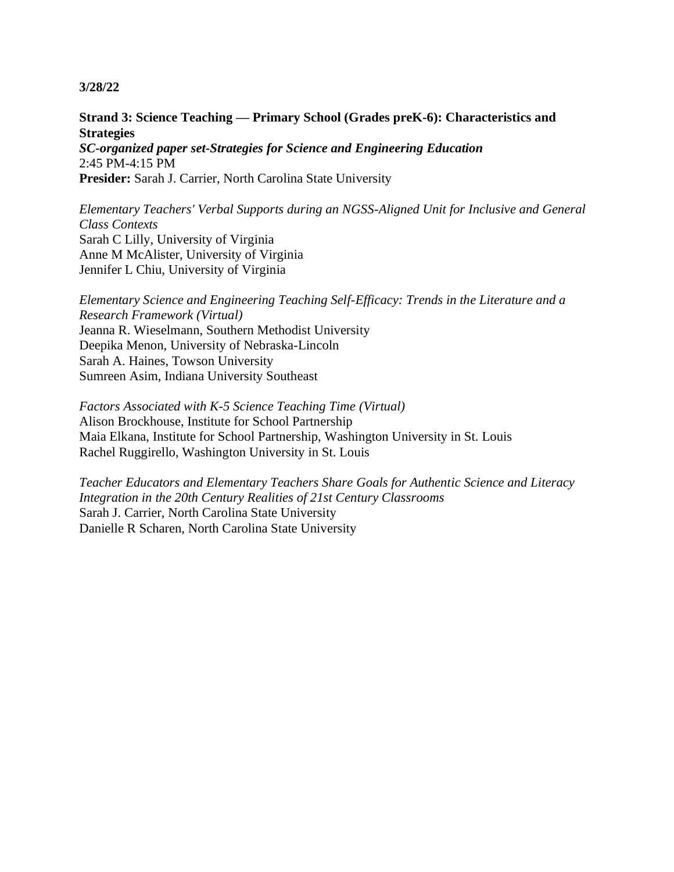**Strand 3: Science Teaching — Primary School (Grades preK-6): Characteristics and Strategies** *SC-organized paper set-Strategies for Science and Engineering Education*

2:45 PM-4:15 PM **Presider:** Sarah J. Carrier, North Carolina State University

*Elementary Teachers' Verbal Supports during an NGSS-Aligned Unit for Inclusive and General Class Contexts* Sarah C Lilly, University of Virginia Anne M McAlister, University of Virginia Jennifer L Chiu, University of Virginia

*Elementary Science and Engineering Teaching Self-Efficacy: Trends in the Literature and a Research Framework (Virtual)* Jeanna R. Wieselmann, Southern Methodist University Deepika Menon, University of Nebraska-Lincoln Sarah A. Haines, Towson University Sumreen Asim, Indiana University Southeast

*Factors Associated with K-5 Science Teaching Time (Virtual)* Alison Brockhouse, Institute for School Partnership Maia Elkana, Institute for School Partnership, Washington University in St. Louis Rachel Ruggirello, Washington University in St. Louis

*Teacher Educators and Elementary Teachers Share Goals for Authentic Science and Literacy Integration in the 20th Century Realities of 21st Century Classrooms* Sarah J. Carrier, North Carolina State University Danielle R Scharen, North Carolina State University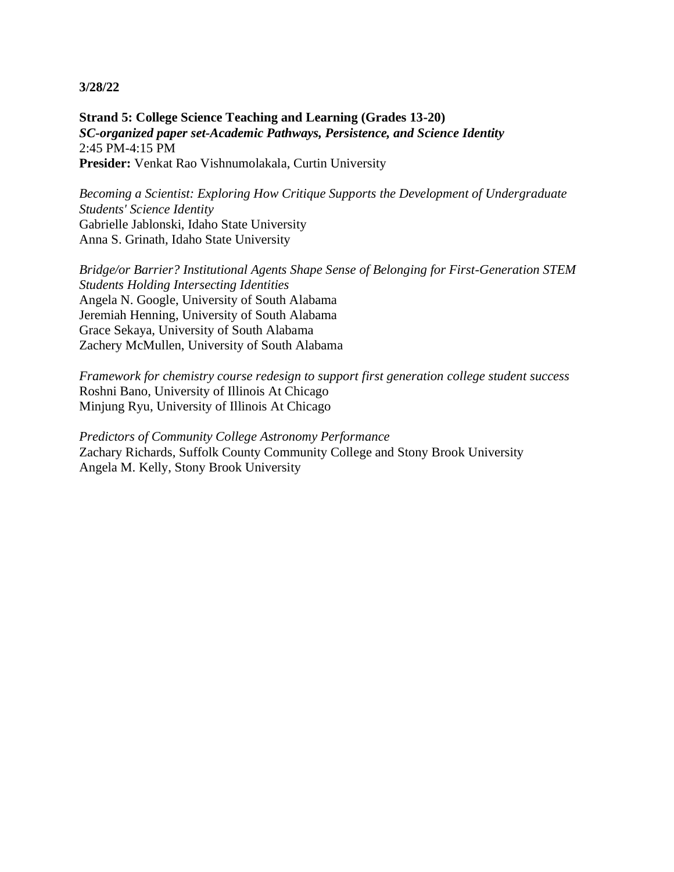**Strand 5: College Science Teaching and Learning (Grades 13-20)** *SC-organized paper set-Academic Pathways, Persistence, and Science Identity* 2:45 PM-4:15 PM **Presider:** Venkat Rao Vishnumolakala, Curtin University

*Becoming a Scientist: Exploring How Critique Supports the Development of Undergraduate Students' Science Identity* Gabrielle Jablonski, Idaho State University Anna S. Grinath, Idaho State University

*Bridge/or Barrier? Institutional Agents Shape Sense of Belonging for First-Generation STEM Students Holding Intersecting Identities* Angela N. Google, University of South Alabama Jeremiah Henning, University of South Alabama Grace Sekaya, University of South Alabama Zachery McMullen, University of South Alabama

*Framework for chemistry course redesign to support first generation college student success* Roshni Bano, University of Illinois At Chicago Minjung Ryu, University of Illinois At Chicago

*Predictors of Community College Astronomy Performance* Zachary Richards, Suffolk County Community College and Stony Brook University Angela M. Kelly, Stony Brook University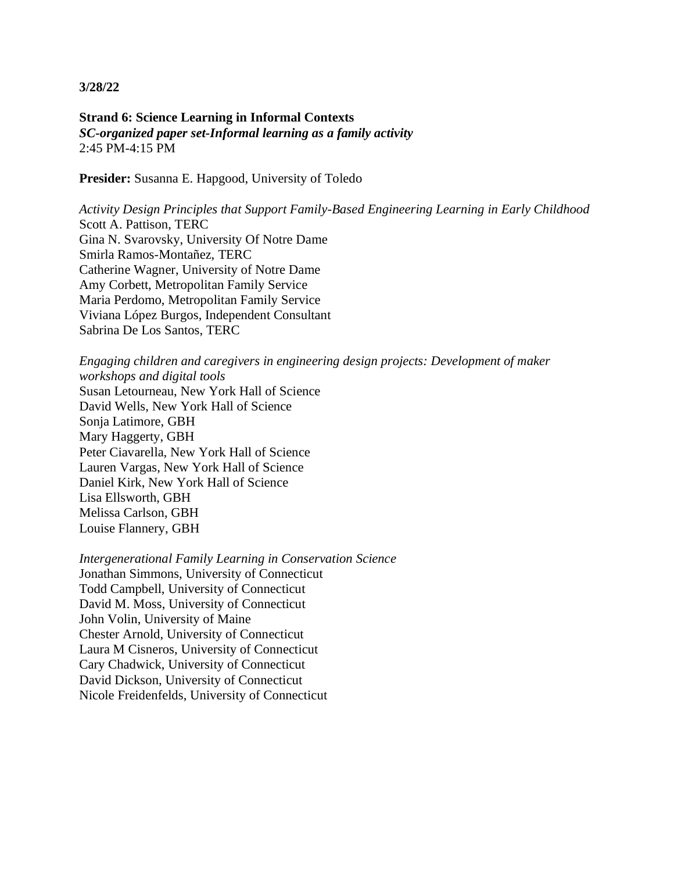**Strand 6: Science Learning in Informal Contexts** *SC-organized paper set-Informal learning as a family activity* 2:45 PM-4:15 PM

**Presider:** Susanna E. Hapgood, University of Toledo

*Activity Design Principles that Support Family-Based Engineering Learning in Early Childhood* Scott A. Pattison, TERC Gina N. Svarovsky, University Of Notre Dame Smirla Ramos-Montañez, TERC Catherine Wagner, University of Notre Dame Amy Corbett, Metropolitan Family Service Maria Perdomo, Metropolitan Family Service Viviana López Burgos, Independent Consultant Sabrina De Los Santos, TERC

*Engaging children and caregivers in engineering design projects: Development of maker workshops and digital tools* Susan Letourneau, New York Hall of Science David Wells, New York Hall of Science Sonja Latimore, GBH Mary Haggerty, GBH Peter Ciavarella, New York Hall of Science Lauren Vargas, New York Hall of Science Daniel Kirk, New York Hall of Science Lisa Ellsworth, GBH Melissa Carlson, GBH Louise Flannery, GBH

*Intergenerational Family Learning in Conservation Science* Jonathan Simmons, University of Connecticut Todd Campbell, University of Connecticut David M. Moss, University of Connecticut John Volin, University of Maine Chester Arnold, University of Connecticut Laura M Cisneros, University of Connecticut Cary Chadwick, University of Connecticut David Dickson, University of Connecticut Nicole Freidenfelds, University of Connecticut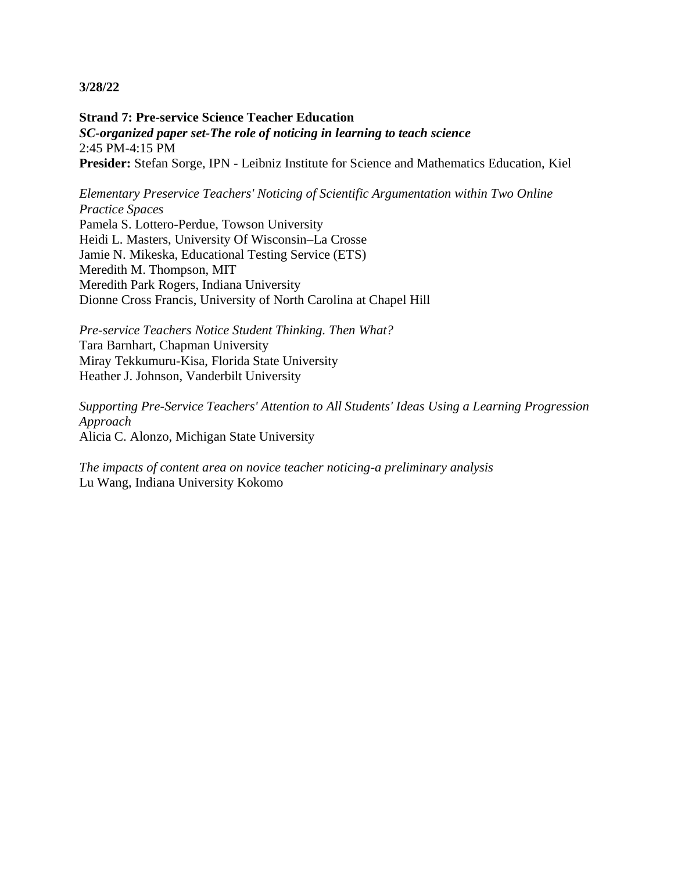**Strand 7: Pre-service Science Teacher Education** *SC-organized paper set-The role of noticing in learning to teach science* 2:45 PM-4:15 PM **Presider:** Stefan Sorge, IPN - Leibniz Institute for Science and Mathematics Education, Kiel

*Elementary Preservice Teachers' Noticing of Scientific Argumentation within Two Online Practice Spaces* Pamela S. Lottero-Perdue, Towson University Heidi L. Masters, University Of Wisconsin–La Crosse Jamie N. Mikeska, Educational Testing Service (ETS) Meredith M. Thompson, MIT Meredith Park Rogers, Indiana University Dionne Cross Francis, University of North Carolina at Chapel Hill

*Pre-service Teachers Notice Student Thinking. Then What?* Tara Barnhart, Chapman University Miray Tekkumuru-Kisa, Florida State University Heather J. Johnson, Vanderbilt University

*Supporting Pre-Service Teachers' Attention to All Students' Ideas Using a Learning Progression Approach* Alicia C. Alonzo, Michigan State University

*The impacts of content area on novice teacher noticing-a preliminary analysis* Lu Wang, Indiana University Kokomo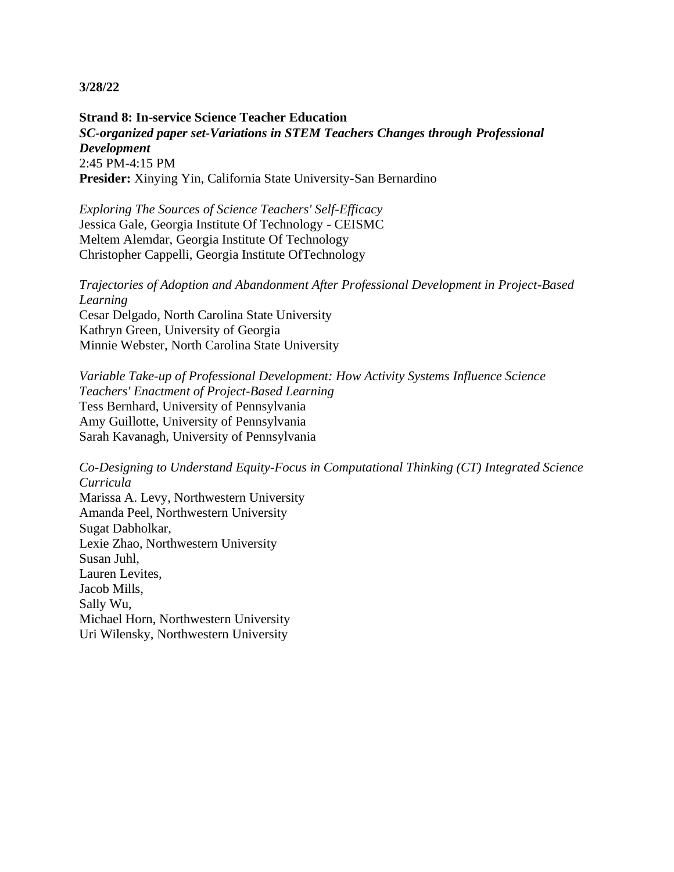**Strand 8: In-service Science Teacher Education** *SC-organized paper set-Variations in STEM Teachers Changes through Professional Development* 2:45 PM-4:15 PM **Presider:** Xinying Yin, California State University-San Bernardino

*Exploring The Sources of Science Teachers' Self-Efficacy* Jessica Gale, Georgia Institute Of Technology - CEISMC Meltem Alemdar, Georgia Institute Of Technology Christopher Cappelli, Georgia Institute OfTechnology

*Trajectories of Adoption and Abandonment After Professional Development in Project-Based Learning* Cesar Delgado, North Carolina State University Kathryn Green, University of Georgia Minnie Webster, North Carolina State University

*Variable Take-up of Professional Development: How Activity Systems Influence Science Teachers' Enactment of Project-Based Learning* Tess Bernhard, University of Pennsylvania Amy Guillotte, University of Pennsylvania Sarah Kavanagh, University of Pennsylvania

*Co-Designing to Understand Equity-Focus in Computational Thinking (CT) Integrated Science Curricula* Marissa A. Levy, Northwestern University Amanda Peel, Northwestern University Sugat Dabholkar, Lexie Zhao, Northwestern University Susan Juhl, Lauren Levites, Jacob Mills, Sally Wu, Michael Horn, Northwestern University Uri Wilensky, Northwestern University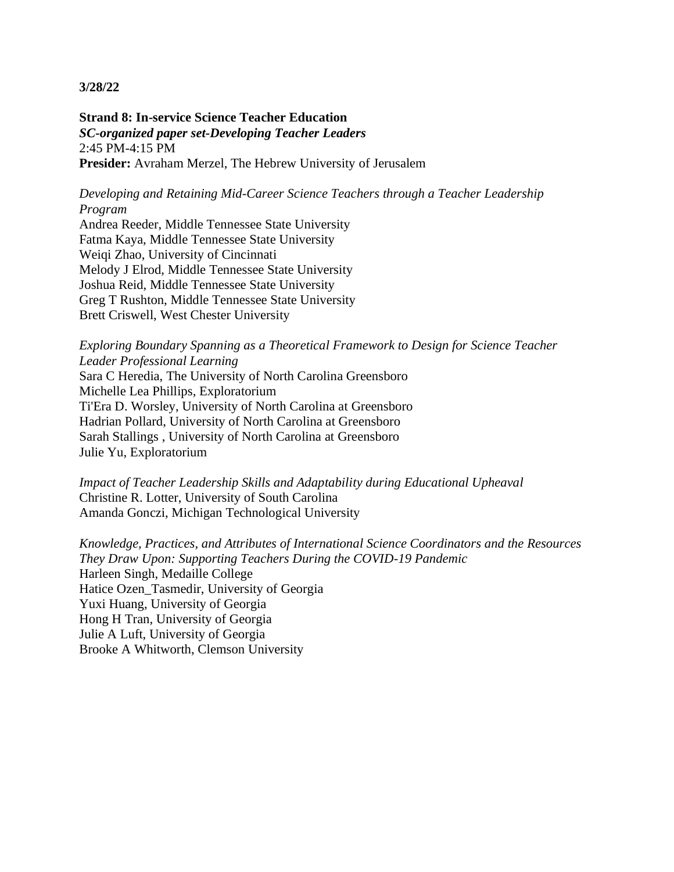**Strand 8: In-service Science Teacher Education** *SC-organized paper set-Developing Teacher Leaders* 2:45 PM-4:15 PM **Presider:** Avraham Merzel, The Hebrew University of Jerusalem

*Developing and Retaining Mid-Career Science Teachers through a Teacher Leadership Program*

Andrea Reeder, Middle Tennessee State University Fatma Kaya, Middle Tennessee State University Weiqi Zhao, University of Cincinnati Melody J Elrod, Middle Tennessee State University Joshua Reid, Middle Tennessee State University Greg T Rushton, Middle Tennessee State University Brett Criswell, West Chester University

*Exploring Boundary Spanning as a Theoretical Framework to Design for Science Teacher Leader Professional Learning* Sara C Heredia, The University of North Carolina Greensboro Michelle Lea Phillips, Exploratorium Ti'Era D. Worsley, University of North Carolina at Greensboro Hadrian Pollard, University of North Carolina at Greensboro Sarah Stallings , University of North Carolina at Greensboro Julie Yu, Exploratorium

*Impact of Teacher Leadership Skills and Adaptability during Educational Upheaval* Christine R. Lotter, University of South Carolina Amanda Gonczi, Michigan Technological University

*Knowledge, Practices, and Attributes of International Science Coordinators and the Resources They Draw Upon: Supporting Teachers During the COVID-19 Pandemic* Harleen Singh, Medaille College Hatice Ozen\_Tasmedir, University of Georgia Yuxi Huang, University of Georgia Hong H Tran, University of Georgia Julie A Luft, University of Georgia Brooke A Whitworth, Clemson University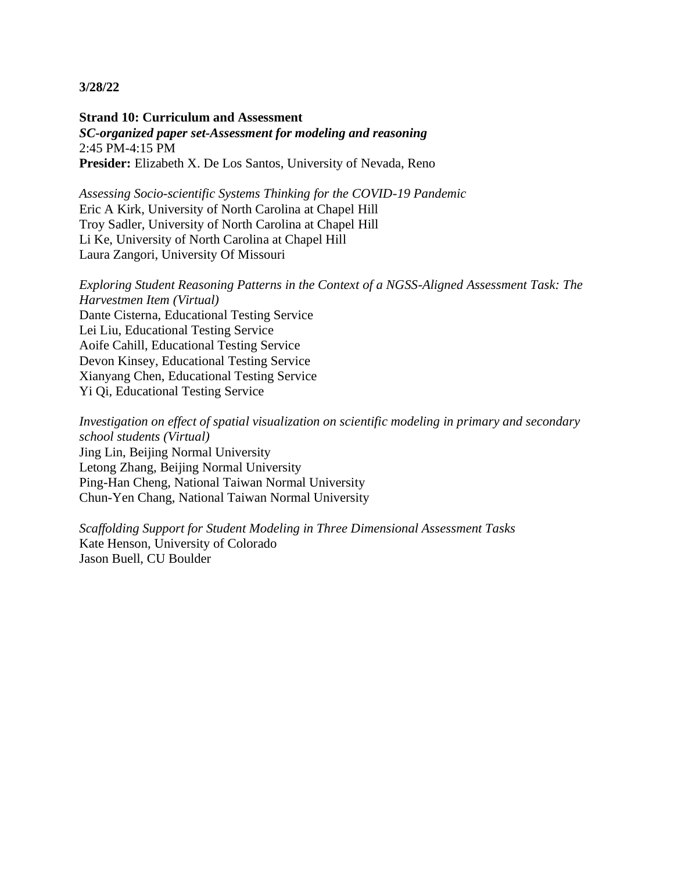**Strand 10: Curriculum and Assessment** *SC-organized paper set-Assessment for modeling and reasoning* 2:45 PM-4:15 PM **Presider:** Elizabeth X. De Los Santos, University of Nevada, Reno

*Assessing Socio-scientific Systems Thinking for the COVID-19 Pandemic* Eric A Kirk, University of North Carolina at Chapel Hill Troy Sadler, University of North Carolina at Chapel Hill Li Ke, University of North Carolina at Chapel Hill Laura Zangori, University Of Missouri

*Exploring Student Reasoning Patterns in the Context of a NGSS-Aligned Assessment Task: The Harvestmen Item (Virtual)* Dante Cisterna, Educational Testing Service Lei Liu, Educational Testing Service Aoife Cahill, Educational Testing Service Devon Kinsey, Educational Testing Service Xianyang Chen, Educational Testing Service Yi Qi, Educational Testing Service

*Investigation on effect of spatial visualization on scientific modeling in primary and secondary school students (Virtual)* Jing Lin, Beijing Normal University Letong Zhang, Beijing Normal University Ping-Han Cheng, National Taiwan Normal University Chun-Yen Chang, National Taiwan Normal University

*Scaffolding Support for Student Modeling in Three Dimensional Assessment Tasks* Kate Henson, University of Colorado Jason Buell, CU Boulder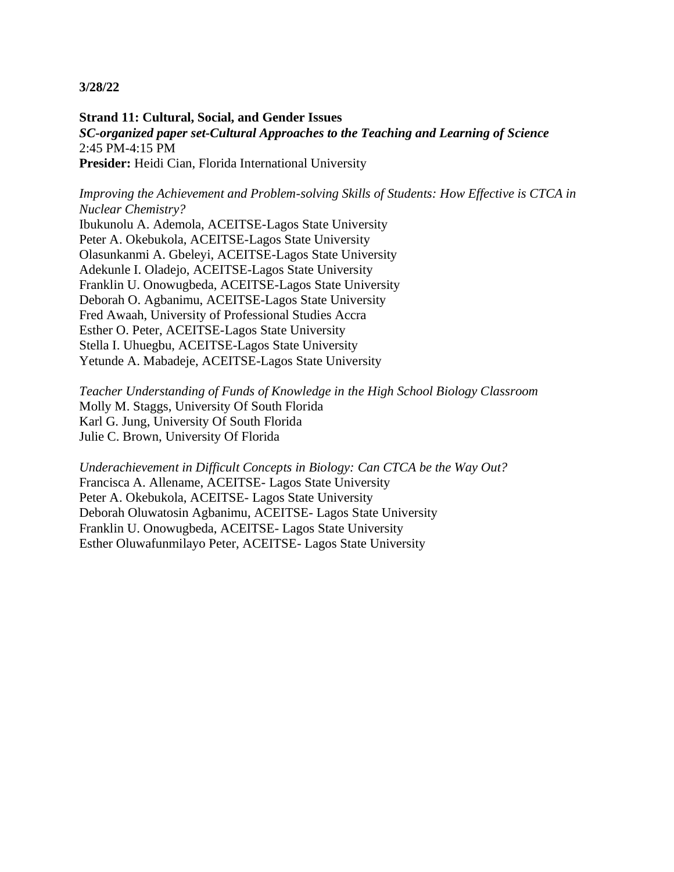**Strand 11: Cultural, Social, and Gender Issues** *SC-organized paper set-Cultural Approaches to the Teaching and Learning of Science* 2:45 PM-4:15 PM Presider: Heidi Cian, Florida International University

*Improving the Achievement and Problem-solving Skills of Students: How Effective is CTCA in Nuclear Chemistry?*

Ibukunolu A. Ademola, ACEITSE-Lagos State University Peter A. Okebukola, ACEITSE-Lagos State University Olasunkanmi A. Gbeleyi, ACEITSE-Lagos State University Adekunle I. Oladejo, ACEITSE-Lagos State University Franklin U. Onowugbeda, ACEITSE-Lagos State University Deborah O. Agbanimu, ACEITSE-Lagos State University Fred Awaah, University of Professional Studies Accra Esther O. Peter, ACEITSE-Lagos State University Stella I. Uhuegbu, ACEITSE-Lagos State University Yetunde A. Mabadeje, ACEITSE-Lagos State University

*Teacher Understanding of Funds of Knowledge in the High School Biology Classroom* Molly M. Staggs, University Of South Florida Karl G. Jung, University Of South Florida Julie C. Brown, University Of Florida

*Underachievement in Difficult Concepts in Biology: Can CTCA be the Way Out?* Francisca A. Allename, ACEITSE- Lagos State University Peter A. Okebukola, ACEITSE- Lagos State University Deborah Oluwatosin Agbanimu, ACEITSE- Lagos State University Franklin U. Onowugbeda, ACEITSE- Lagos State University Esther Oluwafunmilayo Peter, ACEITSE- Lagos State University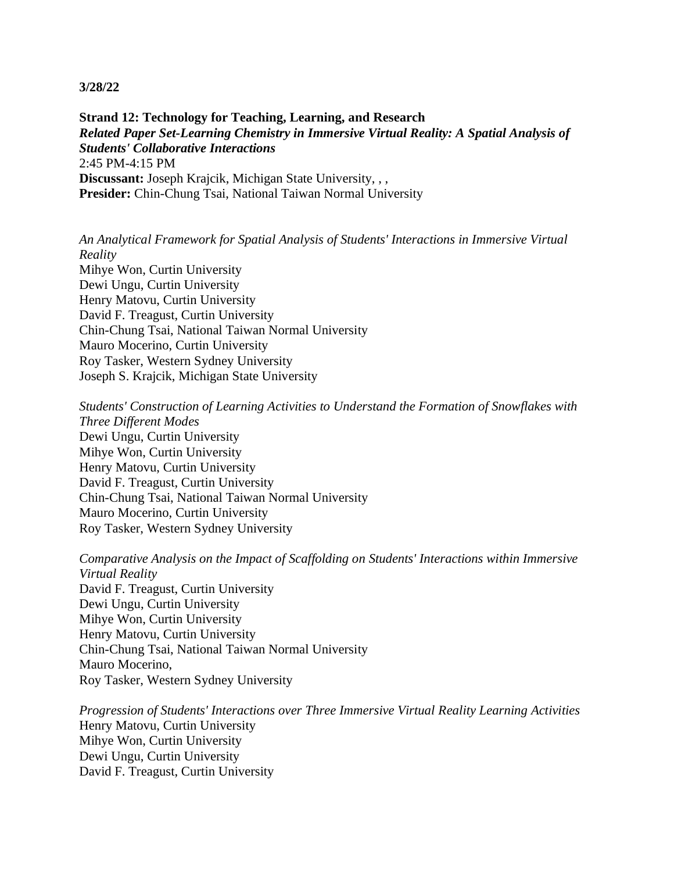**Strand 12: Technology for Teaching, Learning, and Research** *Related Paper Set-Learning Chemistry in Immersive Virtual Reality: A Spatial Analysis of Students' Collaborative Interactions* 2:45 PM-4:15 PM **Discussant:** Joseph Krajcik, Michigan State University, , , **Presider:** Chin-Chung Tsai, National Taiwan Normal University

*An Analytical Framework for Spatial Analysis of Students' Interactions in Immersive Virtual Reality* Mihye Won, Curtin University Dewi Ungu, Curtin University Henry Matovu, Curtin University David F. Treagust, Curtin University Chin-Chung Tsai, National Taiwan Normal University Mauro Mocerino, Curtin University Roy Tasker, Western Sydney University Joseph S. Krajcik, Michigan State University

*Students' Construction of Learning Activities to Understand the Formation of Snowflakes with Three Different Modes* Dewi Ungu, Curtin University Mihye Won, Curtin University Henry Matovu, Curtin University David F. Treagust, Curtin University Chin-Chung Tsai, National Taiwan Normal University Mauro Mocerino, Curtin University Roy Tasker, Western Sydney University

*Comparative Analysis on the Impact of Scaffolding on Students' Interactions within Immersive Virtual Reality* David F. Treagust, Curtin University Dewi Ungu, Curtin University Mihye Won, Curtin University Henry Matovu, Curtin University Chin-Chung Tsai, National Taiwan Normal University Mauro Mocerino, Roy Tasker, Western Sydney University

*Progression of Students' Interactions over Three Immersive Virtual Reality Learning Activities* Henry Matovu, Curtin University Mihye Won, Curtin University Dewi Ungu, Curtin University David F. Treagust, Curtin University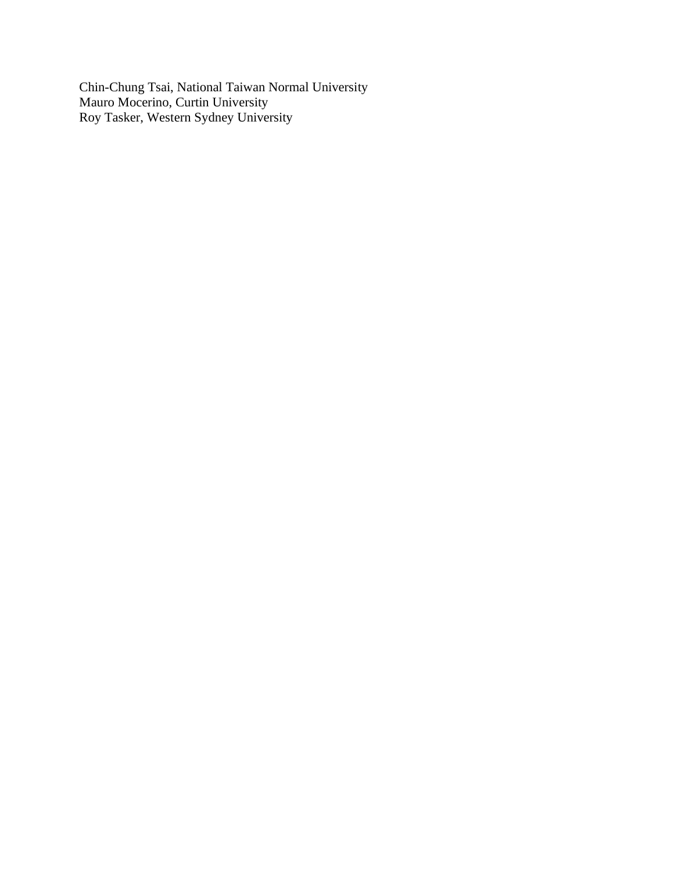Chin-Chung Tsai, National Taiwan Normal University Mauro Mocerino, Curtin University Roy Tasker, Western Sydney University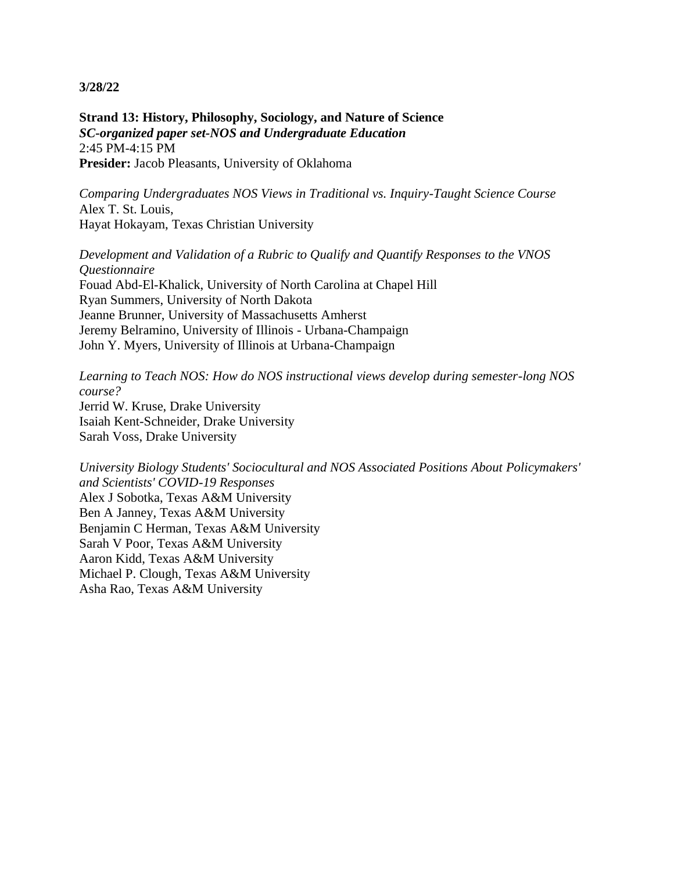**Strand 13: History, Philosophy, Sociology, and Nature of Science** *SC-organized paper set-NOS and Undergraduate Education* 2:45 PM-4:15 PM **Presider:** Jacob Pleasants, University of Oklahoma

*Comparing Undergraduates NOS Views in Traditional vs. Inquiry-Taught Science Course* Alex T. St. Louis, Hayat Hokayam, Texas Christian University

*Development and Validation of a Rubric to Qualify and Quantify Responses to the VNOS Questionnaire* Fouad Abd-El-Khalick, University of North Carolina at Chapel Hill Ryan Summers, University of North Dakota Jeanne Brunner, University of Massachusetts Amherst Jeremy Belramino, University of Illinois - Urbana-Champaign John Y. Myers, University of Illinois at Urbana-Champaign

*Learning to Teach NOS: How do NOS instructional views develop during semester-long NOS course?* Jerrid W. Kruse, Drake University Isaiah Kent-Schneider, Drake University Sarah Voss, Drake University

*University Biology Students' Sociocultural and NOS Associated Positions About Policymakers' and Scientists' COVID-19 Responses* Alex J Sobotka, Texas A&M University Ben A Janney, Texas A&M University Benjamin C Herman, Texas A&M University Sarah V Poor, Texas A&M University Aaron Kidd, Texas A&M University Michael P. Clough, Texas A&M University Asha Rao, Texas A&M University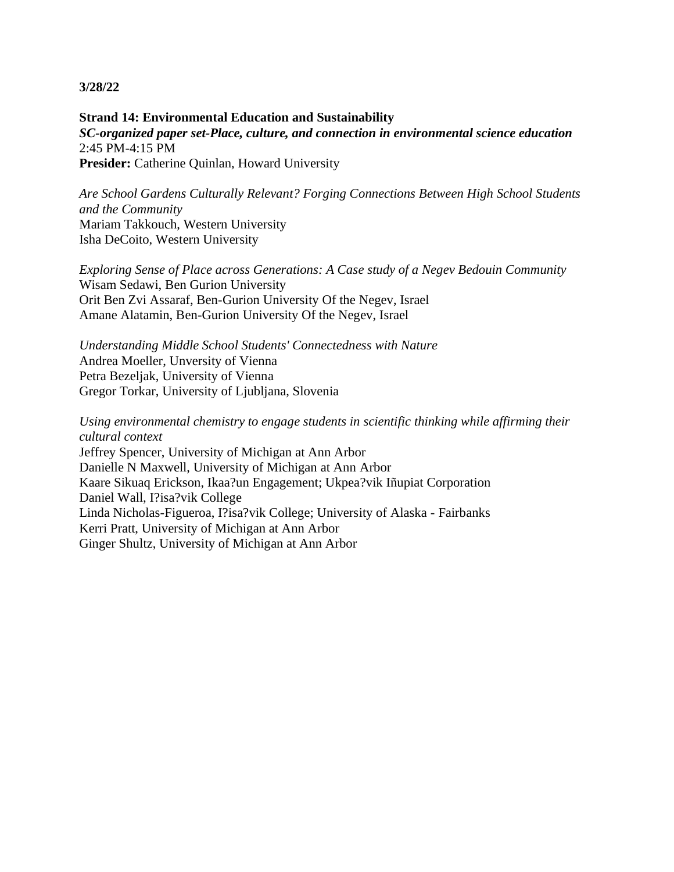**Strand 14: Environmental Education and Sustainability** *SC-organized paper set-Place, culture, and connection in environmental science education* 2:45 PM-4:15 PM **Presider:** Catherine Quinlan, Howard University

*Are School Gardens Culturally Relevant? Forging Connections Between High School Students and the Community* Mariam Takkouch, Western University Isha DeCoito, Western University

*Exploring Sense of Place across Generations: A Case study of a Negev Bedouin Community* Wisam Sedawi, Ben Gurion University Orit Ben Zvi Assaraf, Ben-Gurion University Of the Negev, Israel Amane Alatamin, Ben-Gurion University Of the Negev, Israel

*Understanding Middle School Students' Connectedness with Nature* Andrea Moeller, Unversity of Vienna Petra Bezeljak, University of Vienna Gregor Torkar, University of Ljubljana, Slovenia

*Using environmental chemistry to engage students in scientific thinking while affirming their cultural context*

Jeffrey Spencer, University of Michigan at Ann Arbor Danielle N Maxwell, University of Michigan at Ann Arbor Kaare Sikuaq Erickson, Ikaa?un Engagement; Ukpea?vik Iñupiat Corporation Daniel Wall, I?isa?vik College Linda Nicholas-Figueroa, I?isa?vik College; University of Alaska - Fairbanks Kerri Pratt, University of Michigan at Ann Arbor Ginger Shultz, University of Michigan at Ann Arbor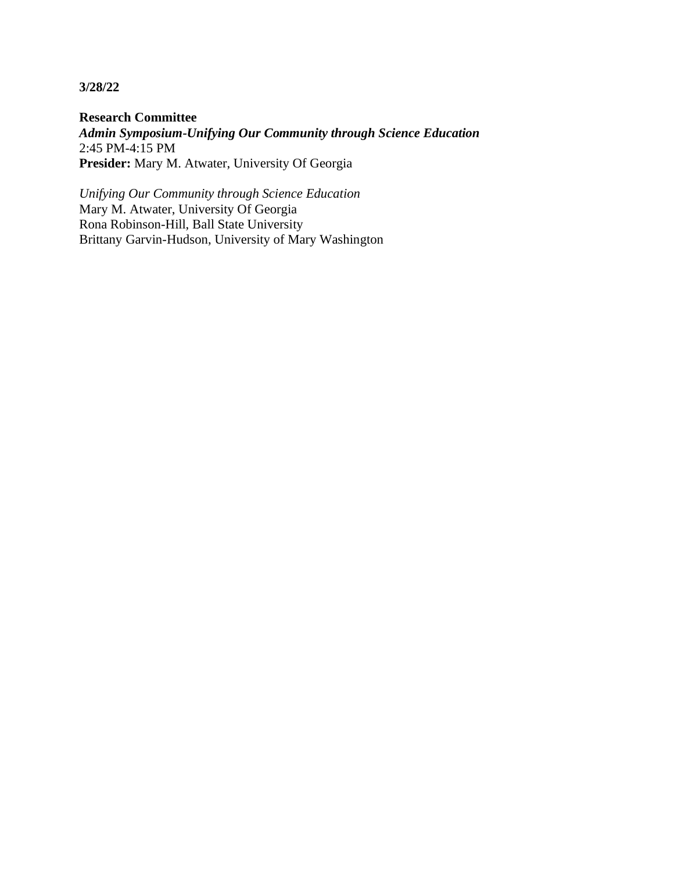**Research Committee** *Admin Symposium-Unifying Our Community through Science Education* 2:45 PM-4:15 PM **Presider:** Mary M. Atwater, University Of Georgia

*Unifying Our Community through Science Education* Mary M. Atwater, University Of Georgia Rona Robinson-Hill, Ball State University Brittany Garvin-Hudson, University of Mary Washington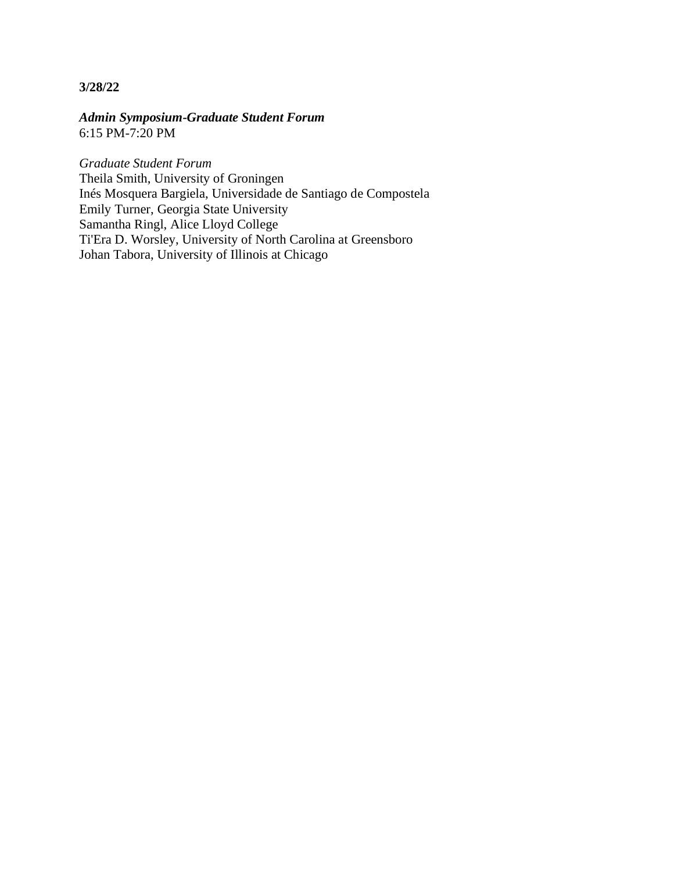*Admin Symposium-Graduate Student Forum* 6:15 PM-7:20 PM

*Graduate Student Forum* Theila Smith, University of Groningen Inés Mosquera Bargiela, Universidade de Santiago de Compostela Emily Turner, Georgia State University Samantha Ringl, Alice Lloyd College Ti'Era D. Worsley, University of North Carolina at Greensboro Johan Tabora, University of Illinois at Chicago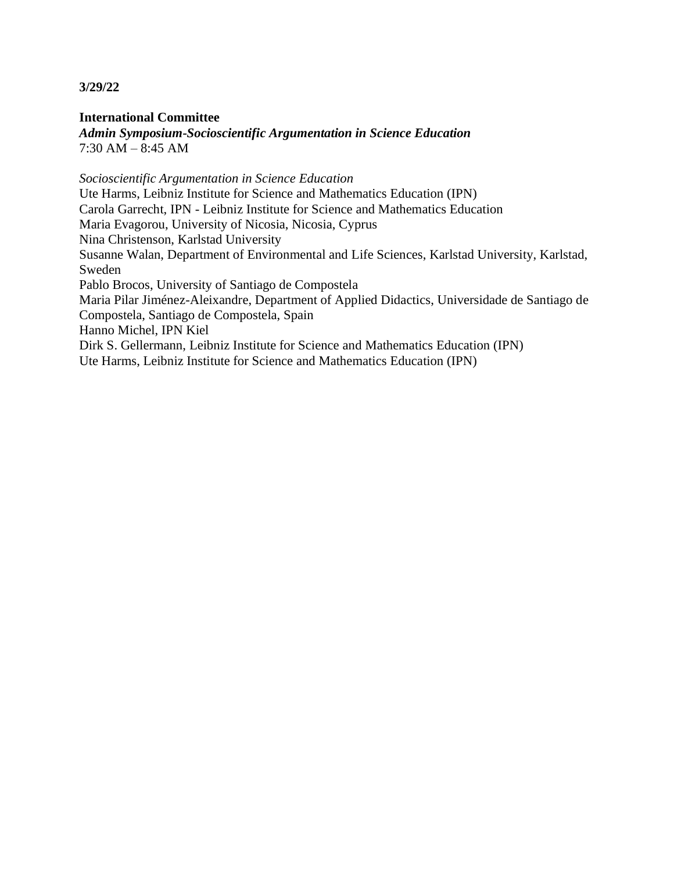**International Committee** *Admin Symposium-Socioscientific Argumentation in Science Education* 7:30 AM – 8:45 AM

*Socioscientific Argumentation in Science Education* Ute Harms, Leibniz Institute for Science and Mathematics Education (IPN) Carola Garrecht, IPN - Leibniz Institute for Science and Mathematics Education Maria Evagorou, University of Nicosia, Nicosia, Cyprus Nina Christenson, Karlstad University Susanne Walan, Department of Environmental and Life Sciences, Karlstad University, Karlstad, Sweden Pablo Brocos, University of Santiago de Compostela Maria Pilar Jiménez-Aleixandre, Department of Applied Didactics, Universidade de Santiago de Compostela, Santiago de Compostela, Spain Hanno Michel, IPN Kiel Dirk S. Gellermann, Leibniz Institute for Science and Mathematics Education (IPN) Ute Harms, Leibniz Institute for Science and Mathematics Education (IPN)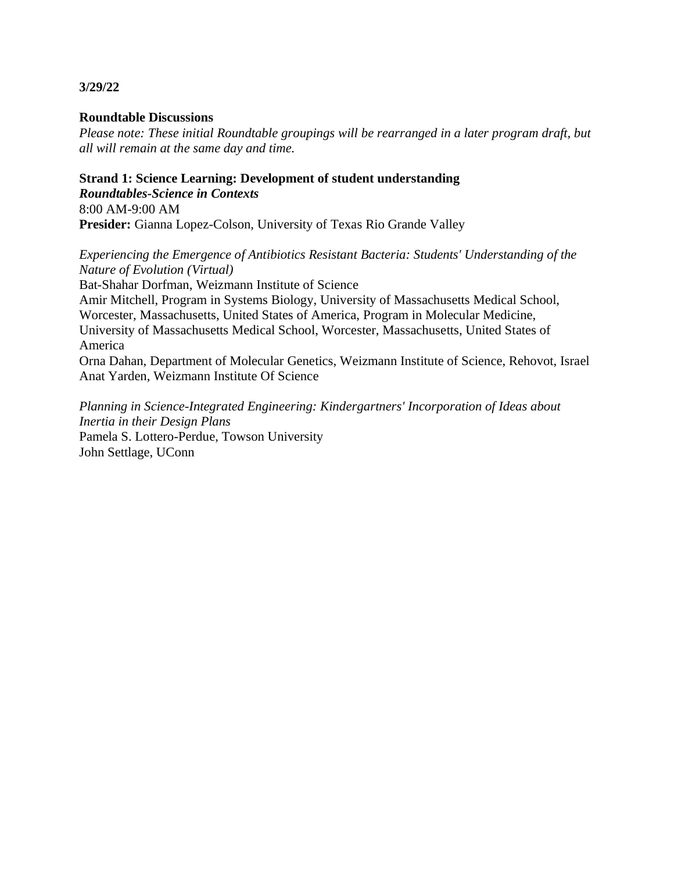# **Roundtable Discussions**

*Please note: These initial Roundtable groupings will be rearranged in a later program draft, but all will remain at the same day and time.*

#### **Strand 1: Science Learning: Development of student understanding** *Roundtables-Science in Contexts*

8:00 AM-9:00 AM **Presider:** Gianna Lopez-Colson, University of Texas Rio Grande Valley

*Experiencing the Emergence of Antibiotics Resistant Bacteria: Students' Understanding of the Nature of Evolution (Virtual)*

Bat-Shahar Dorfman, Weizmann Institute of Science

Amir Mitchell, Program in Systems Biology, University of Massachusetts Medical School, Worcester, Massachusetts, United States of America, Program in Molecular Medicine, University of Massachusetts Medical School, Worcester, Massachusetts, United States of America

Orna Dahan, Department of Molecular Genetics, Weizmann Institute of Science, Rehovot, Israel Anat Yarden, Weizmann Institute Of Science

*Planning in Science-Integrated Engineering: Kindergartners' Incorporation of Ideas about Inertia in their Design Plans* Pamela S. Lottero-Perdue, Towson University John Settlage, UConn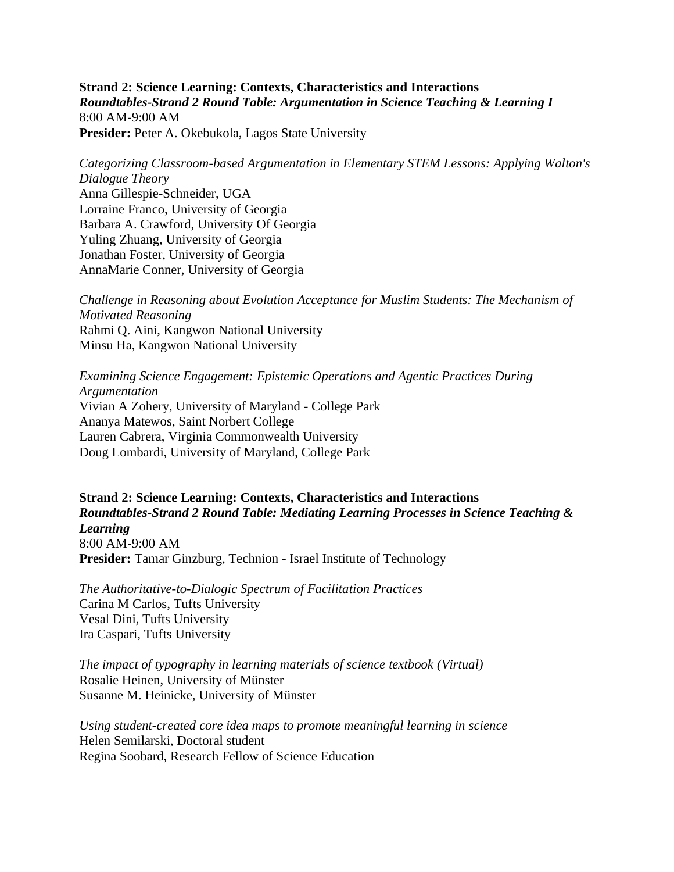**Strand 2: Science Learning: Contexts, Characteristics and Interactions** *Roundtables-Strand 2 Round Table: Argumentation in Science Teaching & Learning I* 8:00 AM-9:00 AM Presider: Peter A. Okebukola, Lagos State University

*Categorizing Classroom-based Argumentation in Elementary STEM Lessons: Applying Walton's Dialogue Theory* Anna Gillespie-Schneider, UGA Lorraine Franco, University of Georgia Barbara A. Crawford, University Of Georgia Yuling Zhuang, University of Georgia Jonathan Foster, University of Georgia AnnaMarie Conner, University of Georgia

*Challenge in Reasoning about Evolution Acceptance for Muslim Students: The Mechanism of Motivated Reasoning* Rahmi Q. Aini, Kangwon National University Minsu Ha, Kangwon National University

*Examining Science Engagement: Epistemic Operations and Agentic Practices During Argumentation* Vivian A Zohery, University of Maryland - College Park Ananya Matewos, Saint Norbert College Lauren Cabrera, Virginia Commonwealth University Doug Lombardi, University of Maryland, College Park

**Strand 2: Science Learning: Contexts, Characteristics and Interactions** *Roundtables-Strand 2 Round Table: Mediating Learning Processes in Science Teaching & Learning* 8:00 AM-9:00 AM **Presider:** Tamar Ginzburg, Technion - Israel Institute of Technology

*The Authoritative-to-Dialogic Spectrum of Facilitation Practices* Carina M Carlos, Tufts University Vesal Dini, Tufts University Ira Caspari, Tufts University

*The impact of typography in learning materials of science textbook (Virtual)* Rosalie Heinen, University of Münster Susanne M. Heinicke, University of Münster

*Using student-created core idea maps to promote meaningful learning in science* Helen Semilarski, Doctoral student Regina Soobard, Research Fellow of Science Education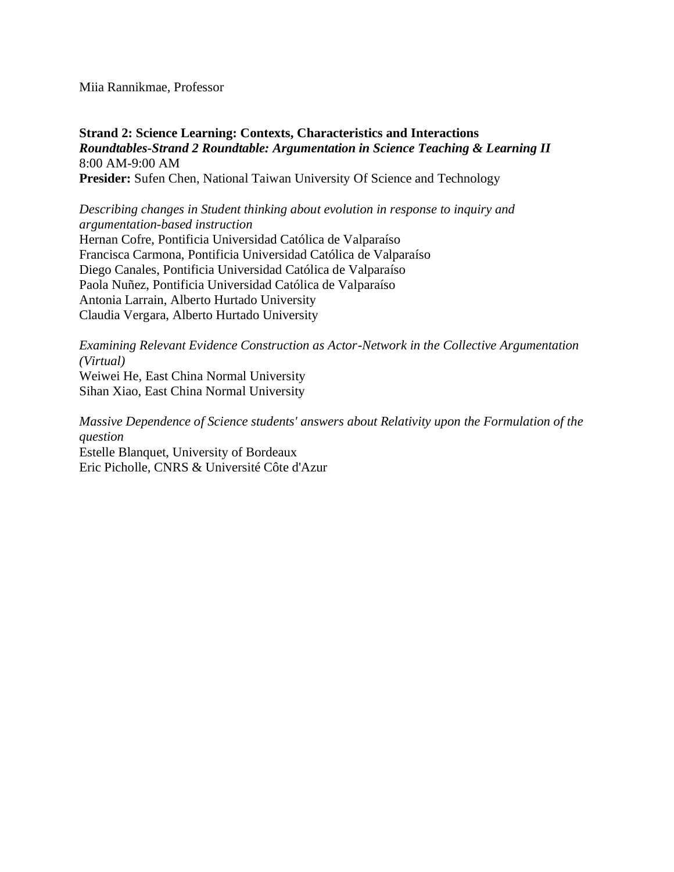Miia Rannikmae, Professor

**Strand 2: Science Learning: Contexts, Characteristics and Interactions** *Roundtables-Strand 2 Roundtable: Argumentation in Science Teaching & Learning II* 8:00 AM-9:00 AM **Presider:** Sufen Chen, National Taiwan University Of Science and Technology

*Describing changes in Student thinking about evolution in response to inquiry and argumentation-based instruction* Hernan Cofre, Pontificia Universidad Católica de Valparaíso Francisca Carmona, Pontificia Universidad Católica de Valparaíso Diego Canales, Pontificia Universidad Católica de Valparaíso Paola Nuñez, Pontificia Universidad Católica de Valparaíso Antonia Larrain, Alberto Hurtado University Claudia Vergara, Alberto Hurtado University

*Examining Relevant Evidence Construction as Actor-Network in the Collective Argumentation (Virtual)*

Weiwei He, East China Normal University Sihan Xiao, East China Normal University

*Massive Dependence of Science students' answers about Relativity upon the Formulation of the question* Estelle Blanquet, University of Bordeaux

Eric Picholle, CNRS & Université Côte d'Azur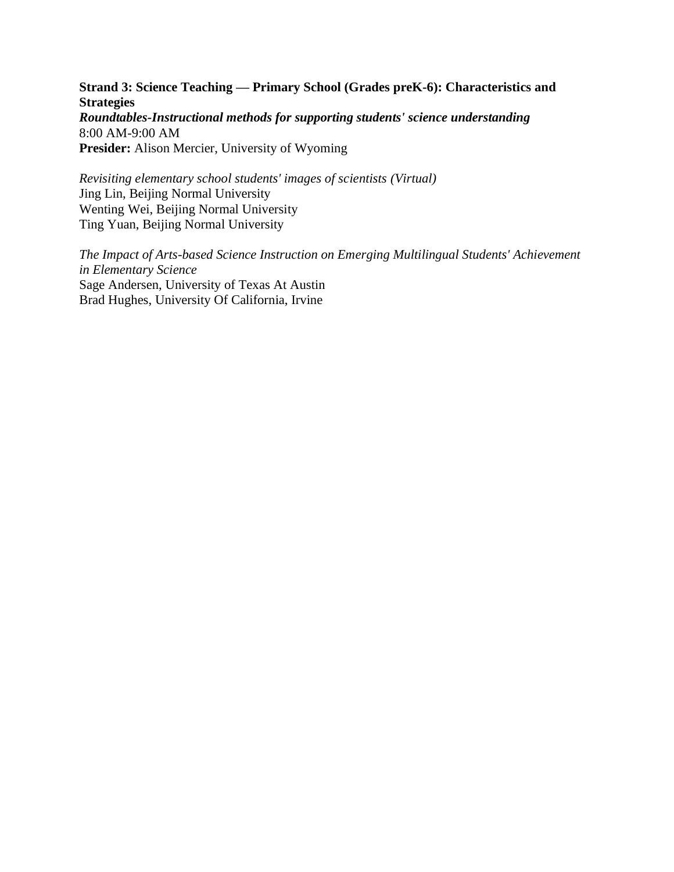**Strand 3: Science Teaching — Primary School (Grades preK-6): Characteristics and Strategies** *Roundtables-Instructional methods for supporting students' science understanding* 8:00 AM-9:00 AM **Presider:** Alison Mercier, University of Wyoming

*Revisiting elementary school students' images of scientists (Virtual)* Jing Lin, Beijing Normal University Wenting Wei, Beijing Normal University Ting Yuan, Beijing Normal University

*The Impact of Arts-based Science Instruction on Emerging Multilingual Students' Achievement in Elementary Science* Sage Andersen, University of Texas At Austin Brad Hughes, University Of California, Irvine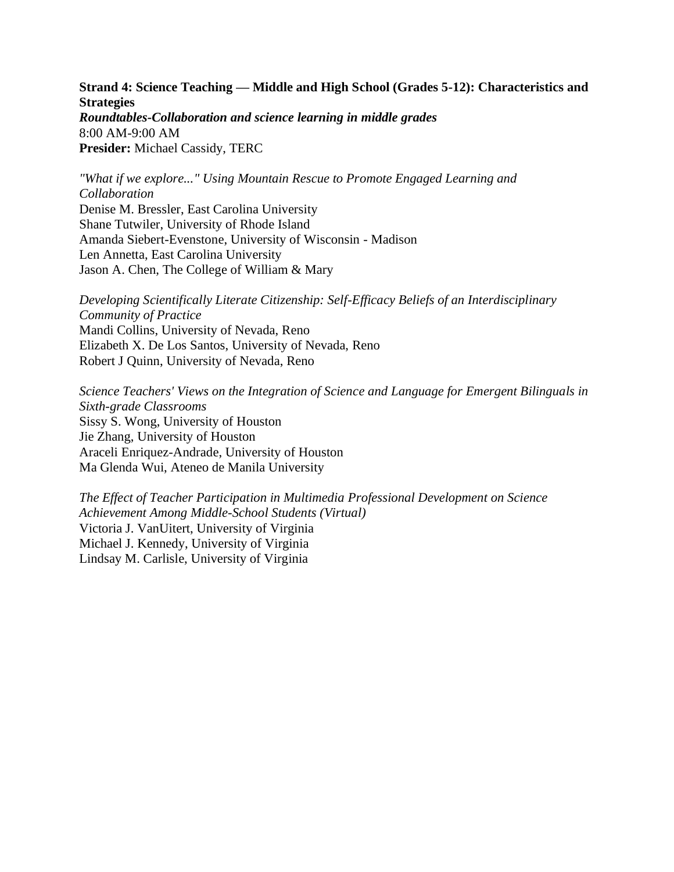**Strand 4: Science Teaching — Middle and High School (Grades 5-12): Characteristics and Strategies** *Roundtables-Collaboration and science learning in middle grades* 8:00 AM-9:00 AM **Presider:** Michael Cassidy, TERC

*"What if we explore..." Using Mountain Rescue to Promote Engaged Learning and Collaboration* Denise M. Bressler, East Carolina University Shane Tutwiler, University of Rhode Island Amanda Siebert-Evenstone, University of Wisconsin - Madison Len Annetta, East Carolina University Jason A. Chen, The College of William & Mary

*Developing Scientifically Literate Citizenship: Self-Efficacy Beliefs of an Interdisciplinary Community of Practice* Mandi Collins, University of Nevada, Reno Elizabeth X. De Los Santos, University of Nevada, Reno Robert J Quinn, University of Nevada, Reno

*Science Teachers' Views on the Integration of Science and Language for Emergent Bilinguals in Sixth-grade Classrooms* Sissy S. Wong, University of Houston Jie Zhang, University of Houston Araceli Enriquez-Andrade, University of Houston Ma Glenda Wui, Ateneo de Manila University

*The Effect of Teacher Participation in Multimedia Professional Development on Science Achievement Among Middle-School Students (Virtual)* Victoria J. VanUitert, University of Virginia Michael J. Kennedy, University of Virginia Lindsay M. Carlisle, University of Virginia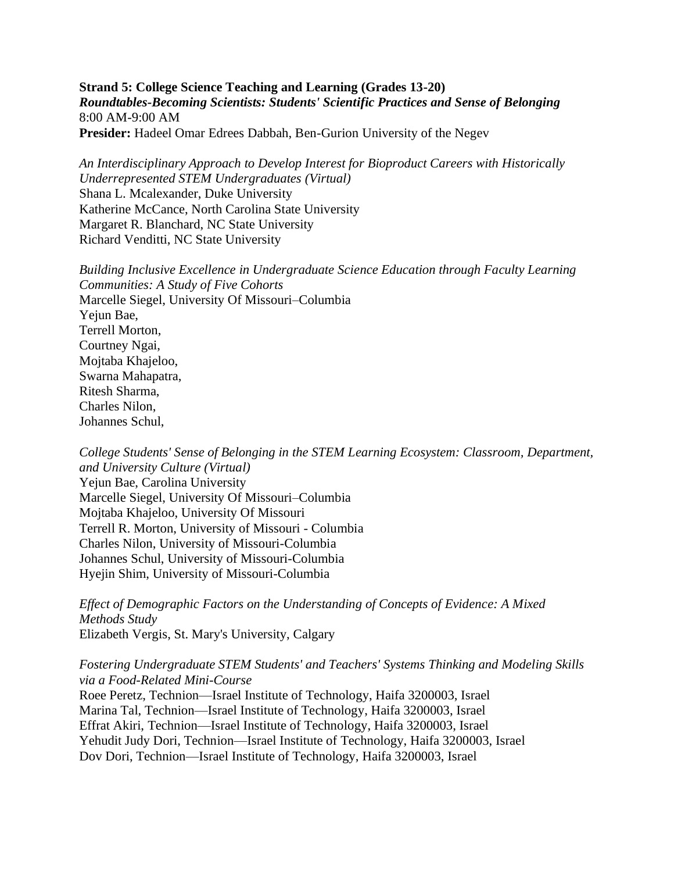**Strand 5: College Science Teaching and Learning (Grades 13-20)** *Roundtables-Becoming Scientists: Students' Scientific Practices and Sense of Belonging* 8:00 AM-9:00 AM **Presider:** Hadeel Omar Edrees Dabbah, Ben-Gurion University of the Negev

*An Interdisciplinary Approach to Develop Interest for Bioproduct Careers with Historically Underrepresented STEM Undergraduates (Virtual)* Shana L. Mcalexander, Duke University Katherine McCance, North Carolina State University Margaret R. Blanchard, NC State University Richard Venditti, NC State University

*Building Inclusive Excellence in Undergraduate Science Education through Faculty Learning Communities: A Study of Five Cohorts* Marcelle Siegel, University Of Missouri–Columbia Yejun Bae, Terrell Morton, Courtney Ngai, Mojtaba Khajeloo, Swarna Mahapatra, Ritesh Sharma, Charles Nilon, Johannes Schul,

*College Students' Sense of Belonging in the STEM Learning Ecosystem: Classroom, Department, and University Culture (Virtual)* Yejun Bae, Carolina University Marcelle Siegel, University Of Missouri–Columbia Mojtaba Khajeloo, University Of Missouri Terrell R. Morton, University of Missouri - Columbia Charles Nilon, University of Missouri-Columbia Johannes Schul, University of Missouri-Columbia Hyejin Shim, University of Missouri-Columbia

*Effect of Demographic Factors on the Understanding of Concepts of Evidence: A Mixed Methods Study* Elizabeth Vergis, St. Mary's University, Calgary

*Fostering Undergraduate STEM Students' and Teachers' Systems Thinking and Modeling Skills via a Food-Related Mini-Course*

Roee Peretz, Technion—Israel Institute of Technology, Haifa 3200003, Israel Marina Tal, Technion—Israel Institute of Technology, Haifa 3200003, Israel Effrat Akiri, Technion—Israel Institute of Technology, Haifa 3200003, Israel Yehudit Judy Dori, Technion—Israel Institute of Technology, Haifa 3200003, Israel Dov Dori, Technion—Israel Institute of Technology, Haifa 3200003, Israel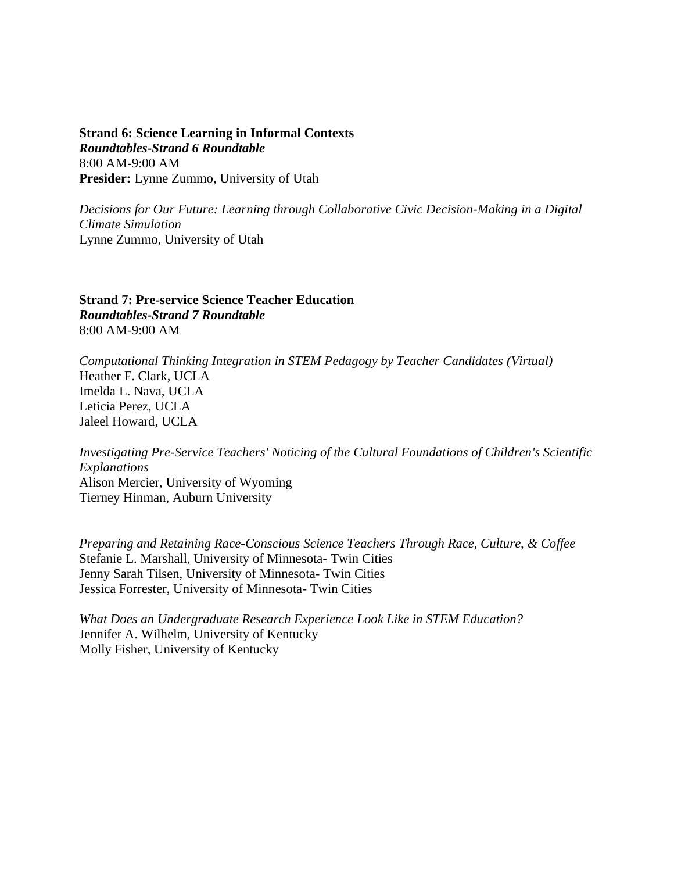**Strand 6: Science Learning in Informal Contexts** *Roundtables-Strand 6 Roundtable* 8:00 AM-9:00 AM **Presider:** Lynne Zummo, University of Utah

*Decisions for Our Future: Learning through Collaborative Civic Decision-Making in a Digital Climate Simulation* Lynne Zummo, University of Utah

**Strand 7: Pre-service Science Teacher Education** *Roundtables-Strand 7 Roundtable* 8:00 AM-9:00 AM

*Computational Thinking Integration in STEM Pedagogy by Teacher Candidates (Virtual)* Heather F. Clark, UCLA Imelda L. Nava, UCLA Leticia Perez, UCLA Jaleel Howard, UCLA

*Investigating Pre-Service Teachers' Noticing of the Cultural Foundations of Children's Scientific Explanations* Alison Mercier, University of Wyoming Tierney Hinman, Auburn University

*Preparing and Retaining Race-Conscious Science Teachers Through Race, Culture, & Coffee* Stefanie L. Marshall, University of Minnesota- Twin Cities Jenny Sarah Tilsen, University of Minnesota- Twin Cities Jessica Forrester, University of Minnesota- Twin Cities

*What Does an Undergraduate Research Experience Look Like in STEM Education?* Jennifer A. Wilhelm, University of Kentucky Molly Fisher, University of Kentucky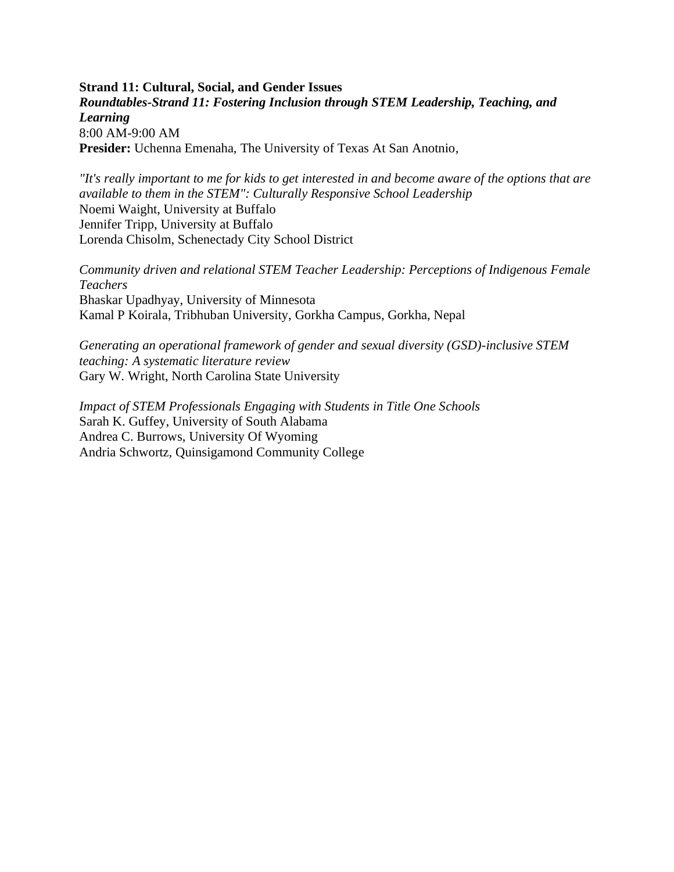**Strand 11: Cultural, Social, and Gender Issues** *Roundtables-Strand 11: Fostering Inclusion through STEM Leadership, Teaching, and Learning* 8:00 AM-9:00 AM **Presider:** Uchenna Emenaha, The University of Texas At San Anotnio,

*"It's really important to me for kids to get interested in and become aware of the options that are available to them in the STEM": Culturally Responsive School Leadership* Noemi Waight, University at Buffalo Jennifer Tripp, University at Buffalo Lorenda Chisolm, Schenectady City School District

*Community driven and relational STEM Teacher Leadership: Perceptions of Indigenous Female Teachers* Bhaskar Upadhyay, University of Minnesota Kamal P Koirala, Tribhuban University, Gorkha Campus, Gorkha, Nepal

*Generating an operational framework of gender and sexual diversity (GSD)-inclusive STEM teaching: A systematic literature review* Gary W. Wright, North Carolina State University

*Impact of STEM Professionals Engaging with Students in Title One Schools* Sarah K. Guffey, University of South Alabama Andrea C. Burrows, University Of Wyoming Andria Schwortz, Quinsigamond Community College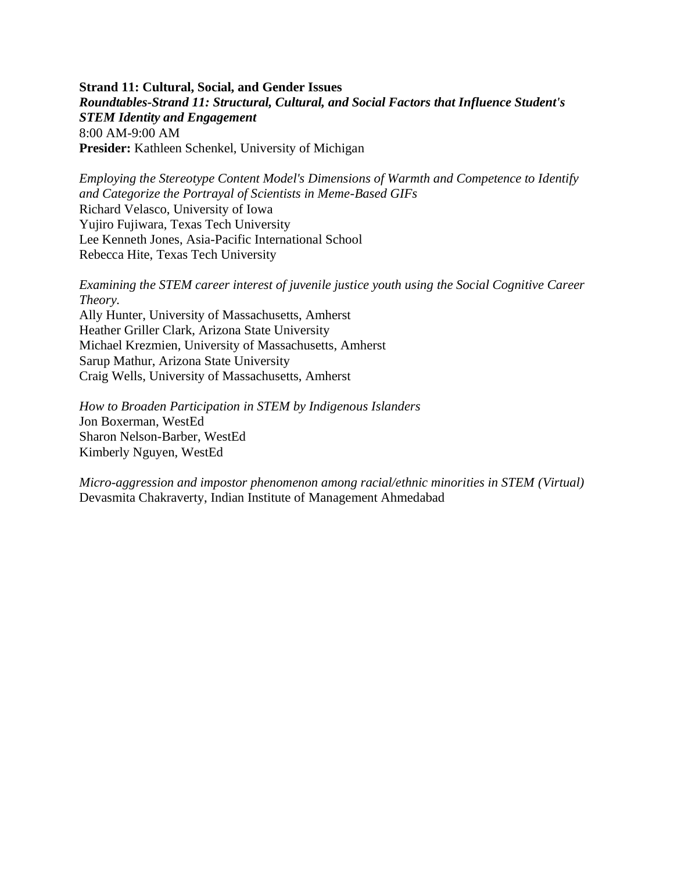**Strand 11: Cultural, Social, and Gender Issues** *Roundtables-Strand 11: Structural, Cultural, and Social Factors that Influence Student's STEM Identity and Engagement* 8:00 AM-9:00 AM **Presider:** Kathleen Schenkel, University of Michigan

*Employing the Stereotype Content Model's Dimensions of Warmth and Competence to Identify and Categorize the Portrayal of Scientists in Meme-Based GIFs* Richard Velasco, University of Iowa Yujiro Fujiwara, Texas Tech University Lee Kenneth Jones, Asia-Pacific International School Rebecca Hite, Texas Tech University

*Examining the STEM career interest of juvenile justice youth using the Social Cognitive Career Theory.*

Ally Hunter, University of Massachusetts, Amherst Heather Griller Clark, Arizona State University Michael Krezmien, University of Massachusetts, Amherst Sarup Mathur, Arizona State University Craig Wells, University of Massachusetts, Amherst

*How to Broaden Participation in STEM by Indigenous Islanders* Jon Boxerman, WestEd Sharon Nelson-Barber, WestEd Kimberly Nguyen, WestEd

*Micro-aggression and impostor phenomenon among racial/ethnic minorities in STEM (Virtual)* Devasmita Chakraverty, Indian Institute of Management Ahmedabad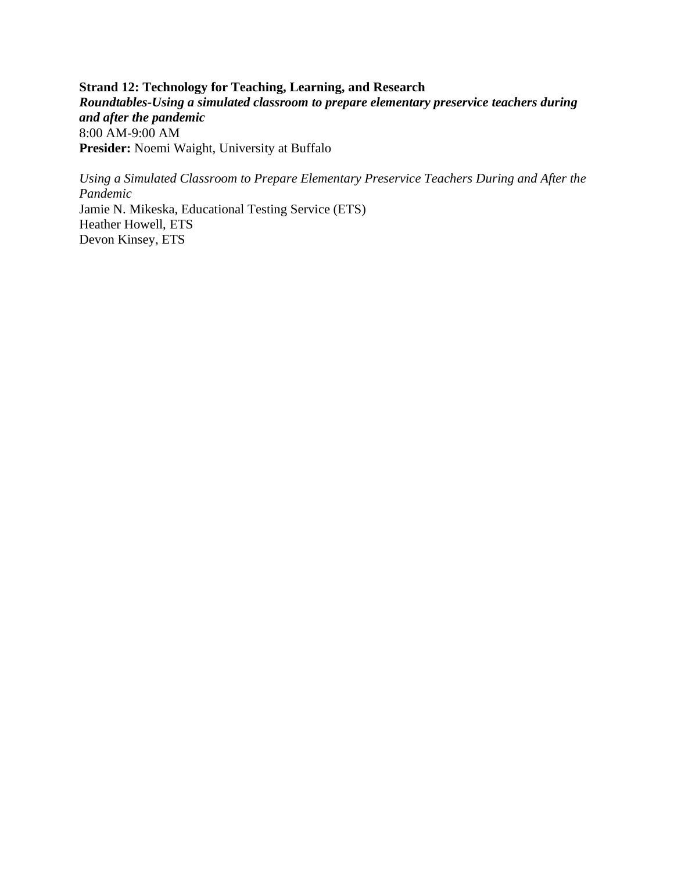**Strand 12: Technology for Teaching, Learning, and Research** *Roundtables-Using a simulated classroom to prepare elementary preservice teachers during and after the pandemic* 8:00 AM-9:00 AM **Presider:** Noemi Waight, University at Buffalo

*Using a Simulated Classroom to Prepare Elementary Preservice Teachers During and After the Pandemic* Jamie N. Mikeska, Educational Testing Service (ETS) Heather Howell, ETS Devon Kinsey, ETS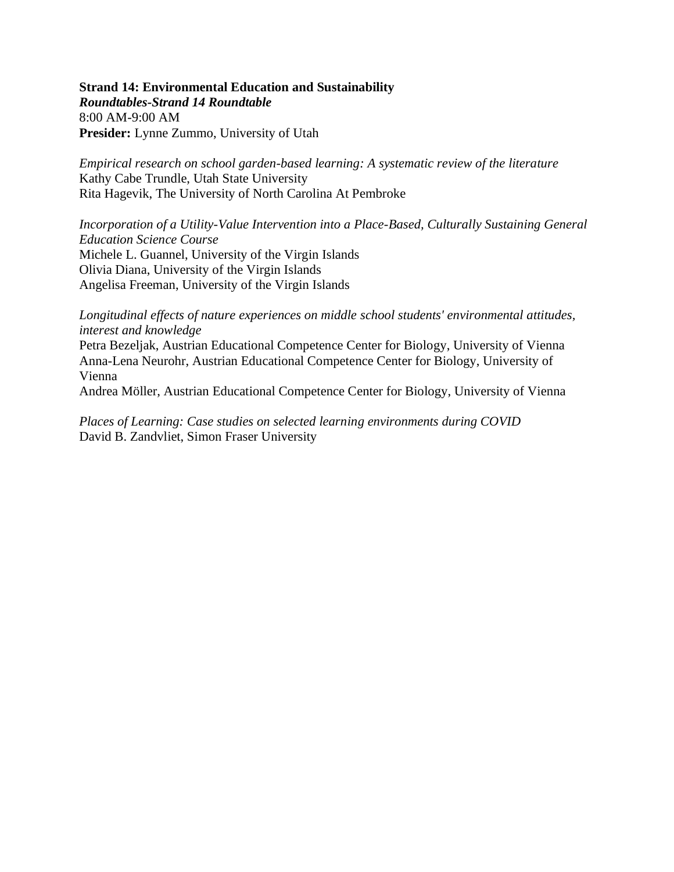# **Strand 14: Environmental Education and Sustainability**

*Roundtables-Strand 14 Roundtable* 8:00 AM-9:00 AM **Presider:** Lynne Zummo, University of Utah

*Empirical research on school garden-based learning: A systematic review of the literature* Kathy Cabe Trundle, Utah State University Rita Hagevik, The University of North Carolina At Pembroke

*Incorporation of a Utility-Value Intervention into a Place-Based, Culturally Sustaining General Education Science Course* Michele L. Guannel, University of the Virgin Islands Olivia Diana, University of the Virgin Islands Angelisa Freeman, University of the Virgin Islands

*Longitudinal effects of nature experiences on middle school students' environmental attitudes, interest and knowledge*

Petra Bezeljak, Austrian Educational Competence Center for Biology, University of Vienna Anna-Lena Neurohr, Austrian Educational Competence Center for Biology, University of Vienna

Andrea Möller, Austrian Educational Competence Center for Biology, University of Vienna

*Places of Learning: Case studies on selected learning environments during COVID* David B. Zandvliet, Simon Fraser University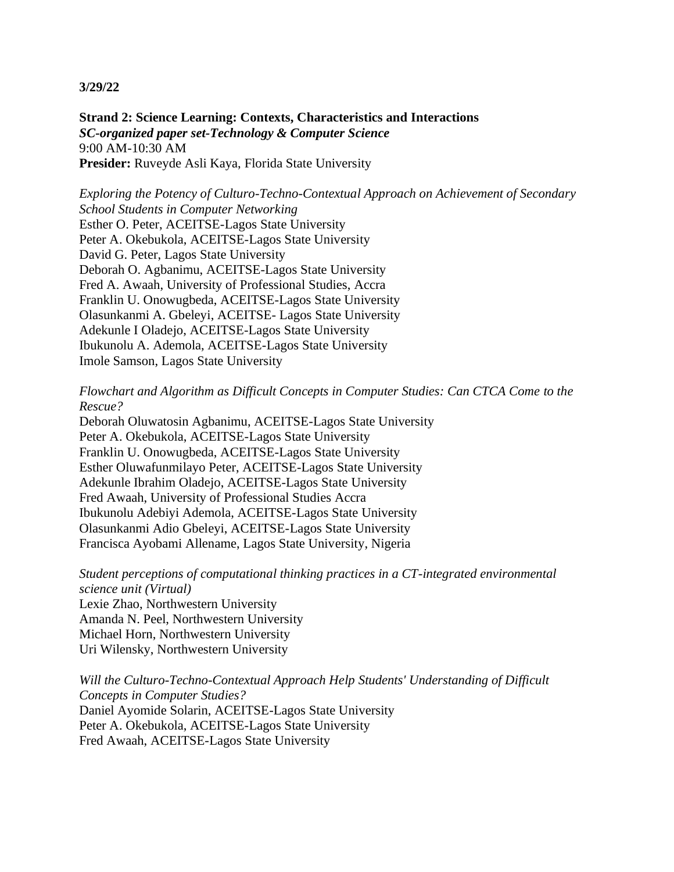**Strand 2: Science Learning: Contexts, Characteristics and Interactions** *SC-organized paper set-Technology & Computer Science* 9:00 AM-10:30 AM **Presider:** Ruveyde Asli Kaya, Florida State University

*Exploring the Potency of Culturo-Techno-Contextual Approach on Achievement of Secondary School Students in Computer Networking* Esther O. Peter, ACEITSE-Lagos State University Peter A. Okebukola, ACEITSE-Lagos State University David G. Peter, Lagos State University Deborah O. Agbanimu, ACEITSE-Lagos State University Fred A. Awaah, University of Professional Studies, Accra Franklin U. Onowugbeda, ACEITSE-Lagos State University Olasunkanmi A. Gbeleyi, ACEITSE- Lagos State University Adekunle I Oladejo, ACEITSE-Lagos State University Ibukunolu A. Ademola, ACEITSE-Lagos State University Imole Samson, Lagos State University

*Flowchart and Algorithm as Difficult Concepts in Computer Studies: Can CTCA Come to the Rescue?*

Deborah Oluwatosin Agbanimu, ACEITSE-Lagos State University Peter A. Okebukola, ACEITSE-Lagos State University Franklin U. Onowugbeda, ACEITSE-Lagos State University Esther Oluwafunmilayo Peter, ACEITSE-Lagos State University Adekunle Ibrahim Oladejo, ACEITSE-Lagos State University Fred Awaah, University of Professional Studies Accra Ibukunolu Adebiyi Ademola, ACEITSE-Lagos State University Olasunkanmi Adio Gbeleyi, ACEITSE-Lagos State University Francisca Ayobami Allename, Lagos State University, Nigeria

*Student perceptions of computational thinking practices in a CT-integrated environmental science unit (Virtual)*

Lexie Zhao, Northwestern University Amanda N. Peel, Northwestern University Michael Horn, Northwestern University Uri Wilensky, Northwestern University

*Will the Culturo-Techno-Contextual Approach Help Students' Understanding of Difficult Concepts in Computer Studies?* Daniel Ayomide Solarin, ACEITSE-Lagos State University Peter A. Okebukola, ACEITSE-Lagos State University Fred Awaah, ACEITSE-Lagos State University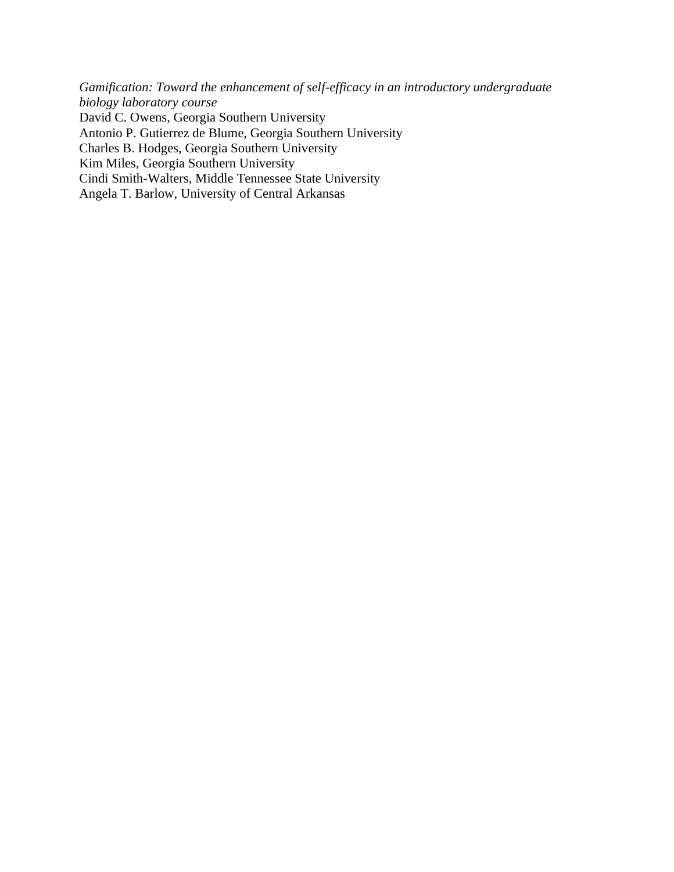*Gamification: Toward the enhancement of self-efficacy in an introductory undergraduate biology laboratory course* David C. Owens, Georgia Southern University Antonio P. Gutierrez de Blume, Georgia Southern University Charles B. Hodges, Georgia Southern University Kim Miles, Georgia Southern University Cindi Smith-Walters, Middle Tennessee State University Angela T. Barlow, University of Central Arkansas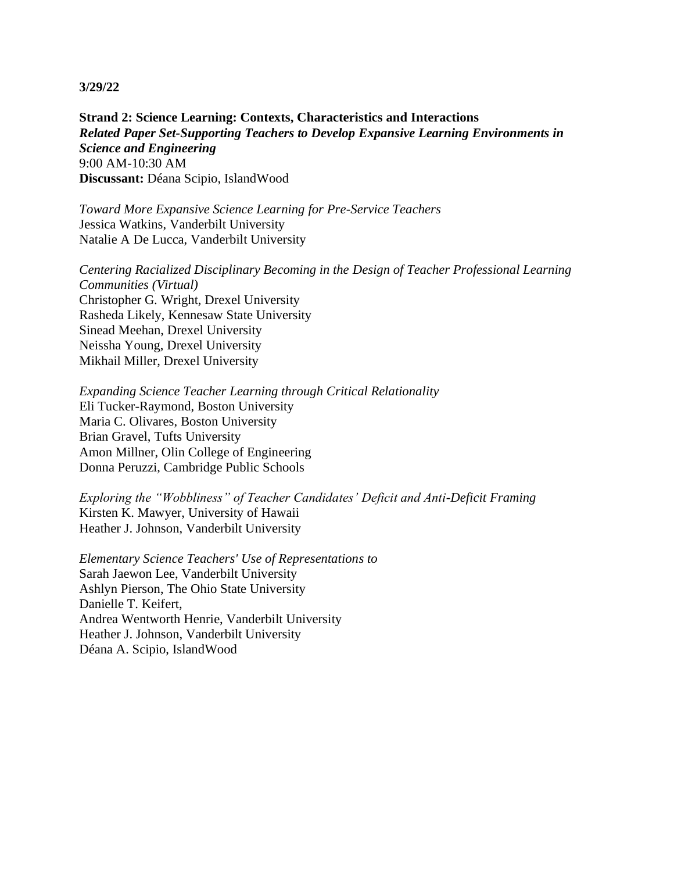**Strand 2: Science Learning: Contexts, Characteristics and Interactions** *Related Paper Set-Supporting Teachers to Develop Expansive Learning Environments in Science and Engineering* 9:00 AM-10:30 AM **Discussant:** Déana Scipio, IslandWood

*Toward More Expansive Science Learning for Pre-Service Teachers* Jessica Watkins, Vanderbilt University Natalie A De Lucca, Vanderbilt University

*Centering Racialized Disciplinary Becoming in the Design of Teacher Professional Learning Communities (Virtual)* Christopher G. Wright, Drexel University Rasheda Likely, Kennesaw State University Sinead Meehan, Drexel University Neissha Young, Drexel University Mikhail Miller, Drexel University

*Expanding Science Teacher Learning through Critical Relationality* Eli Tucker-Raymond, Boston University Maria C. Olivares, Boston University Brian Gravel, Tufts University Amon Millner, Olin College of Engineering Donna Peruzzi, Cambridge Public Schools

*Exploring the "Wobbliness" of Teacher Candidates' Deficit and Anti-Deficit Framing* Kirsten K. Mawyer, University of Hawaii Heather J. Johnson, Vanderbilt University

*Elementary Science Teachers' Use of Representations to* Sarah Jaewon Lee, Vanderbilt University Ashlyn Pierson, The Ohio State University Danielle T. Keifert, Andrea Wentworth Henrie, Vanderbilt University Heather J. Johnson, Vanderbilt University Déana A. Scipio, IslandWood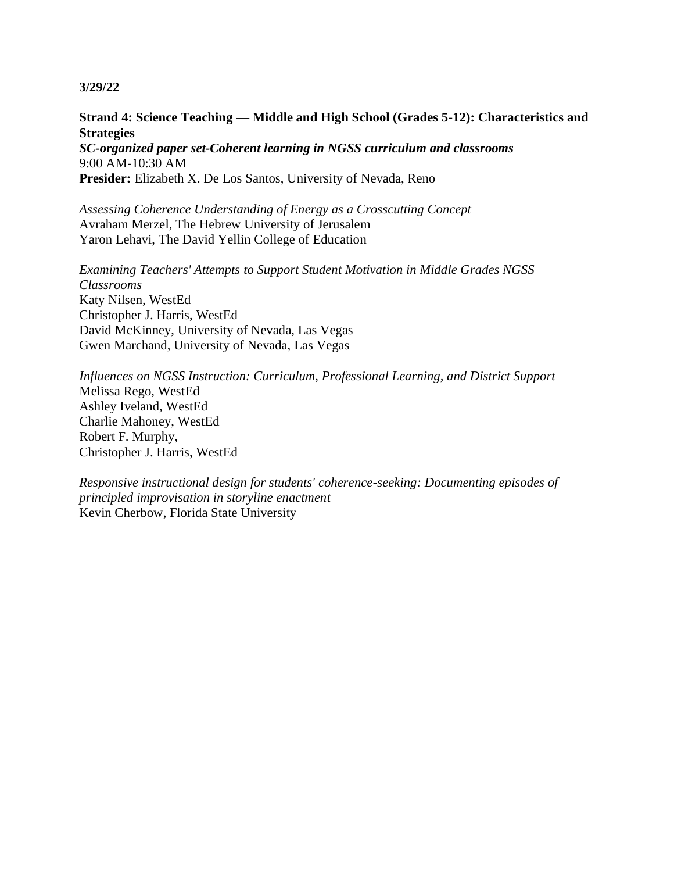**Strand 4: Science Teaching — Middle and High School (Grades 5-12): Characteristics and Strategies**

*SC-organized paper set-Coherent learning in NGSS curriculum and classrooms* 9:00 AM-10:30 AM **Presider:** Elizabeth X. De Los Santos, University of Nevada, Reno

*Assessing Coherence Understanding of Energy as a Crosscutting Concept* Avraham Merzel, The Hebrew University of Jerusalem Yaron Lehavi, The David Yellin College of Education

*Examining Teachers' Attempts to Support Student Motivation in Middle Grades NGSS Classrooms* Katy Nilsen, WestEd Christopher J. Harris, WestEd David McKinney, University of Nevada, Las Vegas Gwen Marchand, University of Nevada, Las Vegas

*Influences on NGSS Instruction: Curriculum, Professional Learning, and District Support* Melissa Rego, WestEd Ashley Iveland, WestEd Charlie Mahoney, WestEd Robert F. Murphy, Christopher J. Harris, WestEd

*Responsive instructional design for students' coherence-seeking: Documenting episodes of principled improvisation in storyline enactment* Kevin Cherbow, Florida State University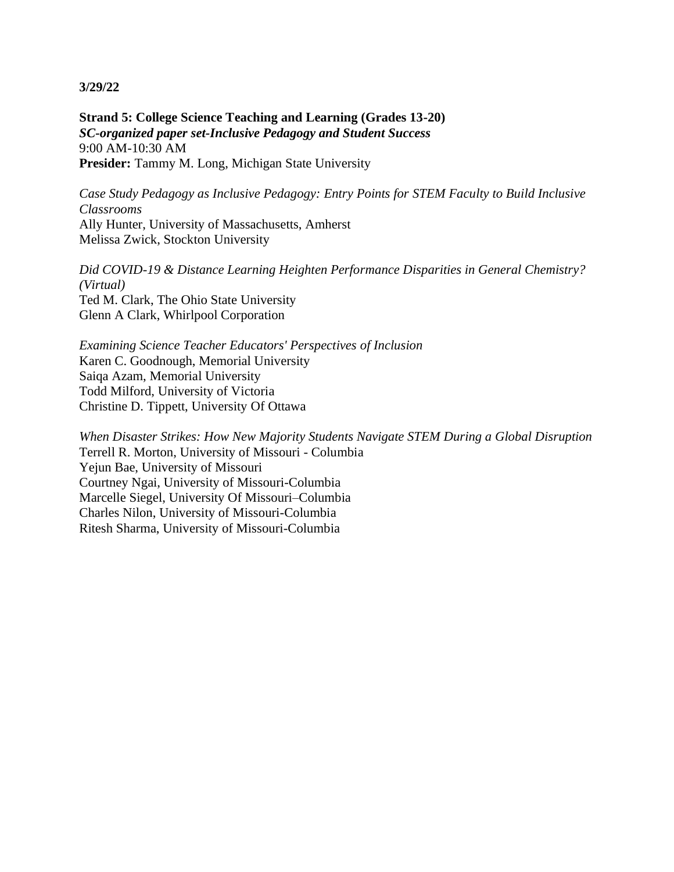**Strand 5: College Science Teaching and Learning (Grades 13-20)** *SC-organized paper set-Inclusive Pedagogy and Student Success* 9:00 AM-10:30 AM **Presider:** Tammy M. Long, Michigan State University

*Case Study Pedagogy as Inclusive Pedagogy: Entry Points for STEM Faculty to Build Inclusive Classrooms* Ally Hunter, University of Massachusetts, Amherst Melissa Zwick, Stockton University

*Did COVID-19 & Distance Learning Heighten Performance Disparities in General Chemistry? (Virtual)* Ted M. Clark, The Ohio State University Glenn A Clark, Whirlpool Corporation

*Examining Science Teacher Educators' Perspectives of Inclusion* Karen C. Goodnough, Memorial University Saiqa Azam, Memorial University Todd Milford, University of Victoria Christine D. Tippett, University Of Ottawa

*When Disaster Strikes: How New Majority Students Navigate STEM During a Global Disruption* Terrell R. Morton, University of Missouri - Columbia Yejun Bae, University of Missouri Courtney Ngai, University of Missouri-Columbia Marcelle Siegel, University Of Missouri–Columbia Charles Nilon, University of Missouri-Columbia Ritesh Sharma, University of Missouri-Columbia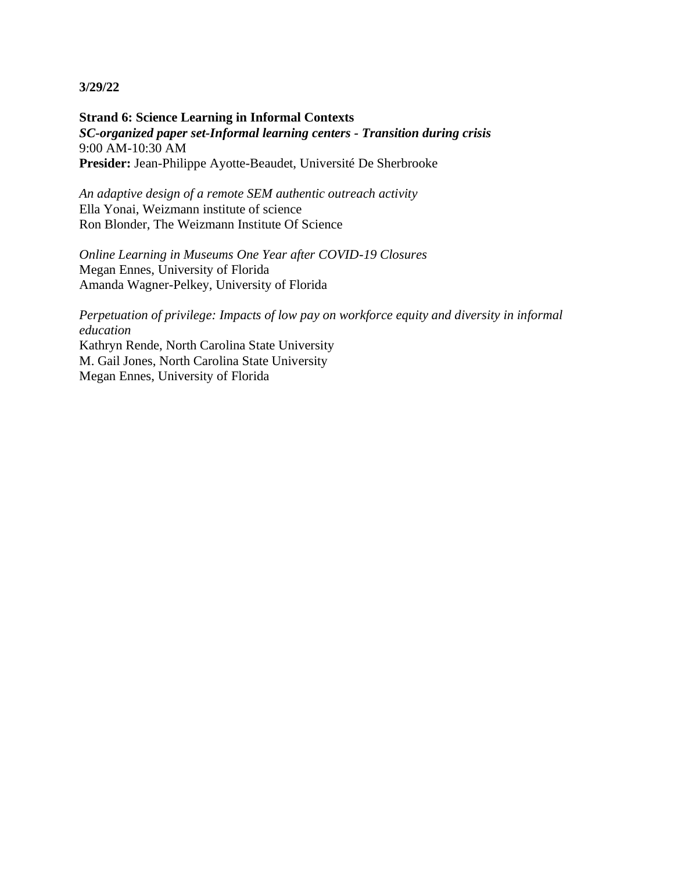**Strand 6: Science Learning in Informal Contexts** *SC-organized paper set-Informal learning centers - Transition during crisis* 9:00 AM-10:30 AM **Presider:** Jean-Philippe Ayotte-Beaudet, Université De Sherbrooke

*An adaptive design of a remote SEM authentic outreach activity* Ella Yonai, Weizmann institute of science Ron Blonder, The Weizmann Institute Of Science

*Online Learning in Museums One Year after COVID-19 Closures* Megan Ennes, University of Florida Amanda Wagner-Pelkey, University of Florida

*Perpetuation of privilege: Impacts of low pay on workforce equity and diversity in informal education* Kathryn Rende, North Carolina State University M. Gail Jones, North Carolina State University Megan Ennes, University of Florida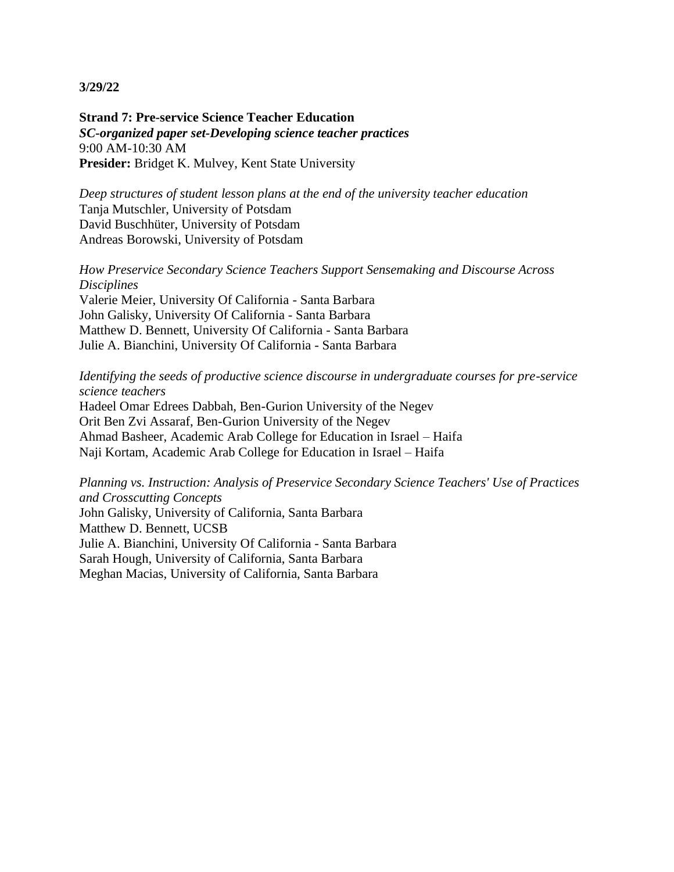**Strand 7: Pre-service Science Teacher Education** *SC-organized paper set-Developing science teacher practices* 9:00 AM-10:30 AM **Presider:** Bridget K. Mulvey, Kent State University

*Deep structures of student lesson plans at the end of the university teacher education* Tanja Mutschler, University of Potsdam David Buschhüter, University of Potsdam Andreas Borowski, University of Potsdam

*How Preservice Secondary Science Teachers Support Sensemaking and Discourse Across Disciplines* Valerie Meier, University Of California - Santa Barbara John Galisky, University Of California - Santa Barbara Matthew D. Bennett, University Of California - Santa Barbara Julie A. Bianchini, University Of California - Santa Barbara

*Identifying the seeds of productive science discourse in undergraduate courses for pre-service science teachers* Hadeel Omar Edrees Dabbah, Ben-Gurion University of the Negev Orit Ben Zvi Assaraf, Ben-Gurion University of the Negev Ahmad Basheer, Academic Arab College for Education in Israel – Haifa Naji Kortam, Academic Arab College for Education in Israel – Haifa

*Planning vs. Instruction: Analysis of Preservice Secondary Science Teachers' Use of Practices and Crosscutting Concepts* John Galisky, University of California, Santa Barbara Matthew D. Bennett, UCSB Julie A. Bianchini, University Of California - Santa Barbara Sarah Hough, University of California, Santa Barbara Meghan Macias, University of California, Santa Barbara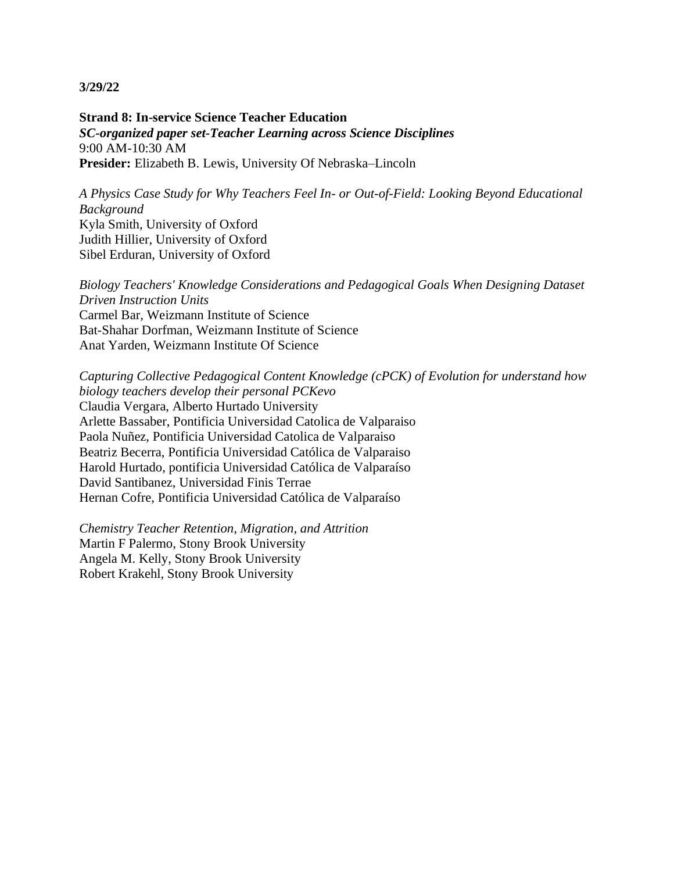**Strand 8: In-service Science Teacher Education** *SC-organized paper set-Teacher Learning across Science Disciplines* 9:00 AM-10:30 AM **Presider:** Elizabeth B. Lewis, University Of Nebraska–Lincoln

*A Physics Case Study for Why Teachers Feel In- or Out-of-Field: Looking Beyond Educational Background* Kyla Smith, University of Oxford Judith Hillier, University of Oxford Sibel Erduran, University of Oxford

*Biology Teachers' Knowledge Considerations and Pedagogical Goals When Designing Dataset Driven Instruction Units* Carmel Bar, Weizmann Institute of Science Bat-Shahar Dorfman, Weizmann Institute of Science Anat Yarden, Weizmann Institute Of Science

*Capturing Collective Pedagogical Content Knowledge (cPCK) of Evolution for understand how biology teachers develop their personal PCKevo* Claudia Vergara, Alberto Hurtado University Arlette Bassaber, Pontificia Universidad Catolica de Valparaiso Paola Nuñez, Pontificia Universidad Catolica de Valparaiso Beatriz Becerra, Pontificia Universidad Católica de Valparaiso Harold Hurtado, pontificia Universidad Católica de Valparaíso David Santibanez, Universidad Finis Terrae Hernan Cofre, Pontificia Universidad Católica de Valparaíso

*Chemistry Teacher Retention, Migration, and Attrition* Martin F Palermo, Stony Brook University Angela M. Kelly, Stony Brook University Robert Krakehl, Stony Brook University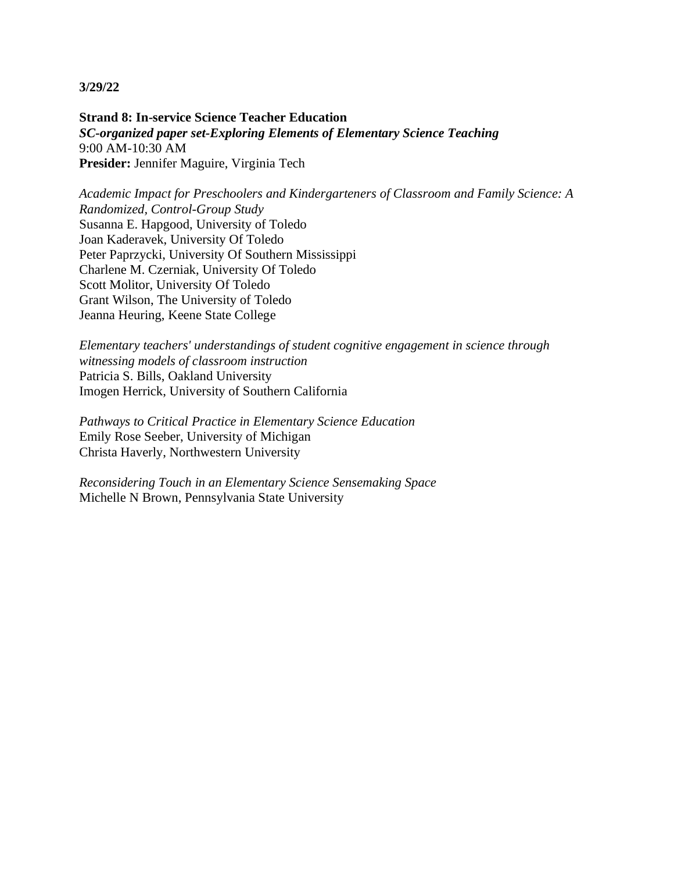**Strand 8: In-service Science Teacher Education** *SC-organized paper set-Exploring Elements of Elementary Science Teaching* 9:00 AM-10:30 AM **Presider:** Jennifer Maguire, Virginia Tech

*Academic Impact for Preschoolers and Kindergarteners of Classroom and Family Science: A Randomized, Control-Group Study* Susanna E. Hapgood, University of Toledo Joan Kaderavek, University Of Toledo Peter Paprzycki, University Of Southern Mississippi Charlene M. Czerniak, University Of Toledo Scott Molitor, University Of Toledo Grant Wilson, The University of Toledo Jeanna Heuring, Keene State College

*Elementary teachers' understandings of student cognitive engagement in science through witnessing models of classroom instruction* Patricia S. Bills, Oakland University Imogen Herrick, University of Southern California

*Pathways to Critical Practice in Elementary Science Education* Emily Rose Seeber, University of Michigan Christa Haverly, Northwestern University

*Reconsidering Touch in an Elementary Science Sensemaking Space* Michelle N Brown, Pennsylvania State University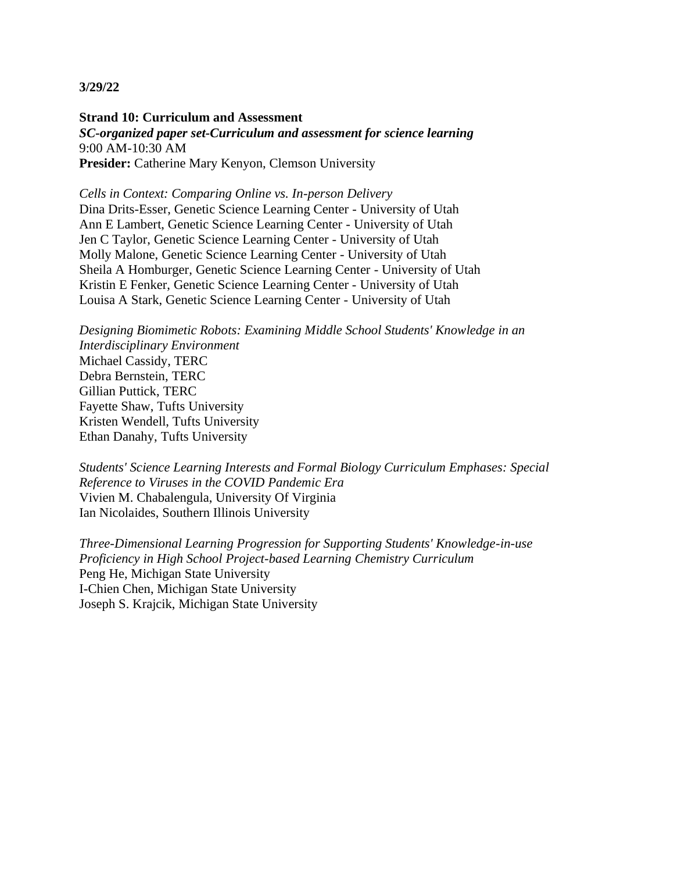**Strand 10: Curriculum and Assessment** *SC-organized paper set-Curriculum and assessment for science learning* 9:00 AM-10:30 AM Presider: Catherine Mary Kenyon, Clemson University

*Cells in Context: Comparing Online vs. In-person Delivery* Dina Drits-Esser, Genetic Science Learning Center - University of Utah Ann E Lambert, Genetic Science Learning Center - University of Utah Jen C Taylor, Genetic Science Learning Center - University of Utah Molly Malone, Genetic Science Learning Center - University of Utah Sheila A Homburger, Genetic Science Learning Center - University of Utah Kristin E Fenker, Genetic Science Learning Center - University of Utah Louisa A Stark, Genetic Science Learning Center - University of Utah

*Designing Biomimetic Robots: Examining Middle School Students' Knowledge in an Interdisciplinary Environment* Michael Cassidy, TERC Debra Bernstein, TERC Gillian Puttick, TERC Fayette Shaw, Tufts University Kristen Wendell, Tufts University Ethan Danahy, Tufts University

*Students' Science Learning Interests and Formal Biology Curriculum Emphases: Special Reference to Viruses in the COVID Pandemic Era* Vivien M. Chabalengula, University Of Virginia Ian Nicolaides, Southern Illinois University

*Three-Dimensional Learning Progression for Supporting Students' Knowledge-in-use Proficiency in High School Project-based Learning Chemistry Curriculum* Peng He, Michigan State University I-Chien Chen, Michigan State University Joseph S. Krajcik, Michigan State University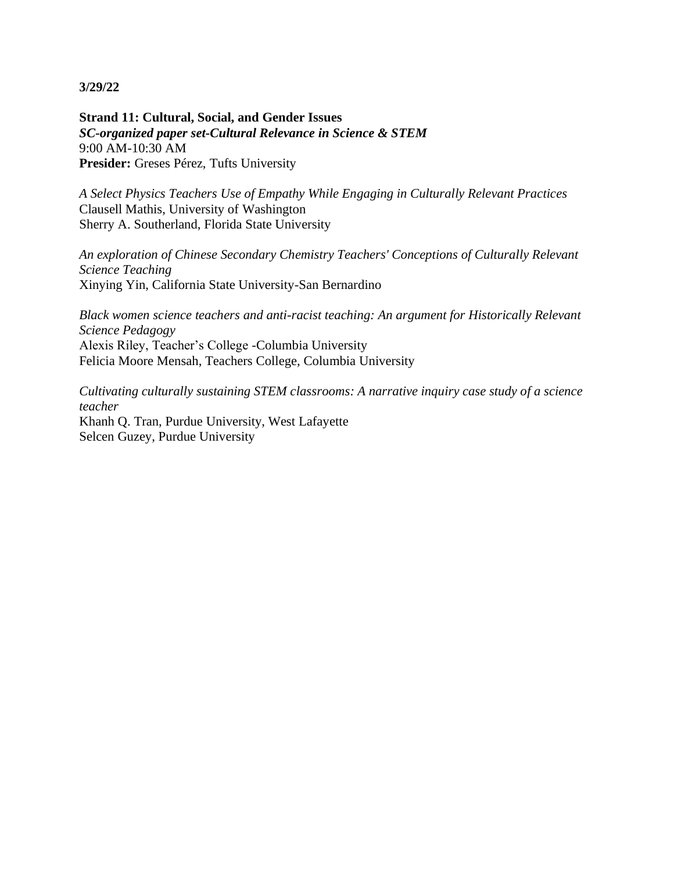**Strand 11: Cultural, Social, and Gender Issues** *SC-organized paper set-Cultural Relevance in Science & STEM* 9:00 AM-10:30 AM Presider: Greses Pérez, Tufts University

*A Select Physics Teachers Use of Empathy While Engaging in Culturally Relevant Practices* Clausell Mathis, University of Washington Sherry A. Southerland, Florida State University

*An exploration of Chinese Secondary Chemistry Teachers' Conceptions of Culturally Relevant Science Teaching* Xinying Yin, California State University-San Bernardino

*Black women science teachers and anti-racist teaching: An argument for Historically Relevant Science Pedagogy* Alexis Riley, Teacher's College -Columbia University Felicia Moore Mensah, Teachers College, Columbia University

*Cultivating culturally sustaining STEM classrooms: A narrative inquiry case study of a science teacher* Khanh Q. Tran, Purdue University, West Lafayette Selcen Guzey, Purdue University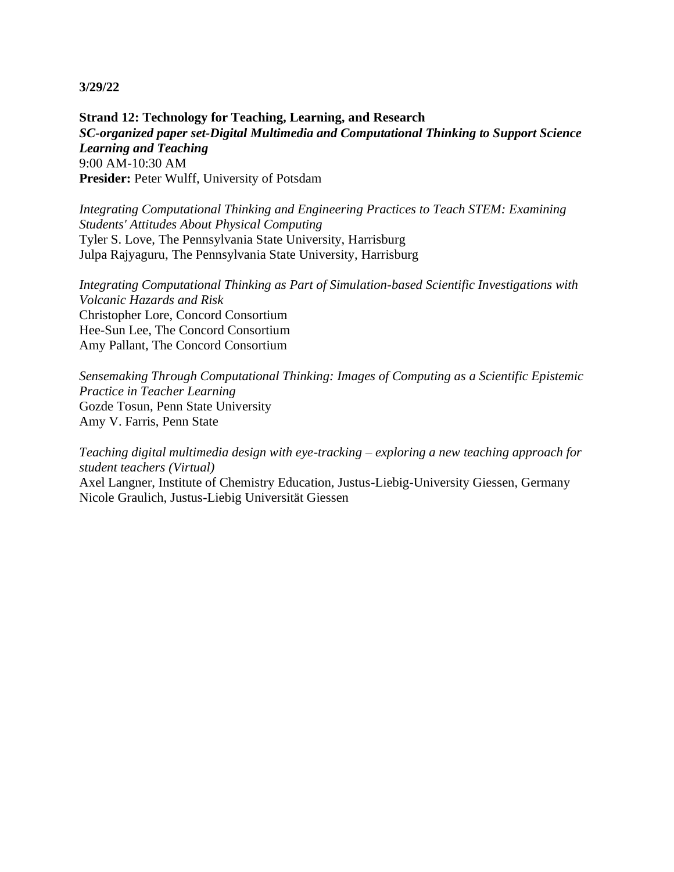**Strand 12: Technology for Teaching, Learning, and Research** *SC-organized paper set-Digital Multimedia and Computational Thinking to Support Science Learning and Teaching* 9:00 AM-10:30 AM **Presider:** Peter Wulff, University of Potsdam

*Integrating Computational Thinking and Engineering Practices to Teach STEM: Examining Students' Attitudes About Physical Computing* Tyler S. Love, The Pennsylvania State University, Harrisburg Julpa Rajyaguru, The Pennsylvania State University, Harrisburg

*Integrating Computational Thinking as Part of Simulation-based Scientific Investigations with Volcanic Hazards and Risk* Christopher Lore, Concord Consortium Hee-Sun Lee, The Concord Consortium Amy Pallant, The Concord Consortium

*Sensemaking Through Computational Thinking: Images of Computing as a Scientific Epistemic Practice in Teacher Learning* Gozde Tosun, Penn State University Amy V. Farris, Penn State

*Teaching digital multimedia design with eye-tracking – exploring a new teaching approach for student teachers (Virtual)*

Axel Langner, Institute of Chemistry Education, Justus-Liebig-University Giessen, Germany Nicole Graulich, Justus-Liebig Universität Giessen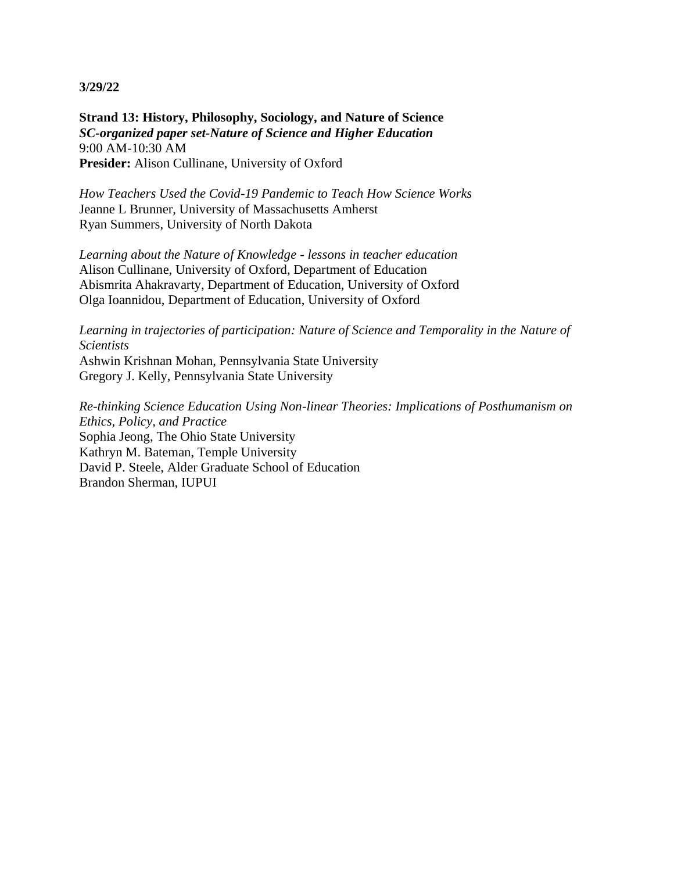**Strand 13: History, Philosophy, Sociology, and Nature of Science** *SC-organized paper set-Nature of Science and Higher Education* 9:00 AM-10:30 AM **Presider:** Alison Cullinane, University of Oxford

*How Teachers Used the Covid-19 Pandemic to Teach How Science Works* Jeanne L Brunner, University of Massachusetts Amherst Ryan Summers, University of North Dakota

*Learning about the Nature of Knowledge - lessons in teacher education* Alison Cullinane, University of Oxford, Department of Education Abismrita Ahakravarty, Department of Education, University of Oxford Olga Ioannidou, Department of Education, University of Oxford

*Learning in trajectories of participation: Nature of Science and Temporality in the Nature of Scientists*

Ashwin Krishnan Mohan, Pennsylvania State University Gregory J. Kelly, Pennsylvania State University

*Re-thinking Science Education Using Non-linear Theories: Implications of Posthumanism on Ethics, Policy, and Practice* Sophia Jeong, The Ohio State University Kathryn M. Bateman, Temple University David P. Steele, Alder Graduate School of Education Brandon Sherman, IUPUI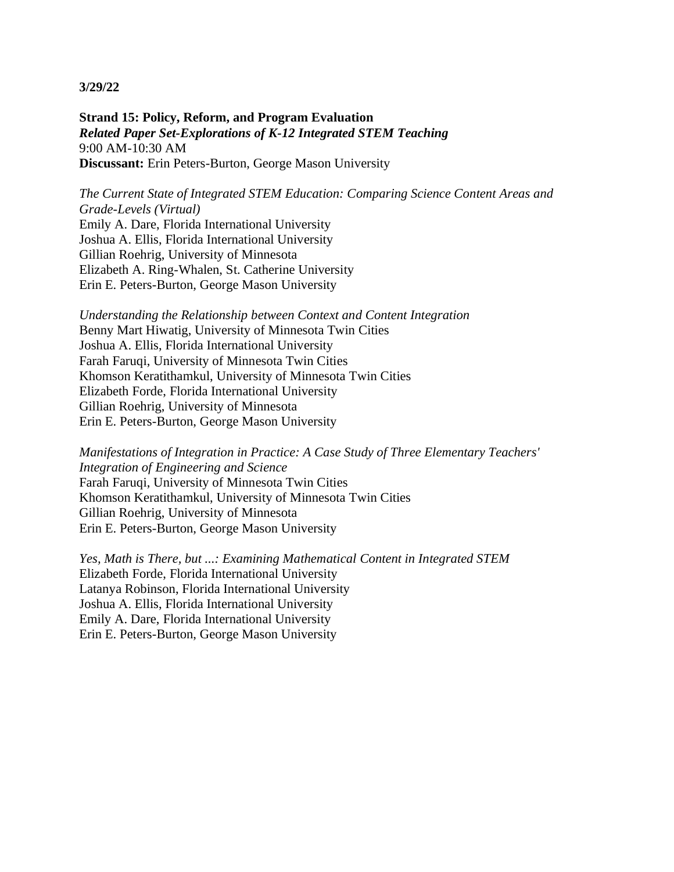**Strand 15: Policy, Reform, and Program Evaluation** *Related Paper Set-Explorations of K-12 Integrated STEM Teaching* 9:00 AM-10:30 AM **Discussant:** Erin Peters-Burton, George Mason University

*The Current State of Integrated STEM Education: Comparing Science Content Areas and Grade-Levels (Virtual)* Emily A. Dare, Florida International University Joshua A. Ellis, Florida International University Gillian Roehrig, University of Minnesota Elizabeth A. Ring-Whalen, St. Catherine University Erin E. Peters-Burton, George Mason University

*Understanding the Relationship between Context and Content Integration* Benny Mart Hiwatig, University of Minnesota Twin Cities Joshua A. Ellis, Florida International University Farah Faruqi, University of Minnesota Twin Cities Khomson Keratithamkul, University of Minnesota Twin Cities Elizabeth Forde, Florida International University Gillian Roehrig, University of Minnesota Erin E. Peters-Burton, George Mason University

*Manifestations of Integration in Practice: A Case Study of Three Elementary Teachers' Integration of Engineering and Science* Farah Faruqi, University of Minnesota Twin Cities Khomson Keratithamkul, University of Minnesota Twin Cities Gillian Roehrig, University of Minnesota Erin E. Peters-Burton, George Mason University

*Yes, Math is There, but ...: Examining Mathematical Content in Integrated STEM* Elizabeth Forde, Florida International University Latanya Robinson, Florida International University Joshua A. Ellis, Florida International University Emily A. Dare, Florida International University Erin E. Peters-Burton, George Mason University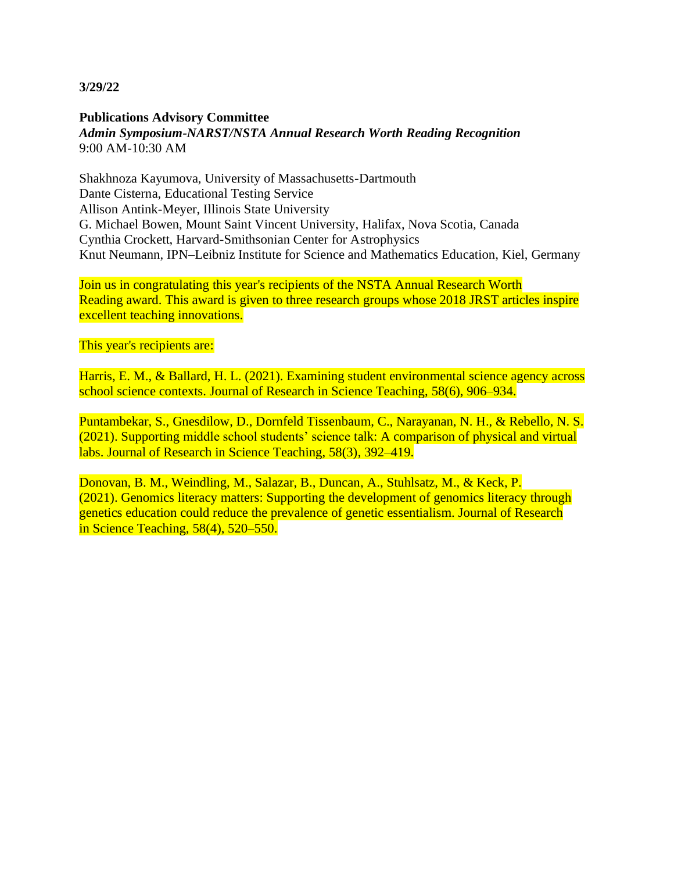#### **Publications Advisory Committee** *Admin Symposium-NARST/NSTA Annual Research Worth Reading Recognition* 9:00 AM-10:30 AM

Shakhnoza Kayumova, University of Massachusetts-Dartmouth Dante Cisterna, Educational Testing Service Allison Antink-Meyer, Illinois State University G. Michael Bowen, Mount Saint Vincent University, Halifax, Nova Scotia, Canada Cynthia Crockett, Harvard-Smithsonian Center for Astrophysics Knut Neumann, IPN–Leibniz Institute for Science and Mathematics Education, Kiel, Germany

Join us in congratulating this year's recipients of the NSTA Annual Research Worth Reading award. This award is given to three research groups whose 2018 JRST articles inspire excellent teaching innovations.

This year's recipients are:

Harris, E. M., & Ballard, H. L. (2021). Examining student environmental science agency across school science contexts. Journal of Research in Science Teaching, 58(6), 906–934.

Puntambekar, S., Gnesdilow, D., Dornfeld Tissenbaum, C., Narayanan, N. H., & Rebello, N. S. (2021). Supporting middle school students' science talk: A comparison of physical and virtual labs. Journal of Research in Science Teaching, 58(3), 392–419.

Donovan, B. M., Weindling, M., Salazar, B., Duncan, A., Stuhlsatz, M., & Keck, P. (2021). Genomics literacy matters: Supporting the development of genomics literacy through genetics education could reduce the prevalence of genetic essentialism. Journal of Research in Science Teaching, 58(4), 520–550.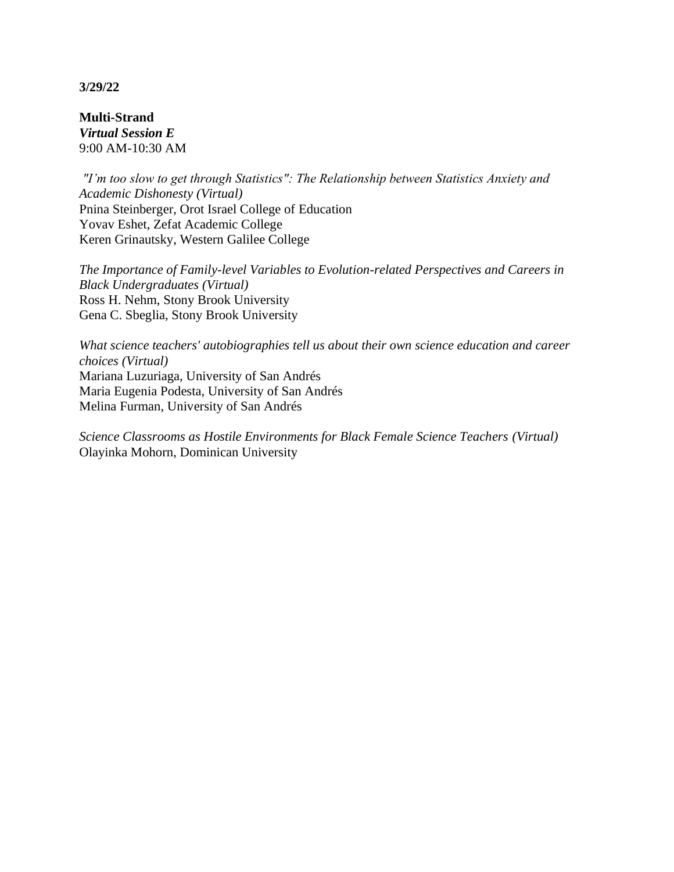**Multi-Strand** *Virtual Session E* 9:00 AM-10:30 AM

*"I'm too slow to get through Statistics": The Relationship between Statistics Anxiety and Academic Dishonesty (Virtual)* Pnina Steinberger, Orot Israel College of Education Yovav Eshet, Zefat Academic College Keren Grinautsky, Western Galilee College

*The Importance of Family-level Variables to Evolution-related Perspectives and Careers in Black Undergraduates (Virtual)* Ross H. Nehm, Stony Brook University Gena C. Sbeglia, Stony Brook University

*What science teachers' autobiographies tell us about their own science education and career choices (Virtual)* Mariana Luzuriaga, University of San Andrés Maria Eugenia Podesta, University of San Andrés Melina Furman, University of San Andrés

*Science Classrooms as Hostile Environments for Black Female Science Teachers (Virtual)* Olayinka Mohorn, Dominican University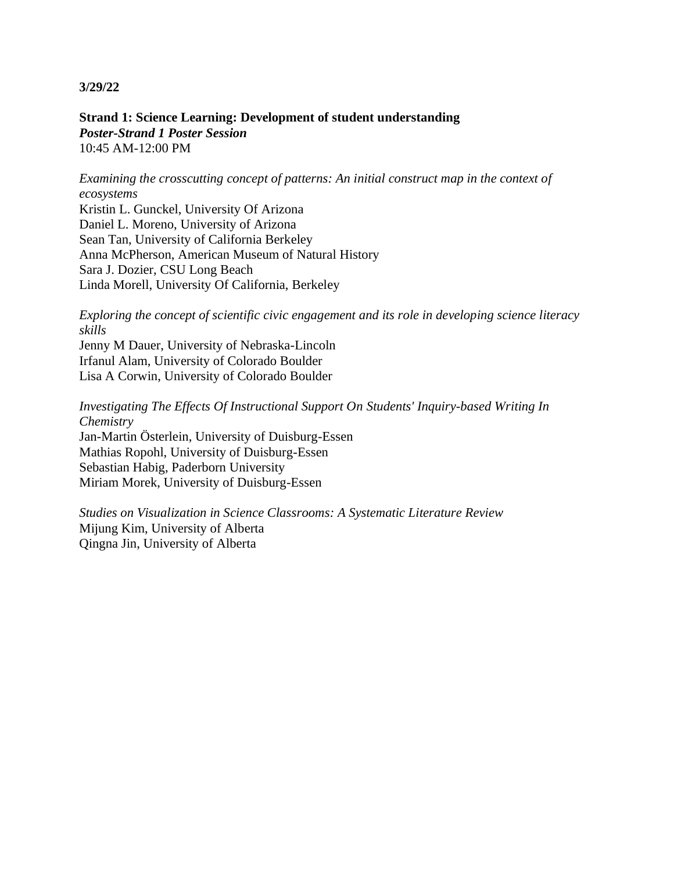**Strand 1: Science Learning: Development of student understanding** *Poster-Strand 1 Poster Session* 10:45 AM-12:00 PM

*Examining the crosscutting concept of patterns: An initial construct map in the context of ecosystems*

Kristin L. Gunckel, University Of Arizona Daniel L. Moreno, University of Arizona Sean Tan, University of California Berkeley Anna McPherson, American Museum of Natural History Sara J. Dozier, CSU Long Beach Linda Morell, University Of California, Berkeley

*Exploring the concept of scientific civic engagement and its role in developing science literacy skills*

Jenny M Dauer, University of Nebraska-Lincoln Irfanul Alam, University of Colorado Boulder Lisa A Corwin, University of Colorado Boulder

*Investigating The Effects Of Instructional Support On Students' Inquiry-based Writing In Chemistry* Jan-Martin Österlein, University of Duisburg-Essen Mathias Ropohl, University of Duisburg-Essen Sebastian Habig, Paderborn University Miriam Morek, University of Duisburg-Essen

*Studies on Visualization in Science Classrooms: A Systematic Literature Review* Mijung Kim, University of Alberta Qingna Jin, University of Alberta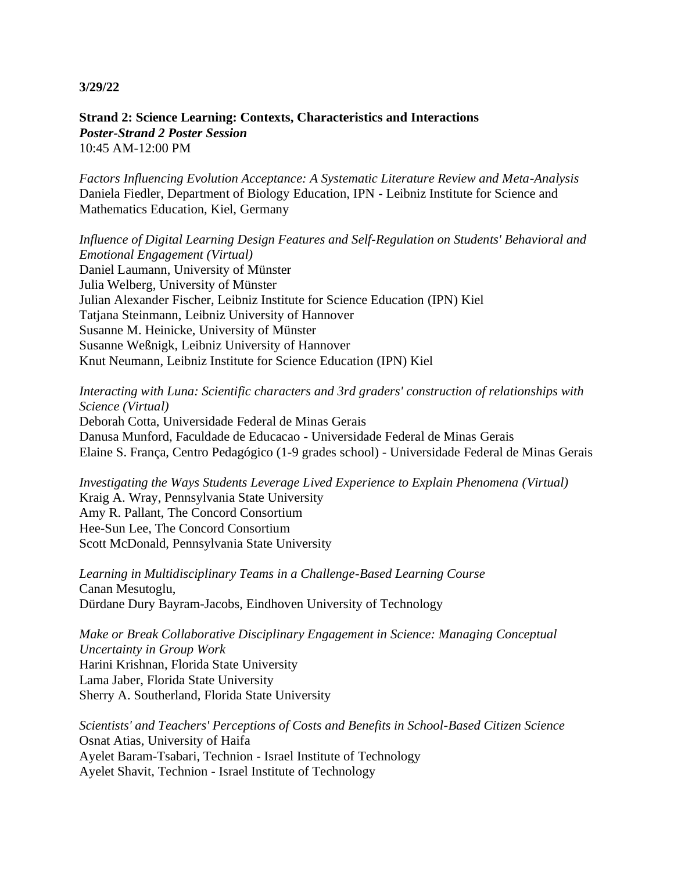**Strand 2: Science Learning: Contexts, Characteristics and Interactions** *Poster-Strand 2 Poster Session* 10:45 AM-12:00 PM

*Factors Influencing Evolution Acceptance: A Systematic Literature Review and Meta-Analysis* Daniela Fiedler, Department of Biology Education, IPN - Leibniz Institute for Science and Mathematics Education, Kiel, Germany

*Influence of Digital Learning Design Features and Self-Regulation on Students' Behavioral and Emotional Engagement (Virtual)* Daniel Laumann, University of Münster Julia Welberg, University of Münster Julian Alexander Fischer, Leibniz Institute for Science Education (IPN) Kiel Tatjana Steinmann, Leibniz University of Hannover Susanne M. Heinicke, University of Münster Susanne Weßnigk, Leibniz University of Hannover Knut Neumann, Leibniz Institute for Science Education (IPN) Kiel

*Interacting with Luna: Scientific characters and 3rd graders' construction of relationships with Science (Virtual)*

Deborah Cotta, Universidade Federal de Minas Gerais Danusa Munford, Faculdade de Educacao - Universidade Federal de Minas Gerais Elaine S. França, Centro Pedagógico (1-9 grades school) - Universidade Federal de Minas Gerais

*Investigating the Ways Students Leverage Lived Experience to Explain Phenomena (Virtual)* Kraig A. Wray, Pennsylvania State University Amy R. Pallant, The Concord Consortium Hee-Sun Lee, The Concord Consortium Scott McDonald, Pennsylvania State University

*Learning in Multidisciplinary Teams in a Challenge-Based Learning Course* Canan Mesutoglu, Dürdane Dury Bayram-Jacobs, Eindhoven University of Technology

*Make or Break Collaborative Disciplinary Engagement in Science: Managing Conceptual Uncertainty in Group Work* Harini Krishnan, Florida State University Lama Jaber, Florida State University Sherry A. Southerland, Florida State University

*Scientists' and Teachers' Perceptions of Costs and Benefits in School-Based Citizen Science* Osnat Atias, University of Haifa Ayelet Baram-Tsabari, Technion - Israel Institute of Technology Ayelet Shavit, Technion - Israel Institute of Technology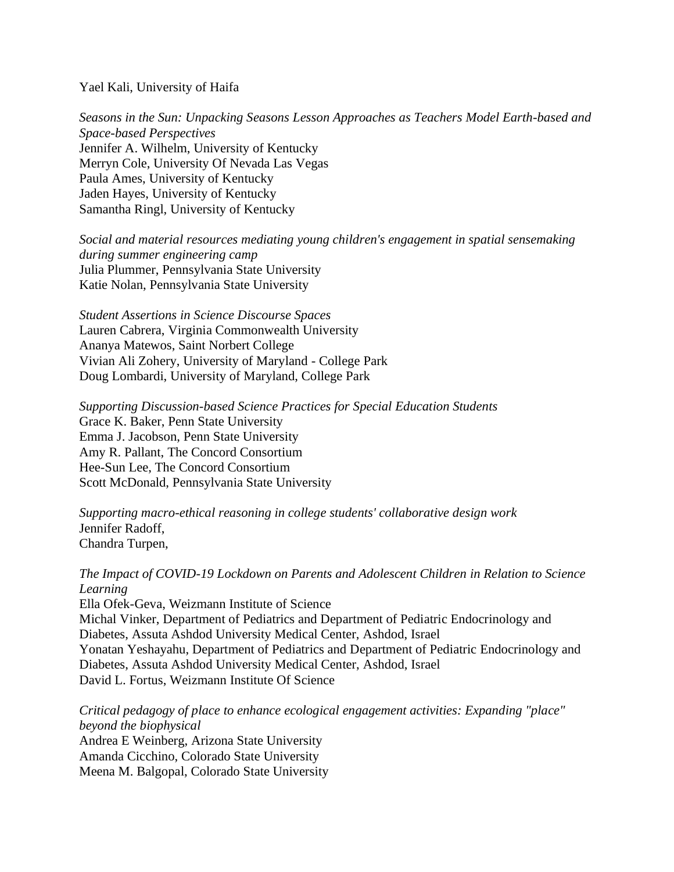Yael Kali, University of Haifa

*Seasons in the Sun: Unpacking Seasons Lesson Approaches as Teachers Model Earth-based and Space-based Perspectives* Jennifer A. Wilhelm, University of Kentucky Merryn Cole, University Of Nevada Las Vegas Paula Ames, University of Kentucky Jaden Hayes, University of Kentucky Samantha Ringl, University of Kentucky

*Social and material resources mediating young children's engagement in spatial sensemaking during summer engineering camp* Julia Plummer, Pennsylvania State University Katie Nolan, Pennsylvania State University

*Student Assertions in Science Discourse Spaces* Lauren Cabrera, Virginia Commonwealth University Ananya Matewos, Saint Norbert College Vivian Ali Zohery, University of Maryland - College Park Doug Lombardi, University of Maryland, College Park

*Supporting Discussion-based Science Practices for Special Education Students* Grace K. Baker, Penn State University Emma J. Jacobson, Penn State University Amy R. Pallant, The Concord Consortium Hee-Sun Lee, The Concord Consortium Scott McDonald, Pennsylvania State University

*Supporting macro-ethical reasoning in college students' collaborative design work* Jennifer Radoff, Chandra Turpen,

*The Impact of COVID-19 Lockdown on Parents and Adolescent Children in Relation to Science Learning*

Ella Ofek-Geva, Weizmann Institute of Science Michal Vinker, Department of Pediatrics and Department of Pediatric Endocrinology and Diabetes, Assuta Ashdod University Medical Center, Ashdod, Israel Yonatan Yeshayahu, Department of Pediatrics and Department of Pediatric Endocrinology and Diabetes, Assuta Ashdod University Medical Center, Ashdod, Israel David L. Fortus, Weizmann Institute Of Science

*Critical pedagogy of place to enhance ecological engagement activities: Expanding "place" beyond the biophysical* Andrea E Weinberg, Arizona State University Amanda Cicchino, Colorado State University Meena M. Balgopal, Colorado State University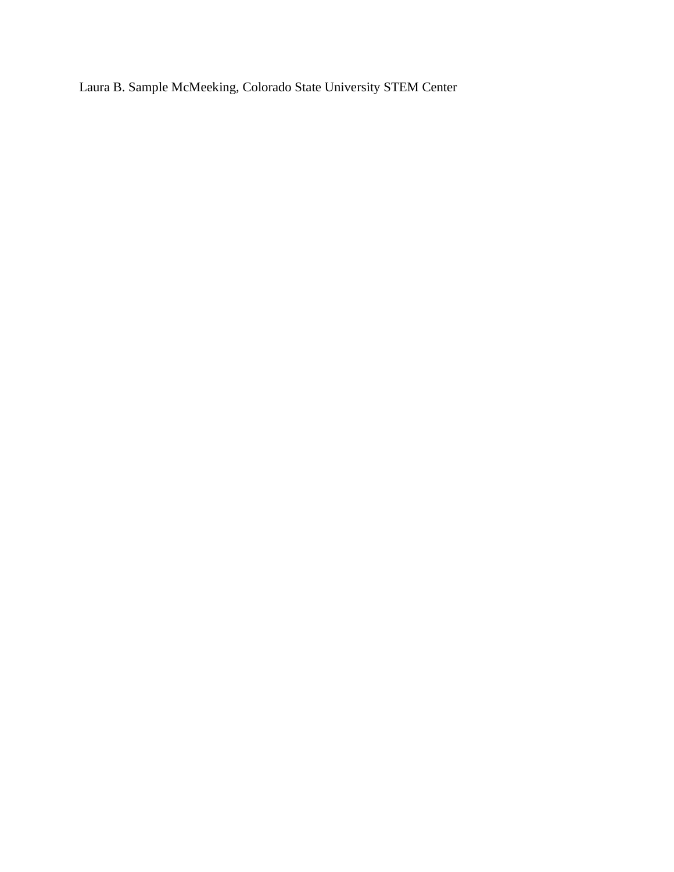Laura B. Sample McMeeking, Colorado State University STEM Center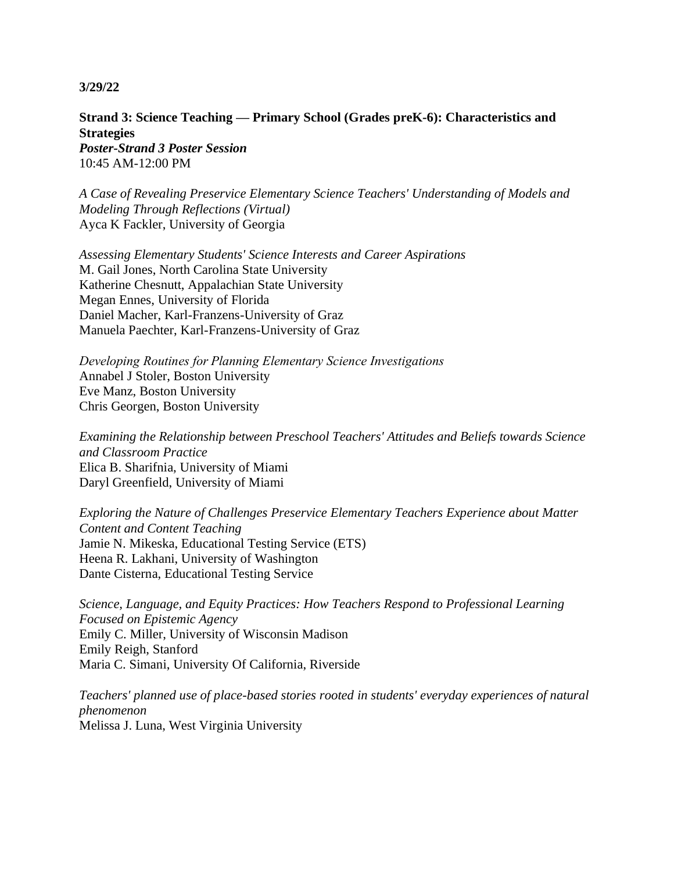**Strand 3: Science Teaching — Primary School (Grades preK-6): Characteristics and Strategies**

*Poster-Strand 3 Poster Session* 10:45 AM-12:00 PM

*A Case of Revealing Preservice Elementary Science Teachers' Understanding of Models and Modeling Through Reflections (Virtual)* Ayca K Fackler, University of Georgia

*Assessing Elementary Students' Science Interests and Career Aspirations* M. Gail Jones, North Carolina State University Katherine Chesnutt, Appalachian State University Megan Ennes, University of Florida Daniel Macher, Karl-Franzens-University of Graz Manuela Paechter, Karl-Franzens-University of Graz

*Developing Routines for Planning Elementary Science Investigations* Annabel J Stoler, Boston University Eve Manz, Boston University Chris Georgen, Boston University

*Examining the Relationship between Preschool Teachers' Attitudes and Beliefs towards Science and Classroom Practice* Elica B. Sharifnia, University of Miami Daryl Greenfield, University of Miami

*Exploring the Nature of Challenges Preservice Elementary Teachers Experience about Matter Content and Content Teaching* Jamie N. Mikeska, Educational Testing Service (ETS) Heena R. Lakhani, University of Washington Dante Cisterna, Educational Testing Service

*Science, Language, and Equity Practices: How Teachers Respond to Professional Learning Focused on Epistemic Agency* Emily C. Miller, University of Wisconsin Madison Emily Reigh, Stanford Maria C. Simani, University Of California, Riverside

*Teachers' planned use of place-based stories rooted in students' everyday experiences of natural phenomenon* Melissa J. Luna, West Virginia University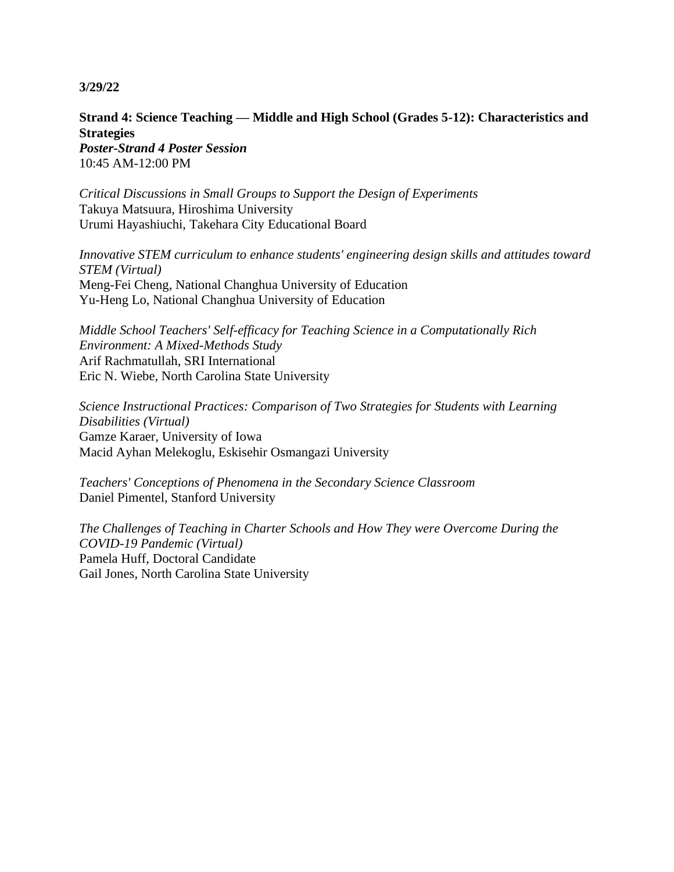**Strand 4: Science Teaching — Middle and High School (Grades 5-12): Characteristics and Strategies**

*Poster-Strand 4 Poster Session* 10:45 AM-12:00 PM

*Critical Discussions in Small Groups to Support the Design of Experiments* Takuya Matsuura, Hiroshima University Urumi Hayashiuchi, Takehara City Educational Board

*Innovative STEM curriculum to enhance students' engineering design skills and attitudes toward STEM (Virtual)* Meng-Fei Cheng, National Changhua University of Education Yu-Heng Lo, National Changhua University of Education

*Middle School Teachers' Self-efficacy for Teaching Science in a Computationally Rich Environment: A Mixed-Methods Study* Arif Rachmatullah, SRI International Eric N. Wiebe, North Carolina State University

*Science Instructional Practices: Comparison of Two Strategies for Students with Learning Disabilities (Virtual)* Gamze Karaer, University of Iowa Macid Ayhan Melekoglu, Eskisehir Osmangazi University

*Teachers' Conceptions of Phenomena in the Secondary Science Classroom* Daniel Pimentel, Stanford University

*The Challenges of Teaching in Charter Schools and How They were Overcome During the COVID-19 Pandemic (Virtual)* Pamela Huff, Doctoral Candidate Gail Jones, North Carolina State University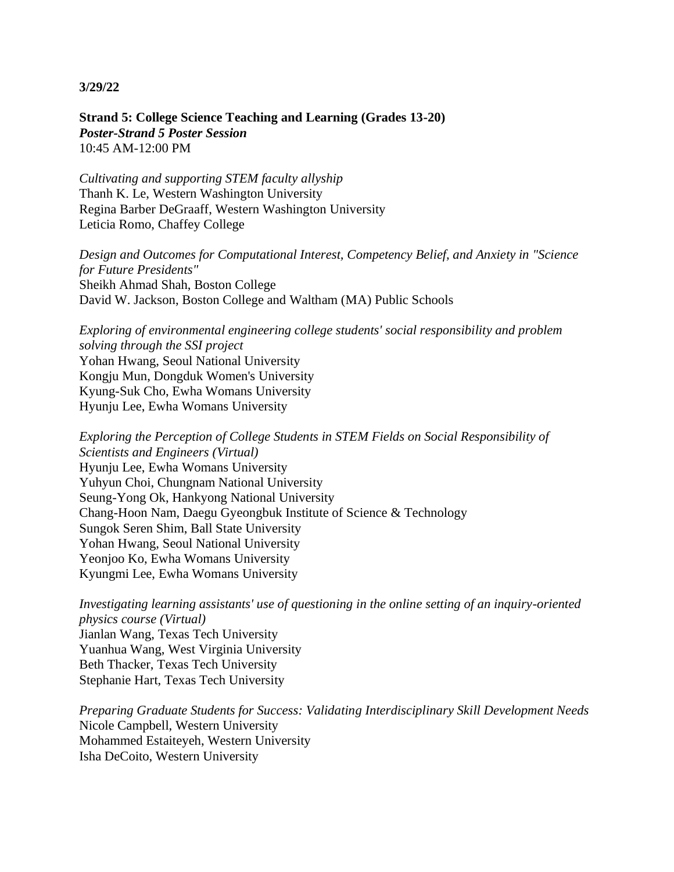**Strand 5: College Science Teaching and Learning (Grades 13-20)** *Poster-Strand 5 Poster Session* 10:45 AM-12:00 PM

*Cultivating and supporting STEM faculty allyship* Thanh K. Le, Western Washington University Regina Barber DeGraaff, Western Washington University Leticia Romo, Chaffey College

*Design and Outcomes for Computational Interest, Competency Belief, and Anxiety in "Science for Future Presidents"* Sheikh Ahmad Shah, Boston College David W. Jackson, Boston College and Waltham (MA) Public Schools

*Exploring of environmental engineering college students' social responsibility and problem solving through the SSI project* Yohan Hwang, Seoul National University Kongju Mun, Dongduk Women's University Kyung-Suk Cho, Ewha Womans University Hyunju Lee, Ewha Womans University

*Exploring the Perception of College Students in STEM Fields on Social Responsibility of Scientists and Engineers (Virtual)* Hyunju Lee, Ewha Womans University Yuhyun Choi, Chungnam National University Seung-Yong Ok, Hankyong National University Chang-Hoon Nam, Daegu Gyeongbuk Institute of Science & Technology Sungok Seren Shim, Ball State University Yohan Hwang, Seoul National University Yeonjoo Ko, Ewha Womans University Kyungmi Lee, Ewha Womans University

*Investigating learning assistants' use of questioning in the online setting of an inquiry-oriented physics course (Virtual)* Jianlan Wang, Texas Tech University Yuanhua Wang, West Virginia University Beth Thacker, Texas Tech University Stephanie Hart, Texas Tech University

*Preparing Graduate Students for Success: Validating Interdisciplinary Skill Development Needs* Nicole Campbell, Western University Mohammed Estaiteyeh, Western University Isha DeCoito, Western University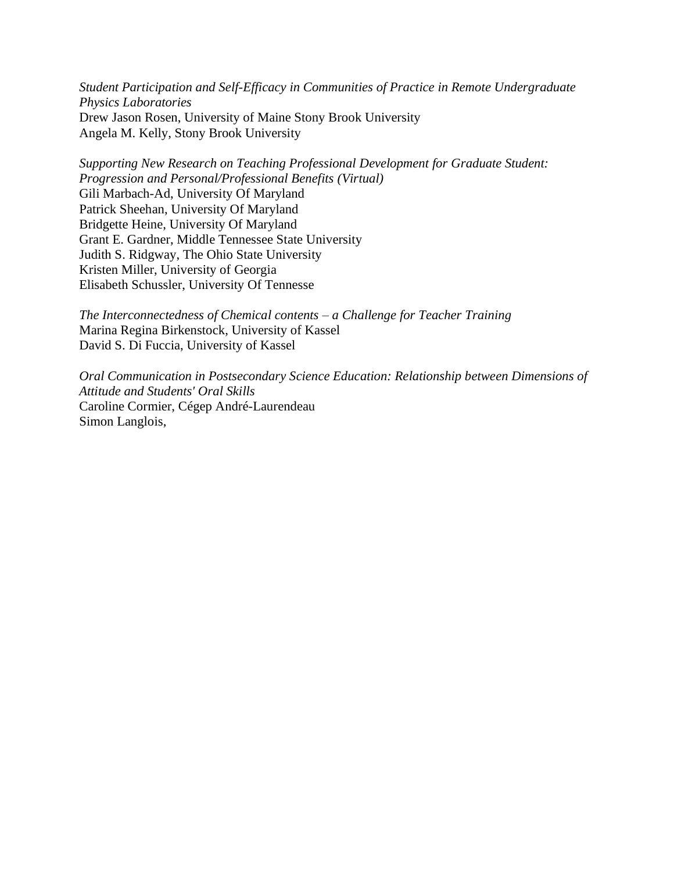*Student Participation and Self-Efficacy in Communities of Practice in Remote Undergraduate Physics Laboratories* Drew Jason Rosen, University of Maine Stony Brook University Angela M. Kelly, Stony Brook University

*Supporting New Research on Teaching Professional Development for Graduate Student: Progression and Personal/Professional Benefits (Virtual)* Gili Marbach-Ad, University Of Maryland Patrick Sheehan, University Of Maryland Bridgette Heine, University Of Maryland Grant E. Gardner, Middle Tennessee State University Judith S. Ridgway, The Ohio State University Kristen Miller, University of Georgia Elisabeth Schussler, University Of Tennesse

*The Interconnectedness of Chemical contents – a Challenge for Teacher Training* Marina Regina Birkenstock, University of Kassel David S. Di Fuccia, University of Kassel

*Oral Communication in Postsecondary Science Education: Relationship between Dimensions of Attitude and Students' Oral Skills* Caroline Cormier, Cégep André-Laurendeau Simon Langlois,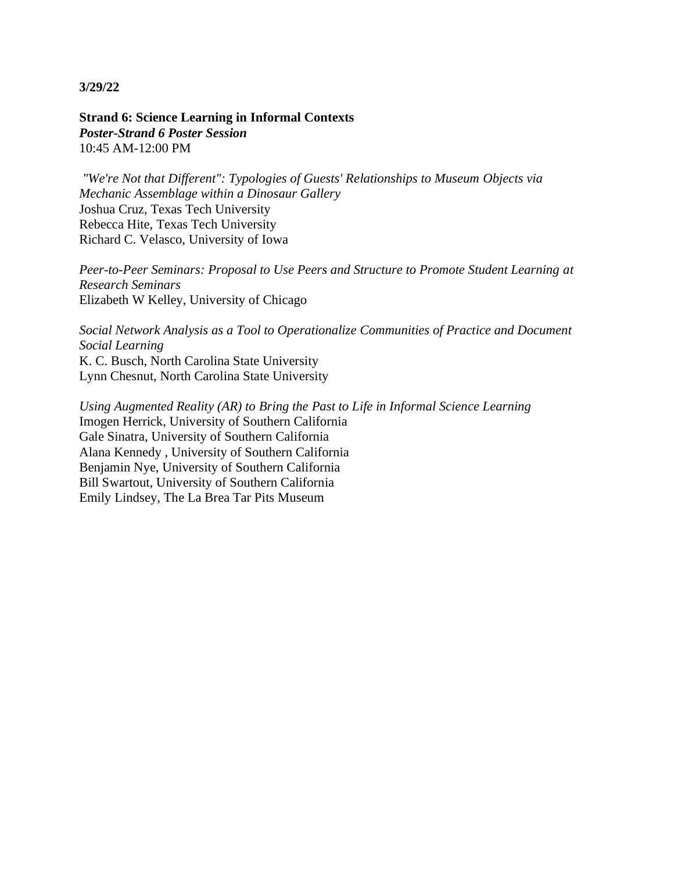**Strand 6: Science Learning in Informal Contexts** *Poster-Strand 6 Poster Session* 10:45 AM-12:00 PM

*"We're Not that Different": Typologies of Guests' Relationships to Museum Objects via Mechanic Assemblage within a Dinosaur Gallery* Joshua Cruz, Texas Tech University Rebecca Hite, Texas Tech University Richard C. Velasco, University of Iowa

*Peer-to-Peer Seminars: Proposal to Use Peers and Structure to Promote Student Learning at Research Seminars* Elizabeth W Kelley, University of Chicago

*Social Network Analysis as a Tool to Operationalize Communities of Practice and Document Social Learning* K. C. Busch, North Carolina State University Lynn Chesnut, North Carolina State University

*Using Augmented Reality (AR) to Bring the Past to Life in Informal Science Learning* Imogen Herrick, University of Southern California Gale Sinatra, University of Southern California Alana Kennedy , University of Southern California Benjamin Nye, University of Southern California Bill Swartout, University of Southern California Emily Lindsey, The La Brea Tar Pits Museum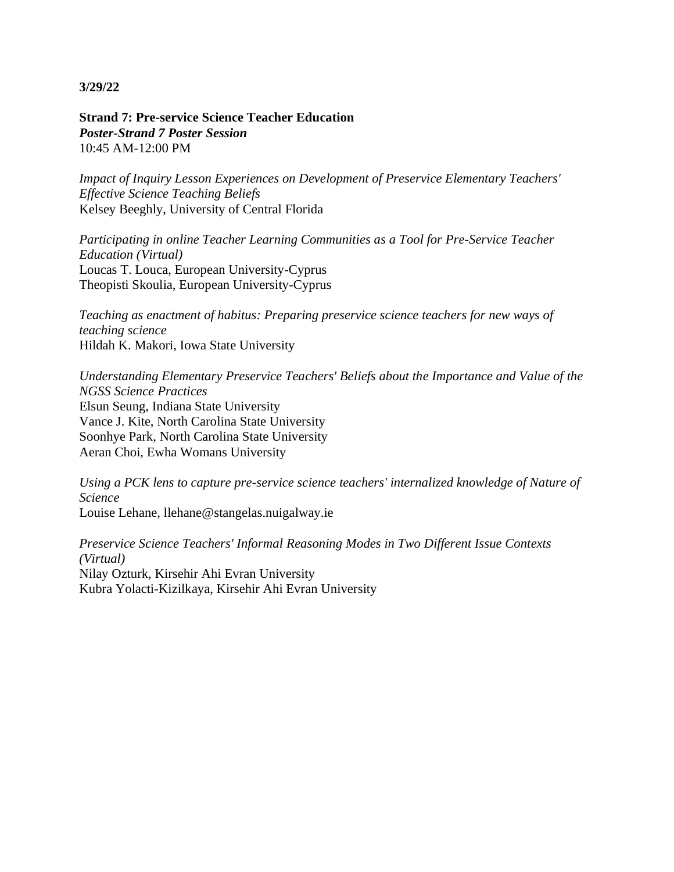**Strand 7: Pre-service Science Teacher Education** *Poster-Strand 7 Poster Session* 10:45 AM-12:00 PM

*Impact of Inquiry Lesson Experiences on Development of Preservice Elementary Teachers' Effective Science Teaching Beliefs* Kelsey Beeghly, University of Central Florida

*Participating in online Teacher Learning Communities as a Tool for Pre-Service Teacher Education (Virtual)* Loucas T. Louca, European University-Cyprus Theopisti Skoulia, European University-Cyprus

*Teaching as enactment of habitus: Preparing preservice science teachers for new ways of teaching science* Hildah K. Makori, Iowa State University

*Understanding Elementary Preservice Teachers' Beliefs about the Importance and Value of the NGSS Science Practices* Elsun Seung, Indiana State University Vance J. Kite, North Carolina State University Soonhye Park, North Carolina State University Aeran Choi, Ewha Womans University

*Using a PCK lens to capture pre-service science teachers' internalized knowledge of Nature of Science* Louise Lehane, llehane@stangelas.nuigalway.ie

*Preservice Science Teachers' Informal Reasoning Modes in Two Different Issue Contexts (Virtual)* Nilay Ozturk, Kirsehir Ahi Evran University Kubra Yolacti-Kizilkaya, Kirsehir Ahi Evran University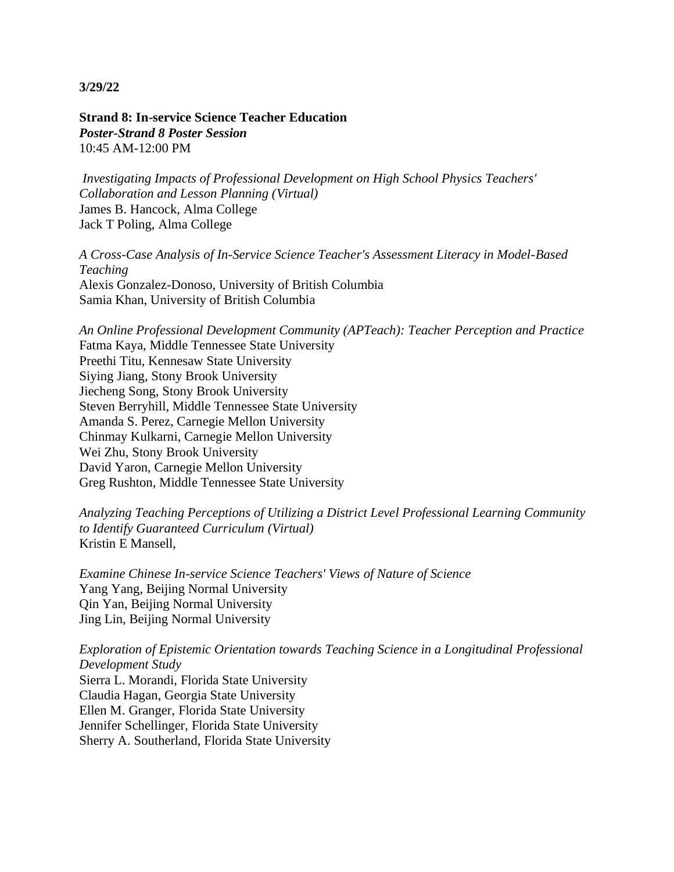**Strand 8: In-service Science Teacher Education** *Poster-Strand 8 Poster Session* 10:45 AM-12:00 PM

*Investigating Impacts of Professional Development on High School Physics Teachers' Collaboration and Lesson Planning (Virtual)* James B. Hancock, Alma College Jack T Poling, Alma College

*A Cross-Case Analysis of In-Service Science Teacher's Assessment Literacy in Model-Based Teaching* Alexis Gonzalez-Donoso, University of British Columbia Samia Khan, University of British Columbia

*An Online Professional Development Community (APTeach): Teacher Perception and Practice* Fatma Kaya, Middle Tennessee State University Preethi Titu, Kennesaw State University Siying Jiang, Stony Brook University Jiecheng Song, Stony Brook University Steven Berryhill, Middle Tennessee State University Amanda S. Perez, Carnegie Mellon University Chinmay Kulkarni, Carnegie Mellon University Wei Zhu, Stony Brook University David Yaron, Carnegie Mellon University Greg Rushton, Middle Tennessee State University

*Analyzing Teaching Perceptions of Utilizing a District Level Professional Learning Community to Identify Guaranteed Curriculum (Virtual)* Kristin E Mansell,

*Examine Chinese In-service Science Teachers' Views of Nature of Science* Yang Yang, Beijing Normal University Qin Yan, Beijing Normal University Jing Lin, Beijing Normal University

*Exploration of Epistemic Orientation towards Teaching Science in a Longitudinal Professional Development Study*

Sierra L. Morandi, Florida State University Claudia Hagan, Georgia State University Ellen M. Granger, Florida State University Jennifer Schellinger, Florida State University Sherry A. Southerland, Florida State University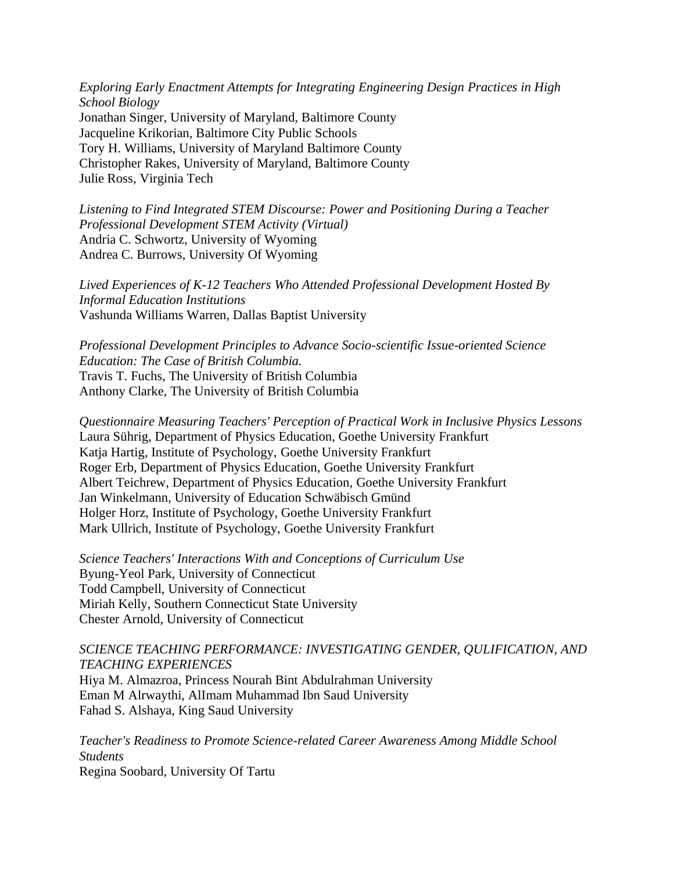*Exploring Early Enactment Attempts for Integrating Engineering Design Practices in High School Biology* Jonathan Singer, University of Maryland, Baltimore County Jacqueline Krikorian, Baltimore City Public Schools Tory H. Williams, University of Maryland Baltimore County Christopher Rakes, University of Maryland, Baltimore County Julie Ross, Virginia Tech

*Listening to Find Integrated STEM Discourse: Power and Positioning During a Teacher Professional Development STEM Activity (Virtual)* Andria C. Schwortz, University of Wyoming Andrea C. Burrows, University Of Wyoming

*Lived Experiences of K-12 Teachers Who Attended Professional Development Hosted By Informal Education Institutions* Vashunda Williams Warren, Dallas Baptist University

*Professional Development Principles to Advance Socio-scientific Issue-oriented Science Education: The Case of British Columbia.* Travis T. Fuchs, The University of British Columbia Anthony Clarke, The University of British Columbia

*Questionnaire Measuring Teachers' Perception of Practical Work in Inclusive Physics Lessons* Laura Sührig, Department of Physics Education, Goethe University Frankfurt Katja Hartig, Institute of Psychology, Goethe University Frankfurt Roger Erb, Department of Physics Education, Goethe University Frankfurt Albert Teichrew, Department of Physics Education, Goethe University Frankfurt Jan Winkelmann, University of Education Schwäbisch Gmünd Holger Horz, Institute of Psychology, Goethe University Frankfurt Mark Ullrich, Institute of Psychology, Goethe University Frankfurt

*Science Teachers' Interactions With and Conceptions of Curriculum Use* Byung-Yeol Park, University of Connecticut Todd Campbell, University of Connecticut Miriah Kelly, Southern Connecticut State University Chester Arnold, University of Connecticut

## *SCIENCE TEACHING PERFORMANCE: INVESTIGATING GENDER, QULIFICATION, AND TEACHING EXPERIENCES*

Hiya M. Almazroa, Princess Nourah Bint Abdulrahman University Eman M Alrwaythi, AlImam Muhammad Ibn Saud University Fahad S. Alshaya, King Saud University

*Teacher's Readiness to Promote Science-related Career Awareness Among Middle School Students* Regina Soobard, University Of Tartu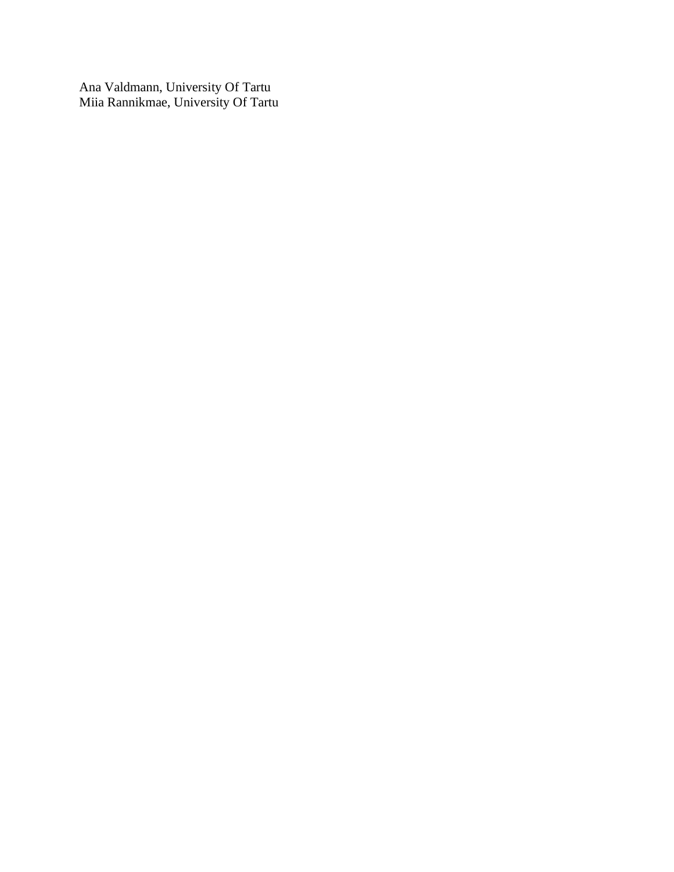Ana Valdmann, University Of Tartu Miia Rannikmae, University Of Tartu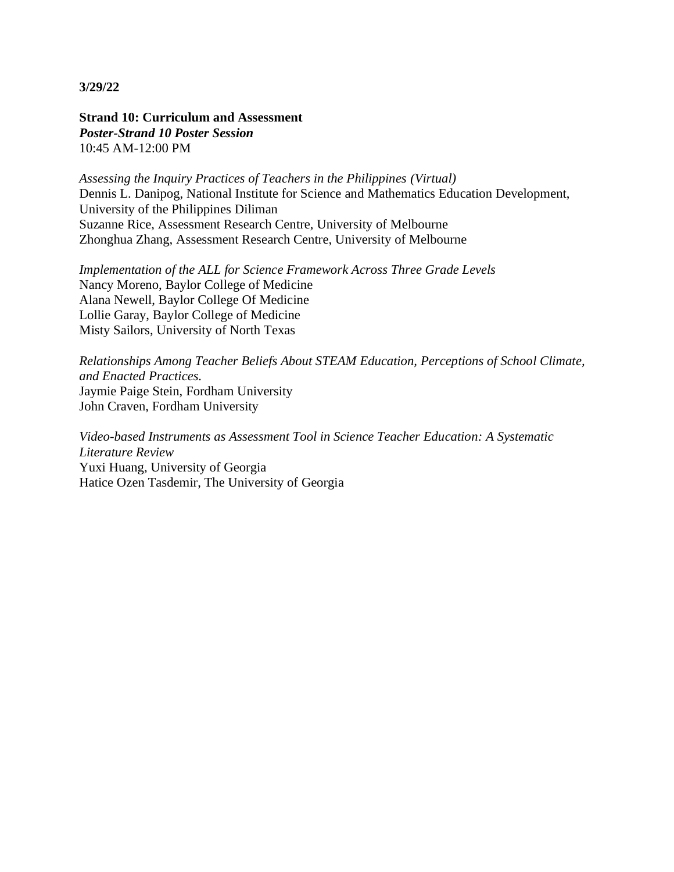**Strand 10: Curriculum and Assessment** *Poster-Strand 10 Poster Session* 10:45 AM-12:00 PM

*Assessing the Inquiry Practices of Teachers in the Philippines (Virtual)* Dennis L. Danipog, National Institute for Science and Mathematics Education Development, University of the Philippines Diliman Suzanne Rice, Assessment Research Centre, University of Melbourne Zhonghua Zhang, Assessment Research Centre, University of Melbourne

*Implementation of the ALL for Science Framework Across Three Grade Levels* Nancy Moreno, Baylor College of Medicine Alana Newell, Baylor College Of Medicine Lollie Garay, Baylor College of Medicine Misty Sailors, University of North Texas

*Relationships Among Teacher Beliefs About STEAM Education, Perceptions of School Climate, and Enacted Practices.* Jaymie Paige Stein, Fordham University John Craven, Fordham University

*Video-based Instruments as Assessment Tool in Science Teacher Education: A Systematic Literature Review* Yuxi Huang, University of Georgia Hatice Ozen Tasdemir, The University of Georgia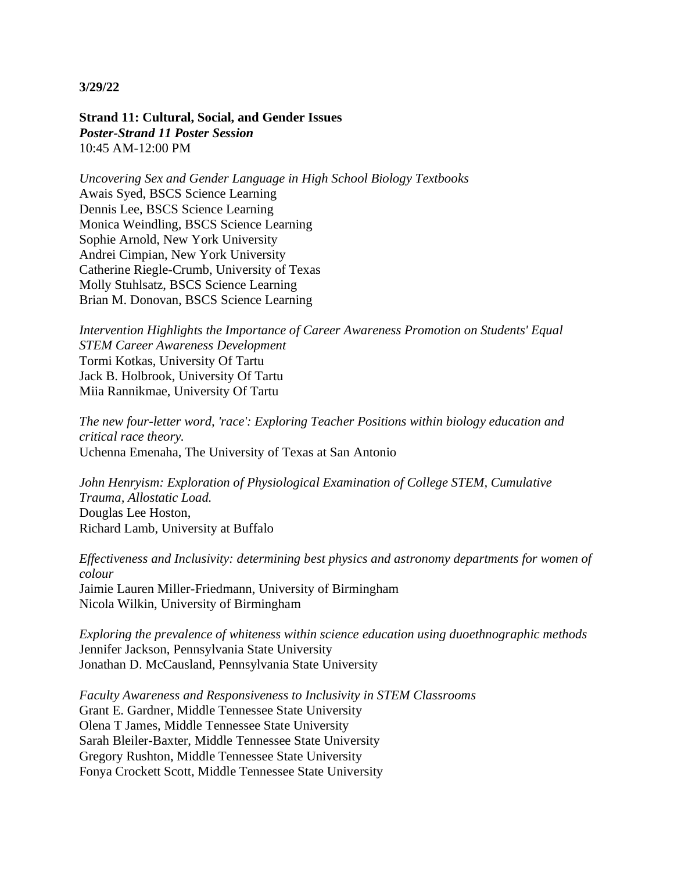**Strand 11: Cultural, Social, and Gender Issues** *Poster-Strand 11 Poster Session* 10:45 AM-12:00 PM

*Uncovering Sex and Gender Language in High School Biology Textbooks* Awais Syed, BSCS Science Learning Dennis Lee, BSCS Science Learning Monica Weindling, BSCS Science Learning Sophie Arnold, New York University Andrei Cimpian, New York University Catherine Riegle-Crumb, University of Texas Molly Stuhlsatz, BSCS Science Learning Brian M. Donovan, BSCS Science Learning

*Intervention Highlights the Importance of Career Awareness Promotion on Students' Equal STEM Career Awareness Development* Tormi Kotkas, University Of Tartu Jack B. Holbrook, University Of Tartu Miia Rannikmae, University Of Tartu

*The new four-letter word, 'race': Exploring Teacher Positions within biology education and critical race theory.* Uchenna Emenaha, The University of Texas at San Antonio

*John Henryism: Exploration of Physiological Examination of College STEM, Cumulative Trauma, Allostatic Load.* Douglas Lee Hoston, Richard Lamb, University at Buffalo

*Effectiveness and Inclusivity: determining best physics and astronomy departments for women of colour* Jaimie Lauren Miller-Friedmann, University of Birmingham Nicola Wilkin, University of Birmingham

*Exploring the prevalence of whiteness within science education using duoethnographic methods* Jennifer Jackson, Pennsylvania State University Jonathan D. McCausland, Pennsylvania State University

*Faculty Awareness and Responsiveness to Inclusivity in STEM Classrooms* Grant E. Gardner, Middle Tennessee State University Olena T James, Middle Tennessee State University Sarah Bleiler-Baxter, Middle Tennessee State University Gregory Rushton, Middle Tennessee State University Fonya Crockett Scott, Middle Tennessee State University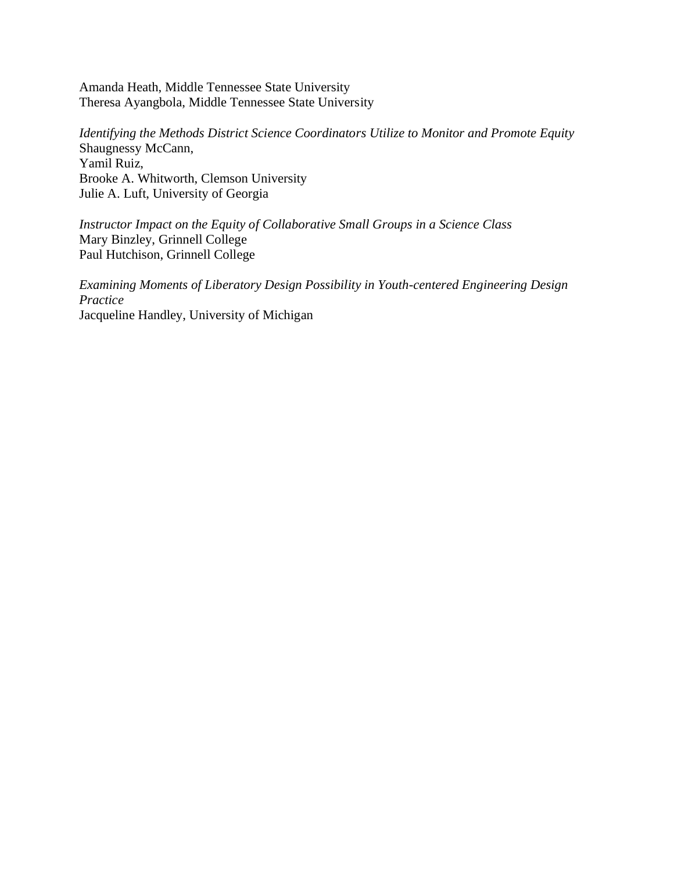Amanda Heath, Middle Tennessee State University Theresa Ayangbola, Middle Tennessee State University

*Identifying the Methods District Science Coordinators Utilize to Monitor and Promote Equity* Shaugnessy McCann, Yamil Ruiz, Brooke A. Whitworth, Clemson University Julie A. Luft, University of Georgia

*Instructor Impact on the Equity of Collaborative Small Groups in a Science Class* Mary Binzley, Grinnell College Paul Hutchison, Grinnell College

*Examining Moments of Liberatory Design Possibility in Youth-centered Engineering Design Practice* Jacqueline Handley, University of Michigan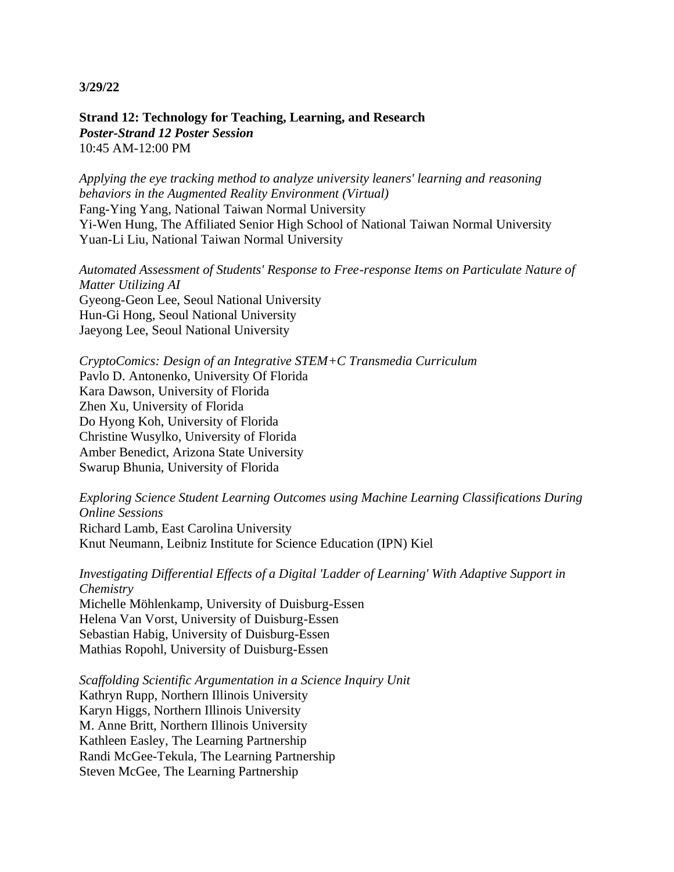**Strand 12: Technology for Teaching, Learning, and Research** *Poster-Strand 12 Poster Session* 10:45 AM-12:00 PM

*Applying the eye tracking method to analyze university leaners' learning and reasoning behaviors in the Augmented Reality Environment (Virtual)* Fang-Ying Yang, National Taiwan Normal University Yi-Wen Hung, The Affiliated Senior High School of National Taiwan Normal University Yuan-Li Liu, National Taiwan Normal University

*Automated Assessment of Students' Response to Free-response Items on Particulate Nature of Matter Utilizing AI* Gyeong-Geon Lee, Seoul National University Hun-Gi Hong, Seoul National University Jaeyong Lee, Seoul National University

*CryptoComics: Design of an Integrative STEM+C Transmedia Curriculum* Pavlo D. Antonenko, University Of Florida Kara Dawson, University of Florida Zhen Xu, University of Florida Do Hyong Koh, University of Florida Christine Wusylko, University of Florida Amber Benedict, Arizona State University Swarup Bhunia, University of Florida

*Exploring Science Student Learning Outcomes using Machine Learning Classifications During Online Sessions* Richard Lamb, East Carolina University

Knut Neumann, Leibniz Institute for Science Education (IPN) Kiel

*Investigating Differential Effects of a Digital 'Ladder of Learning' With Adaptive Support in Chemistry*

Michelle Möhlenkamp, University of Duisburg-Essen Helena Van Vorst, University of Duisburg-Essen Sebastian Habig, University of Duisburg-Essen Mathias Ropohl, University of Duisburg-Essen

*Scaffolding Scientific Argumentation in a Science Inquiry Unit* Kathryn Rupp, Northern Illinois University Karyn Higgs, Northern Illinois University M. Anne Britt, Northern Illinois University Kathleen Easley, The Learning Partnership Randi McGee-Tekula, The Learning Partnership Steven McGee, The Learning Partnership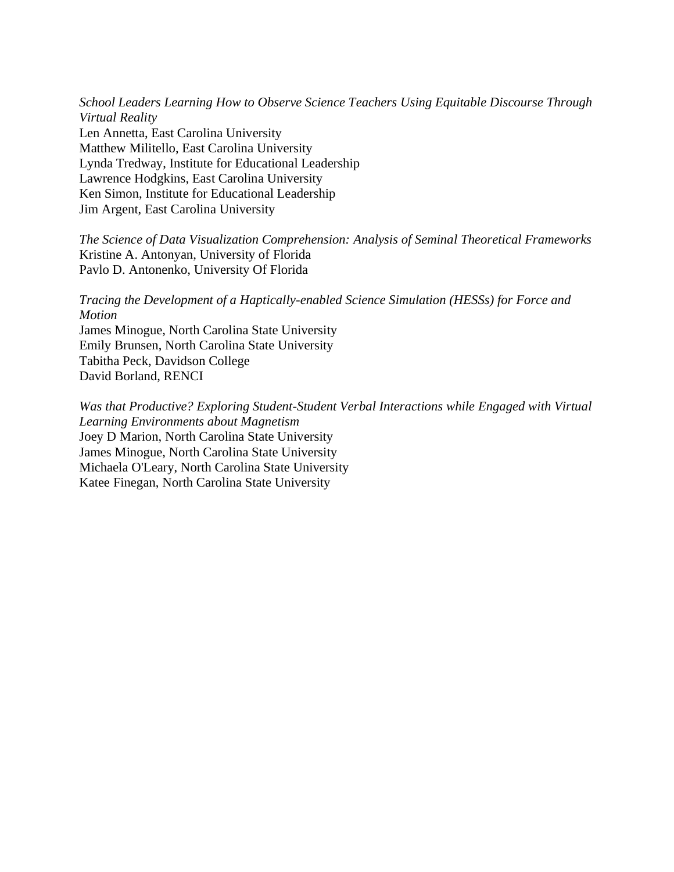*School Leaders Learning How to Observe Science Teachers Using Equitable Discourse Through Virtual Reality* Len Annetta, East Carolina University Matthew Militello, East Carolina University Lynda Tredway, Institute for Educational Leadership Lawrence Hodgkins, East Carolina University Ken Simon, Institute for Educational Leadership Jim Argent, East Carolina University

*The Science of Data Visualization Comprehension: Analysis of Seminal Theoretical Frameworks* Kristine A. Antonyan, University of Florida Pavlo D. Antonenko, University Of Florida

*Tracing the Development of a Haptically-enabled Science Simulation (HESSs) for Force and Motion* James Minogue, North Carolina State University Emily Brunsen, North Carolina State University Tabitha Peck, Davidson College David Borland, RENCI

*Was that Productive? Exploring Student-Student Verbal Interactions while Engaged with Virtual Learning Environments about Magnetism* Joey D Marion, North Carolina State University James Minogue, North Carolina State University Michaela O'Leary, North Carolina State University Katee Finegan, North Carolina State University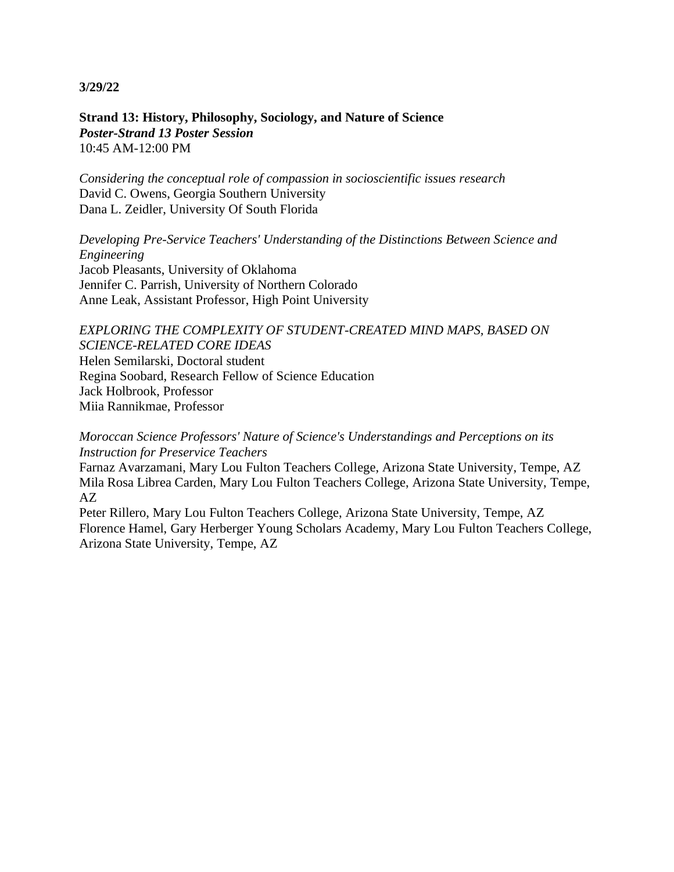**Strand 13: History, Philosophy, Sociology, and Nature of Science** *Poster-Strand 13 Poster Session* 10:45 AM-12:00 PM

*Considering the conceptual role of compassion in socioscientific issues research* David C. Owens, Georgia Southern University Dana L. Zeidler, University Of South Florida

*Developing Pre-Service Teachers' Understanding of the Distinctions Between Science and Engineering* Jacob Pleasants, University of Oklahoma Jennifer C. Parrish, University of Northern Colorado Anne Leak, Assistant Professor, High Point University

*EXPLORING THE COMPLEXITY OF STUDENT-CREATED MIND MAPS, BASED ON SCIENCE-RELATED CORE IDEAS* Helen Semilarski, Doctoral student Regina Soobard, Research Fellow of Science Education Jack Holbrook, Professor Miia Rannikmae, Professor

*Moroccan Science Professors' Nature of Science's Understandings and Perceptions on its Instruction for Preservice Teachers*

Farnaz Avarzamani, Mary Lou Fulton Teachers College, Arizona State University, Tempe, AZ Mila Rosa Librea Carden, Mary Lou Fulton Teachers College, Arizona State University, Tempe, AZ

Peter Rillero, Mary Lou Fulton Teachers College, Arizona State University, Tempe, AZ Florence Hamel, Gary Herberger Young Scholars Academy, Mary Lou Fulton Teachers College, Arizona State University, Tempe, AZ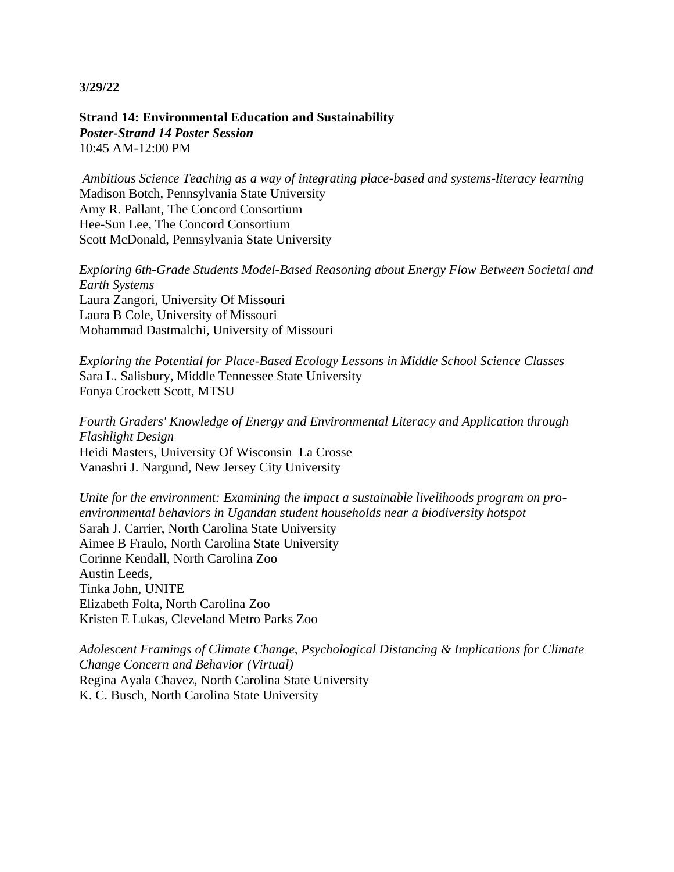**Strand 14: Environmental Education and Sustainability** *Poster-Strand 14 Poster Session* 10:45 AM-12:00 PM

*Ambitious Science Teaching as a way of integrating place-based and systems-literacy learning* Madison Botch, Pennsylvania State University Amy R. Pallant, The Concord Consortium Hee-Sun Lee, The Concord Consortium Scott McDonald, Pennsylvania State University

*Exploring 6th-Grade Students Model-Based Reasoning about Energy Flow Between Societal and Earth Systems* Laura Zangori, University Of Missouri Laura B Cole, University of Missouri Mohammad Dastmalchi, University of Missouri

*Exploring the Potential for Place-Based Ecology Lessons in Middle School Science Classes* Sara L. Salisbury, Middle Tennessee State University Fonya Crockett Scott, MTSU

*Fourth Graders' Knowledge of Energy and Environmental Literacy and Application through Flashlight Design* Heidi Masters, University Of Wisconsin–La Crosse Vanashri J. Nargund, New Jersey City University

*Unite for the environment: Examining the impact a sustainable livelihoods program on proenvironmental behaviors in Ugandan student households near a biodiversity hotspot* Sarah J. Carrier, North Carolina State University Aimee B Fraulo, North Carolina State University Corinne Kendall, North Carolina Zoo Austin Leeds, Tinka John, UNITE Elizabeth Folta, North Carolina Zoo Kristen E Lukas, Cleveland Metro Parks Zoo

*Adolescent Framings of Climate Change, Psychological Distancing & Implications for Climate Change Concern and Behavior (Virtual)* Regina Ayala Chavez, North Carolina State University K. C. Busch, North Carolina State University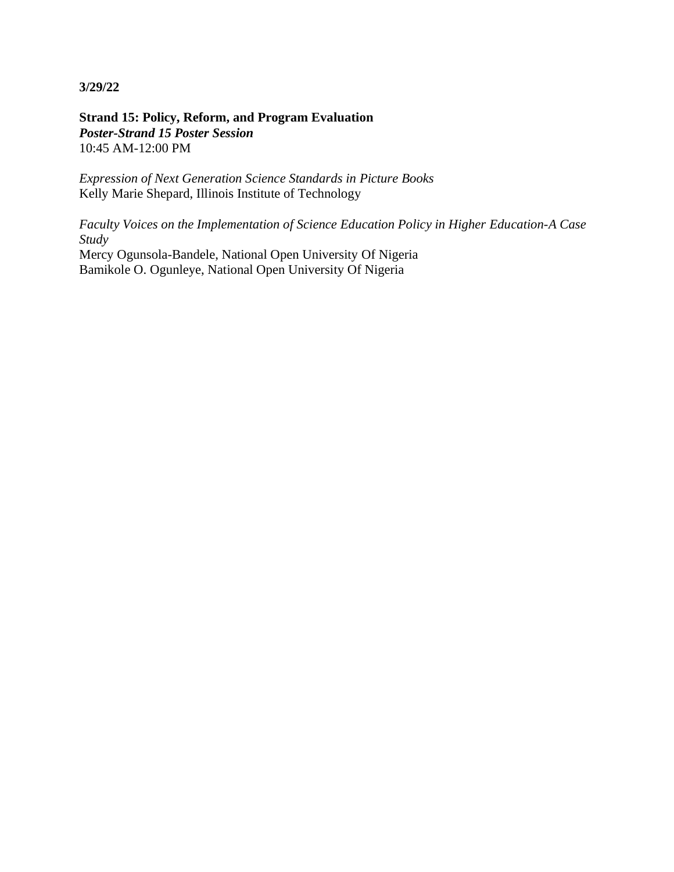**Strand 15: Policy, Reform, and Program Evaluation** *Poster-Strand 15 Poster Session* 10:45 AM-12:00 PM

*Expression of Next Generation Science Standards in Picture Books* Kelly Marie Shepard, Illinois Institute of Technology

*Faculty Voices on the Implementation of Science Education Policy in Higher Education-A Case Study* Mercy Ogunsola-Bandele, National Open University Of Nigeria

Bamikole O. Ogunleye, National Open University Of Nigeria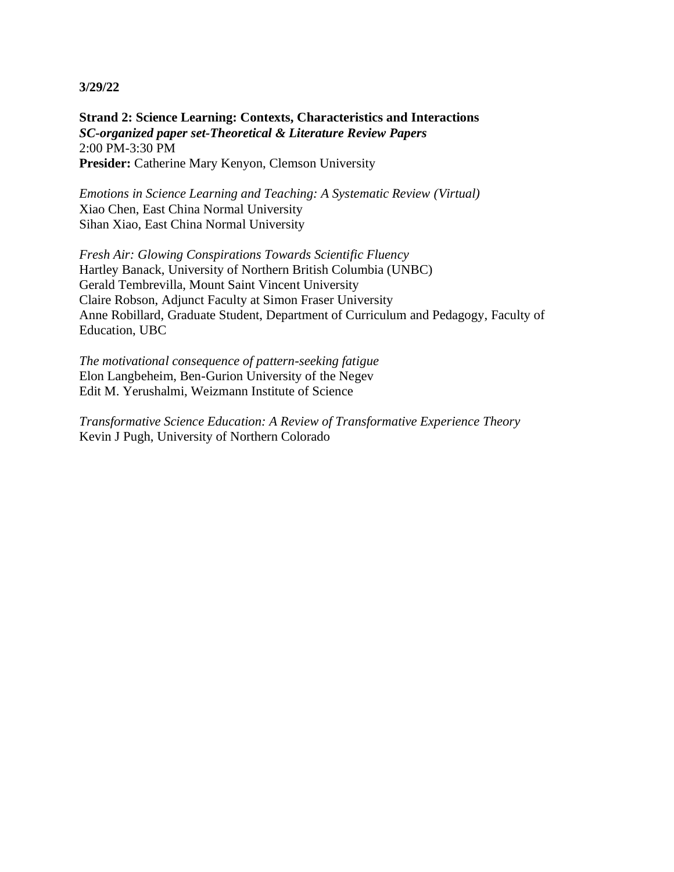**Strand 2: Science Learning: Contexts, Characteristics and Interactions** *SC-organized paper set-Theoretical & Literature Review Papers* 2:00 PM-3:30 PM Presider: Catherine Mary Kenyon, Clemson University

*Emotions in Science Learning and Teaching: A Systematic Review (Virtual)* Xiao Chen, East China Normal University Sihan Xiao, East China Normal University

*Fresh Air: Glowing Conspirations Towards Scientific Fluency* Hartley Banack, University of Northern British Columbia (UNBC) Gerald Tembrevilla, Mount Saint Vincent University Claire Robson, Adjunct Faculty at Simon Fraser University Anne Robillard, Graduate Student, Department of Curriculum and Pedagogy, Faculty of Education, UBC

*The motivational consequence of pattern-seeking fatigue* Elon Langbeheim, Ben-Gurion University of the Negev Edit M. Yerushalmi, Weizmann Institute of Science

*Transformative Science Education: A Review of Transformative Experience Theory* Kevin J Pugh, University of Northern Colorado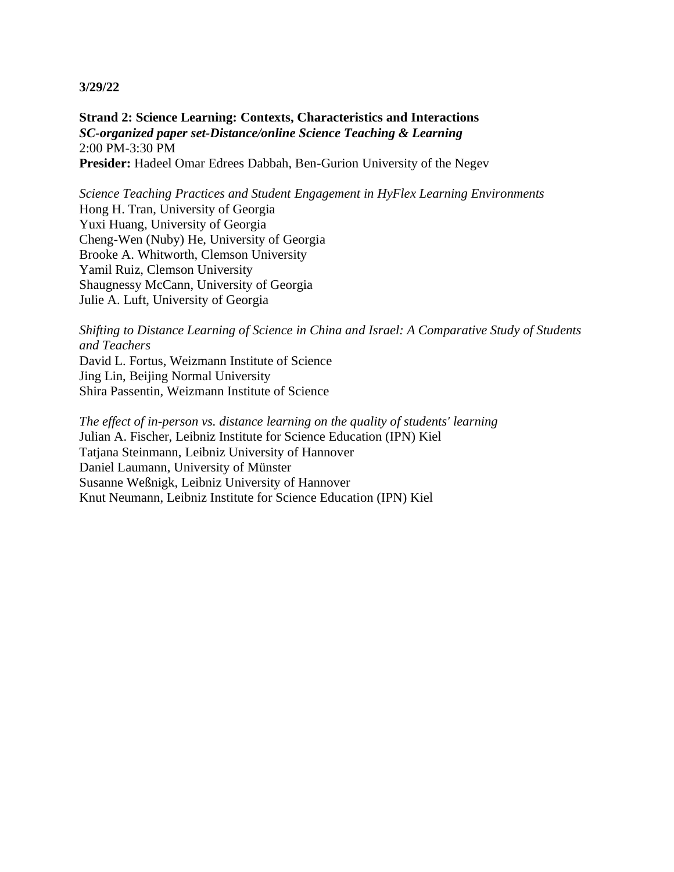**Strand 2: Science Learning: Contexts, Characteristics and Interactions** *SC-organized paper set-Distance/online Science Teaching & Learning* 2:00 PM-3:30 PM **Presider:** Hadeel Omar Edrees Dabbah, Ben-Gurion University of the Negev

*Science Teaching Practices and Student Engagement in HyFlex Learning Environments* Hong H. Tran, University of Georgia Yuxi Huang, University of Georgia Cheng-Wen (Nuby) He, University of Georgia Brooke A. Whitworth, Clemson University Yamil Ruiz, Clemson University Shaugnessy McCann, University of Georgia Julie A. Luft, University of Georgia

*Shifting to Distance Learning of Science in China and Israel: A Comparative Study of Students and Teachers* David L. Fortus, Weizmann Institute of Science Jing Lin, Beijing Normal University

Shira Passentin, Weizmann Institute of Science

*The effect of in-person vs. distance learning on the quality of students' learning* Julian A. Fischer, Leibniz Institute for Science Education (IPN) Kiel Tatjana Steinmann, Leibniz University of Hannover Daniel Laumann, University of Münster Susanne Weßnigk, Leibniz University of Hannover Knut Neumann, Leibniz Institute for Science Education (IPN) Kiel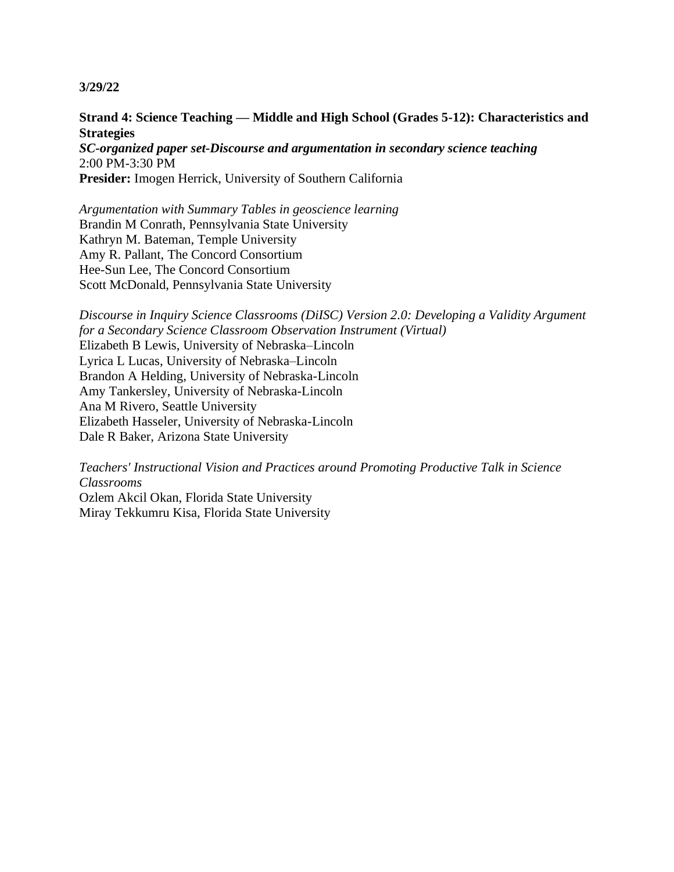# **Strand 4: Science Teaching — Middle and High School (Grades 5-12): Characteristics and Strategies**

*SC-organized paper set-Discourse and argumentation in secondary science teaching* 2:00 PM-3:30 PM **Presider:** Imogen Herrick, University of Southern California

*Argumentation with Summary Tables in geoscience learning* Brandin M Conrath, Pennsylvania State University Kathryn M. Bateman, Temple University Amy R. Pallant, The Concord Consortium Hee-Sun Lee, The Concord Consortium Scott McDonald, Pennsylvania State University

*Discourse in Inquiry Science Classrooms (DiISC) Version 2.0: Developing a Validity Argument for a Secondary Science Classroom Observation Instrument (Virtual)* Elizabeth B Lewis, University of Nebraska–Lincoln Lyrica L Lucas, University of Nebraska–Lincoln Brandon A Helding, University of Nebraska-Lincoln Amy Tankersley, University of Nebraska-Lincoln Ana M Rivero, Seattle University Elizabeth Hasseler, University of Nebraska-Lincoln Dale R Baker, Arizona State University

*Teachers' Instructional Vision and Practices around Promoting Productive Talk in Science Classrooms* Ozlem Akcil Okan, Florida State University Miray Tekkumru Kisa, Florida State University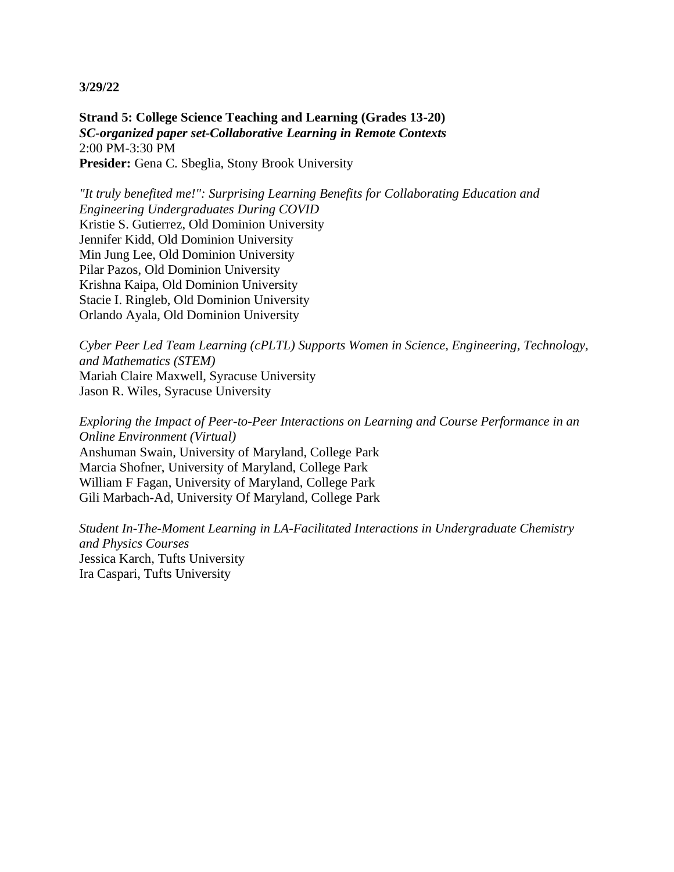**Strand 5: College Science Teaching and Learning (Grades 13-20)** *SC-organized paper set-Collaborative Learning in Remote Contexts* 2:00 PM-3:30 PM Presider: Gena C. Sbeglia, Stony Brook University

*"It truly benefited me!": Surprising Learning Benefits for Collaborating Education and Engineering Undergraduates During COVID* Kristie S. Gutierrez, Old Dominion University Jennifer Kidd, Old Dominion University Min Jung Lee, Old Dominion University Pilar Pazos, Old Dominion University Krishna Kaipa, Old Dominion University Stacie I. Ringleb, Old Dominion University Orlando Ayala, Old Dominion University

*Cyber Peer Led Team Learning (cPLTL) Supports Women in Science, Engineering, Technology, and Mathematics (STEM)* Mariah Claire Maxwell, Syracuse University Jason R. Wiles, Syracuse University

*Exploring the Impact of Peer-to-Peer Interactions on Learning and Course Performance in an Online Environment (Virtual)* Anshuman Swain, University of Maryland, College Park Marcia Shofner, University of Maryland, College Park William F Fagan, University of Maryland, College Park Gili Marbach-Ad, University Of Maryland, College Park

*Student In-The-Moment Learning in LA-Facilitated Interactions in Undergraduate Chemistry and Physics Courses* Jessica Karch, Tufts University Ira Caspari, Tufts University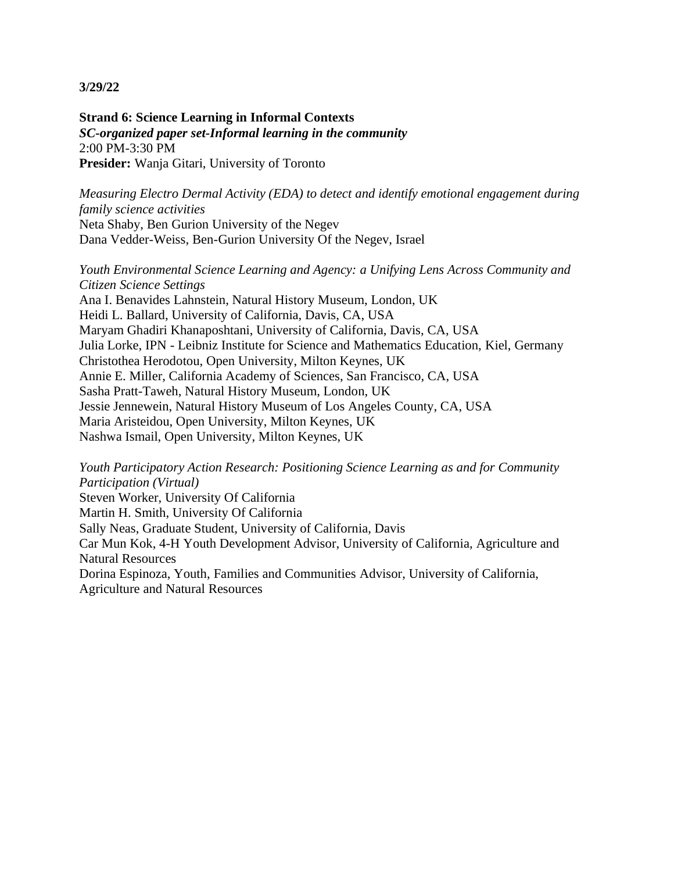**Strand 6: Science Learning in Informal Contexts** *SC-organized paper set-Informal learning in the community* 2:00 PM-3:30 PM **Presider:** Wanja Gitari, University of Toronto

*Measuring Electro Dermal Activity (EDA) to detect and identify emotional engagement during family science activities* Neta Shaby, Ben Gurion University of the Negev Dana Vedder-Weiss, Ben-Gurion University Of the Negev, Israel

*Youth Environmental Science Learning and Agency: a Unifying Lens Across Community and Citizen Science Settings* Ana I. Benavides Lahnstein, Natural History Museum, London, UK Heidi L. Ballard, University of California, Davis, CA, USA Maryam Ghadiri Khanaposhtani, University of California, Davis, CA, USA Julia Lorke, IPN - Leibniz Institute for Science and Mathematics Education, Kiel, Germany Christothea Herodotou, Open University, Milton Keynes, UK Annie E. Miller, California Academy of Sciences, San Francisco, CA, USA Sasha Pratt-Taweh, Natural History Museum, London, UK Jessie Jennewein, Natural History Museum of Los Angeles County, CA, USA Maria Aristeidou, Open University, Milton Keynes, UK Nashwa Ismail, Open University, Milton Keynes, UK

*Youth Participatory Action Research: Positioning Science Learning as and for Community Participation (Virtual)* Steven Worker, University Of California Martin H. Smith, University Of California Sally Neas, Graduate Student, University of California, Davis Car Mun Kok, 4-H Youth Development Advisor, University of California, Agriculture and Natural Resources Dorina Espinoza, Youth, Families and Communities Advisor, University of California, Agriculture and Natural Resources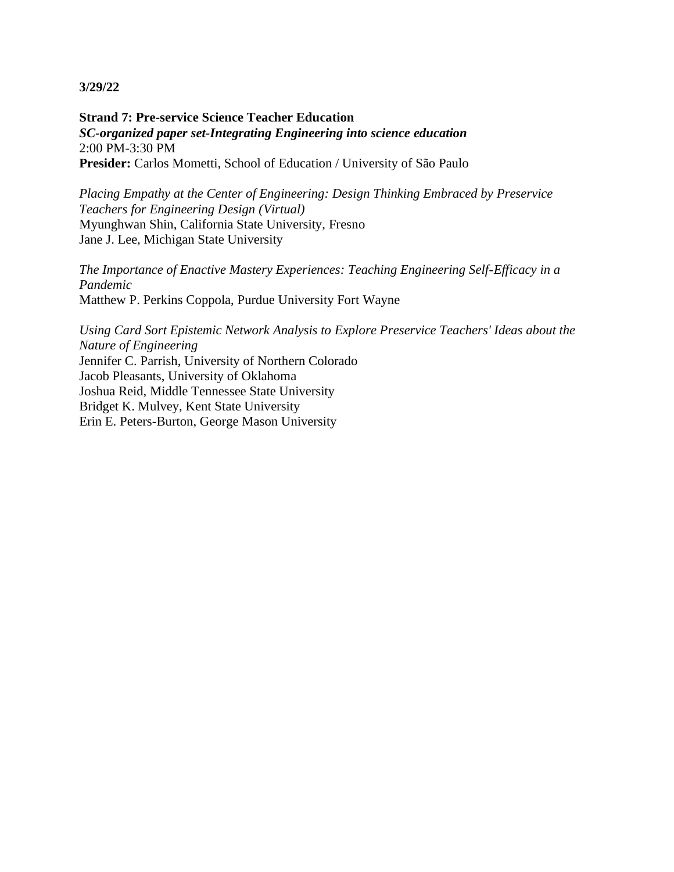**Strand 7: Pre-service Science Teacher Education** *SC-organized paper set-Integrating Engineering into science education* 2:00 PM-3:30 PM **Presider:** Carlos Mometti, School of Education / University of São Paulo

*Placing Empathy at the Center of Engineering: Design Thinking Embraced by Preservice Teachers for Engineering Design (Virtual)* Myunghwan Shin, California State University, Fresno Jane J. Lee, Michigan State University

*The Importance of Enactive Mastery Experiences: Teaching Engineering Self-Efficacy in a Pandemic* Matthew P. Perkins Coppola, Purdue University Fort Wayne

*Using Card Sort Epistemic Network Analysis to Explore Preservice Teachers' Ideas about the Nature of Engineering* Jennifer C. Parrish, University of Northern Colorado Jacob Pleasants, University of Oklahoma Joshua Reid, Middle Tennessee State University Bridget K. Mulvey, Kent State University Erin E. Peters-Burton, George Mason University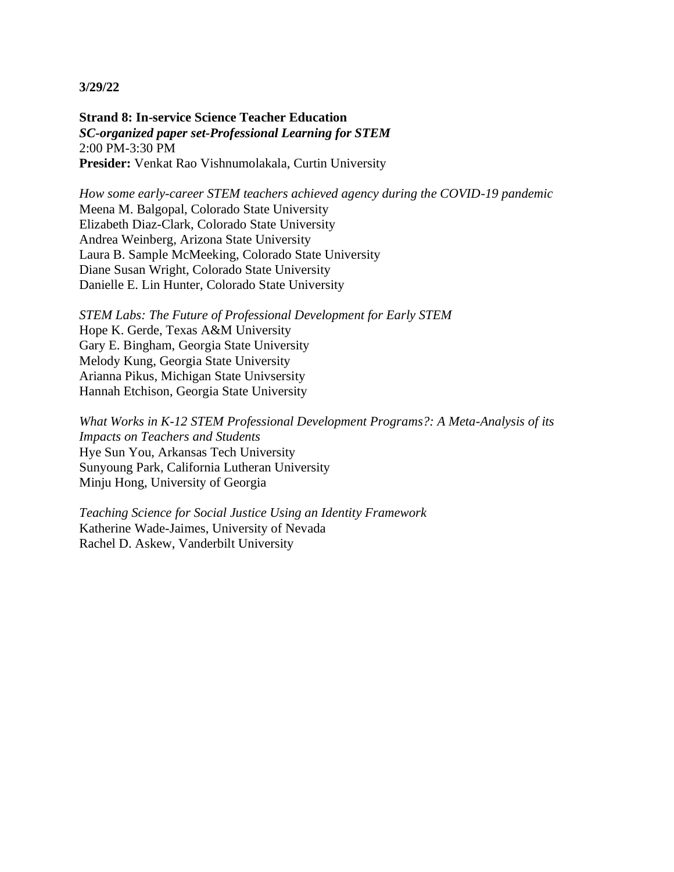**Strand 8: In-service Science Teacher Education** *SC-organized paper set-Professional Learning for STEM* 2:00 PM-3:30 PM **Presider:** Venkat Rao Vishnumolakala, Curtin University

*How some early-career STEM teachers achieved agency during the COVID-19 pandemic* Meena M. Balgopal, Colorado State University Elizabeth Diaz-Clark, Colorado State University Andrea Weinberg, Arizona State University Laura B. Sample McMeeking, Colorado State University Diane Susan Wright, Colorado State University Danielle E. Lin Hunter, Colorado State University

*STEM Labs: The Future of Professional Development for Early STEM* Hope K. Gerde, Texas A&M University Gary E. Bingham, Georgia State University Melody Kung, Georgia State University Arianna Pikus, Michigan State Univsersity Hannah Etchison, Georgia State University

*What Works in K-12 STEM Professional Development Programs?: A Meta-Analysis of its Impacts on Teachers and Students* Hye Sun You, Arkansas Tech University Sunyoung Park, California Lutheran University Minju Hong, University of Georgia

*Teaching Science for Social Justice Using an Identity Framework* Katherine Wade-Jaimes, University of Nevada Rachel D. Askew, Vanderbilt University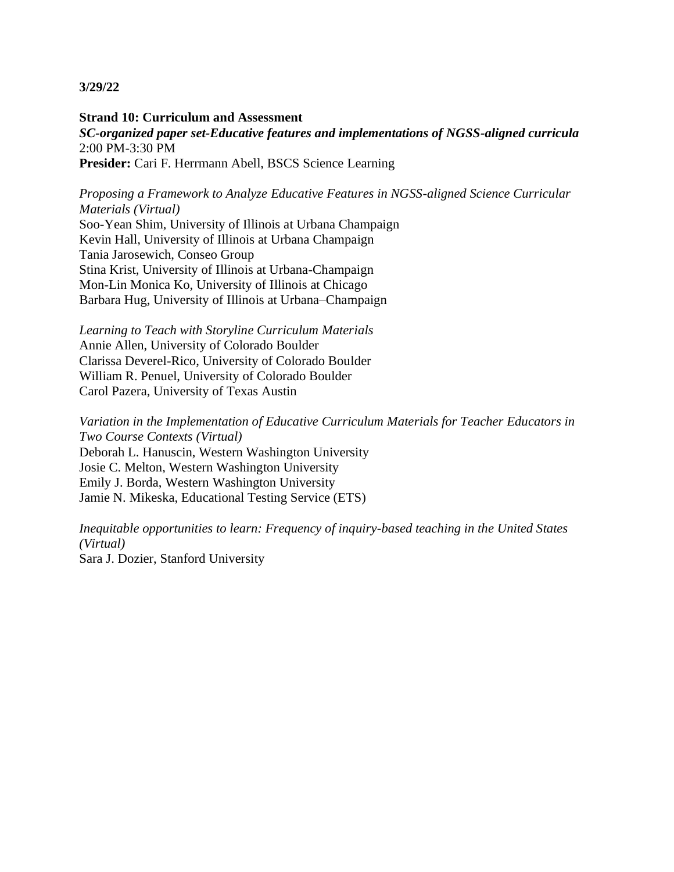**Strand 10: Curriculum and Assessment** *SC-organized paper set-Educative features and implementations of NGSS-aligned curricula* 2:00 PM-3:30 PM **Presider:** Cari F. Herrmann Abell, BSCS Science Learning

*Proposing a Framework to Analyze Educative Features in NGSS-aligned Science Curricular Materials (Virtual)*

Soo-Yean Shim, University of Illinois at Urbana Champaign Kevin Hall, University of Illinois at Urbana Champaign Tania Jarosewich, Conseo Group Stina Krist, University of Illinois at Urbana-Champaign Mon-Lin Monica Ko, University of Illinois at Chicago Barbara Hug, University of Illinois at Urbana–Champaign

*Learning to Teach with Storyline Curriculum Materials* Annie Allen, University of Colorado Boulder Clarissa Deverel-Rico, University of Colorado Boulder William R. Penuel, University of Colorado Boulder Carol Pazera, University of Texas Austin

*Variation in the Implementation of Educative Curriculum Materials for Teacher Educators in Two Course Contexts (Virtual)* Deborah L. Hanuscin, Western Washington University Josie C. Melton, Western Washington University Emily J. Borda, Western Washington University Jamie N. Mikeska, Educational Testing Service (ETS)

*Inequitable opportunities to learn: Frequency of inquiry-based teaching in the United States (Virtual)* Sara J. Dozier, Stanford University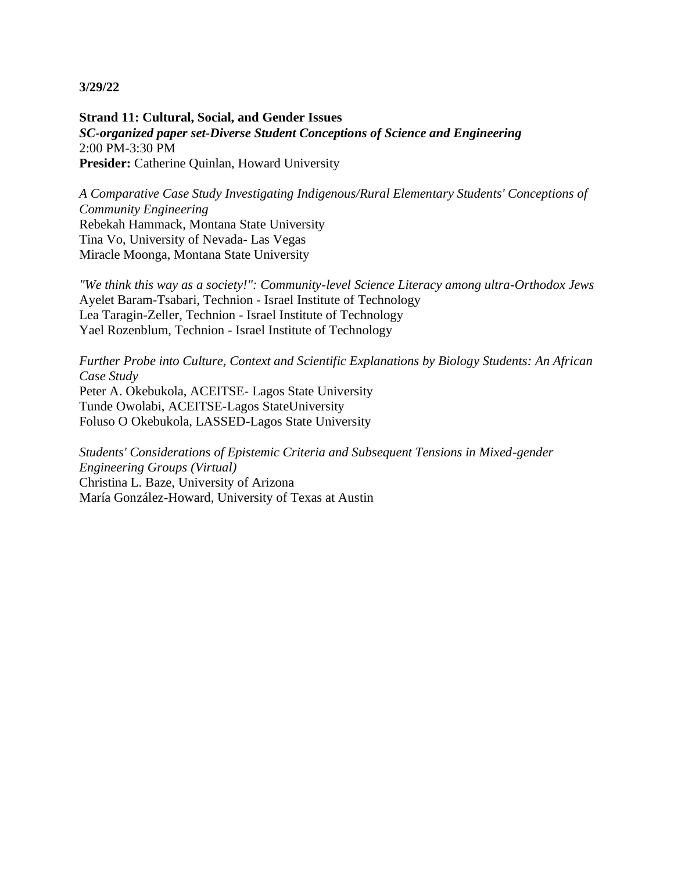**Strand 11: Cultural, Social, and Gender Issues** *SC-organized paper set-Diverse Student Conceptions of Science and Engineering* 2:00 PM-3:30 PM **Presider:** Catherine Quinlan, Howard University

*A Comparative Case Study Investigating Indigenous/Rural Elementary Students' Conceptions of Community Engineering* Rebekah Hammack, Montana State University Tina Vo, University of Nevada- Las Vegas Miracle Moonga, Montana State University

*"We think this way as a society!": Community-level Science Literacy among ultra-Orthodox Jews* Ayelet Baram-Tsabari, Technion - Israel Institute of Technology Lea Taragin-Zeller, Technion - Israel Institute of Technology Yael Rozenblum, Technion - Israel Institute of Technology

*Further Probe into Culture, Context and Scientific Explanations by Biology Students: An African Case Study* Peter A. Okebukola, ACEITSE- Lagos State University Tunde Owolabi, ACEITSE-Lagos StateUniversity Foluso O Okebukola, LASSED-Lagos State University

*Students' Considerations of Epistemic Criteria and Subsequent Tensions in Mixed-gender Engineering Groups (Virtual)* Christina L. Baze, University of Arizona María González-Howard, University of Texas at Austin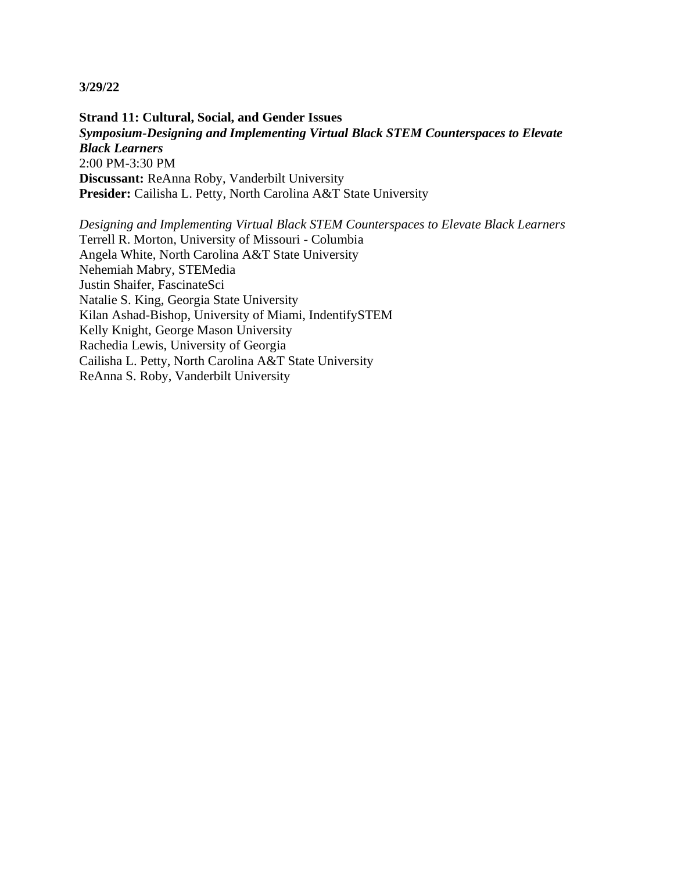**Strand 11: Cultural, Social, and Gender Issues** *Symposium-Designing and Implementing Virtual Black STEM Counterspaces to Elevate Black Learners* 2:00 PM-3:30 PM **Discussant:** ReAnna Roby, Vanderbilt University **Presider:** Cailisha L. Petty, North Carolina A&T State University

*Designing and Implementing Virtual Black STEM Counterspaces to Elevate Black Learners* Terrell R. Morton, University of Missouri - Columbia Angela White, North Carolina A&T State University Nehemiah Mabry, STEMedia Justin Shaifer, FascinateSci Natalie S. King, Georgia State University Kilan Ashad-Bishop, University of Miami, IndentifySTEM Kelly Knight, George Mason University Rachedia Lewis, University of Georgia Cailisha L. Petty, North Carolina A&T State University ReAnna S. Roby, Vanderbilt University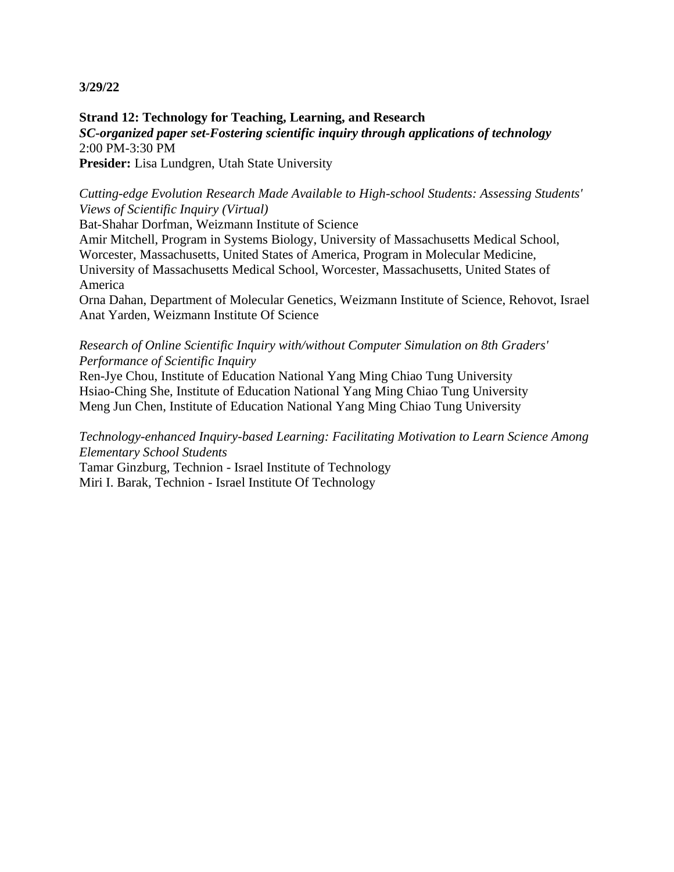**Strand 12: Technology for Teaching, Learning, and Research** *SC-organized paper set-Fostering scientific inquiry through applications of technology* 2:00 PM-3:30 PM **Presider:** Lisa Lundgren, Utah State University

*Cutting-edge Evolution Research Made Available to High-school Students: Assessing Students' Views of Scientific Inquiry (Virtual)*

Bat-Shahar Dorfman, Weizmann Institute of Science

Amir Mitchell, Program in Systems Biology, University of Massachusetts Medical School, Worcester, Massachusetts, United States of America, Program in Molecular Medicine, University of Massachusetts Medical School, Worcester, Massachusetts, United States of America

Orna Dahan, Department of Molecular Genetics, Weizmann Institute of Science, Rehovot, Israel Anat Yarden, Weizmann Institute Of Science

## *Research of Online Scientific Inquiry with/without Computer Simulation on 8th Graders' Performance of Scientific Inquiry*

Ren-Jye Chou, Institute of Education National Yang Ming Chiao Tung University Hsiao-Ching She, Institute of Education National Yang Ming Chiao Tung University Meng Jun Chen, Institute of Education National Yang Ming Chiao Tung University

*Technology-enhanced Inquiry-based Learning: Facilitating Motivation to Learn Science Among Elementary School Students*

Tamar Ginzburg, Technion - Israel Institute of Technology Miri I. Barak, Technion - Israel Institute Of Technology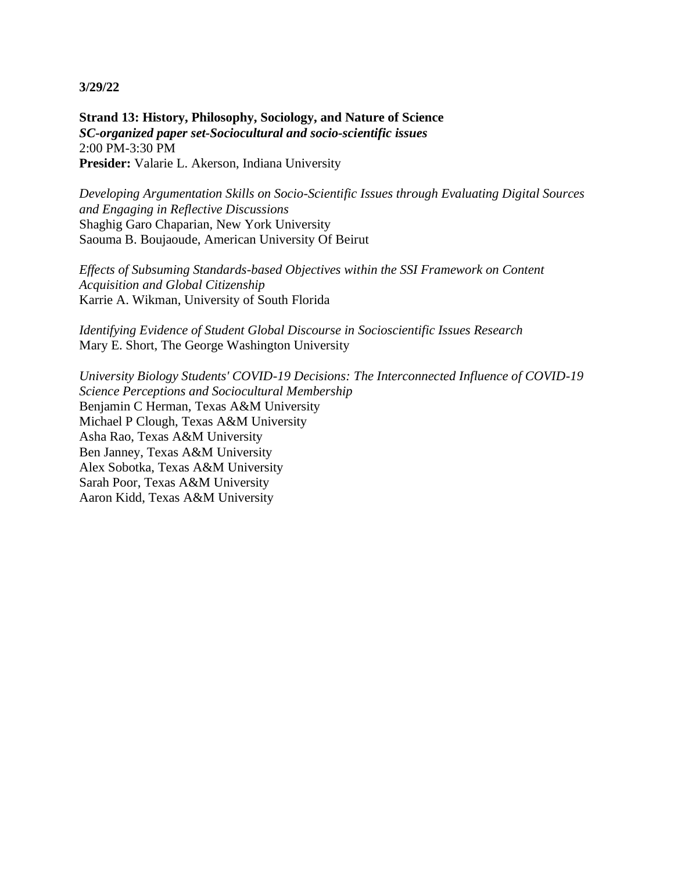**Strand 13: History, Philosophy, Sociology, and Nature of Science** *SC-organized paper set-Sociocultural and socio-scientific issues* 2:00 PM-3:30 PM **Presider:** Valarie L. Akerson, Indiana University

*Developing Argumentation Skills on Socio-Scientific Issues through Evaluating Digital Sources and Engaging in Reflective Discussions* Shaghig Garo Chaparian, New York University Saouma B. Boujaoude, American University Of Beirut

*Effects of Subsuming Standards-based Objectives within the SSI Framework on Content Acquisition and Global Citizenship* Karrie A. Wikman, University of South Florida

*Identifying Evidence of Student Global Discourse in Socioscientific Issues Research* Mary E. Short, The George Washington University

*University Biology Students' COVID-19 Decisions: The Interconnected Influence of COVID-19 Science Perceptions and Sociocultural Membership* Benjamin C Herman, Texas A&M University Michael P Clough, Texas A&M University Asha Rao, Texas A&M University Ben Janney, Texas A&M University Alex Sobotka, Texas A&M University Sarah Poor, Texas A&M University Aaron Kidd, Texas A&M University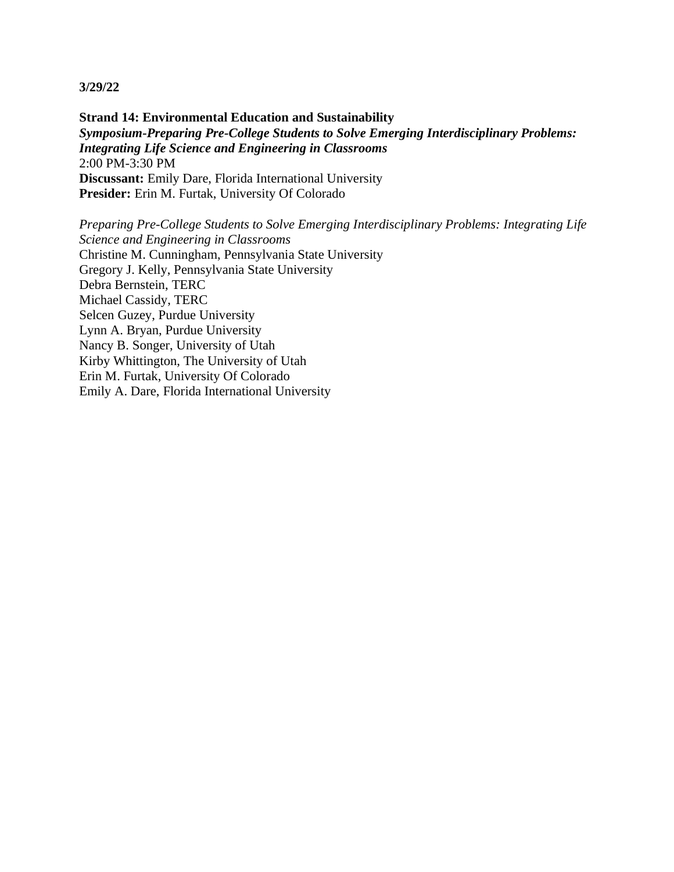**Strand 14: Environmental Education and Sustainability** *Symposium-Preparing Pre-College Students to Solve Emerging Interdisciplinary Problems: Integrating Life Science and Engineering in Classrooms* 2:00 PM-3:30 PM **Discussant:** Emily Dare, Florida International University **Presider:** Erin M. Furtak, University Of Colorado

*Preparing Pre-College Students to Solve Emerging Interdisciplinary Problems: Integrating Life Science and Engineering in Classrooms* Christine M. Cunningham, Pennsylvania State University Gregory J. Kelly, Pennsylvania State University Debra Bernstein, TERC Michael Cassidy, TERC Selcen Guzey, Purdue University Lynn A. Bryan, Purdue University Nancy B. Songer, University of Utah Kirby Whittington, The University of Utah Erin M. Furtak, University Of Colorado Emily A. Dare, Florida International University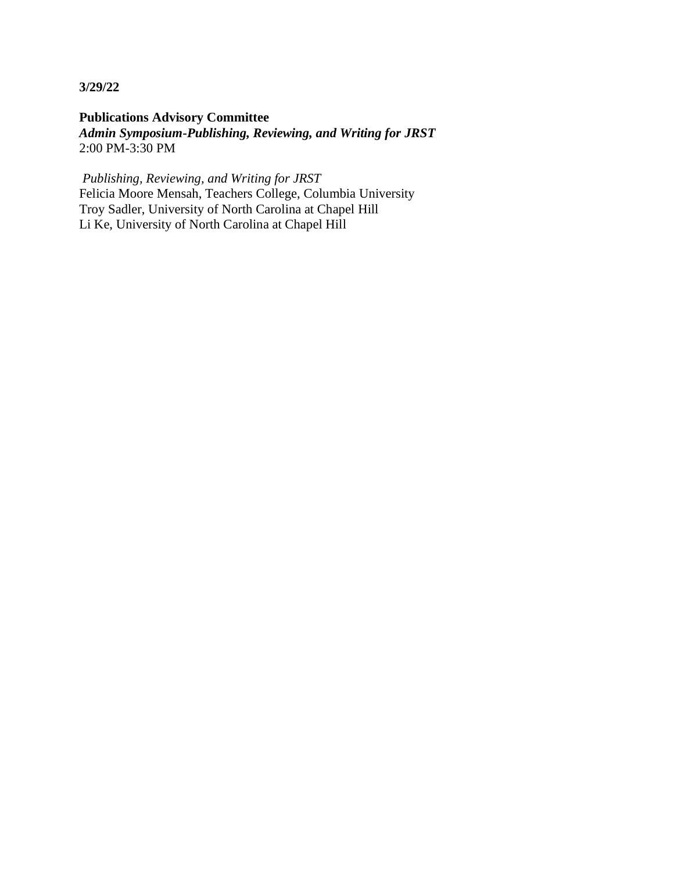**Publications Advisory Committee** *Admin Symposium-Publishing, Reviewing, and Writing for JRST* 2:00 PM-3:30 PM

*Publishing, Reviewing, and Writing for JRST* Felicia Moore Mensah, Teachers College, Columbia University Troy Sadler, University of North Carolina at Chapel Hill Li Ke, University of North Carolina at Chapel Hill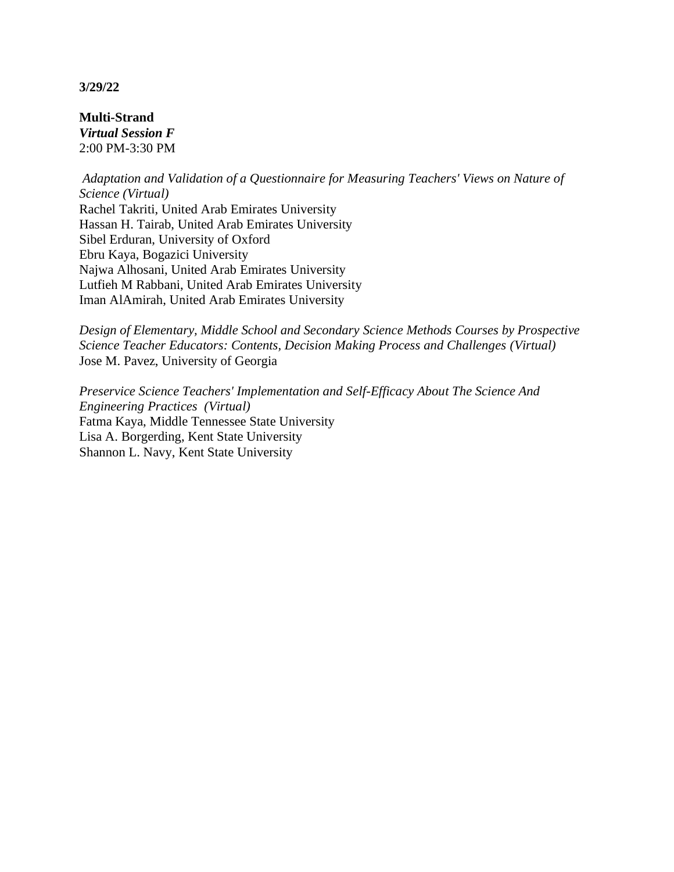**Multi-Strand** *Virtual Session F* 2:00 PM-3:30 PM

*Adaptation and Validation of a Questionnaire for Measuring Teachers' Views on Nature of Science (Virtual)* Rachel Takriti, United Arab Emirates University Hassan H. Tairab, United Arab Emirates University Sibel Erduran, University of Oxford Ebru Kaya, Bogazici University Najwa Alhosani, United Arab Emirates University Lutfieh M Rabbani, United Arab Emirates University Iman AlAmirah, United Arab Emirates University

*Design of Elementary, Middle School and Secondary Science Methods Courses by Prospective Science Teacher Educators: Contents, Decision Making Process and Challenges (Virtual)* Jose M. Pavez, University of Georgia

*Preservice Science Teachers' Implementation and Self-Efficacy About The Science And Engineering Practices (Virtual)* Fatma Kaya, Middle Tennessee State University Lisa A. Borgerding, Kent State University Shannon L. Navy, Kent State University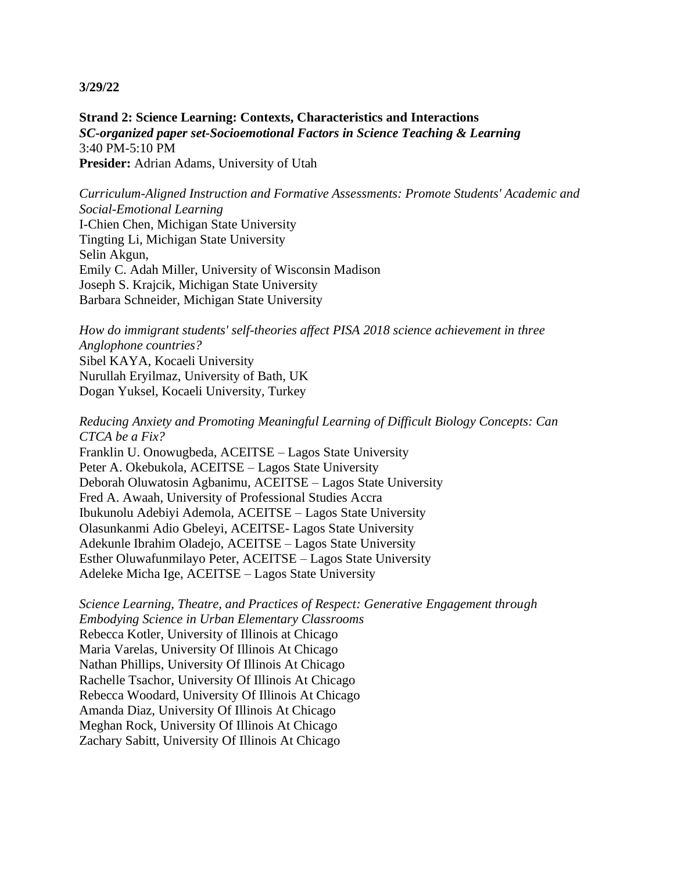**Strand 2: Science Learning: Contexts, Characteristics and Interactions** *SC-organized paper set-Socioemotional Factors in Science Teaching & Learning* 3:40 PM-5:10 PM **Presider:** Adrian Adams, University of Utah

*Curriculum-Aligned Instruction and Formative Assessments: Promote Students' Academic and Social-Emotional Learning* I-Chien Chen, Michigan State University Tingting Li, Michigan State University Selin Akgun, Emily C. Adah Miller, University of Wisconsin Madison Joseph S. Krajcik, Michigan State University Barbara Schneider, Michigan State University

*How do immigrant students' self-theories affect PISA 2018 science achievement in three Anglophone countries?* Sibel KAYA, Kocaeli University Nurullah Eryilmaz, University of Bath, UK Dogan Yuksel, Kocaeli University, Turkey

*Reducing Anxiety and Promoting Meaningful Learning of Difficult Biology Concepts: Can CTCA be a Fix?* Franklin U. Onowugbeda, ACEITSE – Lagos State University Peter A. Okebukola, ACEITSE – Lagos State University

Deborah Oluwatosin Agbanimu, ACEITSE – Lagos State University Fred A. Awaah, University of Professional Studies Accra Ibukunolu Adebiyi Ademola, ACEITSE – Lagos State University Olasunkanmi Adio Gbeleyi, ACEITSE- Lagos State University Adekunle Ibrahim Oladejo, ACEITSE – Lagos State University Esther Oluwafunmilayo Peter, ACEITSE – Lagos State University Adeleke Micha Ige, ACEITSE – Lagos State University

*Science Learning, Theatre, and Practices of Respect: Generative Engagement through Embodying Science in Urban Elementary Classrooms* Rebecca Kotler, University of Illinois at Chicago Maria Varelas, University Of Illinois At Chicago Nathan Phillips, University Of Illinois At Chicago Rachelle Tsachor, University Of Illinois At Chicago Rebecca Woodard, University Of Illinois At Chicago Amanda Diaz, University Of Illinois At Chicago Meghan Rock, University Of Illinois At Chicago Zachary Sabitt, University Of Illinois At Chicago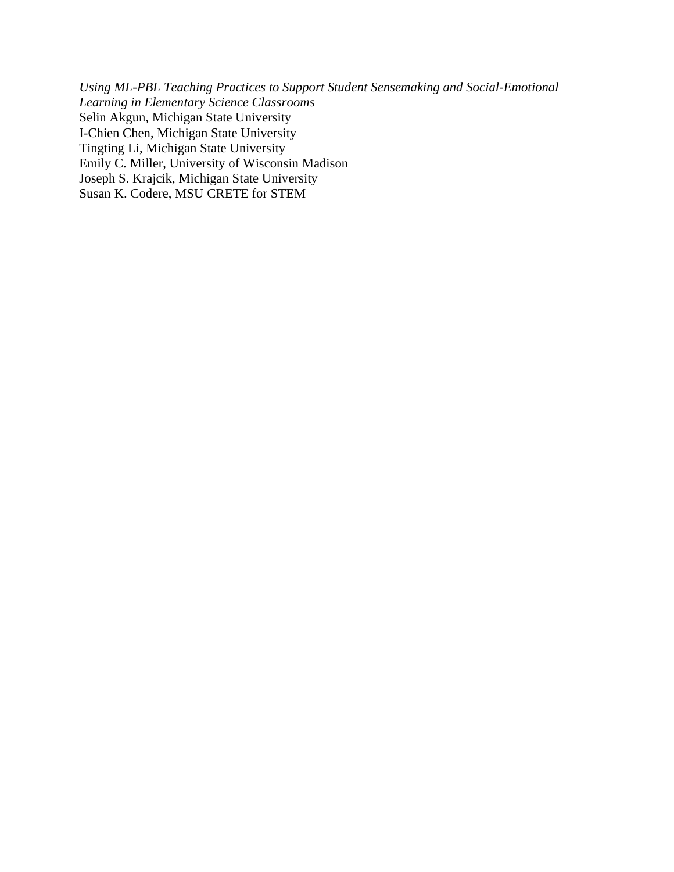*Using ML-PBL Teaching Practices to Support Student Sensemaking and Social-Emotional Learning in Elementary Science Classrooms* Selin Akgun, Michigan State University I-Chien Chen, Michigan State University Tingting Li, Michigan State University Emily C. Miller, University of Wisconsin Madison Joseph S. Krajcik, Michigan State University Susan K. Codere, MSU CRETE for STEM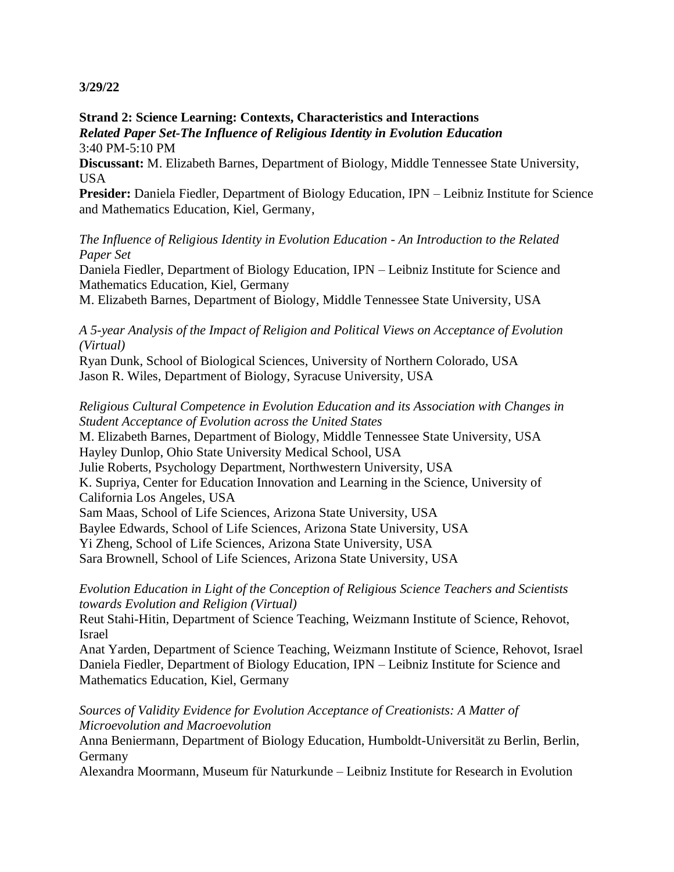## **Strand 2: Science Learning: Contexts, Characteristics and Interactions** *Related Paper Set-The Influence of Religious Identity in Evolution Education* 3:40 PM-5:10 PM

**Discussant:** M. Elizabeth Barnes, Department of Biology, Middle Tennessee State University, USA

Presider: Daniela Fiedler, Department of Biology Education, IPN - Leibniz Institute for Science and Mathematics Education, Kiel, Germany,

*The Influence of Religious Identity in Evolution Education - An Introduction to the Related Paper Set*

Daniela Fiedler, Department of Biology Education, IPN – Leibniz Institute for Science and Mathematics Education, Kiel, Germany

M. Elizabeth Barnes, Department of Biology, Middle Tennessee State University, USA

*A 5-year Analysis of the Impact of Religion and Political Views on Acceptance of Evolution (Virtual)*

Ryan Dunk, School of Biological Sciences, University of Northern Colorado, USA Jason R. Wiles, Department of Biology, Syracuse University, USA

*Religious Cultural Competence in Evolution Education and its Association with Changes in Student Acceptance of Evolution across the United States* M. Elizabeth Barnes, Department of Biology, Middle Tennessee State University, USA Hayley Dunlop, Ohio State University Medical School, USA Julie Roberts, Psychology Department, Northwestern University, USA K. Supriya, Center for Education Innovation and Learning in the Science, University of California Los Angeles, USA Sam Maas, School of Life Sciences, Arizona State University, USA Baylee Edwards, School of Life Sciences, Arizona State University, USA Yi Zheng, School of Life Sciences, Arizona State University, USA Sara Brownell, School of Life Sciences, Arizona State University, USA

*Evolution Education in Light of the Conception of Religious Science Teachers and Scientists towards Evolution and Religion (Virtual)*

Reut Stahi-Hitin, Department of Science Teaching, Weizmann Institute of Science, Rehovot, Israel

Anat Yarden, Department of Science Teaching, Weizmann Institute of Science, Rehovot, Israel Daniela Fiedler, Department of Biology Education, IPN – Leibniz Institute for Science and Mathematics Education, Kiel, Germany

*Sources of Validity Evidence for Evolution Acceptance of Creationists: A Matter of Microevolution and Macroevolution*

Anna Beniermann, Department of Biology Education, Humboldt-Universität zu Berlin, Berlin, **Germany** 

Alexandra Moormann, Museum für Naturkunde – Leibniz Institute for Research in Evolution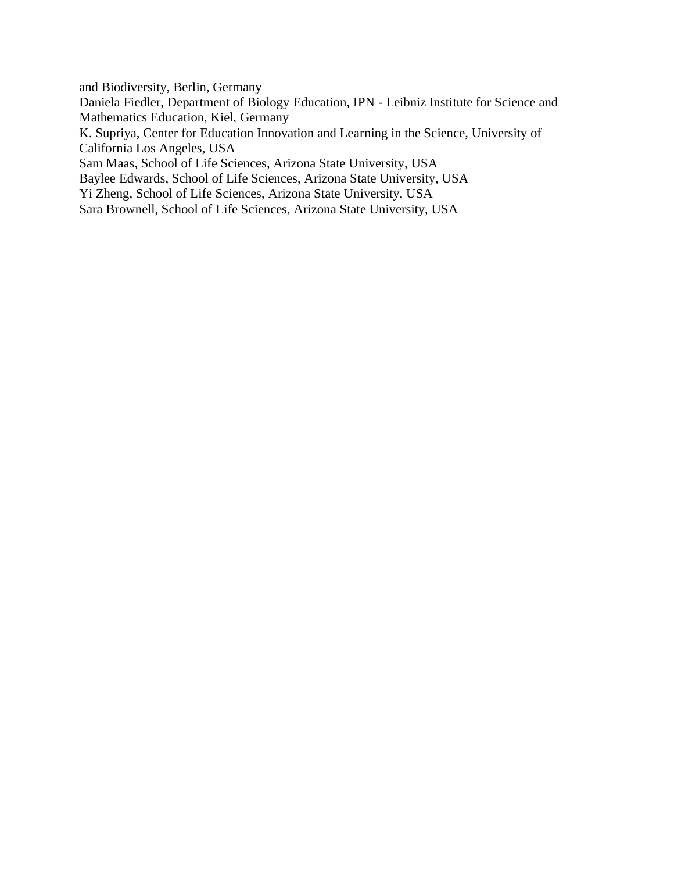and Biodiversity, Berlin, Germany

Daniela Fiedler, Department of Biology Education, IPN - Leibniz Institute for Science and Mathematics Education, Kiel, Germany

K. Supriya, Center for Education Innovation and Learning in the Science, University of California Los Angeles, USA

Sam Maas, School of Life Sciences, Arizona State University, USA

Baylee Edwards, School of Life Sciences, Arizona State University, USA

Yi Zheng, School of Life Sciences, Arizona State University, USA

Sara Brownell, School of Life Sciences, Arizona State University, USA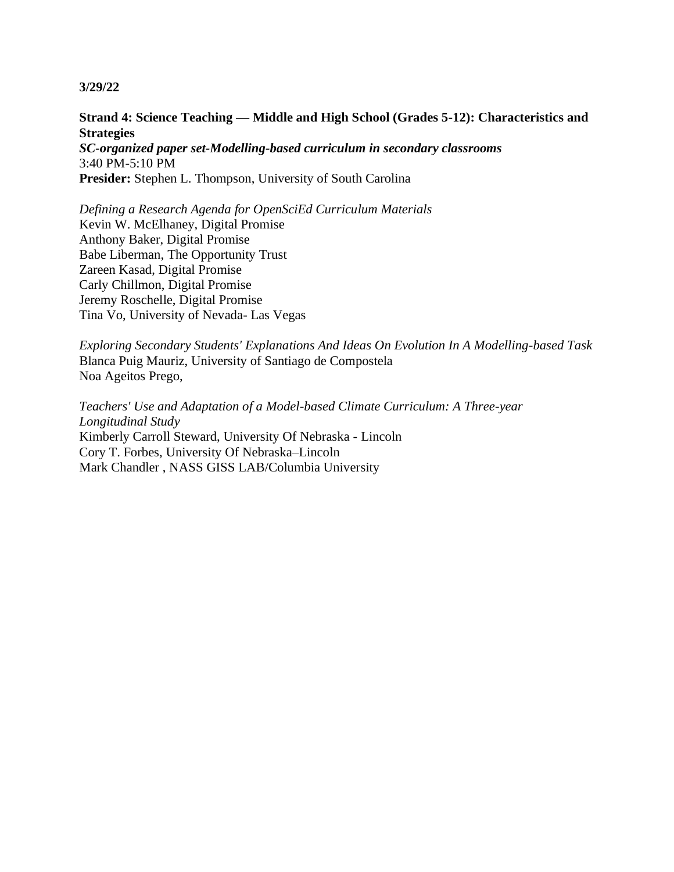## **Strand 4: Science Teaching — Middle and High School (Grades 5-12): Characteristics and Strategies**

*SC-organized paper set-Modelling-based curriculum in secondary classrooms* 3:40 PM-5:10 PM **Presider:** Stephen L. Thompson, University of South Carolina

*Defining a Research Agenda for OpenSciEd Curriculum Materials* Kevin W. McElhaney, Digital Promise Anthony Baker, Digital Promise Babe Liberman, The Opportunity Trust Zareen Kasad, Digital Promise Carly Chillmon, Digital Promise Jeremy Roschelle, Digital Promise Tina Vo, University of Nevada- Las Vegas

*Exploring Secondary Students' Explanations And Ideas On Evolution In A Modelling-based Task* Blanca Puig Mauriz, University of Santiago de Compostela Noa Ageitos Prego,

*Teachers' Use and Adaptation of a Model-based Climate Curriculum: A Three-year Longitudinal Study* Kimberly Carroll Steward, University Of Nebraska - Lincoln Cory T. Forbes, University Of Nebraska–Lincoln Mark Chandler , NASS GISS LAB/Columbia University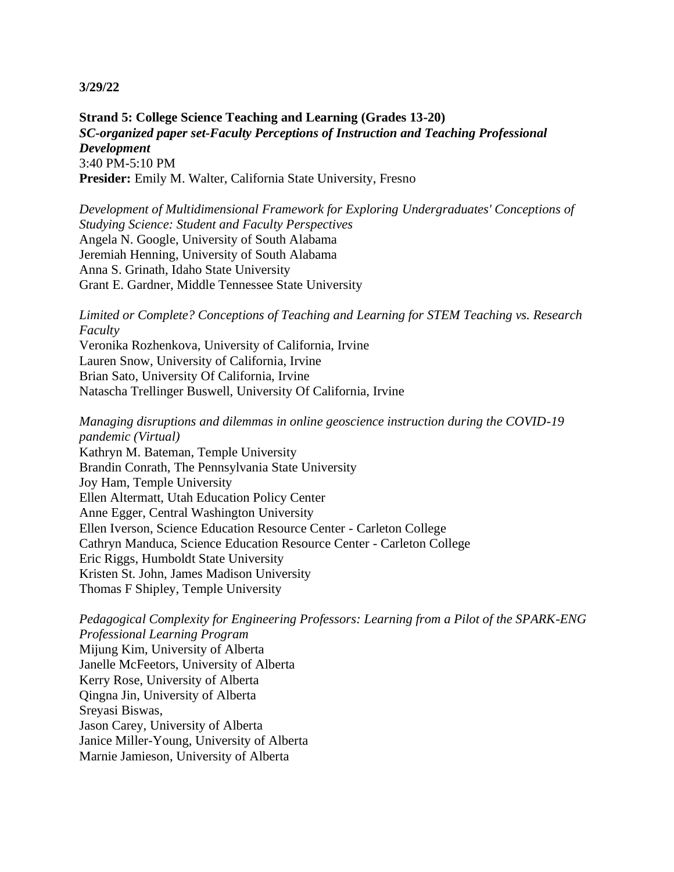**Strand 5: College Science Teaching and Learning (Grades 13-20)** *SC-organized paper set-Faculty Perceptions of Instruction and Teaching Professional Development* 3:40 PM-5:10 PM **Presider:** Emily M. Walter, California State University, Fresno

*Development of Multidimensional Framework for Exploring Undergraduates' Conceptions of Studying Science: Student and Faculty Perspectives* Angela N. Google, University of South Alabama Jeremiah Henning, University of South Alabama Anna S. Grinath, Idaho State University Grant E. Gardner, Middle Tennessee State University

*Limited or Complete? Conceptions of Teaching and Learning for STEM Teaching vs. Research Faculty*

Veronika Rozhenkova, University of California, Irvine Lauren Snow, University of California, Irvine Brian Sato, University Of California, Irvine Natascha Trellinger Buswell, University Of California, Irvine

*Managing disruptions and dilemmas in online geoscience instruction during the COVID-19 pandemic (Virtual)* Kathryn M. Bateman, Temple University Brandin Conrath, The Pennsylvania State University Joy Ham, Temple University Ellen Altermatt, Utah Education Policy Center Anne Egger, Central Washington University Ellen Iverson, Science Education Resource Center - Carleton College Cathryn Manduca, Science Education Resource Center - Carleton College Eric Riggs, Humboldt State University Kristen St. John, James Madison University Thomas F Shipley, Temple University

*Pedagogical Complexity for Engineering Professors: Learning from a Pilot of the SPARK-ENG Professional Learning Program* Mijung Kim, University of Alberta Janelle McFeetors, University of Alberta Kerry Rose, University of Alberta Qingna Jin, University of Alberta Sreyasi Biswas, Jason Carey, University of Alberta Janice Miller-Young, University of Alberta Marnie Jamieson, University of Alberta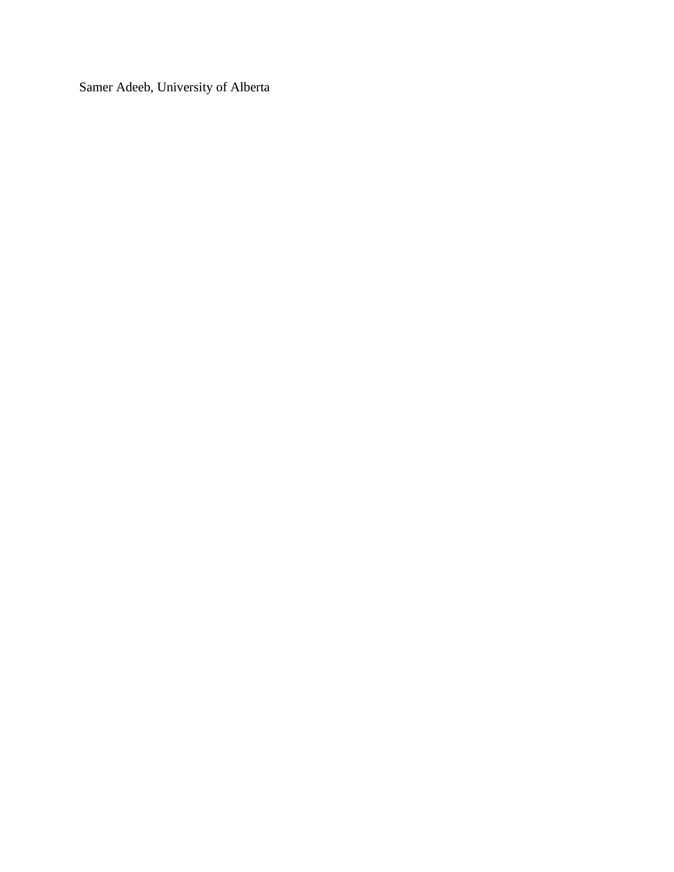Samer Adeeb, University of Alberta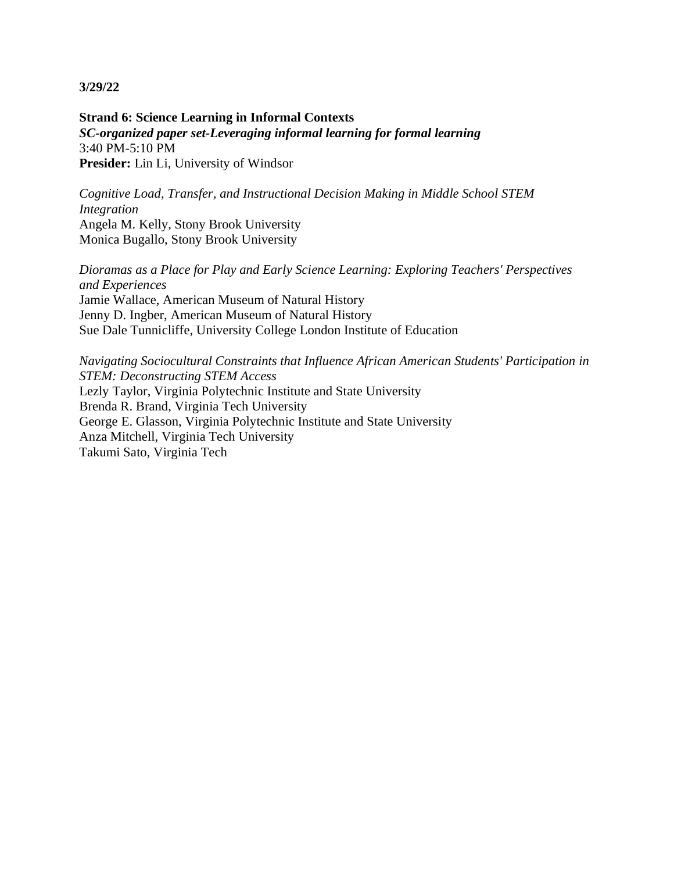**Strand 6: Science Learning in Informal Contexts** *SC-organized paper set-Leveraging informal learning for formal learning* 3:40 PM-5:10 PM **Presider:** Lin Li, University of Windsor

*Cognitive Load, Transfer, and Instructional Decision Making in Middle School STEM Integration* Angela M. Kelly, Stony Brook University Monica Bugallo, Stony Brook University

*Dioramas as a Place for Play and Early Science Learning: Exploring Teachers' Perspectives and Experiences* Jamie Wallace, American Museum of Natural History Jenny D. Ingber, American Museum of Natural History Sue Dale Tunnicliffe, University College London Institute of Education

*Navigating Sociocultural Constraints that Influence African American Students' Participation in STEM: Deconstructing STEM Access* Lezly Taylor, Virginia Polytechnic Institute and State University Brenda R. Brand, Virginia Tech University George E. Glasson, Virginia Polytechnic Institute and State University Anza Mitchell, Virginia Tech University Takumi Sato, Virginia Tech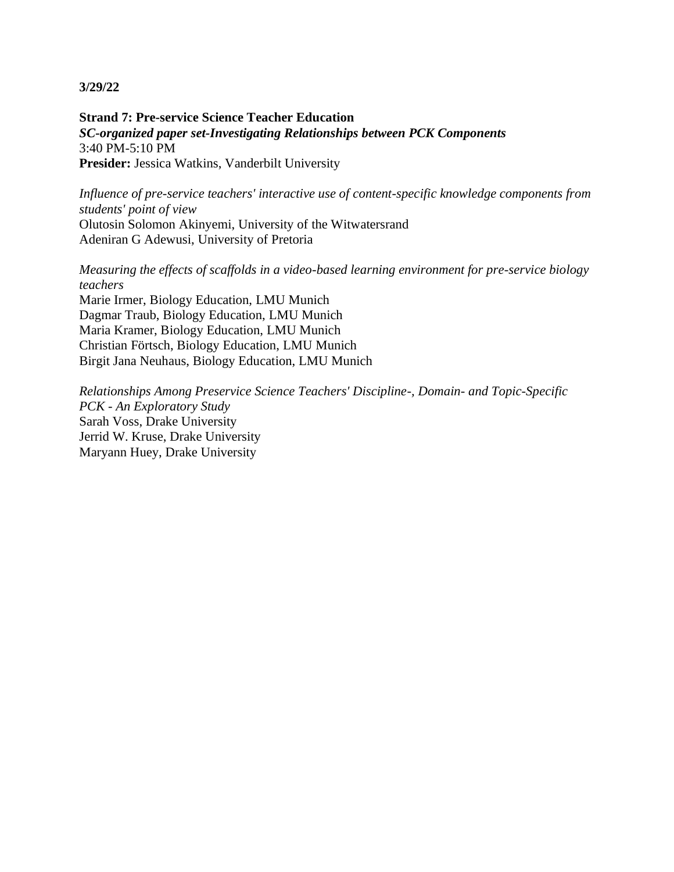**Strand 7: Pre-service Science Teacher Education** *SC-organized paper set-Investigating Relationships between PCK Components* 3:40 PM-5:10 PM **Presider:** Jessica Watkins, Vanderbilt University

*Influence of pre-service teachers' interactive use of content-specific knowledge components from students' point of view* Olutosin Solomon Akinyemi, University of the Witwatersrand Adeniran G Adewusi, University of Pretoria

*Measuring the effects of scaffolds in a video-based learning environment for pre-service biology teachers* Marie Irmer, Biology Education, LMU Munich Dagmar Traub, Biology Education, LMU Munich Maria Kramer, Biology Education, LMU Munich Christian Förtsch, Biology Education, LMU Munich Birgit Jana Neuhaus, Biology Education, LMU Munich

*Relationships Among Preservice Science Teachers' Discipline-, Domain- and Topic-Specific PCK - An Exploratory Study* Sarah Voss, Drake University Jerrid W. Kruse, Drake University Maryann Huey, Drake University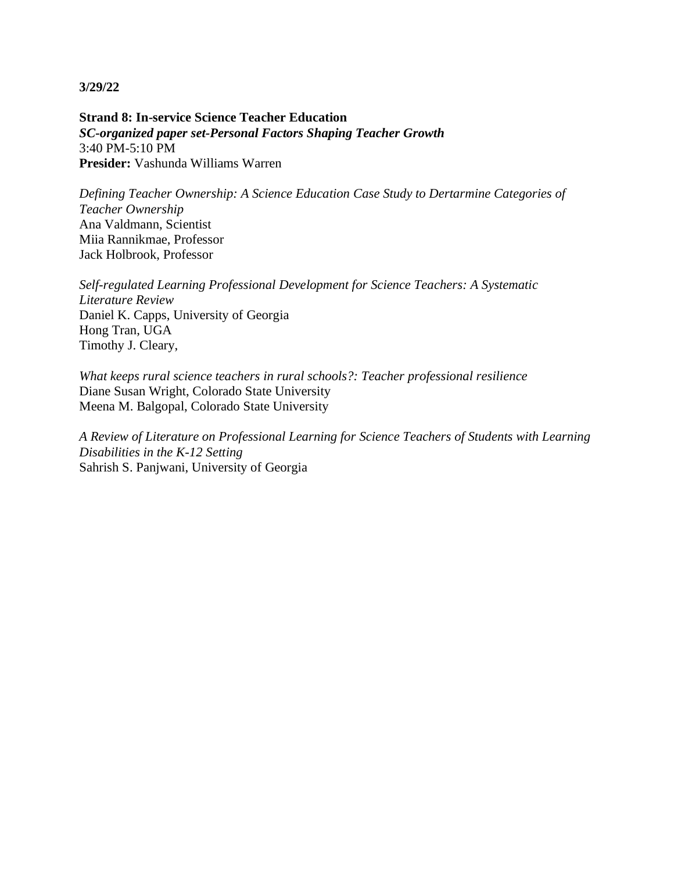**Strand 8: In-service Science Teacher Education** *SC-organized paper set-Personal Factors Shaping Teacher Growth* 3:40 PM-5:10 PM **Presider:** Vashunda Williams Warren

*Defining Teacher Ownership: A Science Education Case Study to Dertarmine Categories of Teacher Ownership* Ana Valdmann, Scientist Miia Rannikmae, Professor Jack Holbrook, Professor

*Self-regulated Learning Professional Development for Science Teachers: A Systematic Literature Review* Daniel K. Capps, University of Georgia Hong Tran, UGA Timothy J. Cleary,

*What keeps rural science teachers in rural schools?: Teacher professional resilience* Diane Susan Wright, Colorado State University Meena M. Balgopal, Colorado State University

*A Review of Literature on Professional Learning for Science Teachers of Students with Learning Disabilities in the K-12 Setting* Sahrish S. Panjwani, University of Georgia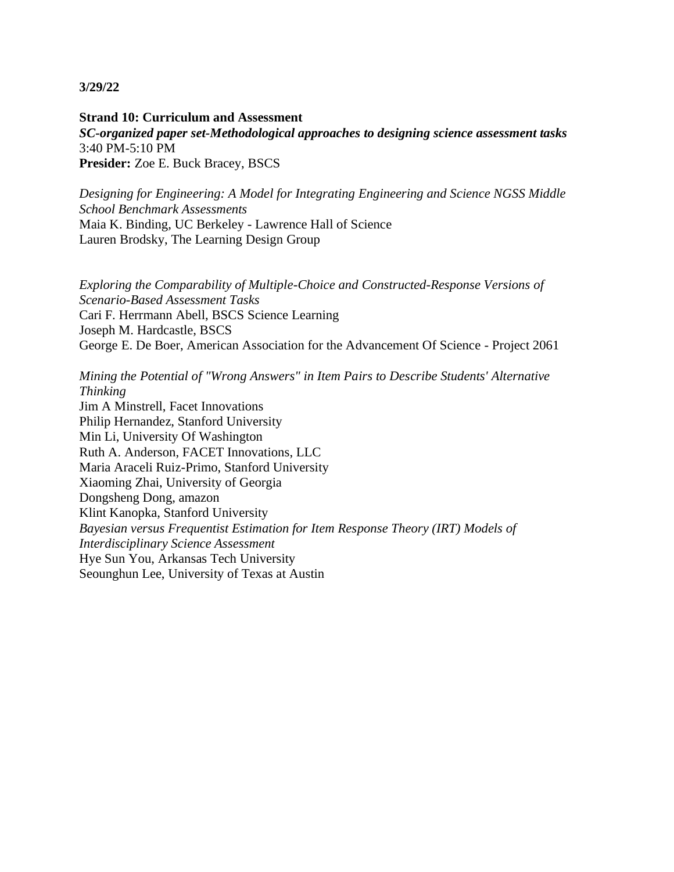**Strand 10: Curriculum and Assessment** *SC-organized paper set-Methodological approaches to designing science assessment tasks* 3:40 PM-5:10 PM **Presider:** Zoe E. Buck Bracey, BSCS

*Designing for Engineering: A Model for Integrating Engineering and Science NGSS Middle School Benchmark Assessments* Maia K. Binding, UC Berkeley - Lawrence Hall of Science Lauren Brodsky, The Learning Design Group

*Exploring the Comparability of Multiple-Choice and Constructed-Response Versions of Scenario-Based Assessment Tasks* Cari F. Herrmann Abell, BSCS Science Learning Joseph M. Hardcastle, BSCS George E. De Boer, American Association for the Advancement Of Science - Project 2061

*Mining the Potential of "Wrong Answers" in Item Pairs to Describe Students' Alternative Thinking* Jim A Minstrell, Facet Innovations Philip Hernandez, Stanford University Min Li, University Of Washington Ruth A. Anderson, FACET Innovations, LLC Maria Araceli Ruiz-Primo, Stanford University Xiaoming Zhai, University of Georgia Dongsheng Dong, amazon Klint Kanopka, Stanford University *Bayesian versus Frequentist Estimation for Item Response Theory (IRT) Models of Interdisciplinary Science Assessment* Hye Sun You, Arkansas Tech University Seounghun Lee, University of Texas at Austin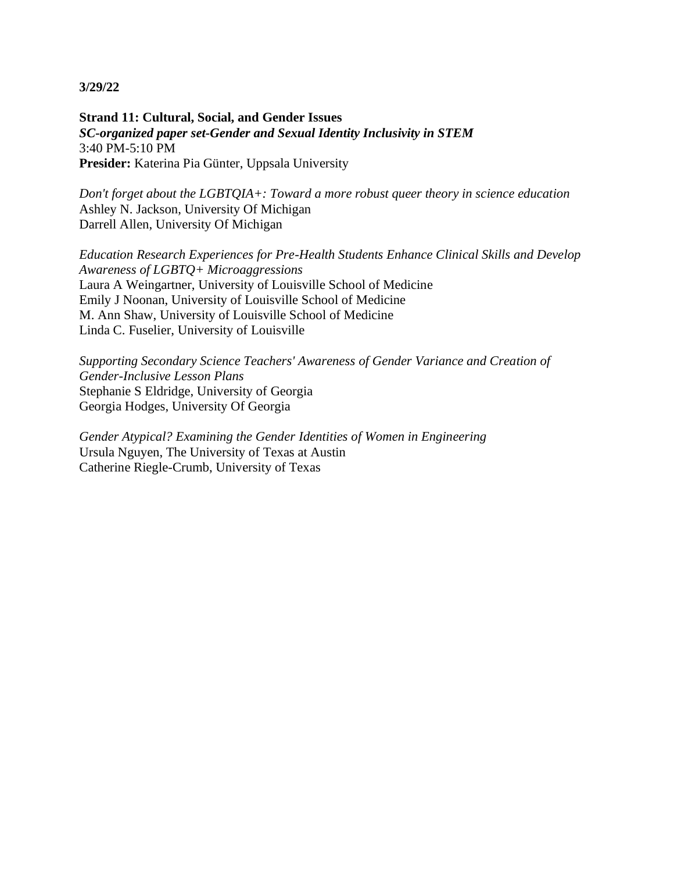**Strand 11: Cultural, Social, and Gender Issues** *SC-organized paper set-Gender and Sexual Identity Inclusivity in STEM* 3:40 PM-5:10 PM **Presider:** Katerina Pia Günter, Uppsala University

*Don't forget about the LGBTQIA+: Toward a more robust queer theory in science education* Ashley N. Jackson, University Of Michigan Darrell Allen, University Of Michigan

*Education Research Experiences for Pre-Health Students Enhance Clinical Skills and Develop Awareness of LGBTQ+ Microaggressions* Laura A Weingartner, University of Louisville School of Medicine Emily J Noonan, University of Louisville School of Medicine M. Ann Shaw, University of Louisville School of Medicine Linda C. Fuselier, University of Louisville

*Supporting Secondary Science Teachers' Awareness of Gender Variance and Creation of Gender-Inclusive Lesson Plans* Stephanie S Eldridge, University of Georgia Georgia Hodges, University Of Georgia

*Gender Atypical? Examining the Gender Identities of Women in Engineering* Ursula Nguyen, The University of Texas at Austin Catherine Riegle-Crumb, University of Texas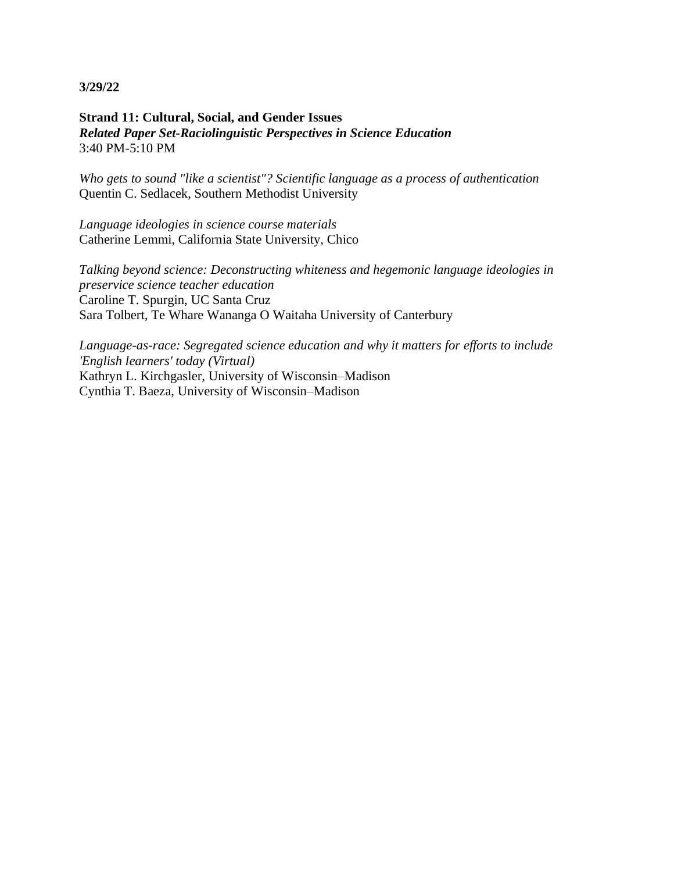## **Strand 11: Cultural, Social, and Gender Issues** *Related Paper Set-Raciolinguistic Perspectives in Science Education* 3:40 PM-5:10 PM

*Who gets to sound "like a scientist"? Scientific language as a process of authentication* Quentin C. Sedlacek, Southern Methodist University

*Language ideologies in science course materials* Catherine Lemmi, California State University, Chico

*Talking beyond science: Deconstructing whiteness and hegemonic language ideologies in preservice science teacher education* Caroline T. Spurgin, UC Santa Cruz Sara Tolbert, Te Whare Wananga O Waitaha University of Canterbury

*Language-as-race: Segregated science education and why it matters for efforts to include 'English learners' today (Virtual)* Kathryn L. Kirchgasler, University of Wisconsin–Madison Cynthia T. Baeza, University of Wisconsin–Madison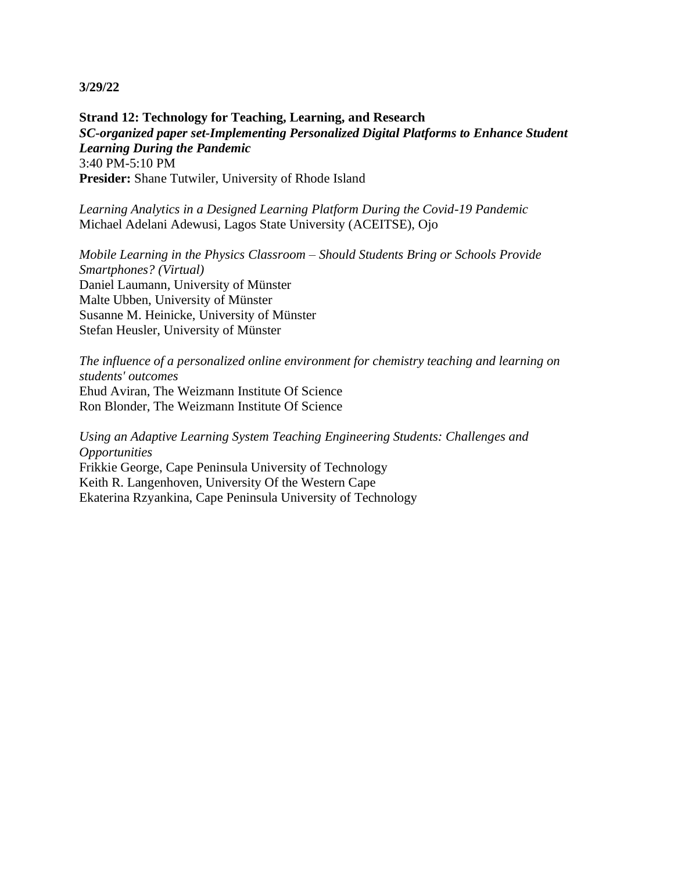**Strand 12: Technology for Teaching, Learning, and Research** *SC-organized paper set-Implementing Personalized Digital Platforms to Enhance Student Learning During the Pandemic* 3:40 PM-5:10 PM **Presider:** Shane Tutwiler, University of Rhode Island

*Learning Analytics in a Designed Learning Platform During the Covid-19 Pandemic* Michael Adelani Adewusi, Lagos State University (ACEITSE), Ojo

*Mobile Learning in the Physics Classroom – Should Students Bring or Schools Provide Smartphones? (Virtual)* Daniel Laumann, University of Münster Malte Ubben, University of Münster Susanne M. Heinicke, University of Münster Stefan Heusler, University of Münster

*The influence of a personalized online environment for chemistry teaching and learning on students' outcomes* Ehud Aviran, The Weizmann Institute Of Science Ron Blonder, The Weizmann Institute Of Science

*Using an Adaptive Learning System Teaching Engineering Students: Challenges and Opportunities* Frikkie George, Cape Peninsula University of Technology Keith R. Langenhoven, University Of the Western Cape Ekaterina Rzyankina, Cape Peninsula University of Technology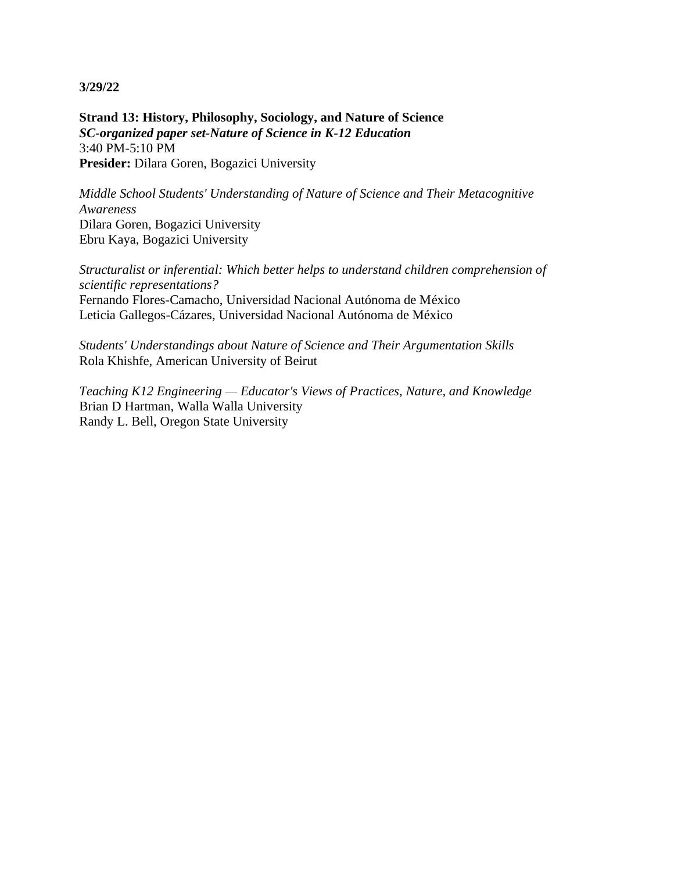**Strand 13: History, Philosophy, Sociology, and Nature of Science** *SC-organized paper set-Nature of Science in K-12 Education* 3:40 PM-5:10 PM **Presider:** Dilara Goren, Bogazici University

*Middle School Students' Understanding of Nature of Science and Their Metacognitive Awareness* Dilara Goren, Bogazici University Ebru Kaya, Bogazici University

*Structuralist or inferential: Which better helps to understand children comprehension of scientific representations?* Fernando Flores-Camacho, Universidad Nacional Autónoma de México Leticia Gallegos-Cázares, Universidad Nacional Autónoma de México

*Students' Understandings about Nature of Science and Their Argumentation Skills* Rola Khishfe, American University of Beirut

*Teaching K12 Engineering — Educator's Views of Practices, Nature, and Knowledge* Brian D Hartman, Walla Walla University Randy L. Bell, Oregon State University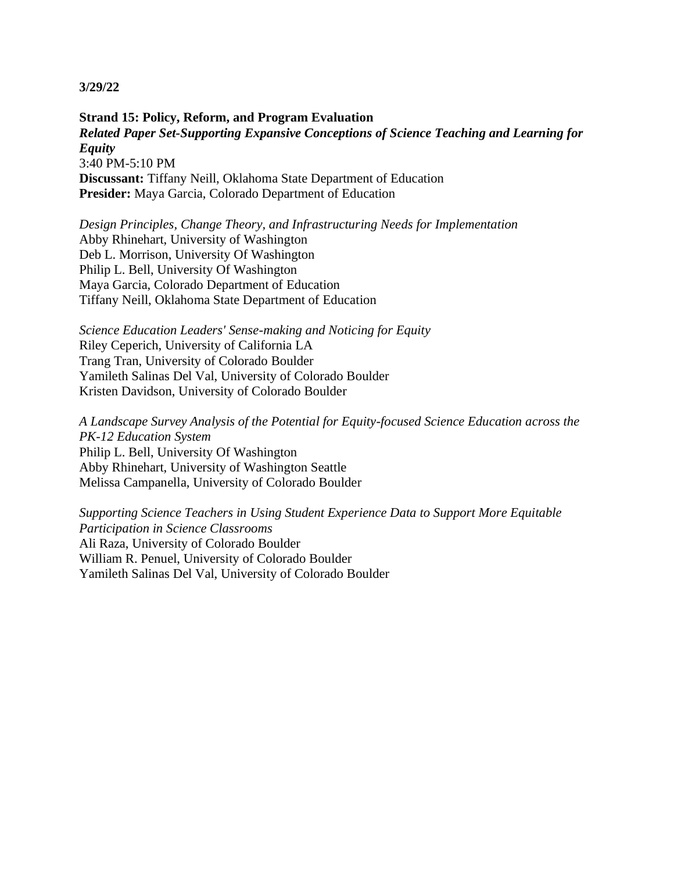**Strand 15: Policy, Reform, and Program Evaluation** *Related Paper Set-Supporting Expansive Conceptions of Science Teaching and Learning for Equity* 3:40 PM-5:10 PM **Discussant:** Tiffany Neill, Oklahoma State Department of Education **Presider:** Maya Garcia, Colorado Department of Education

*Design Principles, Change Theory, and Infrastructuring Needs for Implementation* Abby Rhinehart, University of Washington Deb L. Morrison, University Of Washington Philip L. Bell, University Of Washington Maya Garcia, Colorado Department of Education Tiffany Neill, Oklahoma State Department of Education

*Science Education Leaders' Sense-making and Noticing for Equity* Riley Ceperich, University of California LA Trang Tran, University of Colorado Boulder Yamileth Salinas Del Val, University of Colorado Boulder Kristen Davidson, University of Colorado Boulder

*A Landscape Survey Analysis of the Potential for Equity-focused Science Education across the PK-12 Education System* Philip L. Bell, University Of Washington Abby Rhinehart, University of Washington Seattle Melissa Campanella, University of Colorado Boulder

*Supporting Science Teachers in Using Student Experience Data to Support More Equitable Participation in Science Classrooms* Ali Raza, University of Colorado Boulder William R. Penuel, University of Colorado Boulder Yamileth Salinas Del Val, University of Colorado Boulder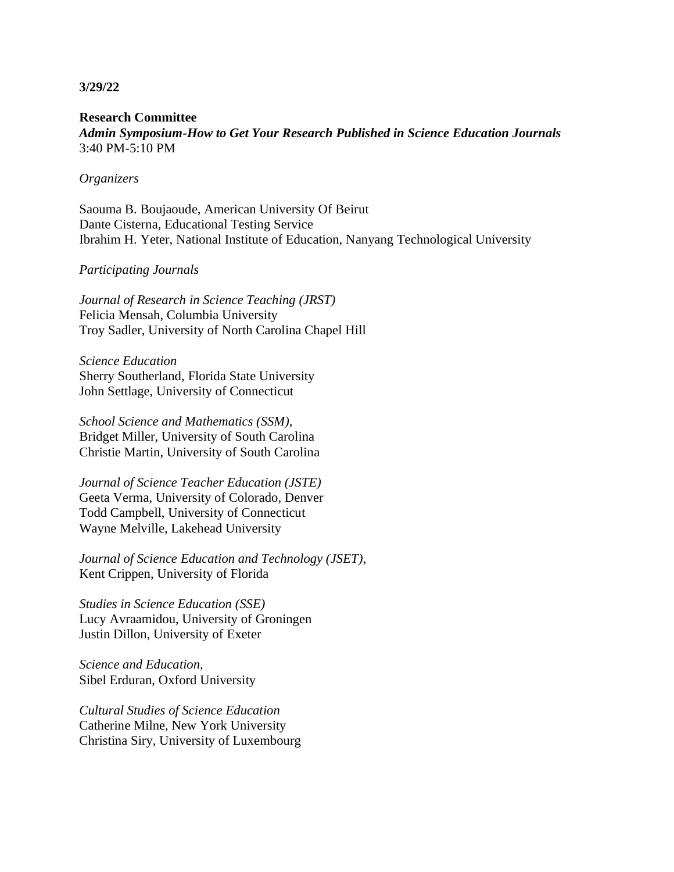**Research Committee** *Admin Symposium-How to Get Your Research Published in Science Education Journals* 3:40 PM-5:10 PM

#### *Organizers*

Saouma B. Boujaoude, American University Of Beirut Dante Cisterna, Educational Testing Service Ibrahim H. Yeter, National Institute of Education, Nanyang Technological University

## *Participating Journals*

*Journal of Research in Science Teaching (JRST)* Felicia Mensah, Columbia University Troy Sadler, University of North Carolina Chapel Hill

*Science Education* Sherry Southerland, Florida State University John Settlage, University of Connecticut

*School Science and Mathematics (SSM),* Bridget Miller, University of South Carolina Christie Martin, University of South Carolina

*Journal of Science Teacher Education (JSTE)* Geeta Verma, University of Colorado, Denver Todd Campbell, University of Connecticut Wayne Melville, Lakehead University

*Journal of Science Education and Technology (JSET),* Kent Crippen, University of Florida

*Studies in Science Education (SSE)* Lucy Avraamidou, University of Groningen Justin Dillon, University of Exeter

*Science and Education,* Sibel Erduran, Oxford University

*Cultural Studies of Science Education* Catherine Milne, New York University Christina Siry, University of Luxembourg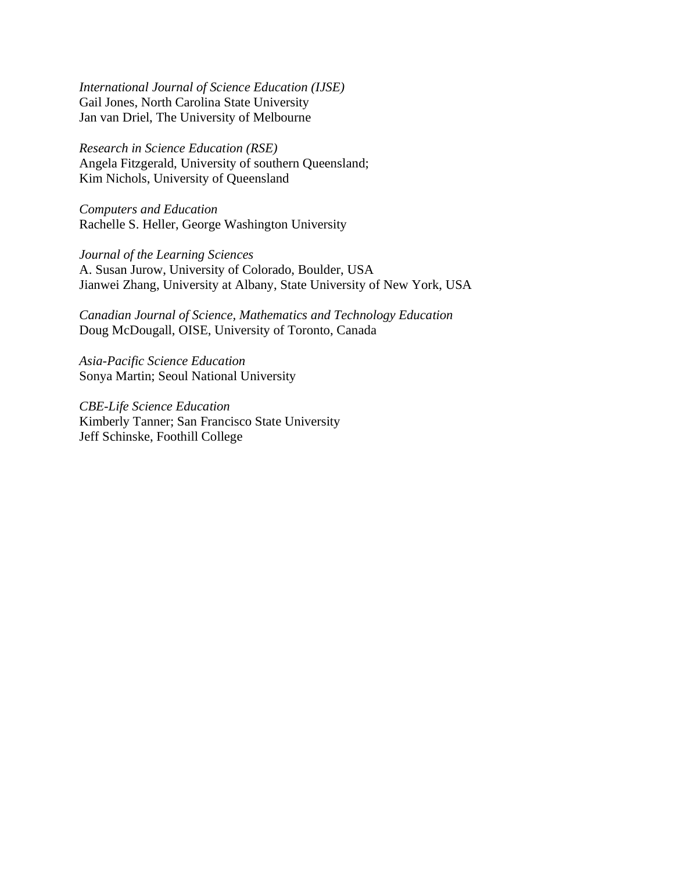*International Journal of Science Education (IJSE)* Gail Jones, North Carolina State University Jan van Driel, The University of Melbourne

*Research in Science Education (RSE)* Angela Fitzgerald, University of southern Queensland; Kim Nichols, University of Queensland

*Computers and Education* Rachelle S. Heller, George Washington University

*Journal of the Learning Sciences* A. Susan Jurow, University of Colorado, Boulder, USA Jianwei Zhang, University at Albany, State University of New York, USA

*Canadian Journal of Science, Mathematics and Technology Education* Doug McDougall, OISE, University of Toronto, Canada

*Asia-Pacific Science Education* Sonya Martin; Seoul National University

*CBE-Life Science Education* Kimberly Tanner; San Francisco State University Jeff Schinske, Foothill College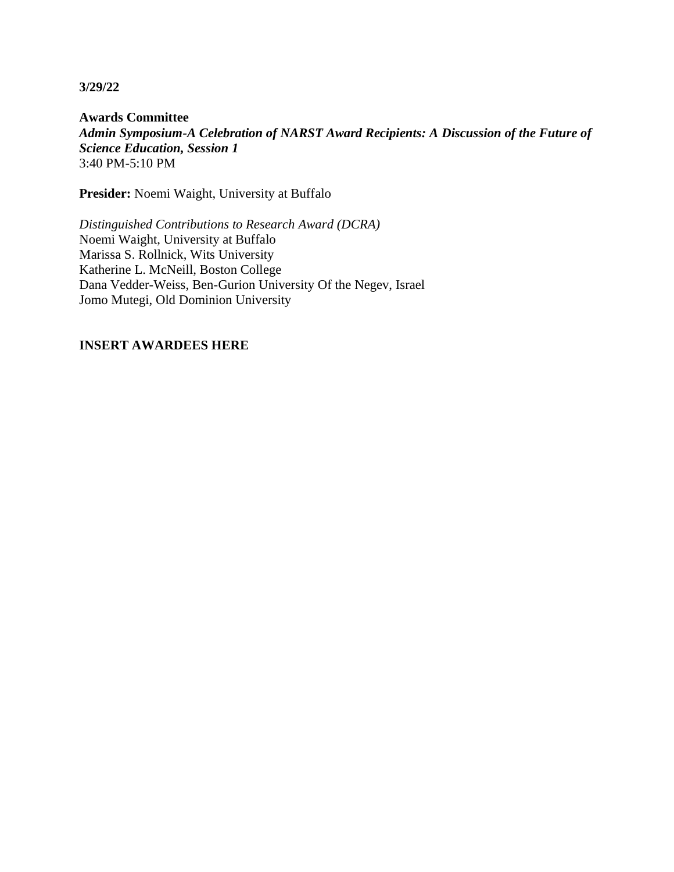**Awards Committee** *Admin Symposium-A Celebration of NARST Award Recipients: A Discussion of the Future of Science Education, Session 1* 3:40 PM-5:10 PM

**Presider:** Noemi Waight, University at Buffalo

*Distinguished Contributions to Research Award (DCRA)* Noemi Waight, University at Buffalo Marissa S. Rollnick, Wits University Katherine L. McNeill, Boston College Dana Vedder-Weiss, Ben-Gurion University Of the Negev, Israel Jomo Mutegi, Old Dominion University

## **INSERT AWARDEES HERE**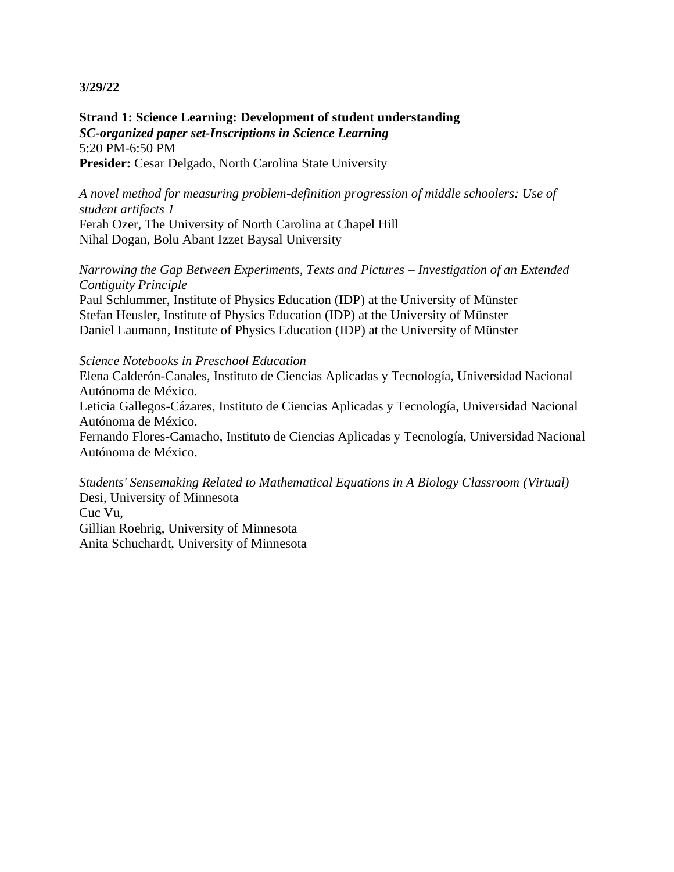**Strand 1: Science Learning: Development of student understanding** *SC-organized paper set-Inscriptions in Science Learning* 5:20 PM-6:50 PM **Presider:** Cesar Delgado, North Carolina State University

*A novel method for measuring problem-definition progression of middle schoolers: Use of student artifacts 1* Ferah Ozer, The University of North Carolina at Chapel Hill Nihal Dogan, Bolu Abant Izzet Baysal University

*Narrowing the Gap Between Experiments, Texts and Pictures – Investigation of an Extended Contiguity Principle*

Paul Schlummer, Institute of Physics Education (IDP) at the University of Münster Stefan Heusler, Institute of Physics Education (IDP) at the University of Münster Daniel Laumann, Institute of Physics Education (IDP) at the University of Münster

#### *Science Notebooks in Preschool Education*

Elena Calderón-Canales, Instituto de Ciencias Aplicadas y Tecnología, Universidad Nacional Autónoma de México.

Leticia Gallegos-Cázares, Instituto de Ciencias Aplicadas y Tecnología, Universidad Nacional Autónoma de México.

Fernando Flores-Camacho, Instituto de Ciencias Aplicadas y Tecnología, Universidad Nacional Autónoma de México.

*Students' Sensemaking Related to Mathematical Equations in A Biology Classroom (Virtual)* Desi, University of Minnesota Cuc Vu, Gillian Roehrig, University of Minnesota Anita Schuchardt, University of Minnesota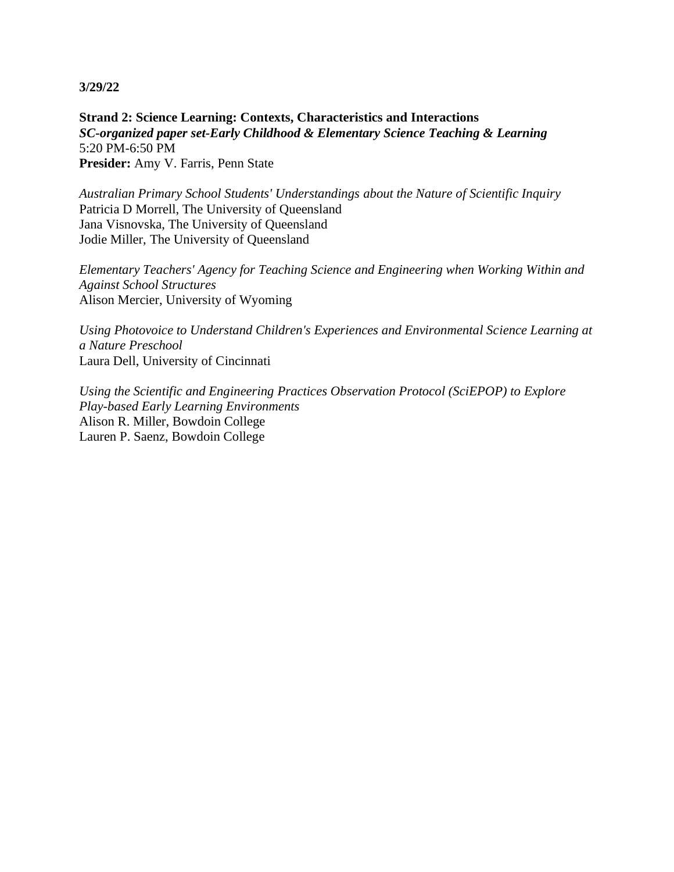**Strand 2: Science Learning: Contexts, Characteristics and Interactions** *SC-organized paper set-Early Childhood & Elementary Science Teaching & Learning* 5:20 PM-6:50 PM **Presider:** Amy V. Farris, Penn State

*Australian Primary School Students' Understandings about the Nature of Scientific Inquiry* Patricia D Morrell, The University of Queensland Jana Visnovska, The University of Queensland Jodie Miller, The University of Queensland

*Elementary Teachers' Agency for Teaching Science and Engineering when Working Within and Against School Structures* Alison Mercier, University of Wyoming

*Using Photovoice to Understand Children's Experiences and Environmental Science Learning at a Nature Preschool* Laura Dell, University of Cincinnati

*Using the Scientific and Engineering Practices Observation Protocol (SciEPOP) to Explore Play-based Early Learning Environments* Alison R. Miller, Bowdoin College Lauren P. Saenz, Bowdoin College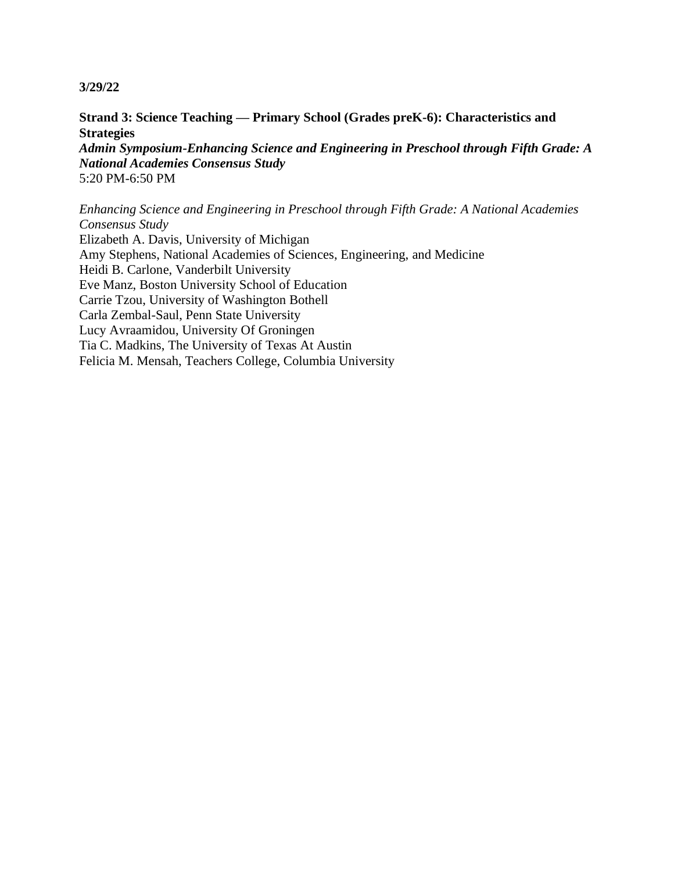**Strand 3: Science Teaching — Primary School (Grades preK-6): Characteristics and Strategies** *Admin Symposium-Enhancing Science and Engineering in Preschool through Fifth Grade: A National Academies Consensus Study* 5:20 PM-6:50 PM

*Enhancing Science and Engineering in Preschool through Fifth Grade: A National Academies Consensus Study*

Elizabeth A. Davis, University of Michigan Amy Stephens, National Academies of Sciences, Engineering, and Medicine Heidi B. Carlone, Vanderbilt University Eve Manz, Boston University School of Education Carrie Tzou, University of Washington Bothell Carla Zembal-Saul, Penn State University Lucy Avraamidou, University Of Groningen Tia C. Madkins, The University of Texas At Austin Felicia M. Mensah, Teachers College, Columbia University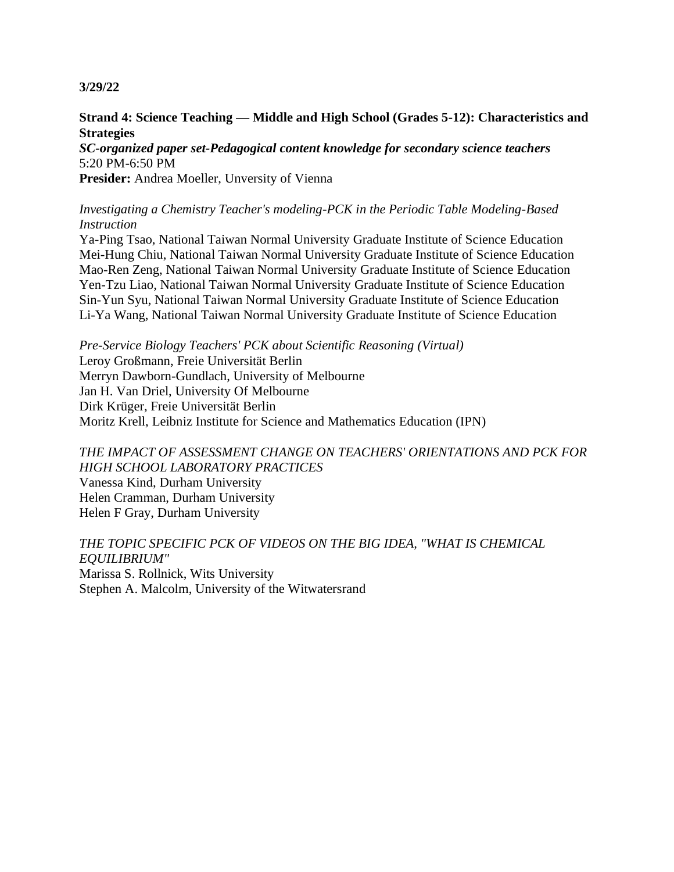## **Strand 4: Science Teaching — Middle and High School (Grades 5-12): Characteristics and Strategies**

*SC-organized paper set-Pedagogical content knowledge for secondary science teachers* 5:20 PM-6:50 PM

**Presider:** Andrea Moeller, Unversity of Vienna

## *Investigating a Chemistry Teacher's modeling-PCK in the Periodic Table Modeling-Based Instruction*

Ya-Ping Tsao, National Taiwan Normal University Graduate Institute of Science Education Mei-Hung Chiu, National Taiwan Normal University Graduate Institute of Science Education Mao-Ren Zeng, National Taiwan Normal University Graduate Institute of Science Education Yen-Tzu Liao, National Taiwan Normal University Graduate Institute of Science Education Sin-Yun Syu, National Taiwan Normal University Graduate Institute of Science Education Li-Ya Wang, National Taiwan Normal University Graduate Institute of Science Education

*Pre-Service Biology Teachers' PCK about Scientific Reasoning (Virtual)* Leroy Großmann, Freie Universität Berlin Merryn Dawborn-Gundlach, University of Melbourne Jan H. Van Driel, University Of Melbourne Dirk Krüger, Freie Universität Berlin Moritz Krell, Leibniz Institute for Science and Mathematics Education (IPN)

# *THE IMPACT OF ASSESSMENT CHANGE ON TEACHERS' ORIENTATIONS AND PCK FOR HIGH SCHOOL LABORATORY PRACTICES*

Vanessa Kind, Durham University Helen Cramman, Durham University Helen F Gray, Durham University

*THE TOPIC SPECIFIC PCK OF VIDEOS ON THE BIG IDEA, "WHAT IS CHEMICAL EQUILIBRIUM"* Marissa S. Rollnick, Wits University Stephen A. Malcolm, University of the Witwatersrand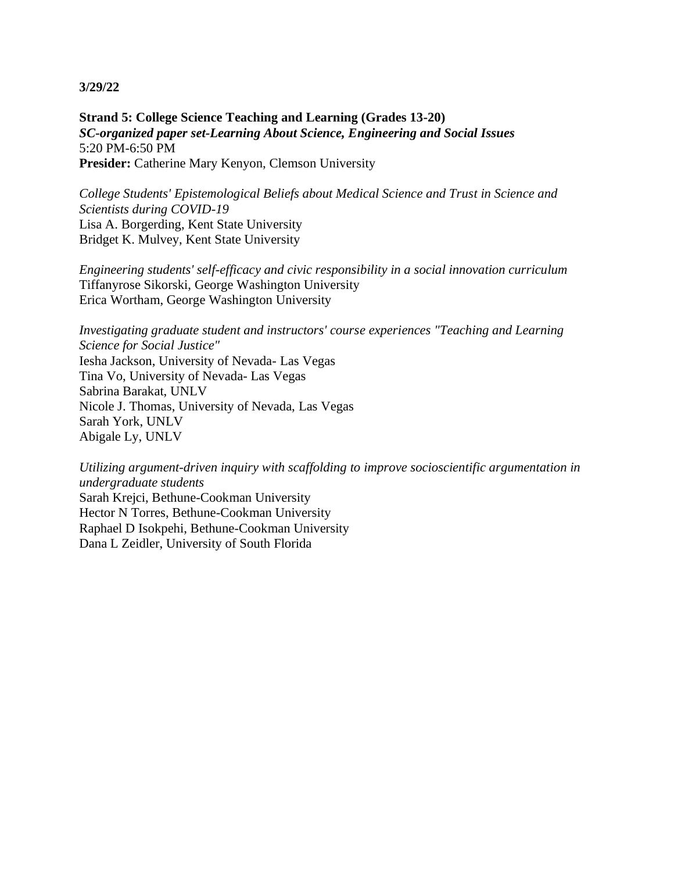**Strand 5: College Science Teaching and Learning (Grades 13-20)** *SC-organized paper set-Learning About Science, Engineering and Social Issues* 5:20 PM-6:50 PM Presider: Catherine Mary Kenyon, Clemson University

*College Students' Epistemological Beliefs about Medical Science and Trust in Science and Scientists during COVID-19* Lisa A. Borgerding, Kent State University Bridget K. Mulvey, Kent State University

*Engineering students' self-efficacy and civic responsibility in a social innovation curriculum* Tiffanyrose Sikorski, George Washington University Erica Wortham, George Washington University

*Investigating graduate student and instructors' course experiences "Teaching and Learning Science for Social Justice"* Iesha Jackson, University of Nevada- Las Vegas Tina Vo, University of Nevada- Las Vegas Sabrina Barakat, UNLV Nicole J. Thomas, University of Nevada, Las Vegas Sarah York, UNLV Abigale Ly, UNLV

*Utilizing argument-driven inquiry with scaffolding to improve socioscientific argumentation in undergraduate students* Sarah Krejci, Bethune-Cookman University Hector N Torres, Bethune-Cookman University Raphael D Isokpehi, Bethune-Cookman University Dana L Zeidler, University of South Florida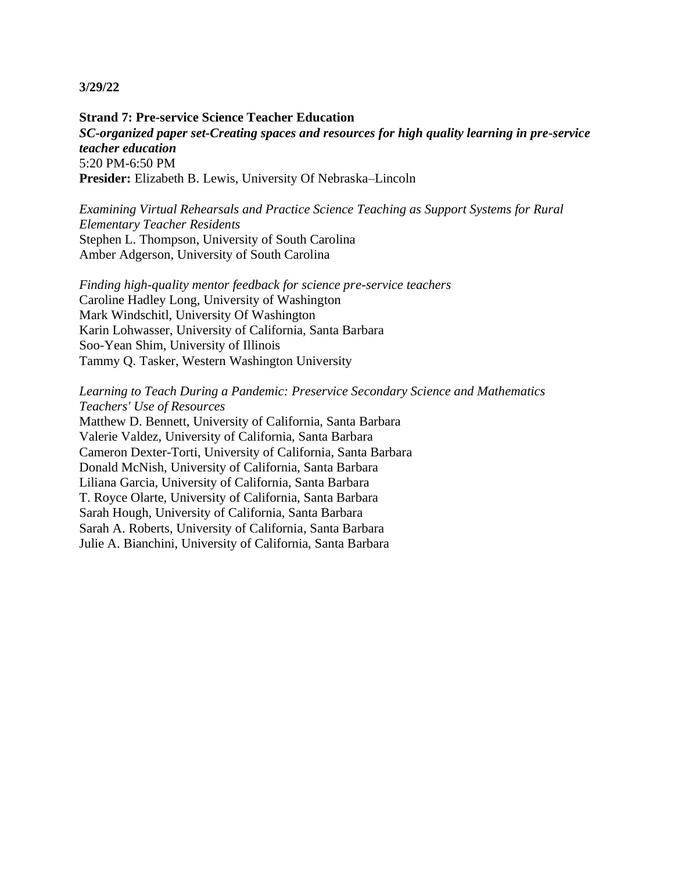**Strand 7: Pre-service Science Teacher Education** *SC-organized paper set-Creating spaces and resources for high quality learning in pre-service teacher education* 5:20 PM-6:50 PM **Presider:** Elizabeth B. Lewis, University Of Nebraska–Lincoln

*Examining Virtual Rehearsals and Practice Science Teaching as Support Systems for Rural Elementary Teacher Residents* Stephen L. Thompson, University of South Carolina Amber Adgerson, University of South Carolina

*Finding high-quality mentor feedback for science pre-service teachers* Caroline Hadley Long, University of Washington Mark Windschitl, University Of Washington Karin Lohwasser, University of California, Santa Barbara Soo-Yean Shim, University of Illinois Tammy Q. Tasker, Western Washington University

## *Learning to Teach During a Pandemic: Preservice Secondary Science and Mathematics Teachers' Use of Resources*

Matthew D. Bennett, University of California, Santa Barbara Valerie Valdez, University of California, Santa Barbara Cameron Dexter-Torti, University of California, Santa Barbara Donald McNish, University of California, Santa Barbara Liliana Garcia, University of California, Santa Barbara T. Royce Olarte, University of California, Santa Barbara Sarah Hough, University of California, Santa Barbara Sarah A. Roberts, University of California, Santa Barbara Julie A. Bianchini, University of California, Santa Barbara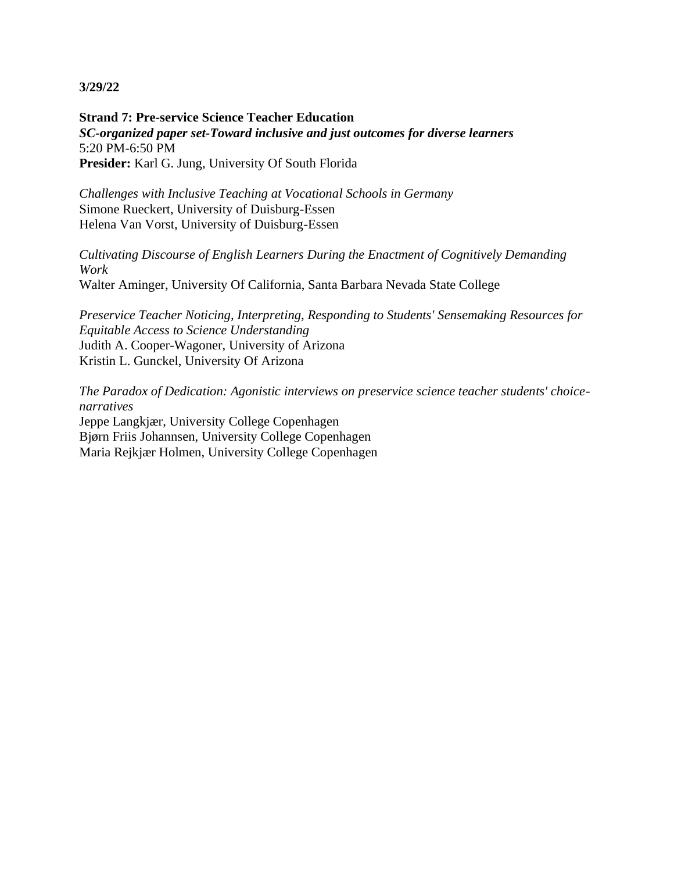**Strand 7: Pre-service Science Teacher Education** *SC-organized paper set-Toward inclusive and just outcomes for diverse learners* 5:20 PM-6:50 PM **Presider:** Karl G. Jung, University Of South Florida

*Challenges with Inclusive Teaching at Vocational Schools in Germany* Simone Rueckert, University of Duisburg-Essen Helena Van Vorst, University of Duisburg-Essen

*Cultivating Discourse of English Learners During the Enactment of Cognitively Demanding Work* Walter Aminger, University Of California, Santa Barbara Nevada State College

*Preservice Teacher Noticing, Interpreting, Responding to Students' Sensemaking Resources for Equitable Access to Science Understanding* Judith A. Cooper-Wagoner, University of Arizona Kristin L. Gunckel, University Of Arizona

*The Paradox of Dedication: Agonistic interviews on preservice science teacher students' choicenarratives* Jeppe Langkjær, University College Copenhagen Bjørn Friis Johannsen, University College Copenhagen Maria Rejkjær Holmen, University College Copenhagen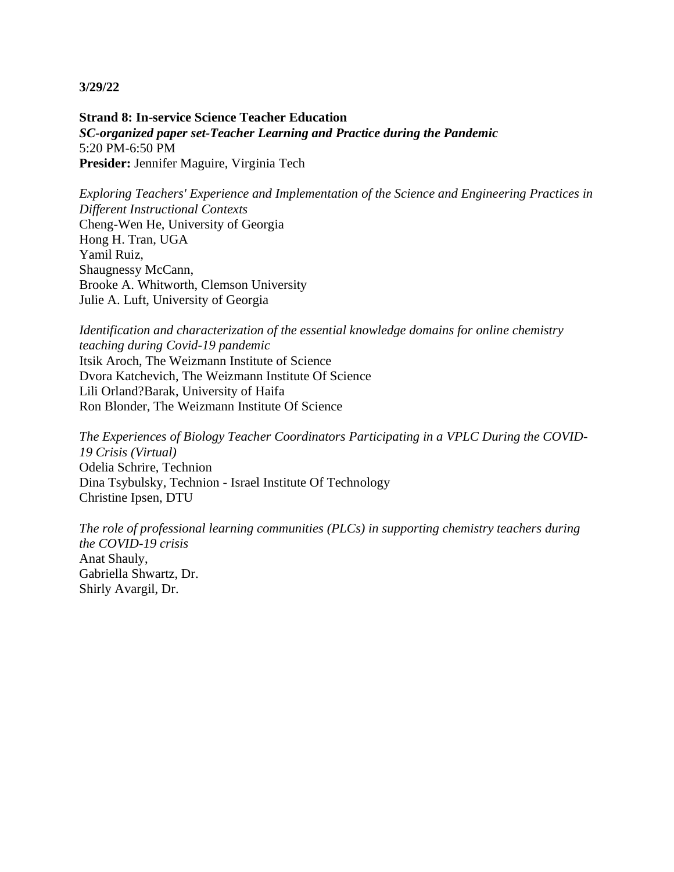**Strand 8: In-service Science Teacher Education** *SC-organized paper set-Teacher Learning and Practice during the Pandemic* 5:20 PM-6:50 PM **Presider:** Jennifer Maguire, Virginia Tech

*Exploring Teachers' Experience and Implementation of the Science and Engineering Practices in Different Instructional Contexts* Cheng-Wen He, University of Georgia Hong H. Tran, UGA Yamil Ruiz, Shaugnessy McCann, Brooke A. Whitworth, Clemson University Julie A. Luft, University of Georgia

*Identification and characterization of the essential knowledge domains for online chemistry teaching during Covid-19 pandemic* Itsik Aroch, The Weizmann Institute of Science Dvora Katchevich, The Weizmann Institute Of Science Lili Orland?Barak, University of Haifa Ron Blonder, The Weizmann Institute Of Science

*The Experiences of Biology Teacher Coordinators Participating in a VPLC During the COVID-19 Crisis (Virtual)* Odelia Schrire, Technion Dina Tsybulsky, Technion - Israel Institute Of Technology Christine Ipsen, DTU

*The role of professional learning communities (PLCs) in supporting chemistry teachers during the COVID-19 crisis* Anat Shauly, Gabriella Shwartz, Dr. Shirly Avargil, Dr.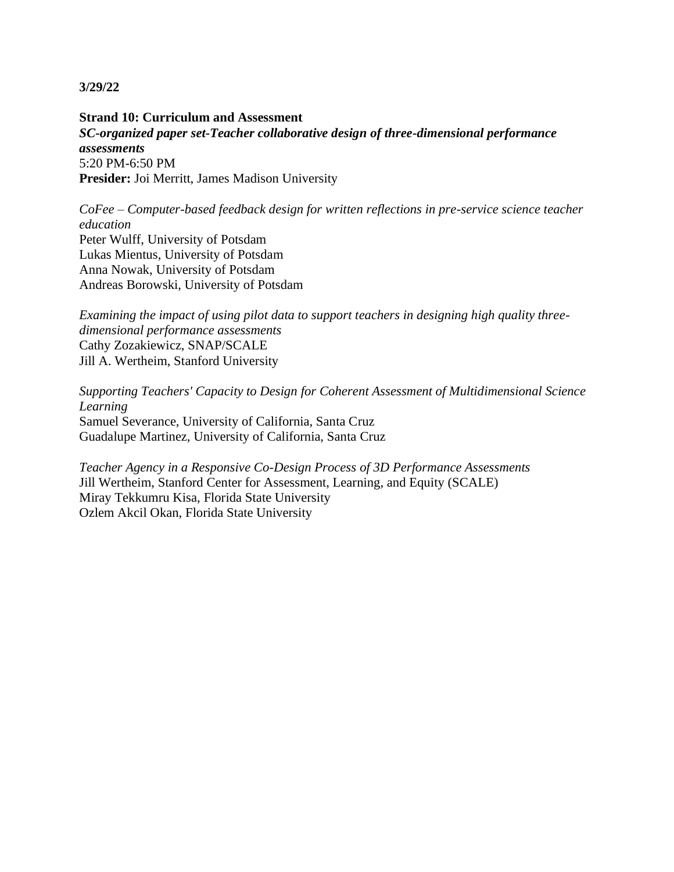**Strand 10: Curriculum and Assessment** *SC-organized paper set-Teacher collaborative design of three-dimensional performance assessments* 5:20 PM-6:50 PM **Presider:** Joi Merritt, James Madison University

*CoFee – Computer-based feedback design for written reflections in pre-service science teacher education* Peter Wulff, University of Potsdam Lukas Mientus, University of Potsdam Anna Nowak, University of Potsdam Andreas Borowski, University of Potsdam

*Examining the impact of using pilot data to support teachers in designing high quality threedimensional performance assessments* Cathy Zozakiewicz, SNAP/SCALE Jill A. Wertheim, Stanford University

*Supporting Teachers' Capacity to Design for Coherent Assessment of Multidimensional Science Learning* Samuel Severance, University of California, Santa Cruz Guadalupe Martinez, University of California, Santa Cruz

*Teacher Agency in a Responsive Co-Design Process of 3D Performance Assessments* Jill Wertheim, Stanford Center for Assessment, Learning, and Equity (SCALE) Miray Tekkumru Kisa, Florida State University Ozlem Akcil Okan, Florida State University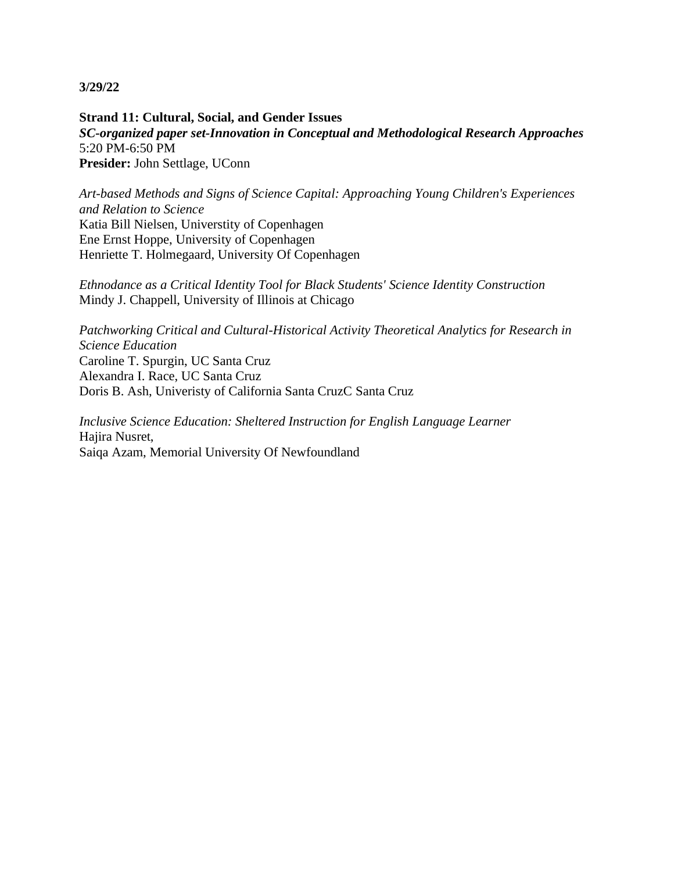**Strand 11: Cultural, Social, and Gender Issues** *SC-organized paper set-Innovation in Conceptual and Methodological Research Approaches* 5:20 PM-6:50 PM **Presider:** John Settlage, UConn

*Art-based Methods and Signs of Science Capital: Approaching Young Children's Experiences and Relation to Science* Katia Bill Nielsen, Universtity of Copenhagen Ene Ernst Hoppe, University of Copenhagen Henriette T. Holmegaard, University Of Copenhagen

*Ethnodance as a Critical Identity Tool for Black Students' Science Identity Construction* Mindy J. Chappell, University of Illinois at Chicago

*Patchworking Critical and Cultural-Historical Activity Theoretical Analytics for Research in Science Education* Caroline T. Spurgin, UC Santa Cruz Alexandra I. Race, UC Santa Cruz Doris B. Ash, Univeristy of California Santa CruzC Santa Cruz

*Inclusive Science Education: Sheltered Instruction for English Language Learner* Hajira Nusret, Saiqa Azam, Memorial University Of Newfoundland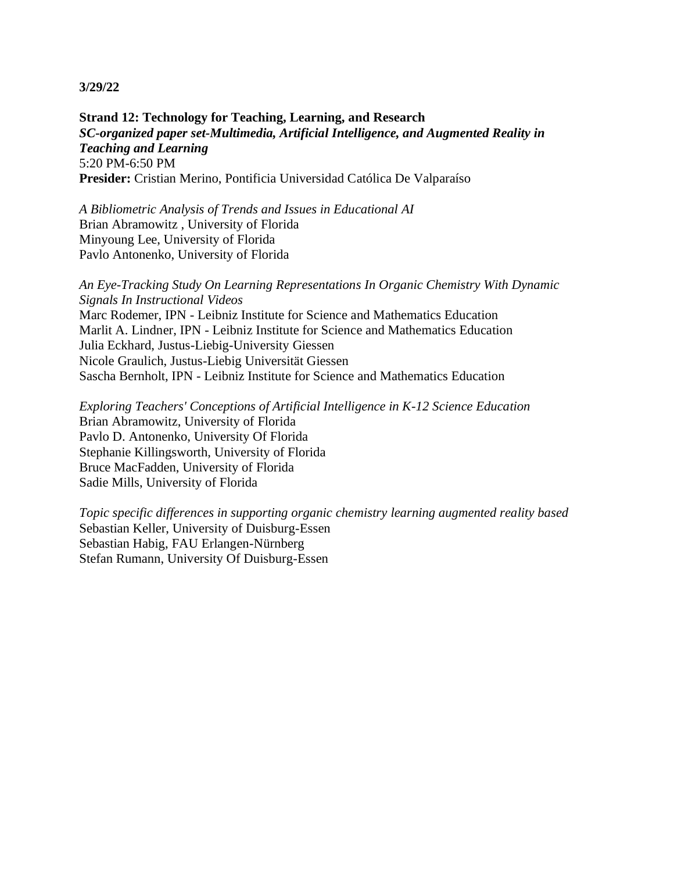**Strand 12: Technology for Teaching, Learning, and Research** *SC-organized paper set-Multimedia, Artificial Intelligence, and Augmented Reality in Teaching and Learning* 5:20 PM-6:50 PM **Presider:** Cristian Merino, Pontificia Universidad Católica De Valparaíso

*A Bibliometric Analysis of Trends and Issues in Educational AI* Brian Abramowitz , University of Florida Minyoung Lee, University of Florida Pavlo Antonenko, University of Florida

*An Eye-Tracking Study On Learning Representations In Organic Chemistry With Dynamic Signals In Instructional Videos* Marc Rodemer, IPN - Leibniz Institute for Science and Mathematics Education Marlit A. Lindner, IPN - Leibniz Institute for Science and Mathematics Education Julia Eckhard, Justus-Liebig-University Giessen Nicole Graulich, Justus-Liebig Universität Giessen Sascha Bernholt, IPN - Leibniz Institute for Science and Mathematics Education

*Exploring Teachers' Conceptions of Artificial Intelligence in K-12 Science Education* Brian Abramowitz, University of Florida Pavlo D. Antonenko, University Of Florida Stephanie Killingsworth, University of Florida Bruce MacFadden, University of Florida Sadie Mills, University of Florida

*Topic specific differences in supporting organic chemistry learning augmented reality based* Sebastian Keller, University of Duisburg-Essen Sebastian Habig, FAU Erlangen-Nürnberg Stefan Rumann, University Of Duisburg-Essen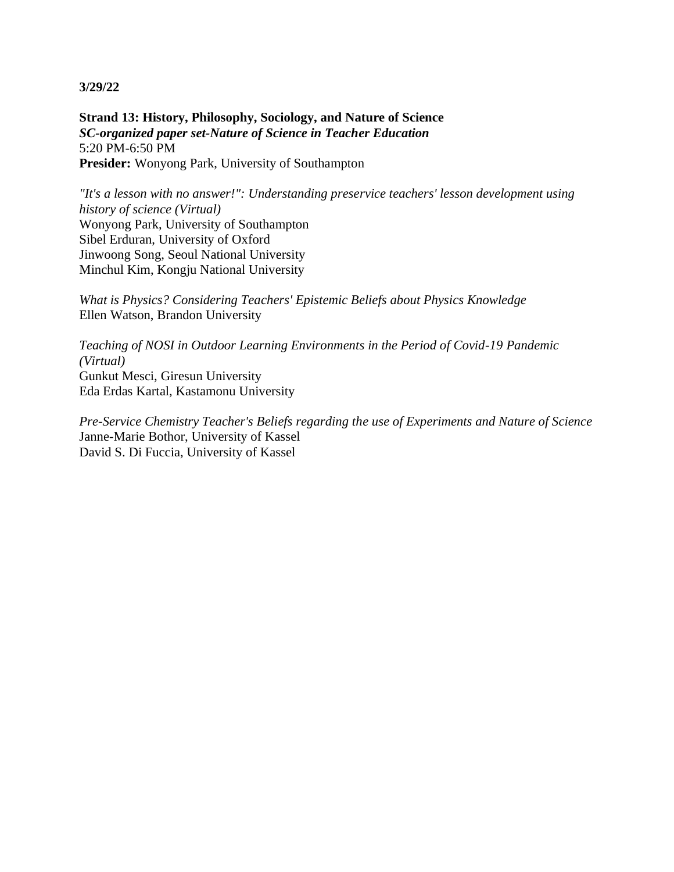**Strand 13: History, Philosophy, Sociology, and Nature of Science** *SC-organized paper set-Nature of Science in Teacher Education* 5:20 PM-6:50 PM **Presider:** Wonyong Park, University of Southampton

*"It's a lesson with no answer!": Understanding preservice teachers' lesson development using history of science (Virtual)* Wonyong Park, University of Southampton Sibel Erduran, University of Oxford Jinwoong Song, Seoul National University Minchul Kim, Kongju National University

*What is Physics? Considering Teachers' Epistemic Beliefs about Physics Knowledge* Ellen Watson, Brandon University

*Teaching of NOSI in Outdoor Learning Environments in the Period of Covid-19 Pandemic (Virtual)* Gunkut Mesci, Giresun University Eda Erdas Kartal, Kastamonu University

*Pre-Service Chemistry Teacher's Beliefs regarding the use of Experiments and Nature of Science* Janne-Marie Bothor, University of Kassel David S. Di Fuccia, University of Kassel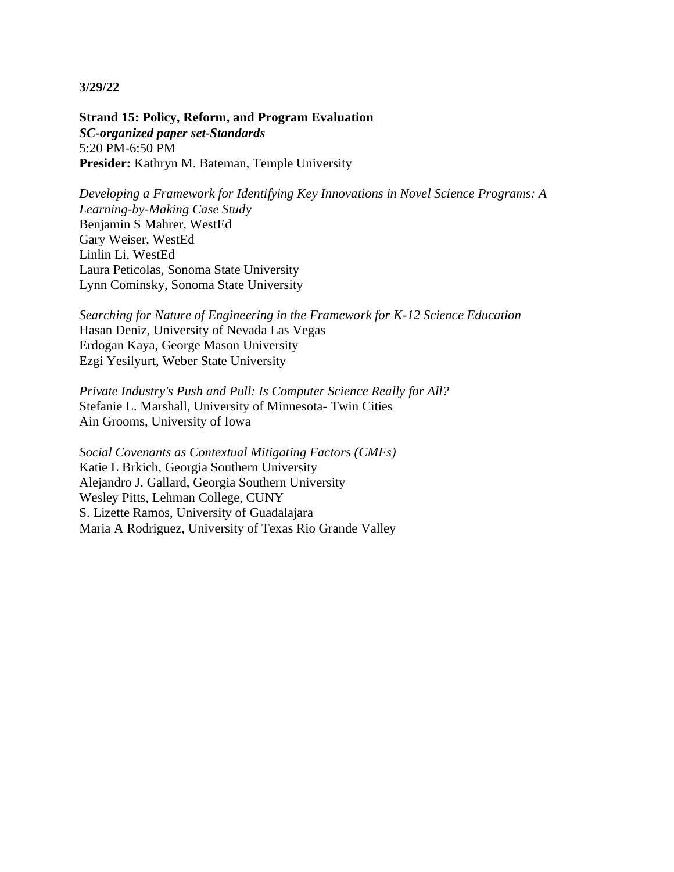**Strand 15: Policy, Reform, and Program Evaluation** *SC-organized paper set-Standards* 5:20 PM-6:50 PM **Presider:** Kathryn M. Bateman, Temple University

*Developing a Framework for Identifying Key Innovations in Novel Science Programs: A Learning-by-Making Case Study* Benjamin S Mahrer, WestEd Gary Weiser, WestEd Linlin Li, WestEd Laura Peticolas, Sonoma State University Lynn Cominsky, Sonoma State University

*Searching for Nature of Engineering in the Framework for K-12 Science Education* Hasan Deniz, University of Nevada Las Vegas Erdogan Kaya, George Mason University Ezgi Yesilyurt, Weber State University

*Private Industry's Push and Pull: Is Computer Science Really for All?* Stefanie L. Marshall, University of Minnesota- Twin Cities Ain Grooms, University of Iowa

*Social Covenants as Contextual Mitigating Factors (CMFs)* Katie L Brkich, Georgia Southern University Alejandro J. Gallard, Georgia Southern University Wesley Pitts, Lehman College, CUNY S. Lizette Ramos, University of Guadalajara Maria A Rodriguez, University of Texas Rio Grande Valley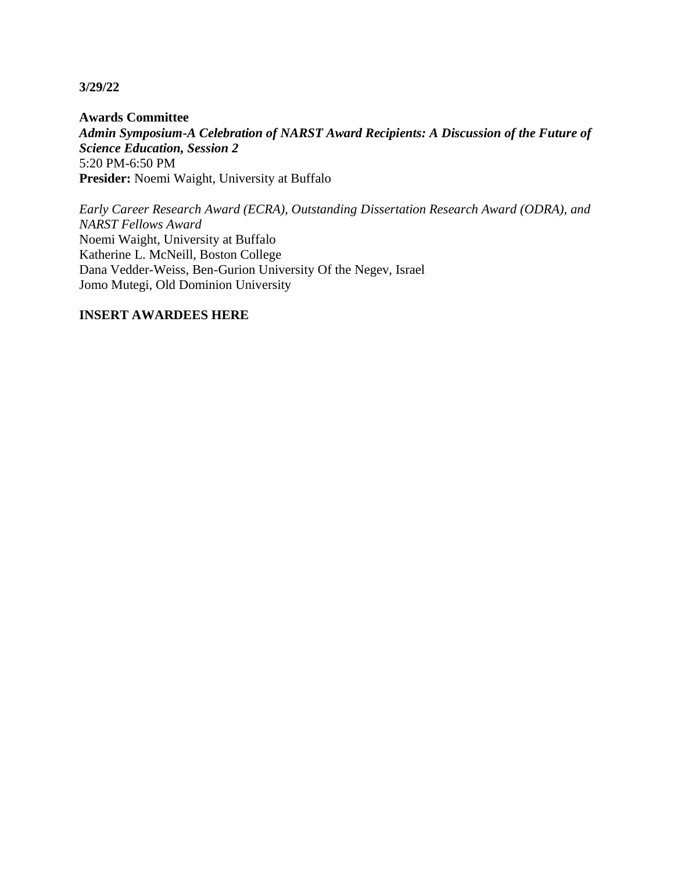**Awards Committee** *Admin Symposium-A Celebration of NARST Award Recipients: A Discussion of the Future of Science Education, Session 2* 5:20 PM-6:50 PM **Presider:** Noemi Waight, University at Buffalo

*Early Career Research Award (ECRA), Outstanding Dissertation Research Award (ODRA), and NARST Fellows Award* Noemi Waight, University at Buffalo Katherine L. McNeill, Boston College Dana Vedder-Weiss, Ben-Gurion University Of the Negev, Israel Jomo Mutegi, Old Dominion University

# **INSERT AWARDEES HERE**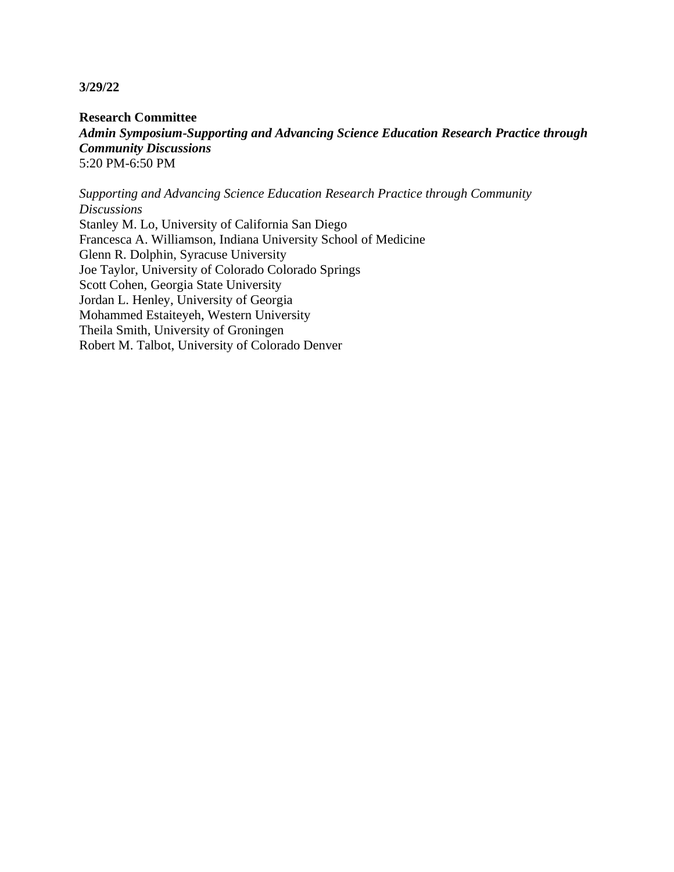**Research Committee** *Admin Symposium-Supporting and Advancing Science Education Research Practice through Community Discussions* 5:20 PM-6:50 PM

*Supporting and Advancing Science Education Research Practice through Community Discussions* Stanley M. Lo, University of California San Diego Francesca A. Williamson, Indiana University School of Medicine Glenn R. Dolphin, Syracuse University Joe Taylor, University of Colorado Colorado Springs Scott Cohen, Georgia State University Jordan L. Henley, University of Georgia Mohammed Estaiteyeh, Western University Theila Smith, University of Groningen Robert M. Talbot, University of Colorado Denver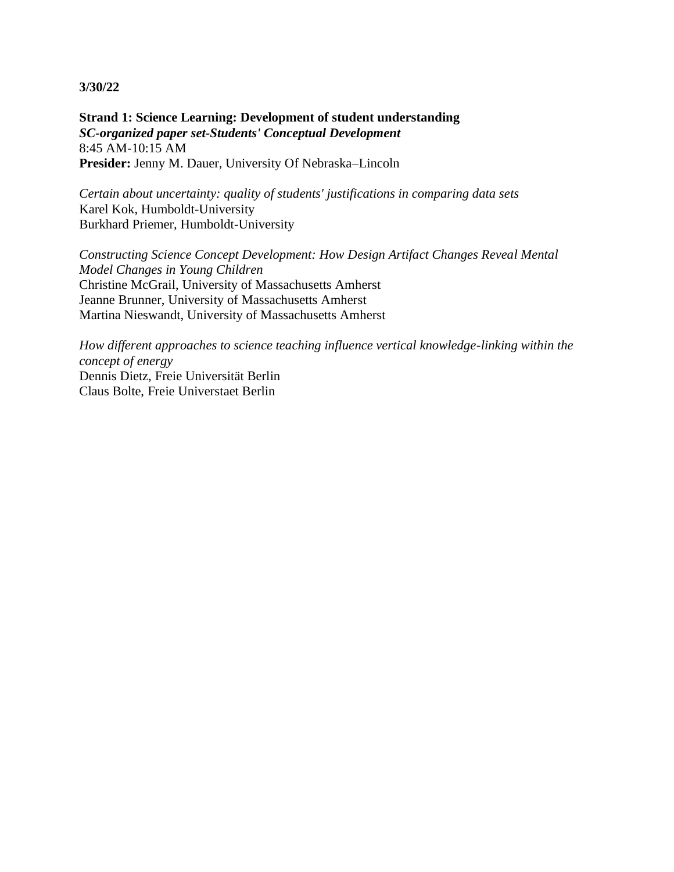**Strand 1: Science Learning: Development of student understanding** *SC-organized paper set-Students' Conceptual Development* 8:45 AM-10:15 AM **Presider:** Jenny M. Dauer, University Of Nebraska–Lincoln

*Certain about uncertainty: quality of students' justifications in comparing data sets* Karel Kok, Humboldt-University Burkhard Priemer, Humboldt-University

*Constructing Science Concept Development: How Design Artifact Changes Reveal Mental Model Changes in Young Children* Christine McGrail, University of Massachusetts Amherst Jeanne Brunner, University of Massachusetts Amherst Martina Nieswandt, University of Massachusetts Amherst

*How different approaches to science teaching influence vertical knowledge-linking within the concept of energy* Dennis Dietz, Freie Universität Berlin Claus Bolte, Freie Universtaet Berlin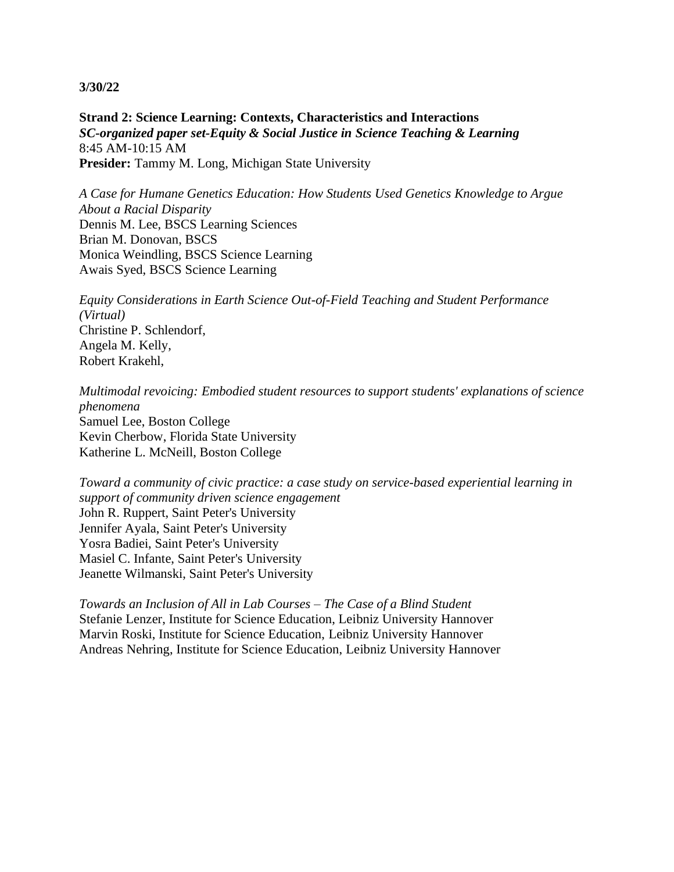**Strand 2: Science Learning: Contexts, Characteristics and Interactions** *SC-organized paper set-Equity & Social Justice in Science Teaching & Learning* 8:45 AM-10:15 AM Presider: Tammy M. Long, Michigan State University

*A Case for Humane Genetics Education: How Students Used Genetics Knowledge to Argue About a Racial Disparity* Dennis M. Lee, BSCS Learning Sciences Brian M. Donovan, BSCS Monica Weindling, BSCS Science Learning Awais Syed, BSCS Science Learning

*Equity Considerations in Earth Science Out-of-Field Teaching and Student Performance (Virtual)* Christine P. Schlendorf, Angela M. Kelly, Robert Krakehl,

*Multimodal revoicing: Embodied student resources to support students' explanations of science phenomena* Samuel Lee, Boston College Kevin Cherbow, Florida State University Katherine L. McNeill, Boston College

*Toward a community of civic practice: a case study on service-based experiential learning in support of community driven science engagement* John R. Ruppert, Saint Peter's University Jennifer Ayala, Saint Peter's University Yosra Badiei, Saint Peter's University Masiel C. Infante, Saint Peter's University Jeanette Wilmanski, Saint Peter's University

*Towards an Inclusion of All in Lab Courses – The Case of a Blind Student* Stefanie Lenzer, Institute for Science Education, Leibniz University Hannover Marvin Roski, Institute for Science Education, Leibniz University Hannover Andreas Nehring, Institute for Science Education, Leibniz University Hannover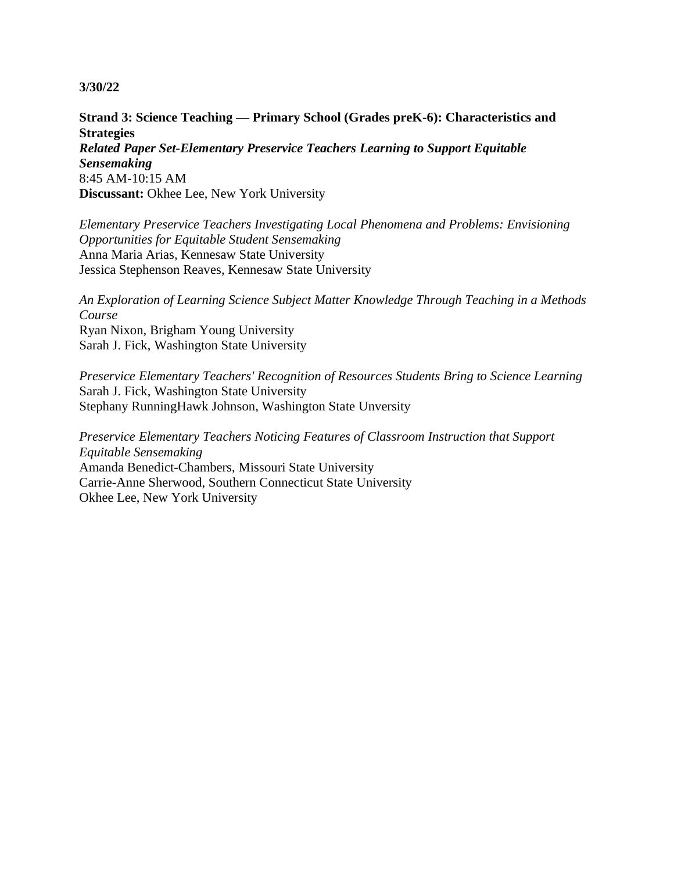**Strand 3: Science Teaching — Primary School (Grades preK-6): Characteristics and Strategies** *Related Paper Set-Elementary Preservice Teachers Learning to Support Equitable Sensemaking* 8:45 AM-10:15 AM **Discussant:** Okhee Lee, New York University

*Elementary Preservice Teachers Investigating Local Phenomena and Problems: Envisioning Opportunities for Equitable Student Sensemaking* Anna Maria Arias, Kennesaw State University Jessica Stephenson Reaves, Kennesaw State University

*An Exploration of Learning Science Subject Matter Knowledge Through Teaching in a Methods Course* Ryan Nixon, Brigham Young University Sarah J. Fick, Washington State University

*Preservice Elementary Teachers' Recognition of Resources Students Bring to Science Learning* Sarah J. Fick, Washington State University Stephany RunningHawk Johnson, Washington State Unversity

*Preservice Elementary Teachers Noticing Features of Classroom Instruction that Support Equitable Sensemaking* Amanda Benedict-Chambers, Missouri State University Carrie-Anne Sherwood, Southern Connecticut State University Okhee Lee, New York University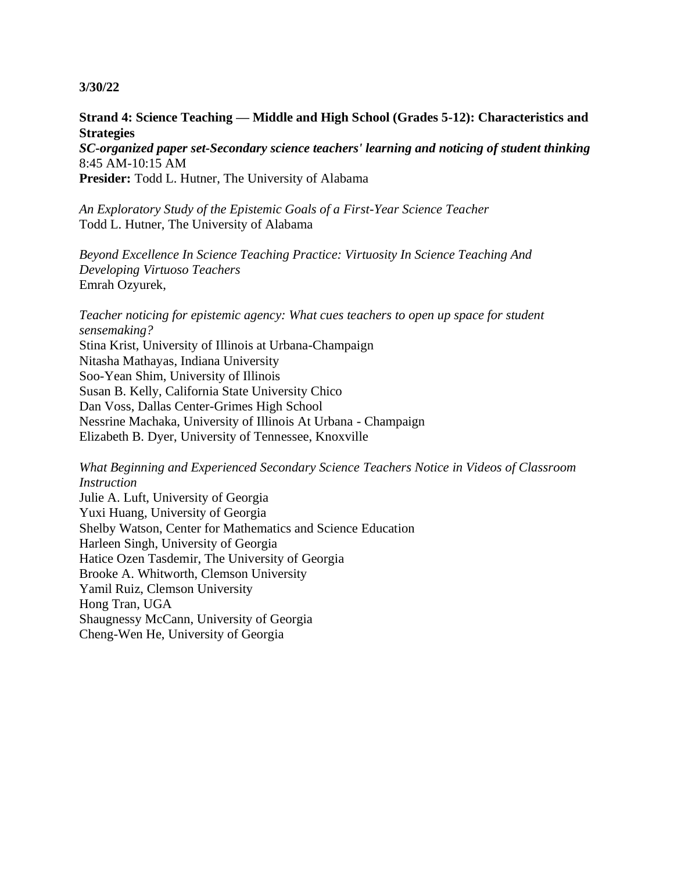## **Strand 4: Science Teaching — Middle and High School (Grades 5-12): Characteristics and Strategies**

*SC-organized paper set-Secondary science teachers' learning and noticing of student thinking* 8:45 AM-10:15 AM

**Presider:** Todd L. Hutner, The University of Alabama

*An Exploratory Study of the Epistemic Goals of a First-Year Science Teacher* Todd L. Hutner, The University of Alabama

*Beyond Excellence In Science Teaching Practice: Virtuosity In Science Teaching And Developing Virtuoso Teachers* Emrah Ozyurek,

*Teacher noticing for epistemic agency: What cues teachers to open up space for student sensemaking?* Stina Krist, University of Illinois at Urbana-Champaign Nitasha Mathayas, Indiana University Soo-Yean Shim, University of Illinois Susan B. Kelly, California State University Chico Dan Voss, Dallas Center-Grimes High School Nessrine Machaka, University of Illinois At Urbana - Champaign Elizabeth B. Dyer, University of Tennessee, Knoxville

*What Beginning and Experienced Secondary Science Teachers Notice in Videos of Classroom Instruction*

Julie A. Luft, University of Georgia Yuxi Huang, University of Georgia Shelby Watson, Center for Mathematics and Science Education Harleen Singh, University of Georgia Hatice Ozen Tasdemir, The University of Georgia Brooke A. Whitworth, Clemson University Yamil Ruiz, Clemson University Hong Tran, UGA Shaugnessy McCann, University of Georgia Cheng-Wen He, University of Georgia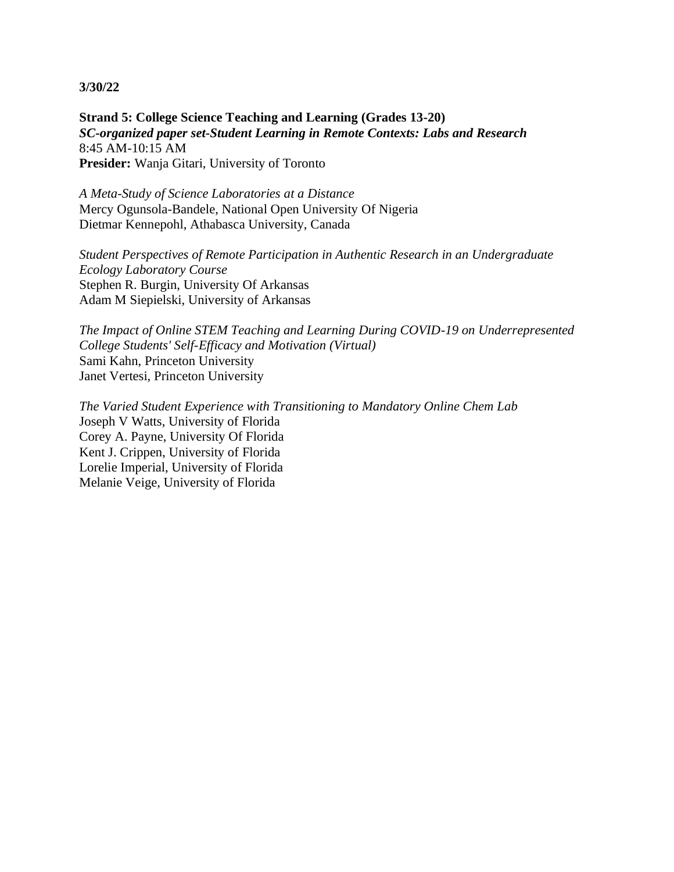**Strand 5: College Science Teaching and Learning (Grades 13-20)** *SC-organized paper set-Student Learning in Remote Contexts: Labs and Research* 8:45 AM-10:15 AM **Presider:** Wanja Gitari, University of Toronto

*A Meta-Study of Science Laboratories at a Distance* Mercy Ogunsola-Bandele, National Open University Of Nigeria Dietmar Kennepohl, Athabasca University, Canada

*Student Perspectives of Remote Participation in Authentic Research in an Undergraduate Ecology Laboratory Course* Stephen R. Burgin, University Of Arkansas Adam M Siepielski, University of Arkansas

*The Impact of Online STEM Teaching and Learning During COVID-19 on Underrepresented College Students' Self-Efficacy and Motivation (Virtual)* Sami Kahn, Princeton University Janet Vertesi, Princeton University

*The Varied Student Experience with Transitioning to Mandatory Online Chem Lab* Joseph V Watts, University of Florida Corey A. Payne, University Of Florida Kent J. Crippen, University of Florida Lorelie Imperial, University of Florida Melanie Veige, University of Florida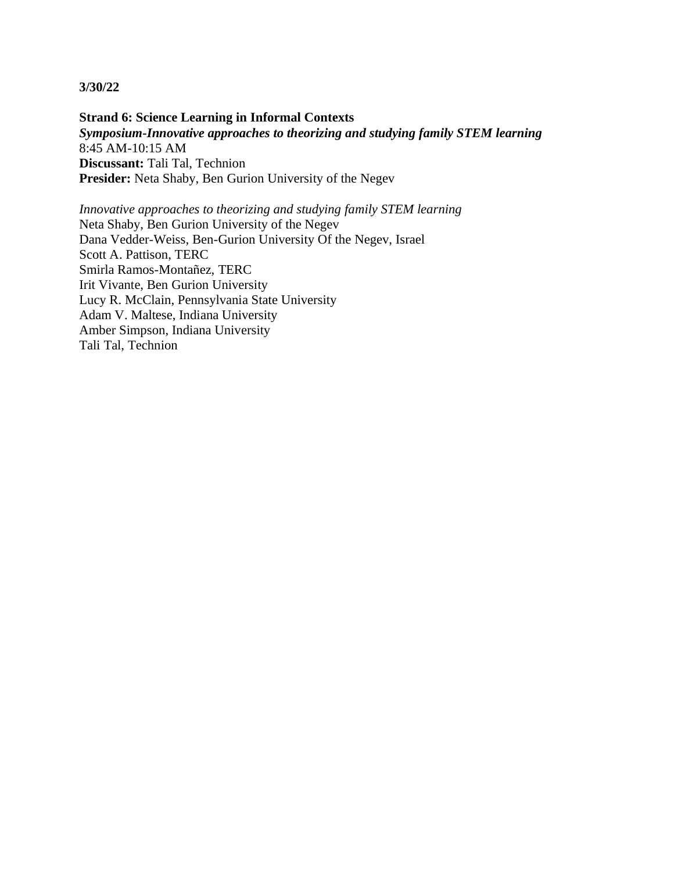**Strand 6: Science Learning in Informal Contexts** *Symposium-Innovative approaches to theorizing and studying family STEM learning* 8:45 AM-10:15 AM **Discussant:** Tali Tal, Technion **Presider:** Neta Shaby, Ben Gurion University of the Negev

*Innovative approaches to theorizing and studying family STEM learning* Neta Shaby, Ben Gurion University of the Negev Dana Vedder-Weiss, Ben-Gurion University Of the Negev, Israel Scott A. Pattison, TERC Smirla Ramos-Montañez, TERC Irit Vivante, Ben Gurion University Lucy R. McClain, Pennsylvania State University Adam V. Maltese, Indiana University Amber Simpson, Indiana University Tali Tal, Technion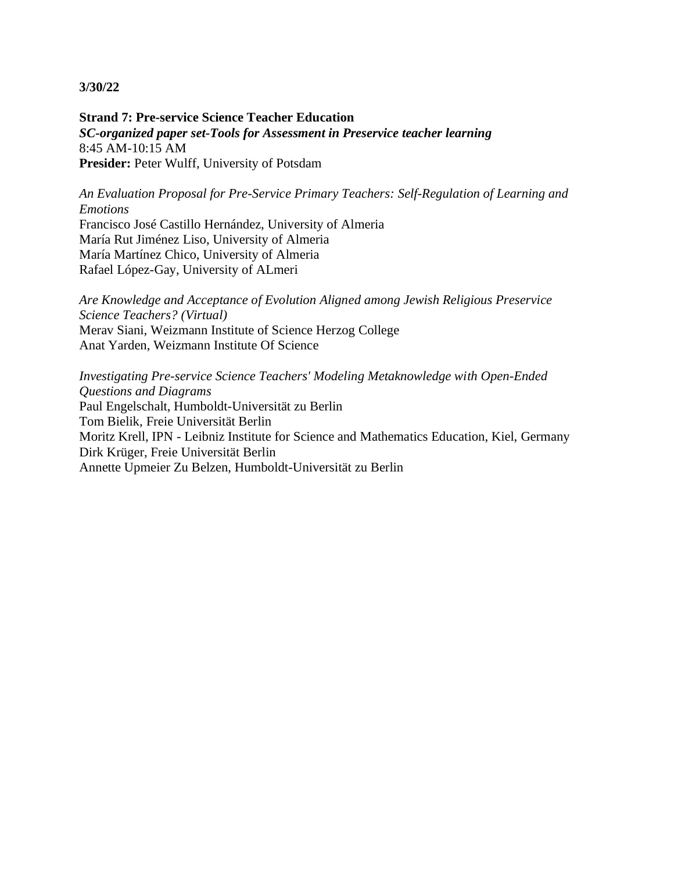**Strand 7: Pre-service Science Teacher Education** *SC-organized paper set-Tools for Assessment in Preservice teacher learning* 8:45 AM-10:15 AM **Presider:** Peter Wulff, University of Potsdam

*An Evaluation Proposal for Pre-Service Primary Teachers: Self-Regulation of Learning and Emotions*

Francisco José Castillo Hernández, University of Almeria María Rut Jiménez Liso, University of Almeria María Martínez Chico, University of Almeria Rafael López-Gay, University of ALmeri

*Are Knowledge and Acceptance of Evolution Aligned among Jewish Religious Preservice Science Teachers? (Virtual)* Merav Siani, Weizmann Institute of Science Herzog College Anat Yarden, Weizmann Institute Of Science

*Investigating Pre-service Science Teachers' Modeling Metaknowledge with Open-Ended Questions and Diagrams* Paul Engelschalt, Humboldt-Universität zu Berlin Tom Bielik, Freie Universität Berlin Moritz Krell, IPN - Leibniz Institute for Science and Mathematics Education, Kiel, Germany Dirk Krüger, Freie Universität Berlin Annette Upmeier Zu Belzen, Humboldt-Universität zu Berlin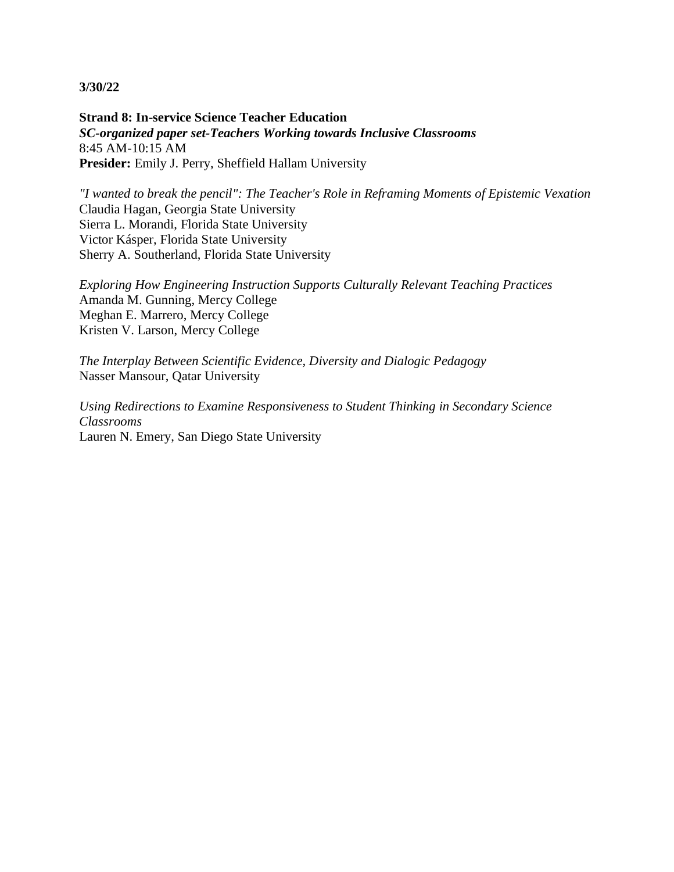**Strand 8: In-service Science Teacher Education** *SC-organized paper set-Teachers Working towards Inclusive Classrooms* 8:45 AM-10:15 AM **Presider:** Emily J. Perry, Sheffield Hallam University

*"I wanted to break the pencil": The Teacher's Role in Reframing Moments of Epistemic Vexation* Claudia Hagan, Georgia State University Sierra L. Morandi, Florida State University Victor Kásper, Florida State University Sherry A. Southerland, Florida State University

*Exploring How Engineering Instruction Supports Culturally Relevant Teaching Practices* Amanda M. Gunning, Mercy College Meghan E. Marrero, Mercy College Kristen V. Larson, Mercy College

*The Interplay Between Scientific Evidence, Diversity and Dialogic Pedagogy* Nasser Mansour, Qatar University

*Using Redirections to Examine Responsiveness to Student Thinking in Secondary Science Classrooms* Lauren N. Emery, San Diego State University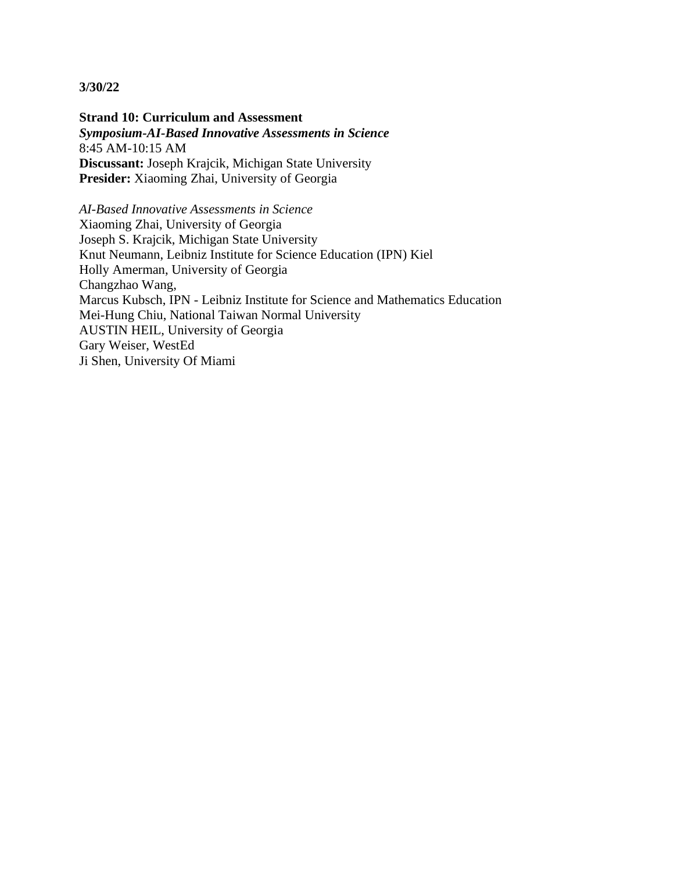**Strand 10: Curriculum and Assessment** *Symposium-AI-Based Innovative Assessments in Science* 8:45 AM-10:15 AM **Discussant:** Joseph Krajcik, Michigan State University Presider: Xiaoming Zhai, University of Georgia

*AI-Based Innovative Assessments in Science* Xiaoming Zhai, University of Georgia Joseph S. Krajcik, Michigan State University Knut Neumann, Leibniz Institute for Science Education (IPN) Kiel Holly Amerman, University of Georgia Changzhao Wang, Marcus Kubsch, IPN - Leibniz Institute for Science and Mathematics Education Mei-Hung Chiu, National Taiwan Normal University AUSTIN HEIL, University of Georgia Gary Weiser, WestEd Ji Shen, University Of Miami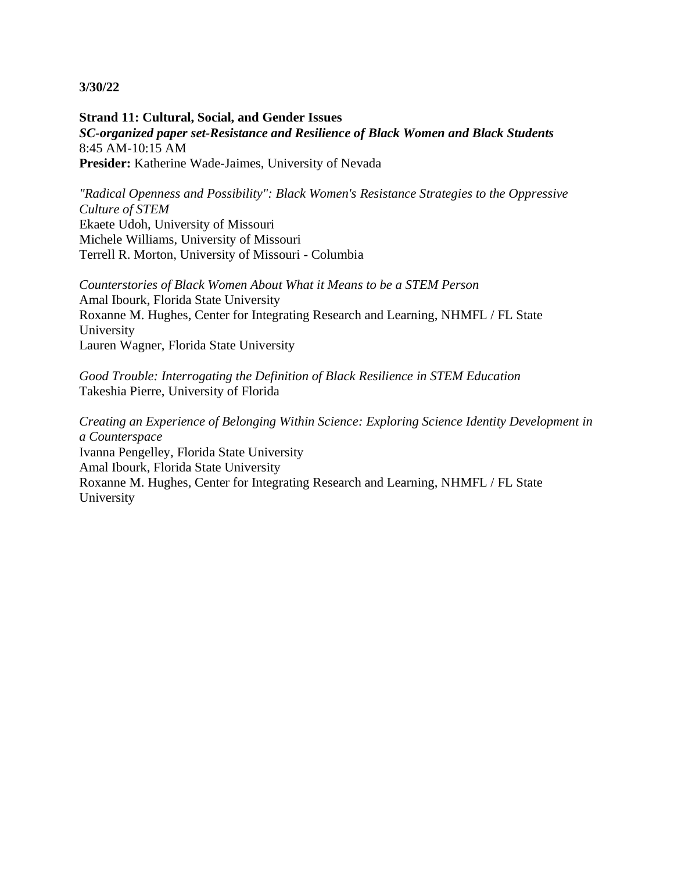**Strand 11: Cultural, Social, and Gender Issues** *SC-organized paper set-Resistance and Resilience of Black Women and Black Students* 8:45 AM-10:15 AM **Presider:** Katherine Wade-Jaimes, University of Nevada

*"Radical Openness and Possibility": Black Women's Resistance Strategies to the Oppressive Culture of STEM* Ekaete Udoh, University of Missouri Michele Williams, University of Missouri Terrell R. Morton, University of Missouri - Columbia

*Counterstories of Black Women About What it Means to be a STEM Person* Amal Ibourk, Florida State University Roxanne M. Hughes, Center for Integrating Research and Learning, NHMFL / FL State University Lauren Wagner, Florida State University

*Good Trouble: Interrogating the Definition of Black Resilience in STEM Education* Takeshia Pierre, University of Florida

*Creating an Experience of Belonging Within Science: Exploring Science Identity Development in a Counterspace* Ivanna Pengelley, Florida State University Amal Ibourk, Florida State University Roxanne M. Hughes, Center for Integrating Research and Learning, NHMFL / FL State University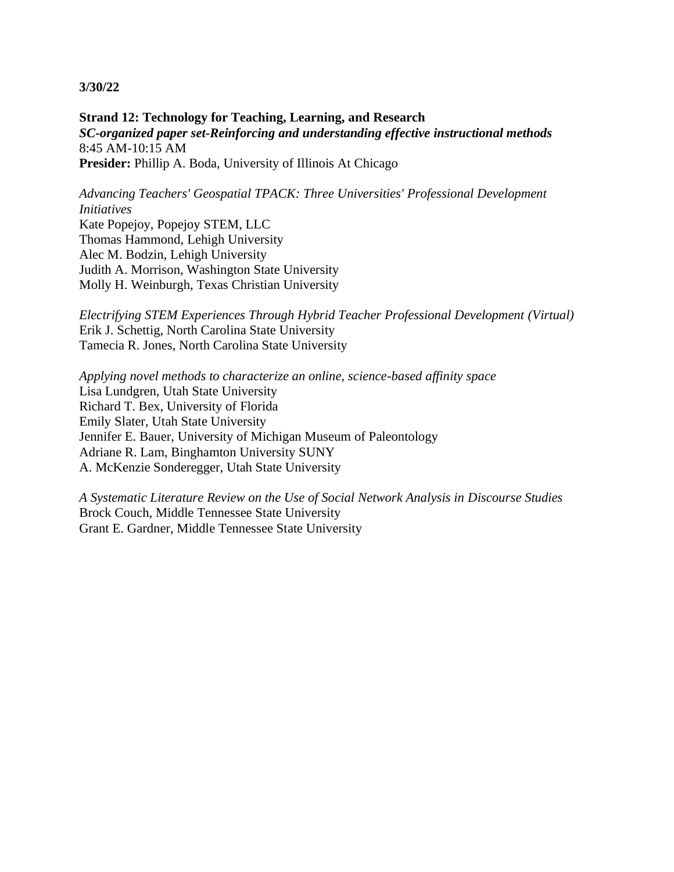**Strand 12: Technology for Teaching, Learning, and Research** *SC-organized paper set-Reinforcing and understanding effective instructional methods* 8:45 AM-10:15 AM **Presider:** Phillip A. Boda, University of Illinois At Chicago

*Advancing Teachers' Geospatial TPACK: Three Universities' Professional Development Initiatives* Kate Popejoy, Popejoy STEM, LLC Thomas Hammond, Lehigh University Alec M. Bodzin, Lehigh University

Judith A. Morrison, Washington State University Molly H. Weinburgh, Texas Christian University

*Electrifying STEM Experiences Through Hybrid Teacher Professional Development (Virtual)* Erik J. Schettig, North Carolina State University Tamecia R. Jones, North Carolina State University

*Applying novel methods to characterize an online, science-based affinity space* Lisa Lundgren, Utah State University Richard T. Bex, University of Florida Emily Slater, Utah State University Jennifer E. Bauer, University of Michigan Museum of Paleontology Adriane R. Lam, Binghamton University SUNY A. McKenzie Sonderegger, Utah State University

*A Systematic Literature Review on the Use of Social Network Analysis in Discourse Studies* Brock Couch, Middle Tennessee State University Grant E. Gardner, Middle Tennessee State University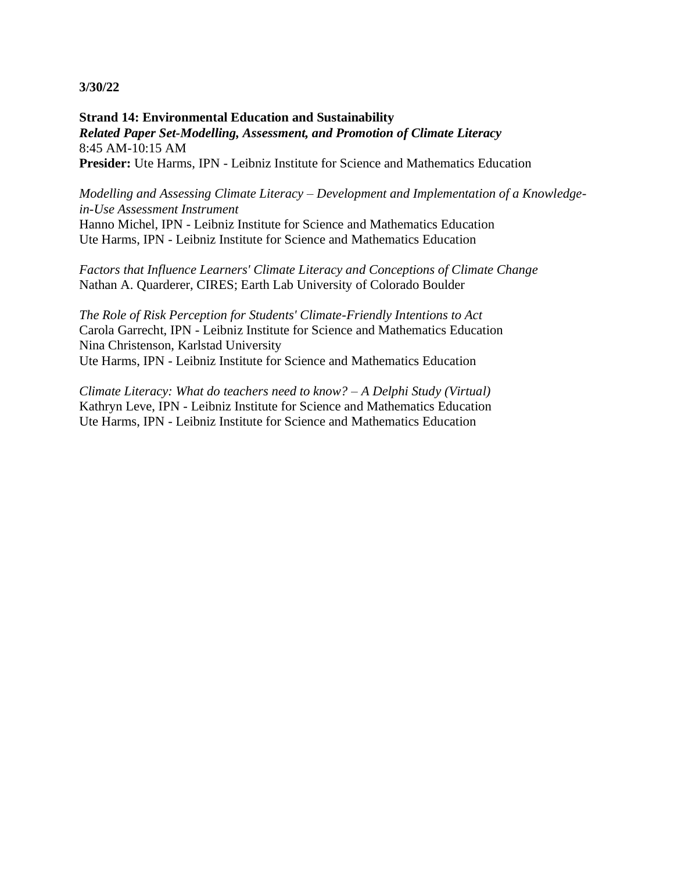**Strand 14: Environmental Education and Sustainability** *Related Paper Set-Modelling, Assessment, and Promotion of Climate Literacy* 8:45 AM-10:15 AM **Presider:** Ute Harms, IPN - Leibniz Institute for Science and Mathematics Education

*Modelling and Assessing Climate Literacy – Development and Implementation of a Knowledgein-Use Assessment Instrument*

Hanno Michel, IPN - Leibniz Institute for Science and Mathematics Education Ute Harms, IPN - Leibniz Institute for Science and Mathematics Education

*Factors that Influence Learners' Climate Literacy and Conceptions of Climate Change* Nathan A. Quarderer, CIRES; Earth Lab University of Colorado Boulder

*The Role of Risk Perception for Students' Climate-Friendly Intentions to Act* Carola Garrecht, IPN - Leibniz Institute for Science and Mathematics Education Nina Christenson, Karlstad University Ute Harms, IPN - Leibniz Institute for Science and Mathematics Education

*Climate Literacy: What do teachers need to know? – A Delphi Study (Virtual)* Kathryn Leve, IPN - Leibniz Institute for Science and Mathematics Education Ute Harms, IPN - Leibniz Institute for Science and Mathematics Education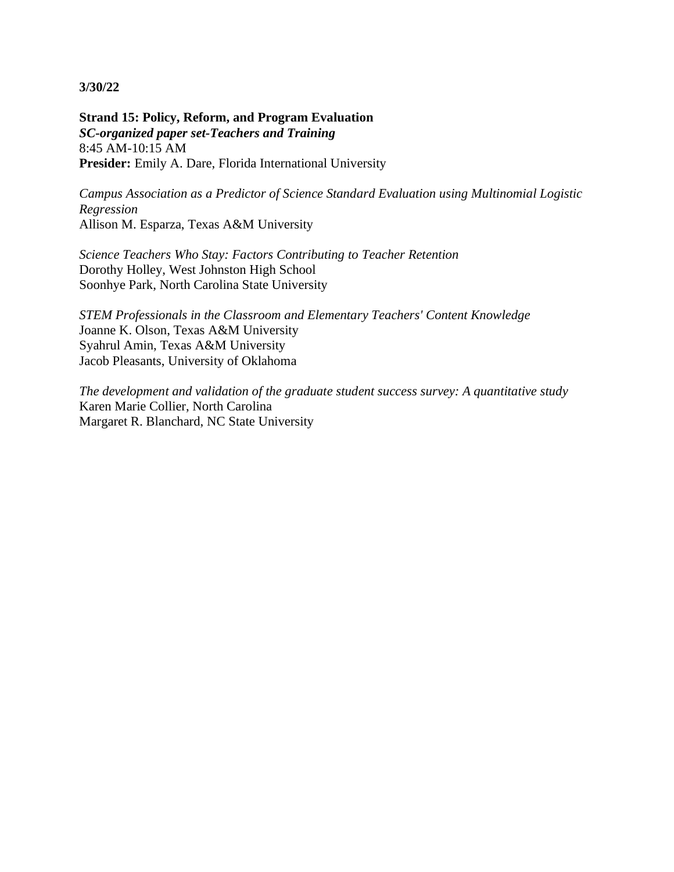**Strand 15: Policy, Reform, and Program Evaluation** *SC-organized paper set-Teachers and Training* 8:45 AM-10:15 AM Presider: Emily A. Dare, Florida International University

*Campus Association as a Predictor of Science Standard Evaluation using Multinomial Logistic Regression* Allison M. Esparza, Texas A&M University

*Science Teachers Who Stay: Factors Contributing to Teacher Retention* Dorothy Holley, West Johnston High School Soonhye Park, North Carolina State University

*STEM Professionals in the Classroom and Elementary Teachers' Content Knowledge* Joanne K. Olson, Texas A&M University Syahrul Amin, Texas A&M University Jacob Pleasants, University of Oklahoma

*The development and validation of the graduate student success survey: A quantitative study* Karen Marie Collier, North Carolina Margaret R. Blanchard, NC State University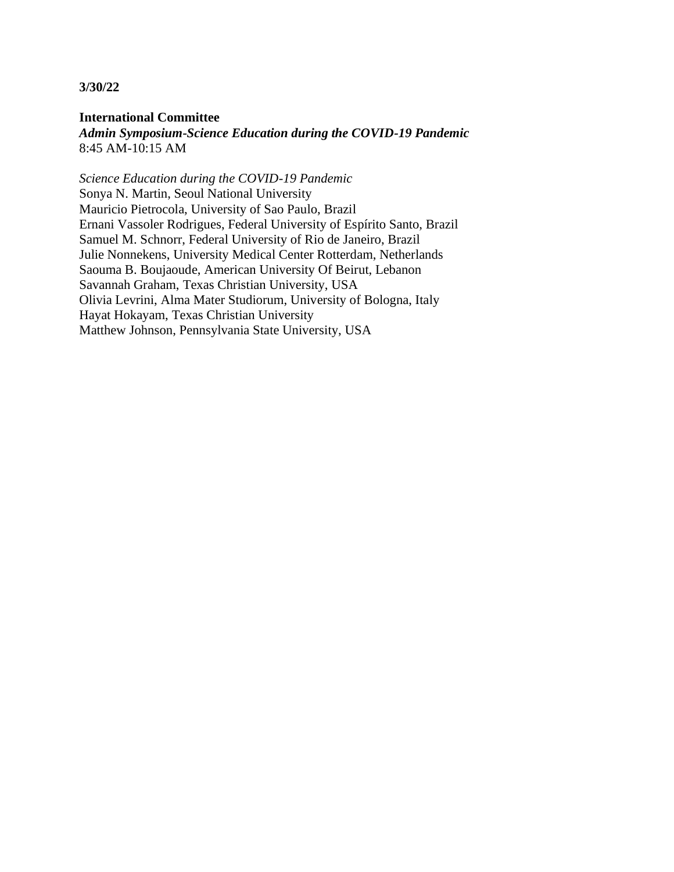**International Committee** *Admin Symposium-Science Education during the COVID-19 Pandemic* 8:45 AM-10:15 AM

*Science Education during the COVID-19 Pandemic* Sonya N. Martin, Seoul National University Mauricio Pietrocola, University of Sao Paulo, Brazil Ernani Vassoler Rodrigues, Federal University of Espírito Santo, Brazil Samuel M. Schnorr, Federal University of Rio de Janeiro, Brazil Julie Nonnekens, University Medical Center Rotterdam, Netherlands Saouma B. Boujaoude, American University Of Beirut, Lebanon Savannah Graham, Texas Christian University, USA Olivia Levrini, Alma Mater Studiorum, University of Bologna, Italy Hayat Hokayam, Texas Christian University Matthew Johnson, Pennsylvania State University, USA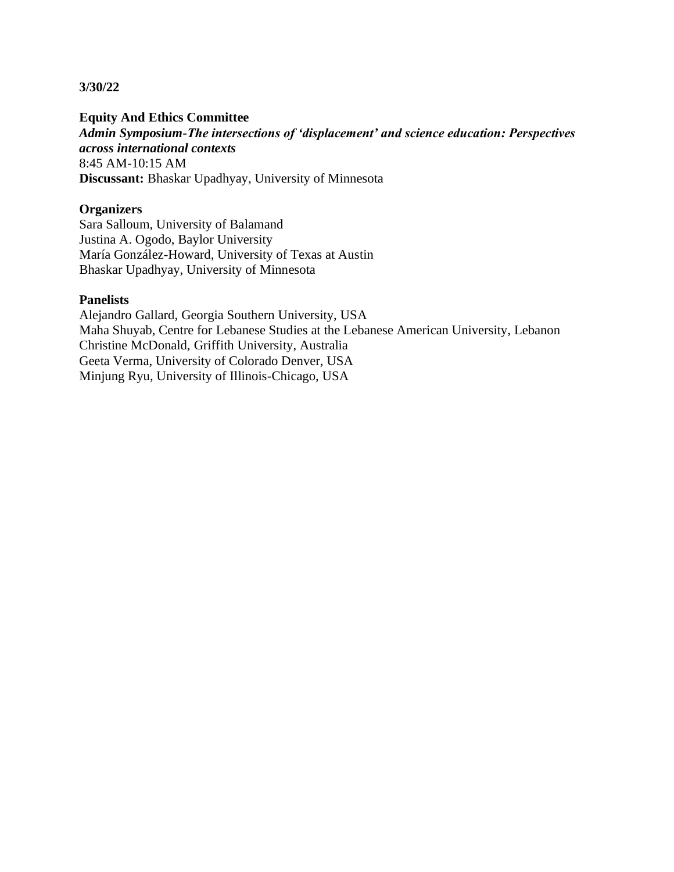**Equity And Ethics Committee**

*Admin Symposium-The intersections of 'displacement' and science education: Perspectives across international contexts* 8:45 AM-10:15 AM **Discussant:** Bhaskar Upadhyay, University of Minnesota

## **Organizers**

Sara Salloum, University of Balamand Justina A. Ogodo, Baylor University María González-Howard, University of Texas at Austin Bhaskar Upadhyay, University of Minnesota

#### **Panelists**

Alejandro Gallard, Georgia Southern University, USA Maha Shuyab, Centre for Lebanese Studies at the Lebanese American University, Lebanon Christine McDonald, Griffith University, Australia Geeta Verma, University of Colorado Denver, USA Minjung Ryu, University of Illinois-Chicago, USA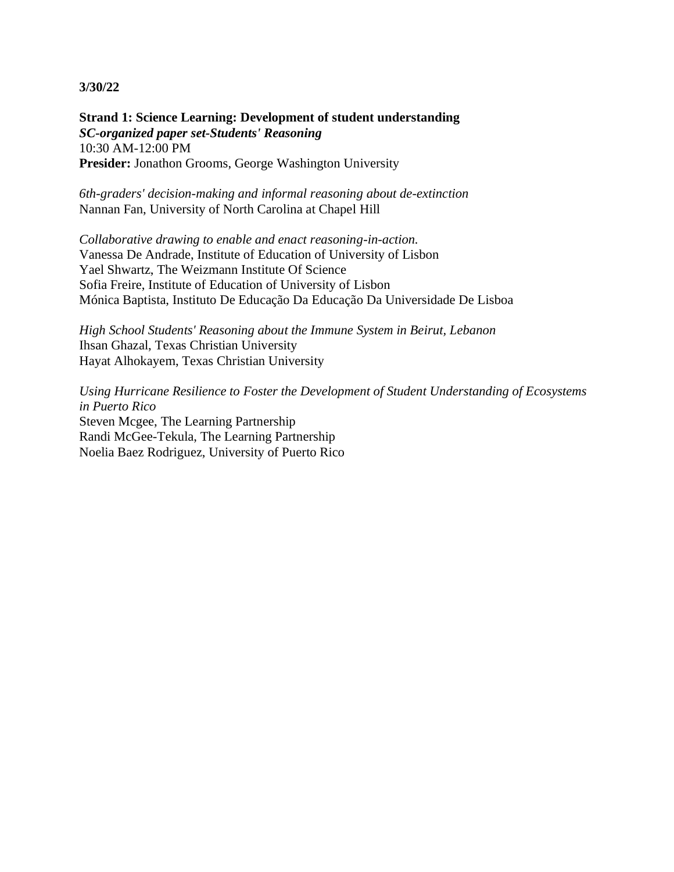**Strand 1: Science Learning: Development of student understanding** *SC-organized paper set-Students' Reasoning* 10:30 AM-12:00 PM Presider: Jonathon Grooms, George Washington University

*6th-graders' decision-making and informal reasoning about de-extinction* Nannan Fan, University of North Carolina at Chapel Hill

*Collaborative drawing to enable and enact reasoning-in-action.* Vanessa De Andrade, Institute of Education of University of Lisbon Yael Shwartz, The Weizmann Institute Of Science Sofia Freire, Institute of Education of University of Lisbon Mónica Baptista, Instituto De Educação Da Educação Da Universidade De Lisboa

*High School Students' Reasoning about the Immune System in Beirut, Lebanon* Ihsan Ghazal, Texas Christian University Hayat Alhokayem, Texas Christian University

*Using Hurricane Resilience to Foster the Development of Student Understanding of Ecosystems in Puerto Rico* Steven Mcgee, The Learning Partnership Randi McGee-Tekula, The Learning Partnership Noelia Baez Rodriguez, University of Puerto Rico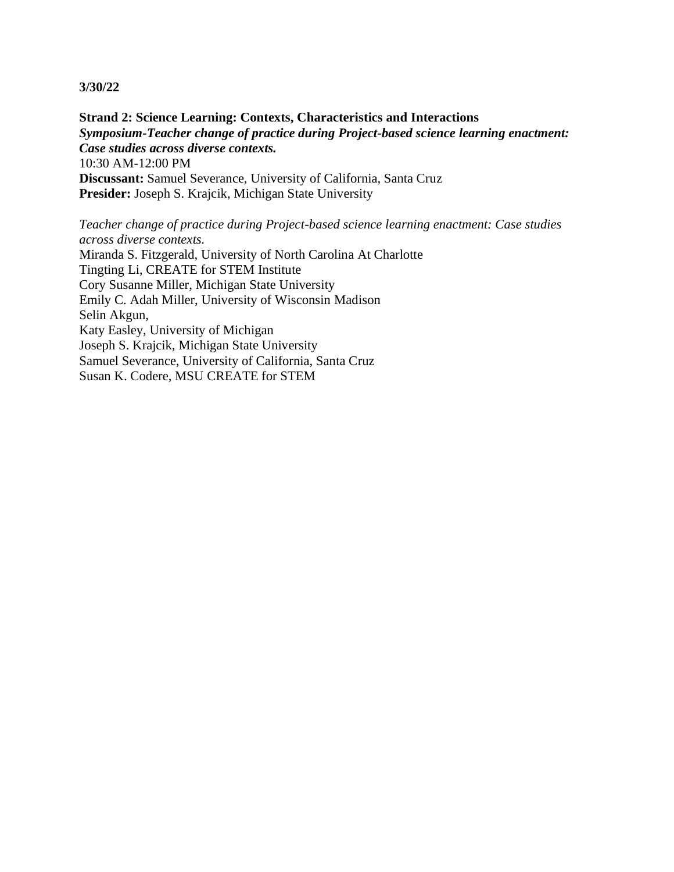**Strand 2: Science Learning: Contexts, Characteristics and Interactions** *Symposium-Teacher change of practice during Project-based science learning enactment: Case studies across diverse contexts.* 10:30 AM-12:00 PM **Discussant:** Samuel Severance, University of California, Santa Cruz **Presider:** Joseph S. Krajcik, Michigan State University

*Teacher change of practice during Project-based science learning enactment: Case studies across diverse contexts.*

Miranda S. Fitzgerald, University of North Carolina At Charlotte Tingting Li, CREATE for STEM Institute Cory Susanne Miller, Michigan State University Emily C. Adah Miller, University of Wisconsin Madison Selin Akgun, Katy Easley, University of Michigan Joseph S. Krajcik, Michigan State University Samuel Severance, University of California, Santa Cruz Susan K. Codere, MSU CREATE for STEM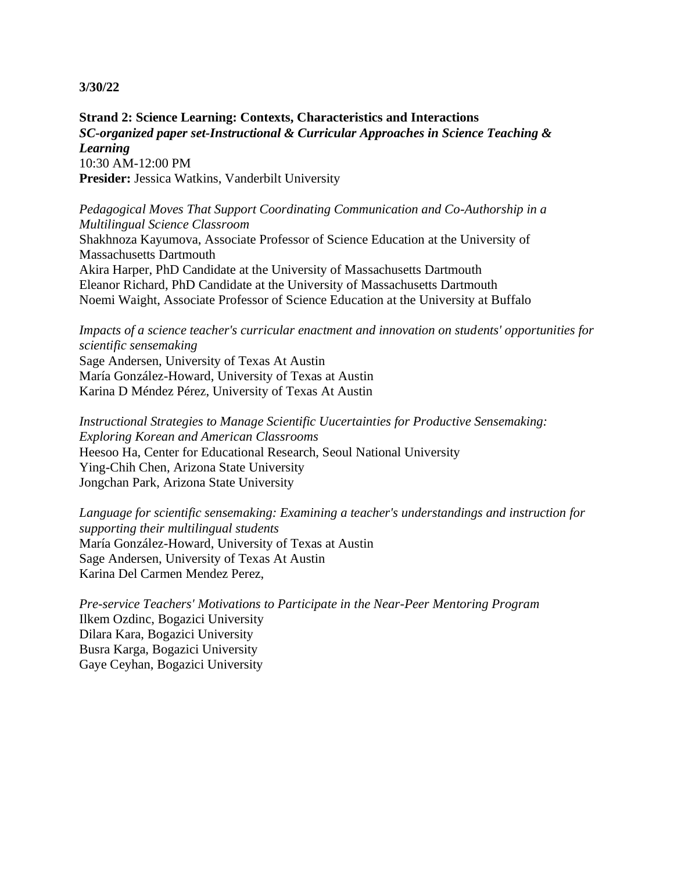**Strand 2: Science Learning: Contexts, Characteristics and Interactions** *SC-organized paper set-Instructional & Curricular Approaches in Science Teaching & Learning* 10:30 AM-12:00 PM **Presider:** Jessica Watkins, Vanderbilt University

*Pedagogical Moves That Support Coordinating Communication and Co-Authorship in a Multilingual Science Classroom* Shakhnoza Kayumova, Associate Professor of Science Education at the University of Massachusetts Dartmouth Akira Harper, PhD Candidate at the University of Massachusetts Dartmouth Eleanor Richard, PhD Candidate at the University of Massachusetts Dartmouth Noemi Waight, Associate Professor of Science Education at the University at Buffalo

*Impacts of a science teacher's curricular enactment and innovation on students' opportunities for scientific sensemaking* Sage Andersen, University of Texas At Austin María González-Howard, University of Texas at Austin Karina D Méndez Pérez, University of Texas At Austin

*Instructional Strategies to Manage Scientific Uucertainties for Productive Sensemaking: Exploring Korean and American Classrooms* Heesoo Ha, Center for Educational Research, Seoul National University Ying-Chih Chen, Arizona State University Jongchan Park, Arizona State University

*Language for scientific sensemaking: Examining a teacher's understandings and instruction for supporting their multilingual students* María González-Howard, University of Texas at Austin Sage Andersen, University of Texas At Austin Karina Del Carmen Mendez Perez,

*Pre-service Teachers' Motivations to Participate in the Near-Peer Mentoring Program* Ilkem Ozdinc, Bogazici University Dilara Kara, Bogazici University Busra Karga, Bogazici University Gaye Ceyhan, Bogazici University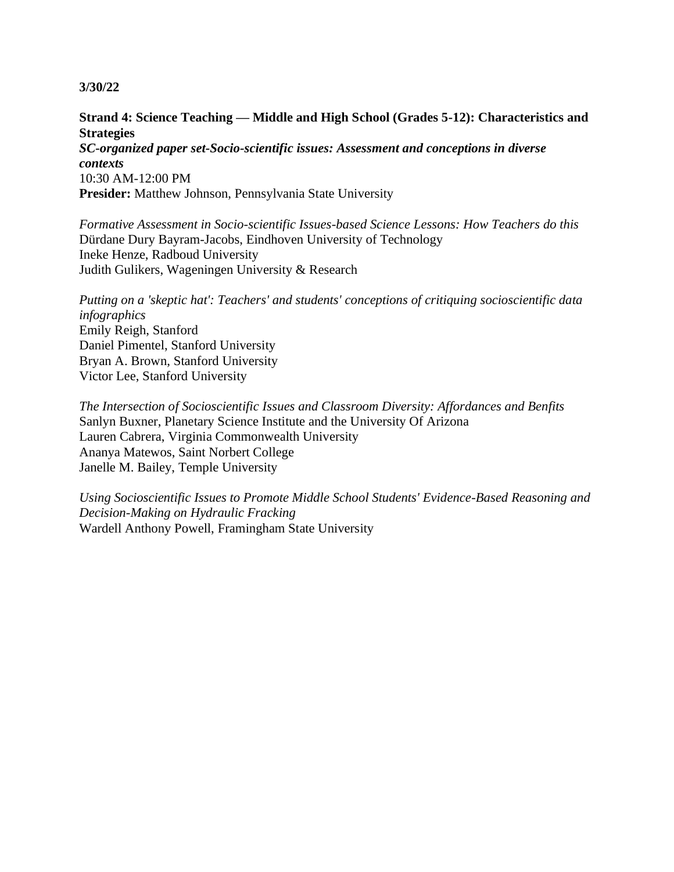# **Strand 4: Science Teaching — Middle and High School (Grades 5-12): Characteristics and Strategies**

*SC-organized paper set-Socio-scientific issues: Assessment and conceptions in diverse contexts* 10:30 AM-12:00 PM **Presider:** Matthew Johnson, Pennsylvania State University

*Formative Assessment in Socio-scientific Issues-based Science Lessons: How Teachers do this* Dürdane Dury Bayram-Jacobs, Eindhoven University of Technology Ineke Henze, Radboud University Judith Gulikers, Wageningen University & Research

*Putting on a 'skeptic hat': Teachers' and students' conceptions of critiquing socioscientific data infographics* Emily Reigh, Stanford Daniel Pimentel, Stanford University Bryan A. Brown, Stanford University Victor Lee, Stanford University

*The Intersection of Socioscientific Issues and Classroom Diversity: Affordances and Benfits* Sanlyn Buxner, Planetary Science Institute and the University Of Arizona Lauren Cabrera, Virginia Commonwealth University Ananya Matewos, Saint Norbert College Janelle M. Bailey, Temple University

*Using Socioscientific Issues to Promote Middle School Students' Evidence-Based Reasoning and Decision-Making on Hydraulic Fracking* Wardell Anthony Powell, Framingham State University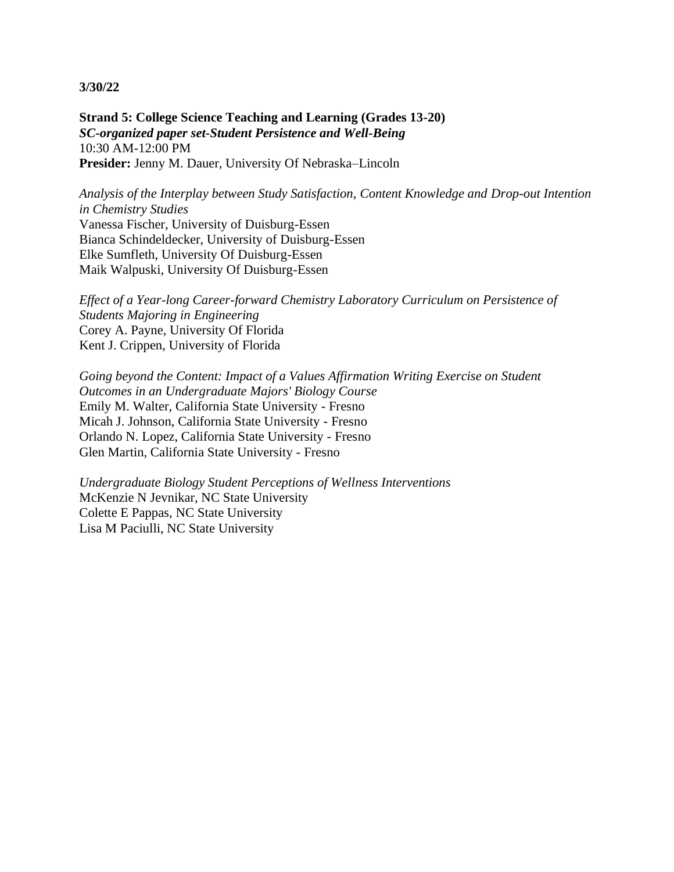**Strand 5: College Science Teaching and Learning (Grades 13-20)** *SC-organized paper set-Student Persistence and Well-Being* 10:30 AM-12:00 PM **Presider:** Jenny M. Dauer, University Of Nebraska–Lincoln

*Analysis of the Interplay between Study Satisfaction, Content Knowledge and Drop-out Intention in Chemistry Studies* Vanessa Fischer, University of Duisburg-Essen Bianca Schindeldecker, University of Duisburg-Essen Elke Sumfleth, University Of Duisburg-Essen Maik Walpuski, University Of Duisburg-Essen

*Effect of a Year-long Career-forward Chemistry Laboratory Curriculum on Persistence of Students Majoring in Engineering* Corey A. Payne, University Of Florida Kent J. Crippen, University of Florida

*Going beyond the Content: Impact of a Values Affirmation Writing Exercise on Student Outcomes in an Undergraduate Majors' Biology Course* Emily M. Walter, California State University - Fresno Micah J. Johnson, California State University - Fresno Orlando N. Lopez, California State University - Fresno Glen Martin, California State University - Fresno

*Undergraduate Biology Student Perceptions of Wellness Interventions* McKenzie N Jevnikar, NC State University Colette E Pappas, NC State University Lisa M Paciulli, NC State University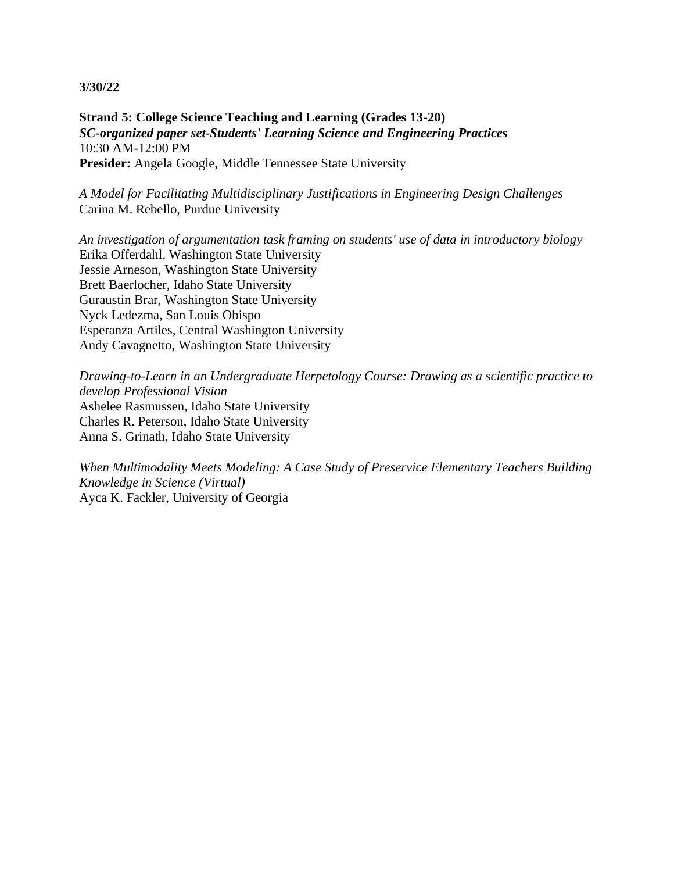**Strand 5: College Science Teaching and Learning (Grades 13-20)** *SC-organized paper set-Students' Learning Science and Engineering Practices* 10:30 AM-12:00 PM **Presider:** Angela Google, Middle Tennessee State University

*A Model for Facilitating Multidisciplinary Justifications in Engineering Design Challenges* Carina M. Rebello, Purdue University

*An investigation of argumentation task framing on students' use of data in introductory biology* Erika Offerdahl, Washington State University Jessie Arneson, Washington State University Brett Baerlocher, Idaho State University Guraustin Brar, Washington State University Nyck Ledezma, San Louis Obispo Esperanza Artiles, Central Washington University Andy Cavagnetto, Washington State University

*Drawing-to-Learn in an Undergraduate Herpetology Course: Drawing as a scientific practice to develop Professional Vision* Ashelee Rasmussen, Idaho State University Charles R. Peterson, Idaho State University Anna S. Grinath, Idaho State University

*When Multimodality Meets Modeling: A Case Study of Preservice Elementary Teachers Building Knowledge in Science (Virtual)* Ayca K. Fackler, University of Georgia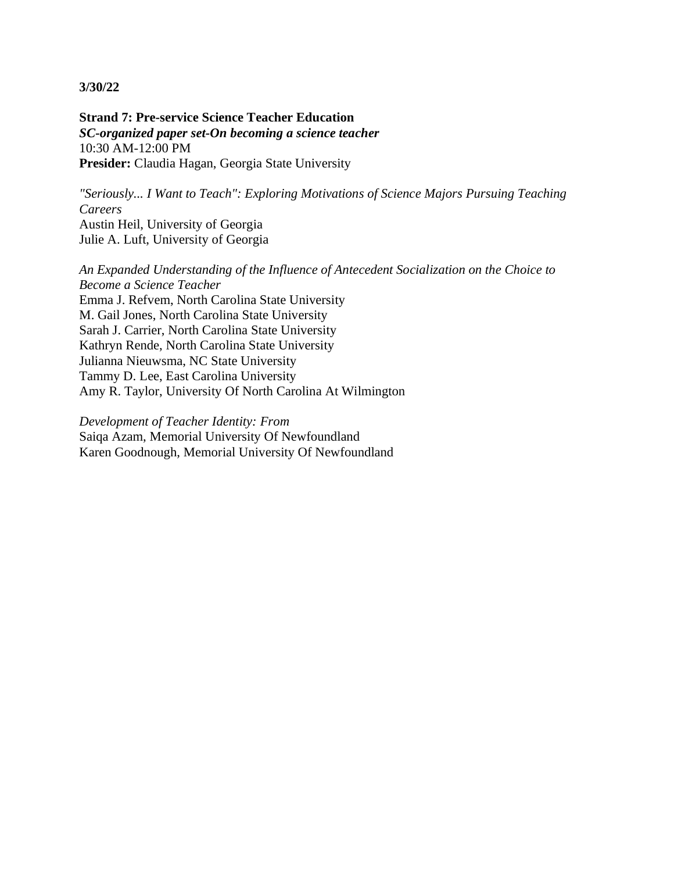**Strand 7: Pre-service Science Teacher Education** *SC-organized paper set-On becoming a science teacher* 10:30 AM-12:00 PM **Presider:** Claudia Hagan, Georgia State University

*"Seriously... I Want to Teach": Exploring Motivations of Science Majors Pursuing Teaching Careers* Austin Heil, University of Georgia Julie A. Luft, University of Georgia

*An Expanded Understanding of the Influence of Antecedent Socialization on the Choice to Become a Science Teacher* Emma J. Refvem, North Carolina State University M. Gail Jones, North Carolina State University Sarah J. Carrier, North Carolina State University Kathryn Rende, North Carolina State University Julianna Nieuwsma, NC State University Tammy D. Lee, East Carolina University Amy R. Taylor, University Of North Carolina At Wilmington

*Development of Teacher Identity: From* Saiqa Azam, Memorial University Of Newfoundland Karen Goodnough, Memorial University Of Newfoundland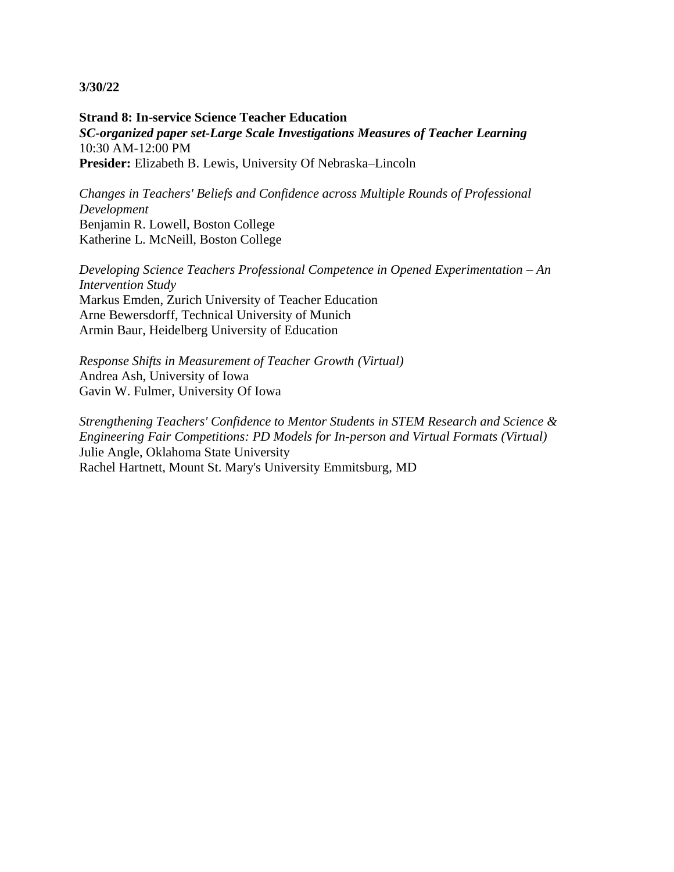**Strand 8: In-service Science Teacher Education** *SC-organized paper set-Large Scale Investigations Measures of Teacher Learning* 10:30 AM-12:00 PM **Presider:** Elizabeth B. Lewis, University Of Nebraska–Lincoln

*Changes in Teachers' Beliefs and Confidence across Multiple Rounds of Professional Development* Benjamin R. Lowell, Boston College Katherine L. McNeill, Boston College

*Developing Science Teachers Professional Competence in Opened Experimentation – An Intervention Study* Markus Emden, Zurich University of Teacher Education Arne Bewersdorff, Technical University of Munich Armin Baur, Heidelberg University of Education

*Response Shifts in Measurement of Teacher Growth (Virtual)* Andrea Ash, University of Iowa Gavin W. Fulmer, University Of Iowa

*Strengthening Teachers' Confidence to Mentor Students in STEM Research and Science & Engineering Fair Competitions: PD Models for In-person and Virtual Formats (Virtual)* Julie Angle, Oklahoma State University Rachel Hartnett, Mount St. Mary's University Emmitsburg, MD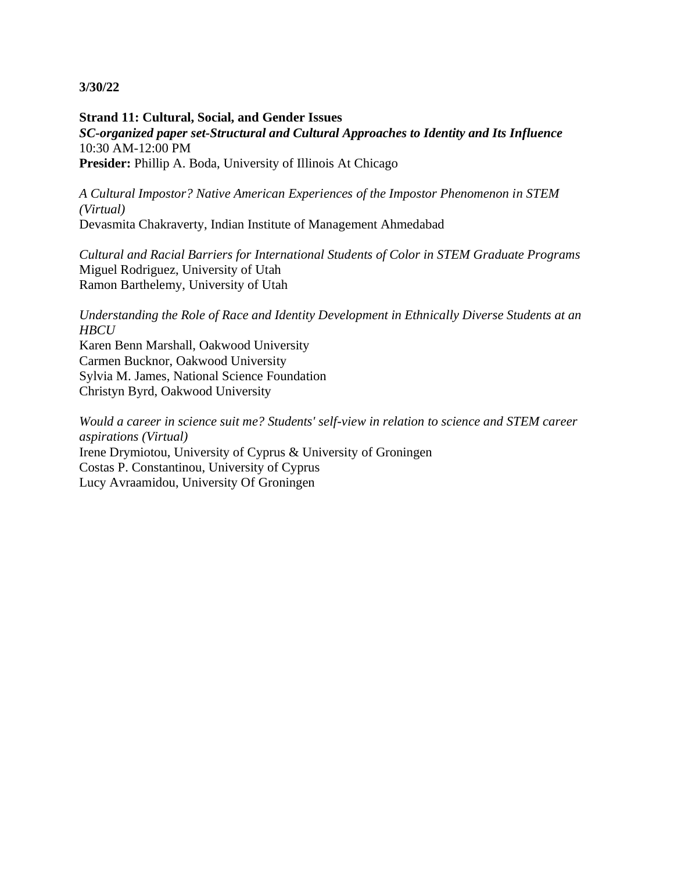**Strand 11: Cultural, Social, and Gender Issues** *SC-organized paper set-Structural and Cultural Approaches to Identity and Its Influence* 10:30 AM-12:00 PM **Presider:** Phillip A. Boda, University of Illinois At Chicago

*A Cultural Impostor? Native American Experiences of the Impostor Phenomenon in STEM (Virtual)* Devasmita Chakraverty, Indian Institute of Management Ahmedabad

*Cultural and Racial Barriers for International Students of Color in STEM Graduate Programs* Miguel Rodriguez, University of Utah Ramon Barthelemy, University of Utah

*Understanding the Role of Race and Identity Development in Ethnically Diverse Students at an HBCU*

Karen Benn Marshall, Oakwood University Carmen Bucknor, Oakwood University Sylvia M. James, National Science Foundation Christyn Byrd, Oakwood University

*Would a career in science suit me? Students' self-view in relation to science and STEM career aspirations (Virtual)* Irene Drymiotou, University of Cyprus & University of Groningen Costas P. Constantinou, University of Cyprus Lucy Avraamidou, University Of Groningen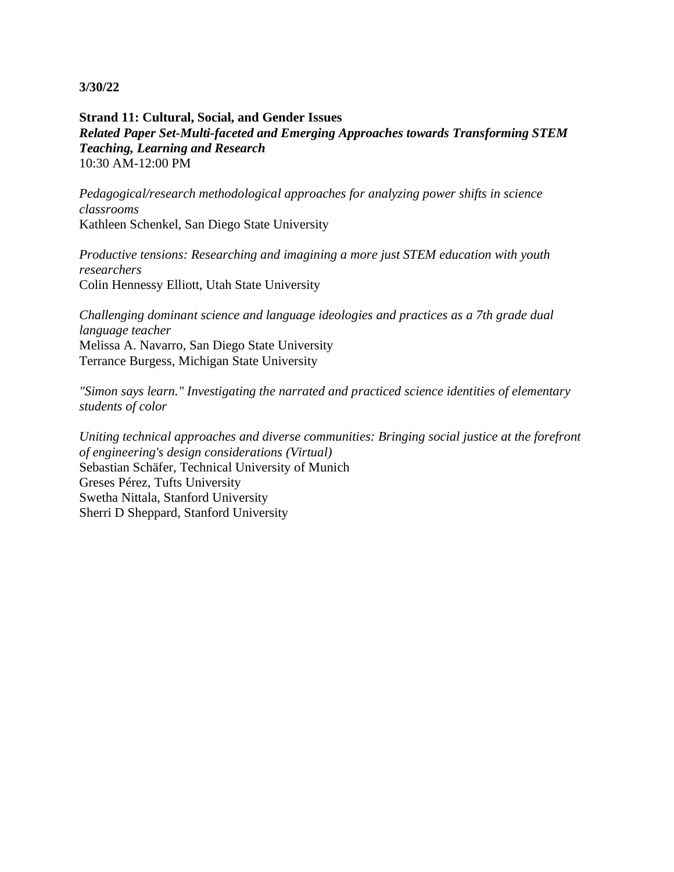**Strand 11: Cultural, Social, and Gender Issues** *Related Paper Set-Multi-faceted and Emerging Approaches towards Transforming STEM Teaching, Learning and Research* 10:30 AM-12:00 PM

*Pedagogical/research methodological approaches for analyzing power shifts in science classrooms* Kathleen Schenkel, San Diego State University

*Productive tensions: Researching and imagining a more just STEM education with youth researchers* Colin Hennessy Elliott, Utah State University

*Challenging dominant science and language ideologies and practices as a 7th grade dual language teacher* Melissa A. Navarro, San Diego State University

Terrance Burgess, Michigan State University

*"Simon says learn." Investigating the narrated and practiced science identities of elementary students of color*

*Uniting technical approaches and diverse communities: Bringing social justice at the forefront of engineering's design considerations (Virtual)* Sebastian Schäfer, Technical University of Munich Greses Pérez, Tufts University Swetha Nittala, Stanford University Sherri D Sheppard, Stanford University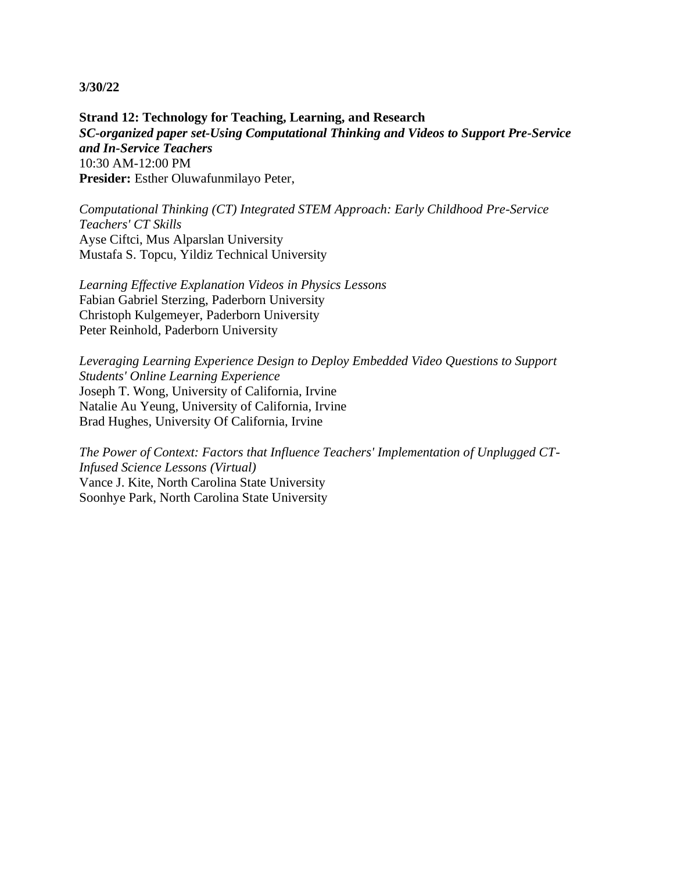**Strand 12: Technology for Teaching, Learning, and Research** *SC-organized paper set-Using Computational Thinking and Videos to Support Pre-Service and In-Service Teachers* 10:30 AM-12:00 PM **Presider:** Esther Oluwafunmilayo Peter,

*Computational Thinking (CT) Integrated STEM Approach: Early Childhood Pre-Service Teachers' CT Skills* Ayse Ciftci, Mus Alparslan University Mustafa S. Topcu, Yildiz Technical University

*Learning Effective Explanation Videos in Physics Lessons* Fabian Gabriel Sterzing, Paderborn University Christoph Kulgemeyer, Paderborn University Peter Reinhold, Paderborn University

*Leveraging Learning Experience Design to Deploy Embedded Video Questions to Support Students' Online Learning Experience* Joseph T. Wong, University of California, Irvine Natalie Au Yeung, University of California, Irvine Brad Hughes, University Of California, Irvine

*The Power of Context: Factors that Influence Teachers' Implementation of Unplugged CT-Infused Science Lessons (Virtual)* Vance J. Kite, North Carolina State University Soonhye Park, North Carolina State University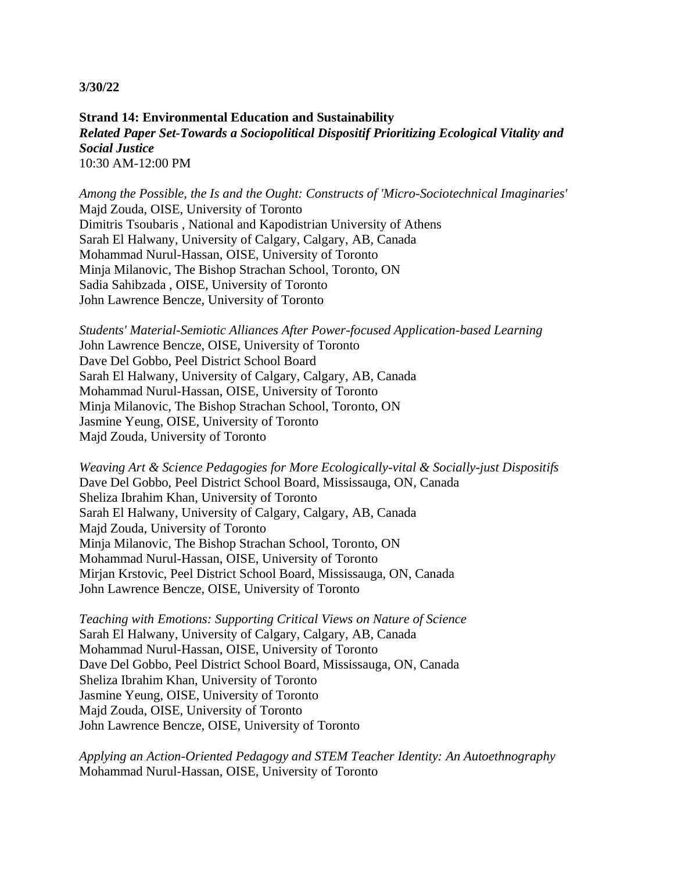**Strand 14: Environmental Education and Sustainability** *Related Paper Set-Towards a Sociopolitical Dispositif Prioritizing Ecological Vitality and Social Justice* 10:30 AM-12:00 PM

*Among the Possible, the Is and the Ought: Constructs of 'Micro-Sociotechnical Imaginaries'* Majd Zouda, OISE, University of Toronto Dimitris Tsoubaris , National and Kapodistrian University of Athens Sarah El Halwany, University of Calgary, Calgary, AB, Canada Mohammad Nurul-Hassan, OISE, University of Toronto Minja Milanovic, The Bishop Strachan School, Toronto, ON Sadia Sahibzada , OISE, University of Toronto John Lawrence Bencze, University of Toronto

*Students' Material-Semiotic Alliances After Power-focused Application-based Learning* John Lawrence Bencze, OISE, University of Toronto Dave Del Gobbo, Peel District School Board Sarah El Halwany, University of Calgary, Calgary, AB, Canada Mohammad Nurul-Hassan, OISE, University of Toronto Minja Milanovic, The Bishop Strachan School, Toronto, ON Jasmine Yeung, OISE, University of Toronto Majd Zouda, University of Toronto

*Weaving Art & Science Pedagogies for More Ecologically-vital & Socially-just Dispositifs* Dave Del Gobbo, Peel District School Board, Mississauga, ON, Canada Sheliza Ibrahim Khan, University of Toronto Sarah El Halwany, University of Calgary, Calgary, AB, Canada Majd Zouda, University of Toronto Minja Milanovic, The Bishop Strachan School, Toronto, ON Mohammad Nurul-Hassan, OISE, University of Toronto Mirjan Krstovic, Peel District School Board, Mississauga, ON, Canada John Lawrence Bencze, OISE, University of Toronto

*Teaching with Emotions: Supporting Critical Views on Nature of Science* Sarah El Halwany, University of Calgary, Calgary, AB, Canada Mohammad Nurul-Hassan, OISE, University of Toronto Dave Del Gobbo, Peel District School Board, Mississauga, ON, Canada Sheliza Ibrahim Khan, University of Toronto Jasmine Yeung, OISE, University of Toronto Majd Zouda, OISE, University of Toronto John Lawrence Bencze, OISE, University of Toronto

*Applying an Action-Oriented Pedagogy and STEM Teacher Identity: An Autoethnography* Mohammad Nurul-Hassan, OISE, University of Toronto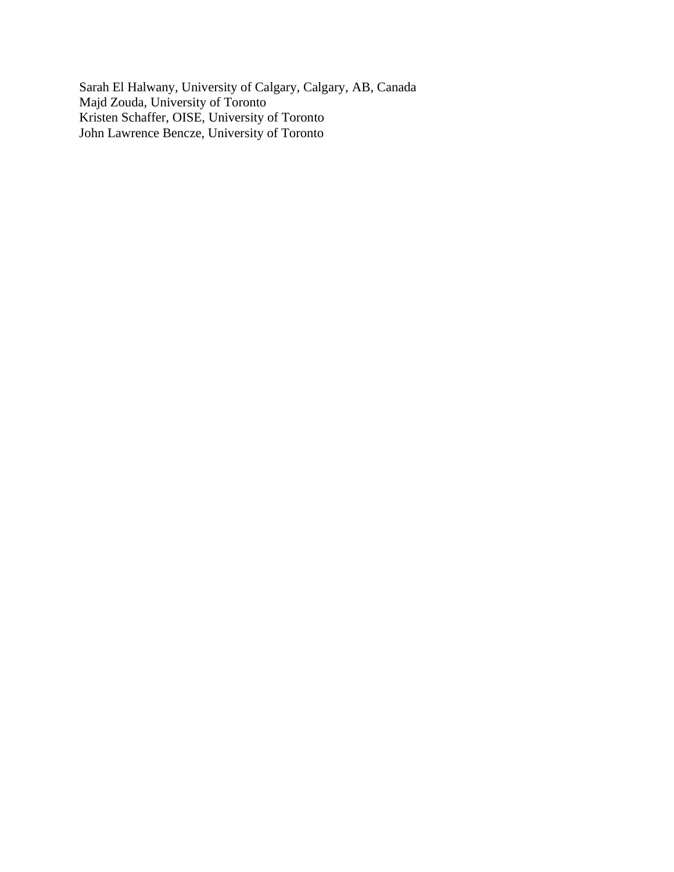Sarah El Halwany, University of Calgary, Calgary, AB, Canada Majd Zouda, University of Toronto Kristen Schaffer, OISE, University of Toronto John Lawrence Bencze, University of Toronto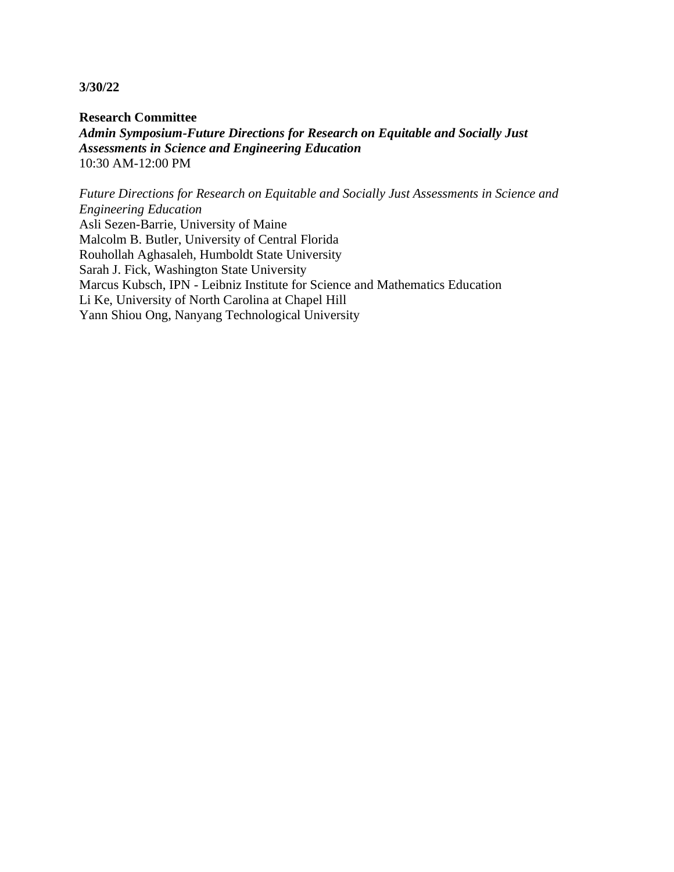**Research Committee** *Admin Symposium-Future Directions for Research on Equitable and Socially Just Assessments in Science and Engineering Education* 10:30 AM-12:00 PM

*Future Directions for Research on Equitable and Socially Just Assessments in Science and Engineering Education* Asli Sezen-Barrie, University of Maine Malcolm B. Butler, University of Central Florida Rouhollah Aghasaleh, Humboldt State University Sarah J. Fick, Washington State University Marcus Kubsch, IPN - Leibniz Institute for Science and Mathematics Education Li Ke, University of North Carolina at Chapel Hill Yann Shiou Ong, Nanyang Technological University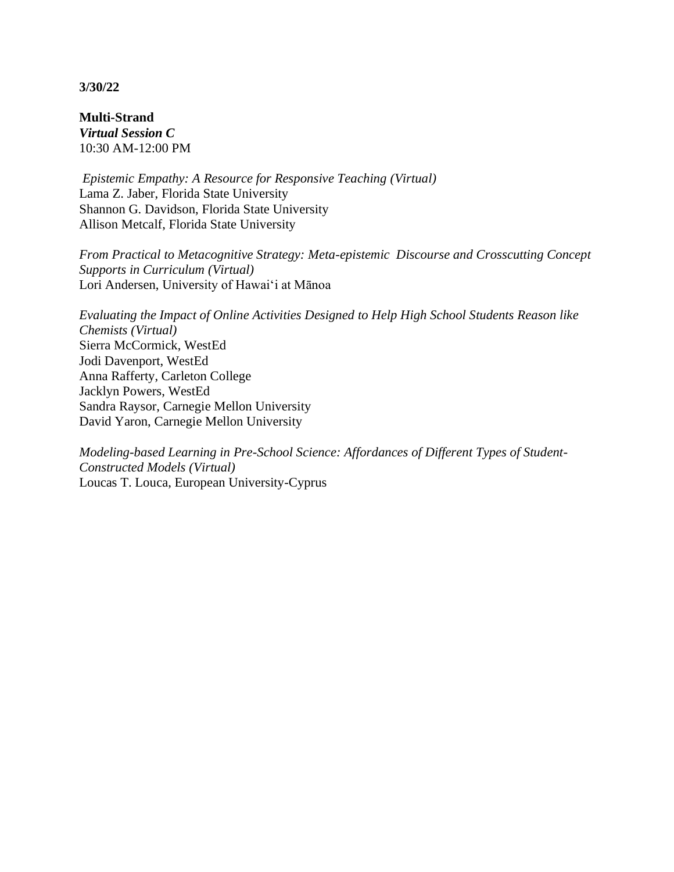**Multi-Strand** *Virtual Session C* 10:30 AM-12:00 PM

*Epistemic Empathy: A Resource for Responsive Teaching (Virtual)* Lama Z. Jaber, Florida State University Shannon G. Davidson, Florida State University Allison Metcalf, Florida State University

*From Practical to Metacognitive Strategy: Meta-epistemic Discourse and Crosscutting Concept Supports in Curriculum (Virtual)* Lori Andersen, University of Hawai'i at Mānoa

*Evaluating the Impact of Online Activities Designed to Help High School Students Reason like Chemists (Virtual)* Sierra McCormick, WestEd Jodi Davenport, WestEd Anna Rafferty, Carleton College Jacklyn Powers, WestEd Sandra Raysor, Carnegie Mellon University David Yaron, Carnegie Mellon University

*Modeling-based Learning in Pre-School Science: Affordances of Different Types of Student-Constructed Models (Virtual)* Loucas T. Louca, European University-Cyprus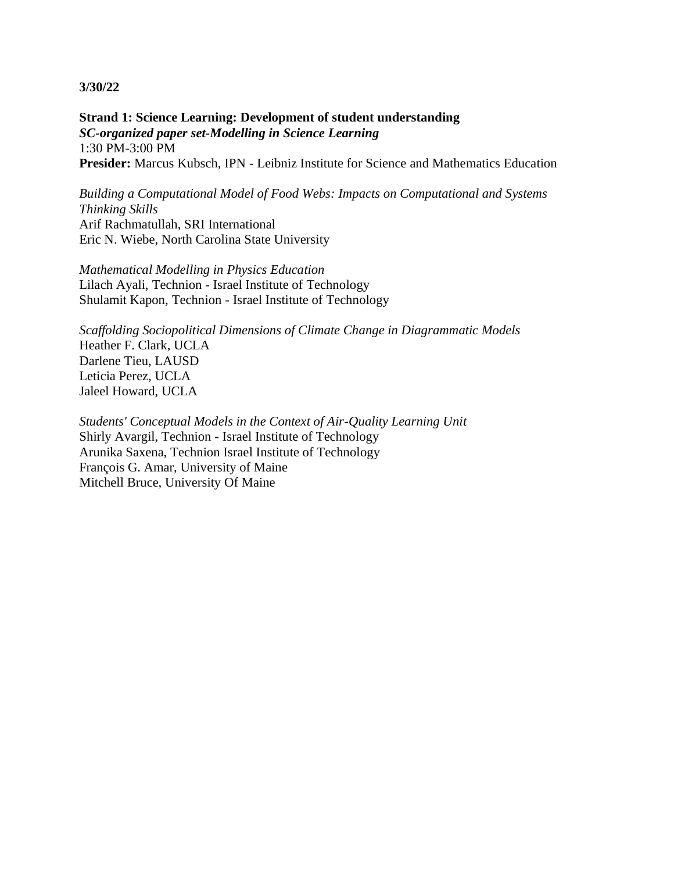**Strand 1: Science Learning: Development of student understanding** *SC-organized paper set-Modelling in Science Learning* 1:30 PM-3:00 PM **Presider:** Marcus Kubsch, IPN - Leibniz Institute for Science and Mathematics Education

*Building a Computational Model of Food Webs: Impacts on Computational and Systems Thinking Skills* Arif Rachmatullah, SRI International Eric N. Wiebe, North Carolina State University

*Mathematical Modelling in Physics Education* Lilach Ayali, Technion - Israel Institute of Technology Shulamit Kapon, Technion - Israel Institute of Technology

*Scaffolding Sociopolitical Dimensions of Climate Change in Diagrammatic Models* Heather F. Clark, UCLA Darlene Tieu, LAUSD Leticia Perez, UCLA Jaleel Howard, UCLA

*Students' Conceptual Models in the Context of Air-Quality Learning Unit* Shirly Avargil, Technion - Israel Institute of Technology Arunika Saxena, Technion Israel Institute of Technology François G. Amar, University of Maine Mitchell Bruce, University Of Maine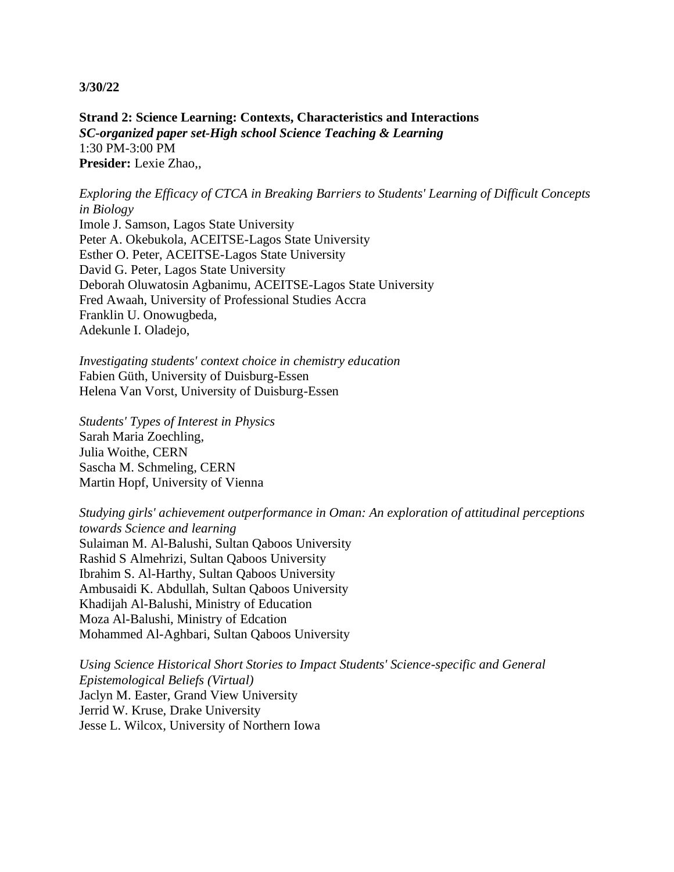**Strand 2: Science Learning: Contexts, Characteristics and Interactions** *SC-organized paper set-High school Science Teaching & Learning* 1:30 PM-3:00 PM **Presider:** Lexie Zhao,,

*Exploring the Efficacy of CTCA in Breaking Barriers to Students' Learning of Difficult Concepts in Biology* Imole J. Samson, Lagos State University Peter A. Okebukola, ACEITSE-Lagos State University Esther O. Peter, ACEITSE-Lagos State University David G. Peter, Lagos State University Deborah Oluwatosin Agbanimu, ACEITSE-Lagos State University Fred Awaah, University of Professional Studies Accra Franklin U. Onowugbeda, Adekunle I. Oladejo,

*Investigating students' context choice in chemistry education* Fabien Güth, University of Duisburg-Essen Helena Van Vorst, University of Duisburg-Essen

*Students' Types of Interest in Physics* Sarah Maria Zoechling, Julia Woithe, CERN Sascha M. Schmeling, CERN Martin Hopf, University of Vienna

*Studying girls' achievement outperformance in Oman: An exploration of attitudinal perceptions towards Science and learning* Sulaiman M. Al-Balushi, Sultan Qaboos University Rashid S Almehrizi, Sultan Qaboos University Ibrahim S. Al-Harthy, Sultan Qaboos University Ambusaidi K. Abdullah, Sultan Qaboos University Khadijah Al-Balushi, Ministry of Education Moza Al-Balushi, Ministry of Edcation Mohammed Al-Aghbari, Sultan Qaboos University

*Using Science Historical Short Stories to Impact Students' Science-specific and General Epistemological Beliefs (Virtual)* Jaclyn M. Easter, Grand View University Jerrid W. Kruse, Drake University Jesse L. Wilcox, University of Northern Iowa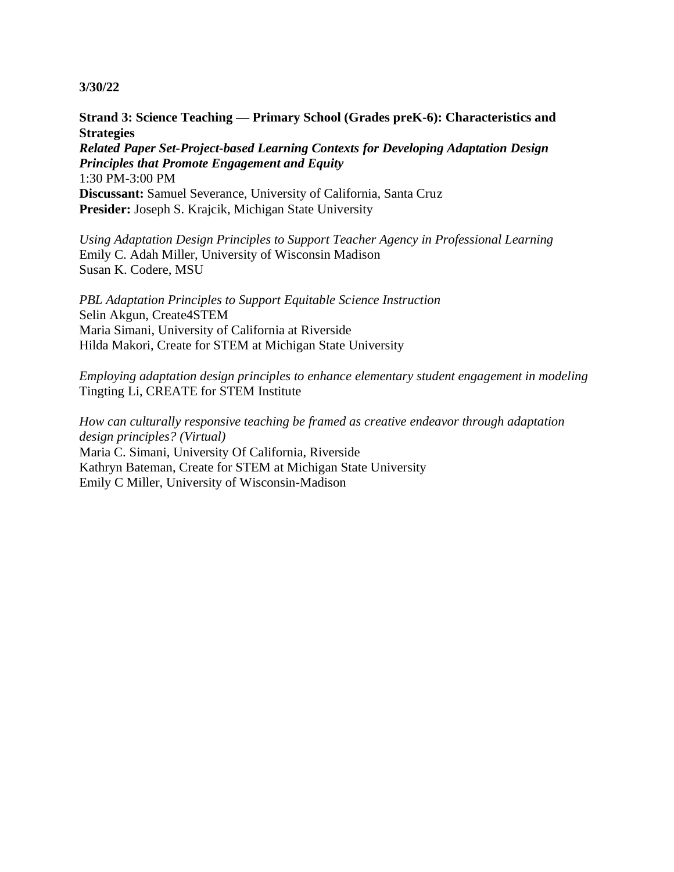# **Strand 3: Science Teaching — Primary School (Grades preK-6): Characteristics and Strategies**

*Related Paper Set-Project-based Learning Contexts for Developing Adaptation Design Principles that Promote Engagement and Equity* 1:30 PM-3:00 PM **Discussant:** Samuel Severance, University of California, Santa Cruz **Presider:** Joseph S. Krajcik, Michigan State University

*Using Adaptation Design Principles to Support Teacher Agency in Professional Learning* Emily C. Adah Miller, University of Wisconsin Madison Susan K. Codere, MSU

*PBL Adaptation Principles to Support Equitable Science Instruction* Selin Akgun, Create4STEM Maria Simani, University of California at Riverside Hilda Makori, Create for STEM at Michigan State University

*Employing adaptation design principles to enhance elementary student engagement in modeling* Tingting Li, CREATE for STEM Institute

*How can culturally responsive teaching be framed as creative endeavor through adaptation design principles? (Virtual)* Maria C. Simani, University Of California, Riverside Kathryn Bateman, Create for STEM at Michigan State University Emily C Miller, University of Wisconsin-Madison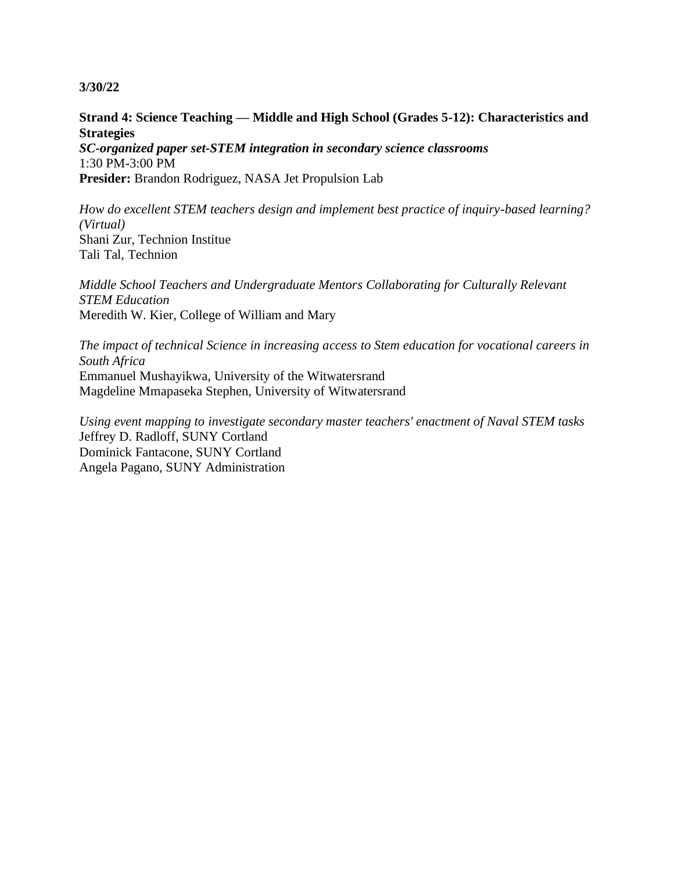**Strand 4: Science Teaching — Middle and High School (Grades 5-12): Characteristics and Strategies**

*SC-organized paper set-STEM integration in secondary science classrooms* 1:30 PM-3:00 PM **Presider:** Brandon Rodriguez, NASA Jet Propulsion Lab

*How do excellent STEM teachers design and implement best practice of inquiry-based learning? (Virtual)* Shani Zur, Technion Institue Tali Tal, Technion

*Middle School Teachers and Undergraduate Mentors Collaborating for Culturally Relevant STEM Education* Meredith W. Kier, College of William and Mary

*The impact of technical Science in increasing access to Stem education for vocational careers in South Africa* Emmanuel Mushayikwa, University of the Witwatersrand Magdeline Mmapaseka Stephen, University of Witwatersrand

*Using event mapping to investigate secondary master teachers' enactment of Naval STEM tasks* Jeffrey D. Radloff, SUNY Cortland Dominick Fantacone, SUNY Cortland Angela Pagano, SUNY Administration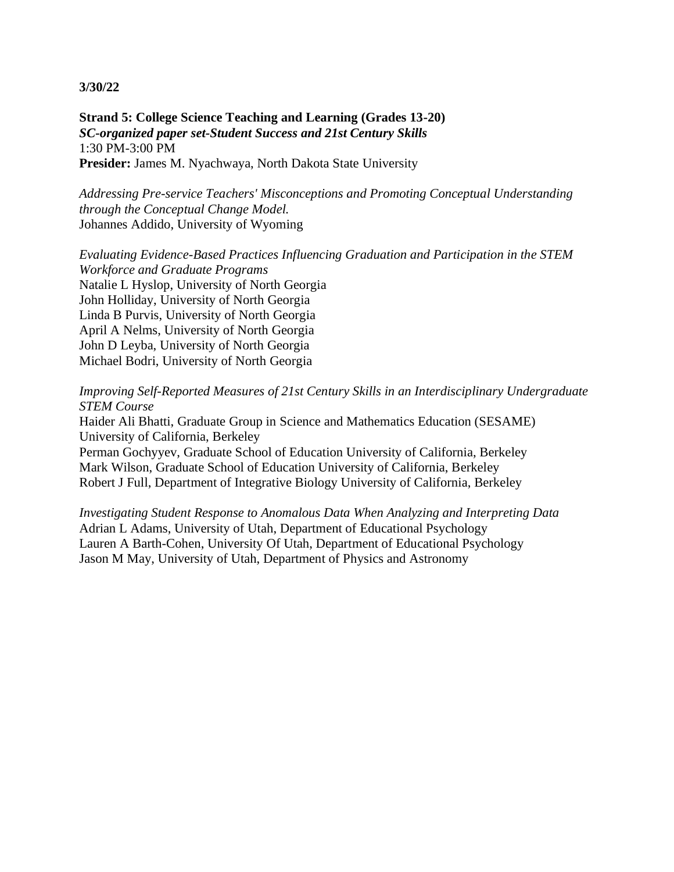**Strand 5: College Science Teaching and Learning (Grades 13-20)** *SC-organized paper set-Student Success and 21st Century Skills* 1:30 PM-3:00 PM Presider: James M. Nyachwaya, North Dakota State University

*Addressing Pre-service Teachers' Misconceptions and Promoting Conceptual Understanding through the Conceptual Change Model.* Johannes Addido, University of Wyoming

*Evaluating Evidence-Based Practices Influencing Graduation and Participation in the STEM Workforce and Graduate Programs* Natalie L Hyslop, University of North Georgia John Holliday, University of North Georgia Linda B Purvis, University of North Georgia April A Nelms, University of North Georgia John D Leyba, University of North Georgia Michael Bodri, University of North Georgia

*Improving Self-Reported Measures of 21st Century Skills in an Interdisciplinary Undergraduate STEM Course*

Haider Ali Bhatti, Graduate Group in Science and Mathematics Education (SESAME) University of California, Berkeley

Perman Gochyyev, Graduate School of Education University of California, Berkeley Mark Wilson, Graduate School of Education University of California, Berkeley Robert J Full, Department of Integrative Biology University of California, Berkeley

*Investigating Student Response to Anomalous Data When Analyzing and Interpreting Data* Adrian L Adams, University of Utah, Department of Educational Psychology Lauren A Barth-Cohen, University Of Utah, Department of Educational Psychology Jason M May, University of Utah, Department of Physics and Astronomy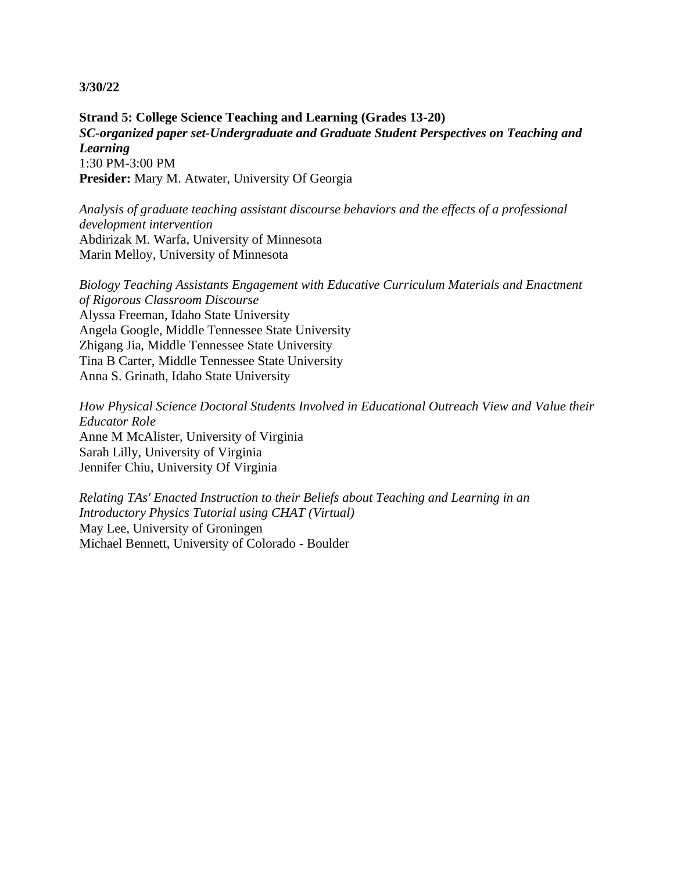**Strand 5: College Science Teaching and Learning (Grades 13-20)** *SC-organized paper set-Undergraduate and Graduate Student Perspectives on Teaching and Learning* 1:30 PM-3:00 PM **Presider:** Mary M. Atwater, University Of Georgia

*Analysis of graduate teaching assistant discourse behaviors and the effects of a professional development intervention* Abdirizak M. Warfa, University of Minnesota Marin Melloy, University of Minnesota

*Biology Teaching Assistants Engagement with Educative Curriculum Materials and Enactment of Rigorous Classroom Discourse* Alyssa Freeman, Idaho State University Angela Google, Middle Tennessee State University Zhigang Jia, Middle Tennessee State University Tina B Carter, Middle Tennessee State University Anna S. Grinath, Idaho State University

*How Physical Science Doctoral Students Involved in Educational Outreach View and Value their Educator Role* Anne M McAlister, University of Virginia Sarah Lilly, University of Virginia Jennifer Chiu, University Of Virginia

*Relating TAs' Enacted Instruction to their Beliefs about Teaching and Learning in an Introductory Physics Tutorial using CHAT (Virtual)* May Lee, University of Groningen Michael Bennett, University of Colorado - Boulder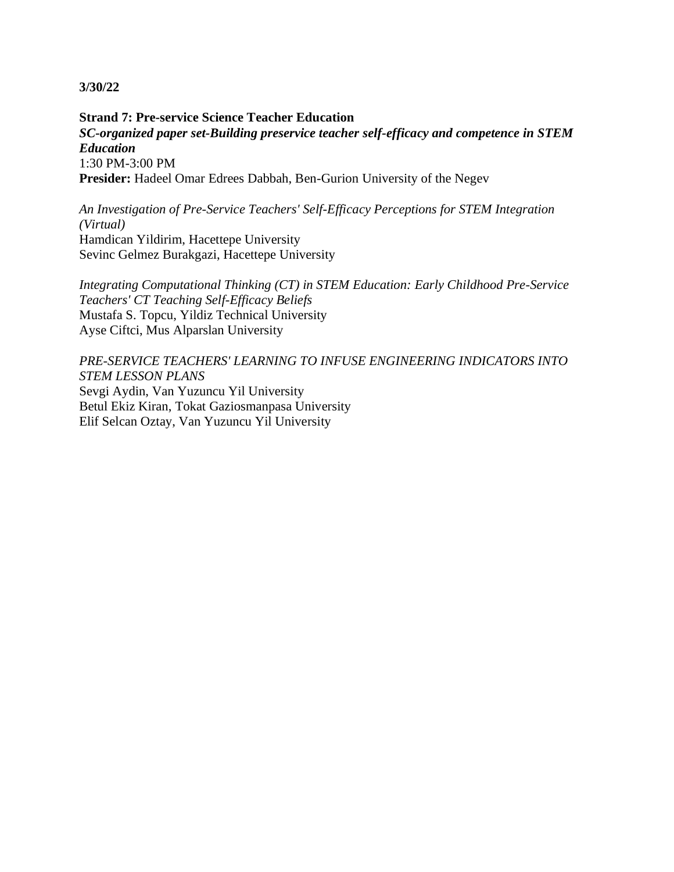**Strand 7: Pre-service Science Teacher Education** *SC-organized paper set-Building preservice teacher self-efficacy and competence in STEM Education* 1:30 PM-3:00 PM **Presider:** Hadeel Omar Edrees Dabbah, Ben-Gurion University of the Negev

*An Investigation of Pre-Service Teachers' Self-Efficacy Perceptions for STEM Integration (Virtual)* Hamdican Yildirim, Hacettepe University Sevinc Gelmez Burakgazi, Hacettepe University

*Integrating Computational Thinking (CT) in STEM Education: Early Childhood Pre-Service Teachers' CT Teaching Self-Efficacy Beliefs* Mustafa S. Topcu, Yildiz Technical University Ayse Ciftci, Mus Alparslan University

*PRE-SERVICE TEACHERS' LEARNING TO INFUSE ENGINEERING INDICATORS INTO STEM LESSON PLANS* Sevgi Aydin, Van Yuzuncu Yil University Betul Ekiz Kiran, Tokat Gaziosmanpasa University Elif Selcan Oztay, Van Yuzuncu Yil University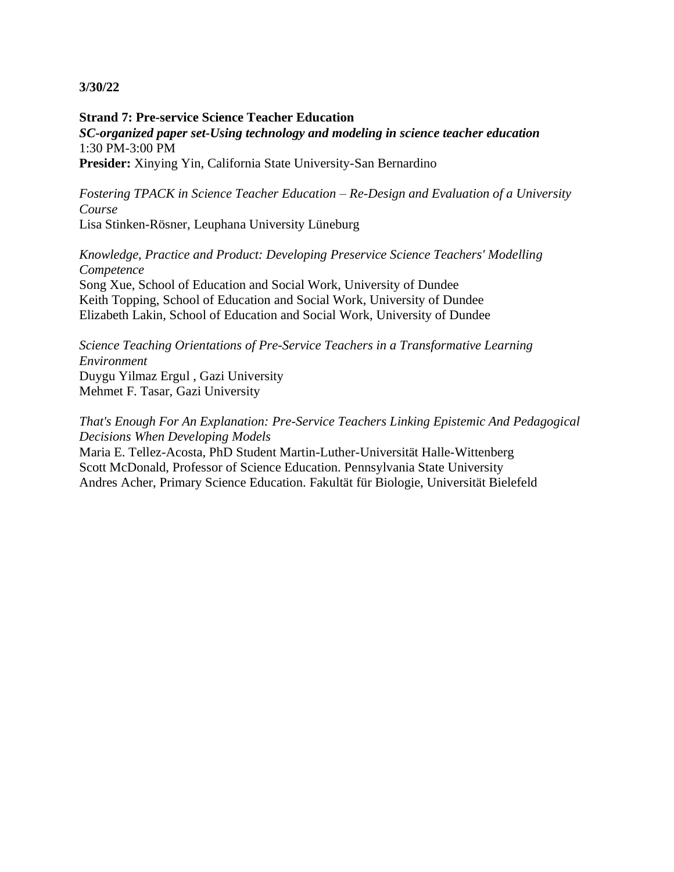**Strand 7: Pre-service Science Teacher Education** *SC-organized paper set-Using technology and modeling in science teacher education* 1:30 PM-3:00 PM **Presider:** Xinying Yin, California State University-San Bernardino

*Fostering TPACK in Science Teacher Education – Re-Design and Evaluation of a University Course* Lisa Stinken-Rösner, Leuphana University Lüneburg

*Knowledge, Practice and Product: Developing Preservice Science Teachers' Modelling Competence* Song Xue, School of Education and Social Work, University of Dundee Keith Topping, School of Education and Social Work, University of Dundee Elizabeth Lakin, School of Education and Social Work, University of Dundee

*Science Teaching Orientations of Pre-Service Teachers in a Transformative Learning Environment* Duygu Yilmaz Ergul , Gazi University Mehmet F. Tasar, Gazi University

*That's Enough For An Explanation: Pre-Service Teachers Linking Epistemic And Pedagogical Decisions When Developing Models*

Maria E. Tellez-Acosta, PhD Student Martin-Luther-Universität Halle-Wittenberg Scott McDonald, Professor of Science Education. Pennsylvania State University Andres Acher, Primary Science Education. Fakultät für Biologie, Universität Bielefeld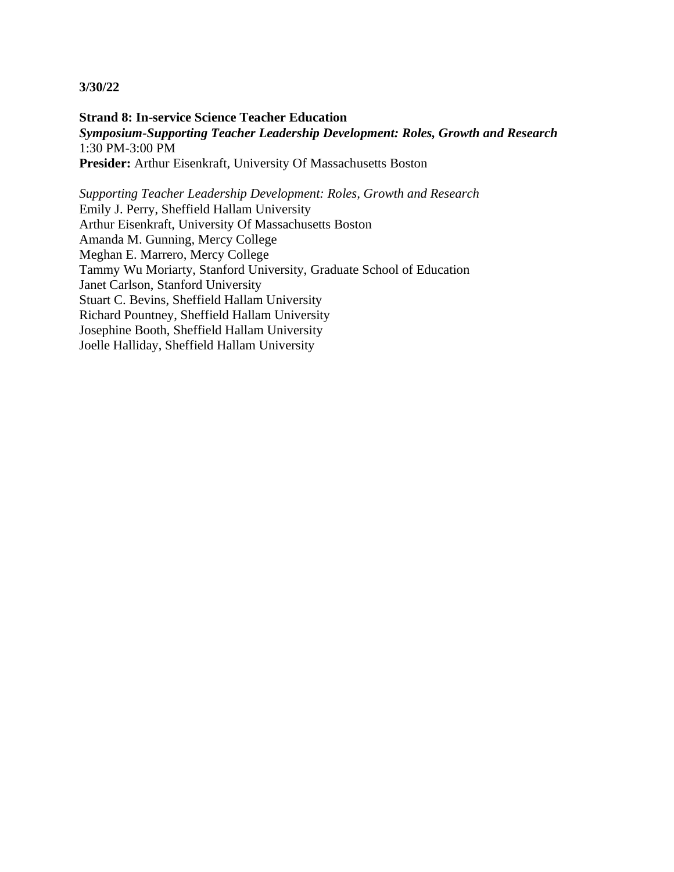**Strand 8: In-service Science Teacher Education** *Symposium-Supporting Teacher Leadership Development: Roles, Growth and Research* 1:30 PM-3:00 PM **Presider:** Arthur Eisenkraft, University Of Massachusetts Boston

*Supporting Teacher Leadership Development: Roles, Growth and Research* Emily J. Perry, Sheffield Hallam University Arthur Eisenkraft, University Of Massachusetts Boston Amanda M. Gunning, Mercy College Meghan E. Marrero, Mercy College Tammy Wu Moriarty, Stanford University, Graduate School of Education Janet Carlson, Stanford University Stuart C. Bevins, Sheffield Hallam University Richard Pountney, Sheffield Hallam University Josephine Booth, Sheffield Hallam University Joelle Halliday, Sheffield Hallam University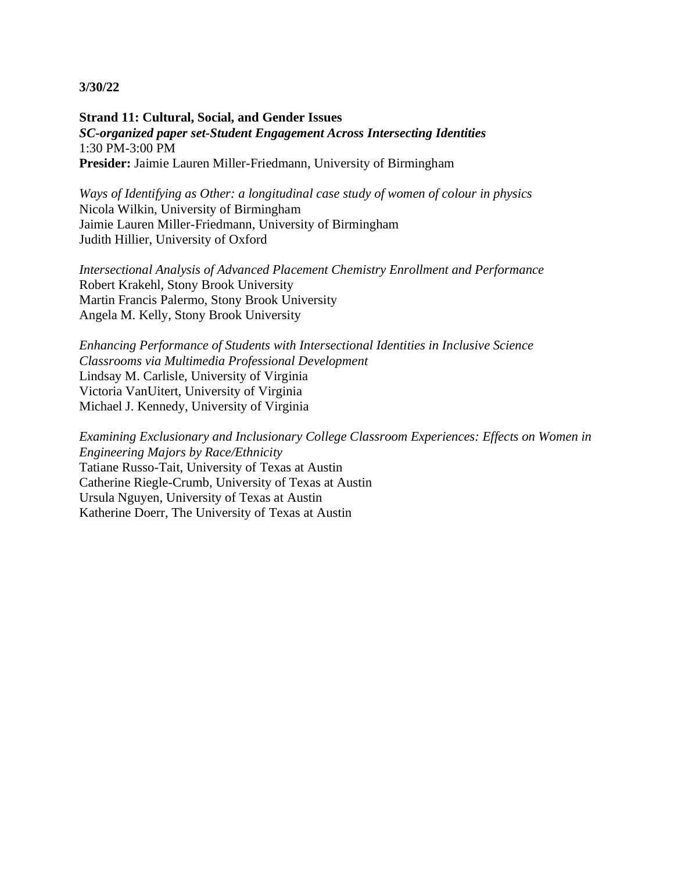**Strand 11: Cultural, Social, and Gender Issues** *SC-organized paper set-Student Engagement Across Intersecting Identities* 1:30 PM-3:00 PM **Presider:** Jaimie Lauren Miller-Friedmann, University of Birmingham

*Ways of Identifying as Other: a longitudinal case study of women of colour in physics* Nicola Wilkin, University of Birmingham Jaimie Lauren Miller-Friedmann, University of Birmingham Judith Hillier, University of Oxford

*Intersectional Analysis of Advanced Placement Chemistry Enrollment and Performance* Robert Krakehl, Stony Brook University Martin Francis Palermo, Stony Brook University Angela M. Kelly, Stony Brook University

*Enhancing Performance of Students with Intersectional Identities in Inclusive Science Classrooms via Multimedia Professional Development* Lindsay M. Carlisle, University of Virginia Victoria VanUitert, University of Virginia Michael J. Kennedy, University of Virginia

*Examining Exclusionary and Inclusionary College Classroom Experiences: Effects on Women in Engineering Majors by Race/Ethnicity* Tatiane Russo-Tait, University of Texas at Austin Catherine Riegle-Crumb, University of Texas at Austin Ursula Nguyen, University of Texas at Austin Katherine Doerr, The University of Texas at Austin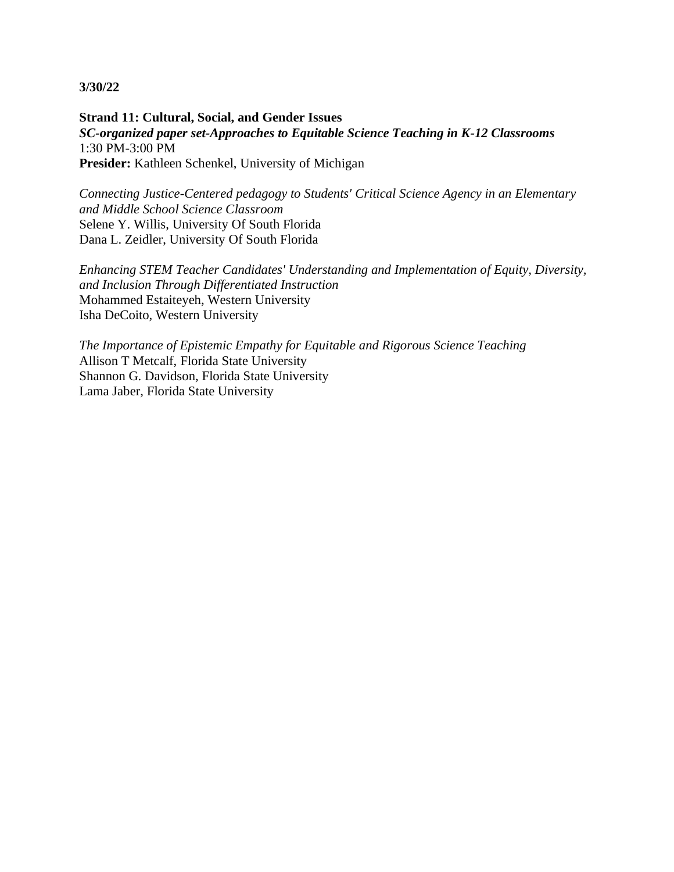**Strand 11: Cultural, Social, and Gender Issues** *SC-organized paper set-Approaches to Equitable Science Teaching in K-12 Classrooms* 1:30 PM-3:00 PM **Presider:** Kathleen Schenkel, University of Michigan

*Connecting Justice-Centered pedagogy to Students' Critical Science Agency in an Elementary and Middle School Science Classroom* Selene Y. Willis, University Of South Florida Dana L. Zeidler, University Of South Florida

*Enhancing STEM Teacher Candidates' Understanding and Implementation of Equity, Diversity, and Inclusion Through Differentiated Instruction* Mohammed Estaiteyeh, Western University Isha DeCoito, Western University

*The Importance of Epistemic Empathy for Equitable and Rigorous Science Teaching* Allison T Metcalf, Florida State University Shannon G. Davidson, Florida State University Lama Jaber, Florida State University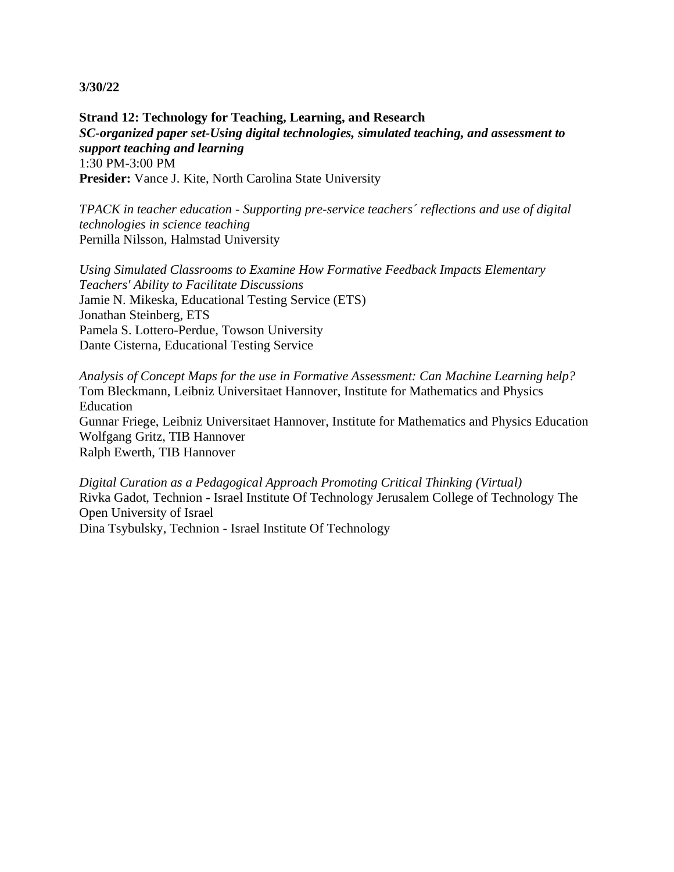**Strand 12: Technology for Teaching, Learning, and Research** *SC-organized paper set-Using digital technologies, simulated teaching, and assessment to support teaching and learning* 1:30 PM-3:00 PM **Presider:** Vance J. Kite, North Carolina State University

*TPACK in teacher education - Supporting pre-service teachers´ reflections and use of digital technologies in science teaching* Pernilla Nilsson, Halmstad University

*Using Simulated Classrooms to Examine How Formative Feedback Impacts Elementary Teachers' Ability to Facilitate Discussions* Jamie N. Mikeska, Educational Testing Service (ETS) Jonathan Steinberg, ETS Pamela S. Lottero-Perdue, Towson University Dante Cisterna, Educational Testing Service

*Analysis of Concept Maps for the use in Formative Assessment: Can Machine Learning help?* Tom Bleckmann, Leibniz Universitaet Hannover, Institute for Mathematics and Physics Education Gunnar Friege, Leibniz Universitaet Hannover, Institute for Mathematics and Physics Education Wolfgang Gritz, TIB Hannover Ralph Ewerth, TIB Hannover

*Digital Curation as a Pedagogical Approach Promoting Critical Thinking (Virtual)* Rivka Gadot, Technion - Israel Institute Of Technology Jerusalem College of Technology The Open University of Israel Dina Tsybulsky, Technion - Israel Institute Of Technology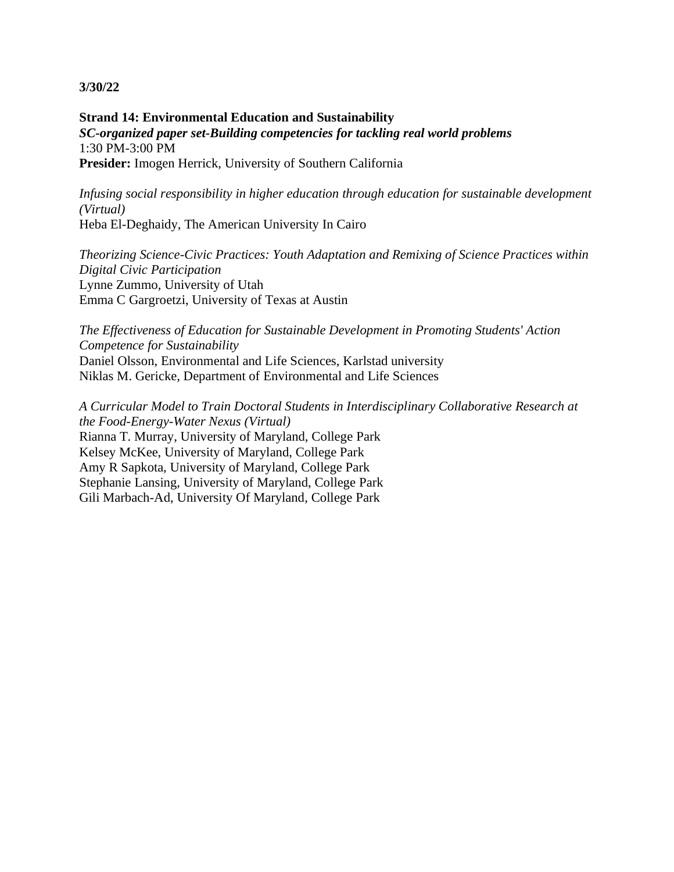**Strand 14: Environmental Education and Sustainability** *SC-organized paper set-Building competencies for tackling real world problems* 1:30 PM-3:00 PM **Presider:** Imogen Herrick, University of Southern California

*Infusing social responsibility in higher education through education for sustainable development (Virtual)* Heba El-Deghaidy, The American University In Cairo

*Theorizing Science-Civic Practices: Youth Adaptation and Remixing of Science Practices within Digital Civic Participation* Lynne Zummo, University of Utah Emma C Gargroetzi, University of Texas at Austin

*The Effectiveness of Education for Sustainable Development in Promoting Students' Action Competence for Sustainability* Daniel Olsson, Environmental and Life Sciences, Karlstad university Niklas M. Gericke, Department of Environmental and Life Sciences

*A Curricular Model to Train Doctoral Students in Interdisciplinary Collaborative Research at the Food-Energy-Water Nexus (Virtual)* Rianna T. Murray, University of Maryland, College Park Kelsey McKee, University of Maryland, College Park Amy R Sapkota, University of Maryland, College Park Stephanie Lansing, University of Maryland, College Park Gili Marbach-Ad, University Of Maryland, College Park